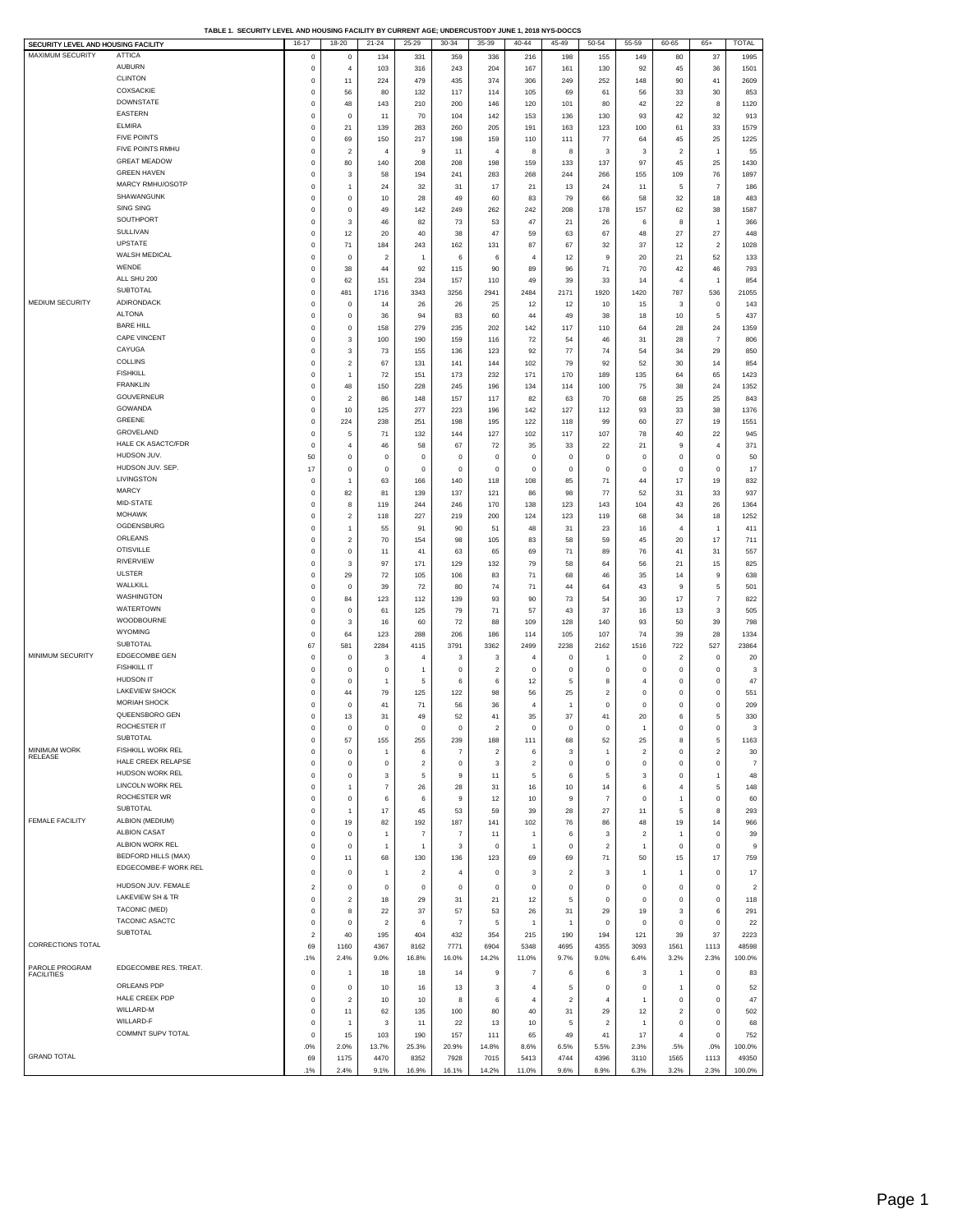| SECURITY LEVEL AND HOUSING FACILITY |                            | 16-17                   | 18-20                   | $21 - 24$      | $25 - 29$               | $30 - 34$      | $35 - 39$               | $40 - 44$               | 45-49                   | $50 - 54$               | 55-59                   | 60-65                   | $65+$            | TOTAL          |
|-------------------------------------|----------------------------|-------------------------|-------------------------|----------------|-------------------------|----------------|-------------------------|-------------------------|-------------------------|-------------------------|-------------------------|-------------------------|------------------|----------------|
| MAXIMUM SECURITY                    | <b>ATTICA</b>              | $^{\circ}$              | $^{\circ}$              | 134            | 331                     | 359            | 336                     | 216                     | 198                     | 155                     | 149                     | 80                      | 37               | 1995           |
|                                     |                            |                         |                         |                |                         |                |                         |                         |                         |                         |                         |                         |                  |                |
|                                     | <b>AUBURN</b>              | $\mathbf 0$             | $\overline{4}$          | 103            | 316                     | 243            | 204                     | 167                     | 161                     | 130                     | 92                      | 45                      | 36               | 1501           |
|                                     | <b>CLINTON</b>             | $\mathbf 0$             | 11                      | 224            | 479                     | 435            | 374                     | 306                     | 249                     | 252                     | 148                     | 90                      | 41               | 2609           |
|                                     | <b>COXSACKIE</b>           | $\mathbf 0$             | 56                      | 80             | 132                     | 117            | 114                     | 105                     | 69                      | 61                      | 56                      | 33                      | 30               | 853            |
|                                     | <b>DOWNSTATE</b>           |                         |                         |                |                         |                |                         |                         |                         |                         |                         |                         |                  |                |
|                                     |                            | 0                       | 48                      | 143            | 210                     | 200            | 146                     | 120                     | 101                     | 80                      | 42                      | 22                      | 8                | 1120           |
|                                     | EASTERN                    | 0                       | 0                       | 11             | 70                      | 104            | 142                     | 153                     | 136                     | 130                     | 93                      | 42                      | 32               | 913            |
|                                     | <b>ELMIRA</b>              | 0                       | 21                      | 139            | 283                     | 260            | 205                     | 191                     | 163                     | 123                     | 100                     | 61                      | 33               | 1579           |
|                                     | <b>FIVE POINTS</b>         | 0                       | 69                      | 150            | 217                     | 198            | 159                     | 110                     | 111                     | 77                      | 64                      | 45                      | 25               | 1225           |
|                                     | FIVE POINTS RMHU           |                         |                         |                |                         |                |                         |                         |                         |                         |                         |                         |                  |                |
|                                     |                            | 0                       | $\overline{\mathbf{2}}$ | 4              | 9                       | 11             | $\overline{4}$          | 8                       | 8                       | 3                       | 3                       | $\overline{\mathbf{c}}$ | 1                | 55             |
|                                     | <b>GREAT MEADOW</b>        | 0                       | 80                      | 140            | 208                     | 208            | 198                     | 159                     | 133                     | 137                     | 97                      | 45                      | 25               | 1430           |
|                                     | <b>GREEN HAVEN</b>         | 0                       | 3                       | 58             | 194                     | 241            | 283                     | 268                     | 244                     | 266                     | 155                     | 109                     | 76               | 1897           |
|                                     | MARCY RMHU/OSOTP           |                         |                         |                |                         |                |                         |                         |                         |                         |                         |                         |                  |                |
|                                     |                            | 0                       | $\mathbf{1}$            | 24             | 32                      | 31             | 17                      | 21                      | 13                      | 24                      | 11                      | 5                       | $\overline{7}$   | 186            |
|                                     | SHAWANGUNK                 | 0                       | 0                       | 10             | 28                      | 49             | 60                      | 83                      | 79                      | 66                      | 58                      | 32                      | 18               | 483            |
|                                     | SING SING                  | 0                       | 0                       | 49             | 142                     | 249            | 262                     | 242                     | 208                     | 178                     | 157                     | 62                      | 38               | 1587           |
|                                     | SOUTHPORT                  | 0                       | 3                       |                |                         |                |                         |                         |                         | 26                      | 6                       |                         | 1                | 366            |
|                                     |                            |                         |                         | 46             | 82                      | 73             | 53                      | 47                      | 21                      |                         |                         | 8                       |                  |                |
|                                     | SULLIVAN                   | 0                       | 12                      | 20             | 40                      | 38             | 47                      | 59                      | 63                      | 67                      | 48                      | 27                      | 27               | 448            |
|                                     | <b>UPSTATE</b>             | 0                       | 71                      | 184            | 243                     | 162            | 131                     | 87                      | 67                      | 32                      | 37                      | 12                      | 2                | 1028           |
|                                     | WALSH MEDICAL              | 0                       | 0                       | $\overline{a}$ | $\mathbf{1}$            | 6              | 6                       | $\overline{4}$          | 12                      | 9                       | 20                      | 21                      | 52               | 133            |
|                                     | WENDE                      |                         |                         |                |                         |                |                         |                         |                         |                         |                         |                         |                  |                |
|                                     |                            | 0                       | 38                      | 44             | 92                      | 115            | 90                      | 89                      | 96                      | 71                      | 70                      | 42                      | 46               | 793            |
|                                     | ALL SHU 200                | $\mathbf 0$             | 62                      | 151            | 234                     | 157            | 110                     | 49                      | 39                      | 33                      | 14                      | $\overline{4}$          | 1                | 854            |
|                                     | SUBTOTAL                   | $\mathbf 0$             | 481                     | 1716           | 3343                    | 3256           | 2941                    | 2484                    | 2171                    | 1920                    | 1420                    | 787                     | 536              | 21055          |
| <b>MEDIUM SECURITY</b>              | ADIRONDACK                 | $\mathbf 0$             | $\mathbf 0$             | 14             | 26                      | 26             | 25                      | 12                      | 12                      | 10                      | 15                      | 3                       | $\mathbf 0$      | 143            |
|                                     |                            |                         |                         |                |                         |                |                         |                         |                         |                         |                         |                         |                  |                |
|                                     | <b>ALTONA</b>              | $\mathbf 0$             | $\mathbf 0$             | 36             | 94                      | 83             | 60                      | 44                      | 49                      | 38                      | 18                      | 10                      | 5                | 437            |
|                                     | <b>BARE HILL</b>           | $\mathbf 0$             | $\mathsf 0$             | 158            | 279                     | 235            | 202                     | 142                     | 117                     | 110                     | 64                      | 28                      | 24               | 1359           |
|                                     | CAPE VINCENT               | $\mathbf 0$             | 3                       | 100            | 190                     | 159            | 116                     | 72                      | 54                      | 46                      | 31                      | 28                      | $\overline{7}$   | 806            |
|                                     | CAYUGA                     |                         |                         |                |                         |                |                         |                         |                         |                         |                         |                         |                  |                |
|                                     |                            | 0                       | 3                       | 73             | 155                     | 136            | 123                     | 92                      | 77                      | 74                      | 54                      | 34                      | 29               | 850            |
|                                     | <b>COLLINS</b>             | $\mathbf 0$             | 2                       | 67             | 131                     | 141            | 144                     | 102                     | 79                      | 92                      | 52                      | 30                      | 14               | 854            |
|                                     | <b>FISHKILL</b>            | 0                       | $\mathbf{1}$            | 72             | 151                     | 173            | 232                     | 171                     | 170                     | 189                     | 135                     | 64                      | 65               | 1423           |
|                                     | <b>FRANKLIN</b>            |                         |                         |                |                         |                |                         |                         |                         |                         |                         |                         |                  |                |
|                                     |                            | 0                       | 48                      | 150            | 228                     | 245            | 196                     | 134                     | 114                     | 100                     | 75                      | 38                      | 24               | 1352           |
|                                     | GOUVERNEUR                 | 0                       | 2                       | 86             | 148                     | 157            | 117                     | 82                      | 63                      | 70                      | 68                      | 25                      | 25               | 843            |
|                                     | GOWANDA                    | 0                       | 10                      | 125            | 277                     | 223            | 196                     | 142                     | 127                     | 112                     | 93                      | 33                      | 38               | 1376           |
|                                     | GREENE                     | 0                       | 224                     | 238            | 251                     | 198            | 195                     | 122                     | 118                     | 99                      | 60                      | 27                      | 19               | 1551           |
|                                     | GROVELAND                  |                         |                         |                |                         |                |                         |                         |                         |                         |                         |                         |                  |                |
|                                     |                            | 0                       | 5                       | 71             | 132                     | 144            | 127                     | 102                     | 117                     | 107                     | 78                      | 40                      | 22               | 945            |
|                                     | HALE CK ASACTC/FDR         | 0                       | 4                       | 46             | 58                      | 67             | 72                      | 35                      | 33                      | 22                      | 21                      | 9                       | 4                | 371            |
|                                     | HUDSON JUV.                | 50                      | 0                       | $\mathbf 0$    | $\pmb{0}$               | $\mathbf 0$    | $\mathbf 0$             | $\mathbf 0$             | 0                       | 0                       | 0                       | $\pmb{0}$               | 0                | 50             |
|                                     | HUDSON JUV. SEP.           |                         |                         |                |                         |                |                         |                         |                         |                         |                         |                         |                  |                |
|                                     |                            | 17                      | 0                       | $\mathbf 0$    | $\pmb{0}$               | $\mathbf 0$    | $^{\circ}$              | $^{\circ}$              | $\mathbf 0$             | $\mathbf 0$             | $\mathbf 0$             | $\pmb{0}$               | 0                | 17             |
|                                     | LIVINGSTON                 | 0                       | $\ddot{\phantom{0}}$    | 63             | 166                     | 140            | 118                     | 108                     | 85                      | 71                      | 44                      | 17                      | 19               | 832            |
|                                     | <b>MARCY</b>               | 0                       | 82                      | 81             | 139                     | 137            | 121                     | 86                      | 98                      | 77                      | 52                      | 31                      | 33               | 937            |
|                                     | MID-STATE                  | 0                       | 8                       | 119            | 244                     | 246            | 170                     | 138                     | 123                     | 143                     | 104                     | 43                      | 26               | 1364           |
|                                     |                            |                         |                         |                |                         |                |                         |                         |                         |                         |                         |                         |                  |                |
|                                     | <b>MOHAWK</b>              | 0                       | $\boldsymbol{2}$        | 118            | 227                     | 219            | 200                     | 124                     | 123                     | 119                     | 68                      | 34                      | 18               | 1252           |
|                                     | OGDENSBURG                 | $\mathbf 0$             | 1                       | 55             | 91                      | 90             | 51                      | 48                      | 31                      | 23                      | 16                      | 4                       | 1                | 411            |
|                                     | ORLEANS                    | $\mathbf 0$             | 2                       | 70             | 154                     | 98             | 105                     | 83                      | 58                      | 59                      | 45                      | 20                      | 17               | 711            |
|                                     | <b>OTISVILLE</b>           |                         |                         |                |                         |                |                         |                         |                         |                         |                         |                         |                  |                |
|                                     |                            | $\mathbf 0$             | $\mathsf 0$             | 11             | 41                      | 63             | 65                      | 69                      | 71                      | 89                      | 76                      | 41                      | 31               | 557            |
|                                     | RIVERVIEW                  | $\mathbf 0$             | 3                       | 97             | 171                     | 129            | 132                     | 79                      | 58                      | 64                      | 56                      | 21                      | 15               | 825            |
|                                     | <b>ULSTER</b>              | $\mathbf 0$             | 29                      | 72             | 105                     | 106            | 83                      | 71                      | 68                      | 46                      | 35                      | 14                      | 9                | 638            |
|                                     | WALLKILL                   |                         |                         |                |                         |                |                         |                         |                         |                         |                         |                         |                  |                |
|                                     |                            | $^{\circ}$              | 0                       | 39             | 72                      | 80             | 74                      | 71                      | 44                      | 64                      | 43                      | 9                       | 5                | 501            |
|                                     | WASHINGTON                 | 0                       | 84                      | 123            | 112                     | 139            | 93                      | 90                      | 73                      | 54                      | 30                      | 17                      | $\overline{7}$   | 822            |
|                                     | WATERTOWN                  | $\mathbf 0$             | 0                       | 61             | 125                     | 79             | 71                      | 57                      | 43                      | 37                      | 16                      | 13                      | 3                | 505            |
|                                     | WOODBOURNE                 | 0                       | 3                       | 16             | 60                      |                | 88                      | 109                     |                         | 140                     |                         | 50                      | 39               |                |
|                                     |                            |                         |                         |                |                         | 72             |                         |                         | 128                     |                         | 93                      |                         |                  | 798            |
|                                     | <b>WYOMING</b>             | 0                       | 64                      | 123            | 288                     | 206            | 186                     | 114                     | 105                     | 107                     | 74                      | 39                      | 28               | 1334           |
|                                     | SUBTOTAL                   | 67                      | 581                     | 2284           | 4115                    | 3791           | 3362                    | 2499                    | 2238                    | 2162                    | 1516                    | 722                     | 527              | 23864          |
| MINIMUM SECURITY                    | EDGECOMBE GEN              | 0                       | 0                       | 3              | 4                       | 3              | 3                       | $\overline{4}$          | 0                       | $\overline{1}$          | 0                       | $\overline{\mathbf{c}}$ | 0                | 20             |
|                                     | <b>FISHKILL IT</b>         |                         |                         |                |                         |                |                         |                         |                         |                         |                         |                         |                  |                |
|                                     |                            | 0                       | 0                       | 0              | $\mathbf{1}$            | $\circ$        | $\overline{2}$          | $\mathbf 0$             | 0                       | 0                       | $\mathbf 0$             | $\pmb{0}$               | 0                | 3              |
|                                     | <b>HUDSON IT</b>           | 0                       | 0                       | 1              | 5                       | 6              | 6                       | 12                      | 5                       | 8                       | 4                       | $\pmb{0}$               | 0                | 47             |
|                                     | <b>LAKEVIEW SHOCK</b>      | 0                       | 44                      | 79             | 125                     | 122            | 98                      | 56                      | 25                      | $\overline{\mathbf{c}}$ | $\mathbf 0$             | $\pmb{0}$               | 0                | 551            |
|                                     | <b>MORIAH SHOCK</b>        |                         |                         | 41             |                         |                |                         | $\overline{4}$          |                         | $\mathbf 0$             | $\mathbf 0$             |                         |                  |                |
|                                     |                            | 0                       | 0                       |                | 71                      | 56             | 36                      |                         | $\overline{1}$          |                         |                         | $\pmb{0}$               | 0                | 209            |
|                                     | QUEENSBORO GEN             | 0                       | 13                      | 31             | 49                      | 52             | 41                      | 35                      | 37                      | 41                      | 20                      | 6                       | 5                | 330            |
|                                     | ROCHESTER IT               | $\mathbf 0$             | 0                       | $\pmb{0}$      | $\mathbf 0$             | $\mathsf 0$    | $\overline{\mathbf{2}}$ | $\bf{0}$                | $\mathbf 0$             | $\mathsf 0$             | 1                       | $\mathbf 0$             | $\mathbf 0$      | 3              |
|                                     | <b>SUBTOTAL</b>            |                         | 57                      | 155            | 255                     | 239            | 188                     | 111                     | 68                      | 52                      | 25                      |                         |                  | 1163           |
| MINIMUM WORK                        | FISHKILL WORK REL          |                         |                         |                |                         |                |                         |                         |                         |                         |                         |                         |                  |                |
| RELEASE                             | HALE CREEK RELAPSE         | $\pmb{0}$               | 0                       | 1              | 6                       | $\overline{7}$ | $\overline{\mathbf{c}}$ | 6                       | 3                       | $\overline{1}$          | $\overline{\mathbf{c}}$ | $\pmb{0}$               | $\boldsymbol{2}$ | 30             |
|                                     |                            | 0                       | 0                       | 0              | $\overline{c}$          | $\mathbf 0$    | 3                       | $\overline{\mathbf{c}}$ | 0                       | 0                       | 0                       | $\pmb{0}$               | 0                | 7              |
|                                     | HUDSON WORK REL            | $\mathbf 0$             | 0                       | 3              | 5                       | 9              | 11                      | 5                       | 6                       | 5                       | 3                       | $\mathbf 0$             | $\mathbf{1}$     | 48             |
|                                     | LINCOLN WORK REL           | $\mathbf 0$             | $\mathbf{1}$            | $\overline{7}$ | 26                      | 28             | 31                      | 16                      | 10                      | 14                      | 6                       | $\overline{4}$          | 5                | 148            |
|                                     | ROCHESTER WR               |                         |                         |                |                         |                |                         |                         |                         |                         |                         |                         |                  |                |
|                                     |                            | $\mathbf 0$             | $\mathsf 0$             | 6              | 6                       | 9              | 12                      | 10                      | 9                       | $\overline{7}$          | $\mathbf 0$             | $\overline{1}$          | $\mathbf 0$      | 60             |
|                                     | SUBTOTAL                   | $\mathbf 0$             | 1                       | 17             | 45                      | 53             | 59                      | 39                      | 28                      | 27                      | 11                      | 5                       | 8                | 293            |
| <b>FEMALE FACILITY</b>              | ALBION (MEDIUM)            | $\mathbf 0$             | 19                      | 82             | 192                     | 187            | 141                     | 102                     | 76                      | 86                      | 48                      | 19                      | 14               | 966            |
|                                     | <b>ALBION CASAT</b>        | $\mathbf 0$             |                         | $\mathbf{1}$   | $\overline{7}$          | 7              | 11                      | $\overline{1}$          |                         |                         | $\overline{2}$          | $\overline{1}$          |                  |                |
|                                     |                            |                         | 0                       |                |                         |                |                         |                         | 6                       | 3                       |                         |                         | 0                | 39             |
|                                     | ALBION WORK REL            | 0                       | $\mathsf 0$             | 1              | $\mathbf{1}$            | 3              | $^{\circ}$              | $\overline{1}$          | 0                       | $\overline{\mathbf{2}}$ | $\mathbf{1}$            | 0                       | $\mathbf 0$      | 9              |
|                                     | <b>BEDFORD HILLS (MAX)</b> | 0                       | 11                      | 68             | 130                     | 136            | 123                     | 69                      | 69                      | 71                      | 50                      | 15                      | 17               | 759            |
|                                     | EDGECOMBE-F WORK REL       |                         |                         |                |                         |                |                         |                         |                         |                         |                         |                         |                  |                |
|                                     |                            | 0                       | 0                       | 1              | $\overline{\mathbf{2}}$ | 4              | $\mathbf 0$             | 3                       | $\overline{\mathbf{c}}$ | 3                       | 1                       | 1                       | 0                | 17             |
|                                     | HUDSON JUV. FEMALE         | $\boldsymbol{2}$        | $\mathsf 0$             | $^{\circ}$     | $\mathbf 0$             | $\mathbf 0$    | $\bf{0}$                | $\bf{0}$                | $\,0\,$                 | $\mathsf 0$             | $\mathbf 0$             | $\mathbf 0$             | $\mathsf 0$      | $\overline{2}$ |
|                                     | LAKEVIEW SH & TR           |                         |                         |                |                         |                |                         |                         |                         |                         |                         |                         |                  |                |
|                                     |                            | $\mathbf 0$             | $\overline{\mathbf{c}}$ | 18             | 29                      | 31             | 21                      | 12                      | 5                       | $\mathbf{0}$            | $\mathsf 0$             | $\mathbf 0$             | $\mathbf 0$      | 118            |
|                                     | TACONIC (MED)              | $\mathbf 0$             | 8                       | 22             | 37                      | 57             | 53                      | 26                      | 31                      | 29                      | 19                      | 3                       | 6                | 291            |
|                                     | TACONIC ASACTC             | $\mathbf 0$             | $\mathbf 0$             | $\overline{2}$ | 6                       | 7              | 5                       | $\overline{1}$          | -1                      | $\overline{0}$          | $\mathbf 0$             | $\mathbf 0$             | $\mathbf 0$      | 22             |
|                                     | <b>SUBTOTAL</b>            |                         |                         |                |                         |                |                         |                         |                         |                         |                         |                         |                  |                |
|                                     |                            | $\overline{\mathbf{c}}$ | 40                      | 195            | 404                     | 432            | 354                     | 215                     | 190                     | 194                     | 121                     | 39                      | 37               | 2223           |
| CORRECTIONS TOTAL                   |                            | 69                      | 1160                    | 4367           | 8162                    | 7771           | 6904                    | 5348                    | 4695                    | 4355                    | 3093                    | 1561                    | 1113             | 48598          |
|                                     |                            | .1%                     | 2.4%                    | 9.0%           | 16.8%                   | 16.0%          | 14.2%                   | 11.0%                   | 9.7%                    | 9.0%                    | 6.4%                    | 3.2%                    | 2.3%             | 100.0%         |
| PAROLE PROGRAM                      | EDGECOMBE RES. TREAT.      |                         |                         |                |                         |                |                         |                         |                         |                         |                         |                         |                  |                |
| <b>FACILITIES</b>                   |                            | 0                       | $\overline{1}$          | 18             | 18                      | 14             | 9                       | $\overline{7}$          | 6                       | 6                       | 3                       | $\mathbf{1}$            | 0                | 83             |
|                                     | ORLEANS PDP                | $\mathbf 0$             | $\mathbf 0$             | 10             | 16                      | 13             | 3                       | $\overline{4}$          | 5                       | $\mathbf{0}$            | $^{\circ}$              | $\mathbf{1}$            | $\mathbf 0$      | 52             |
|                                     | HALE CREEK PDP             |                         |                         |                |                         |                |                         |                         |                         |                         |                         |                         |                  |                |
|                                     |                            | $\mathbf 0$             | $\sqrt{2}$              | 10             | 10                      | 8              | 6                       | $\overline{4}$          | $\mathbf 2$             | $\overline{4}$          | 1                       | $\mathbf 0$             | $\mathbf 0$      | 47             |
|                                     | WILLARD-M                  | $\mathbf 0$             | 11                      | 62             | 135                     | 100            | 80                      | 40                      | 31                      | 29                      | 12                      | $\overline{2}$          | $\mathbf 0$      | 502            |
|                                     | WILLARD-F                  | $^{\circ}$              | $\mathbf{1}$            | 3              | 11                      | 22             | 13                      | 10                      | 5                       | $\overline{2}$          | $\overline{1}$          | 0                       | $\mathbf 0$      | 68             |
|                                     | COMMNT SUPV TOTAL          |                         |                         |                |                         |                |                         |                         |                         |                         |                         |                         |                  |                |
|                                     |                            | $^{\circ}$              | 15                      | 103            | 190                     | 157            | 111                     | 65                      | 49                      | 41                      | 17                      | $\overline{4}$          | $^{\circ}$       | 752            |
|                                     |                            | .0%                     | 2.0%                    | 13.7%          | 25.3%                   | 20.9%          | 14.8%                   | 8.6%                    | 6.5%                    | 5.5%                    | 2.3%                    | .5%                     | .0%              | 100.0%         |
| <b>GRAND TOTAL</b>                  |                            | 69                      | 1175                    | 4470           | 8352                    | 7928           | 7015                    | 5413                    | 4744                    | 4396                    | 3110                    | 1565                    | 1113             | 49350          |
|                                     |                            | .1%                     | 2.4%                    | 9.1%           | 16.9%                   | 16.1%          | 14.2%                   | 11.0%                   | 9.6%                    | 8.9%                    | 6.3%                    | 3.2%                    | 2.3%             | 100.0%         |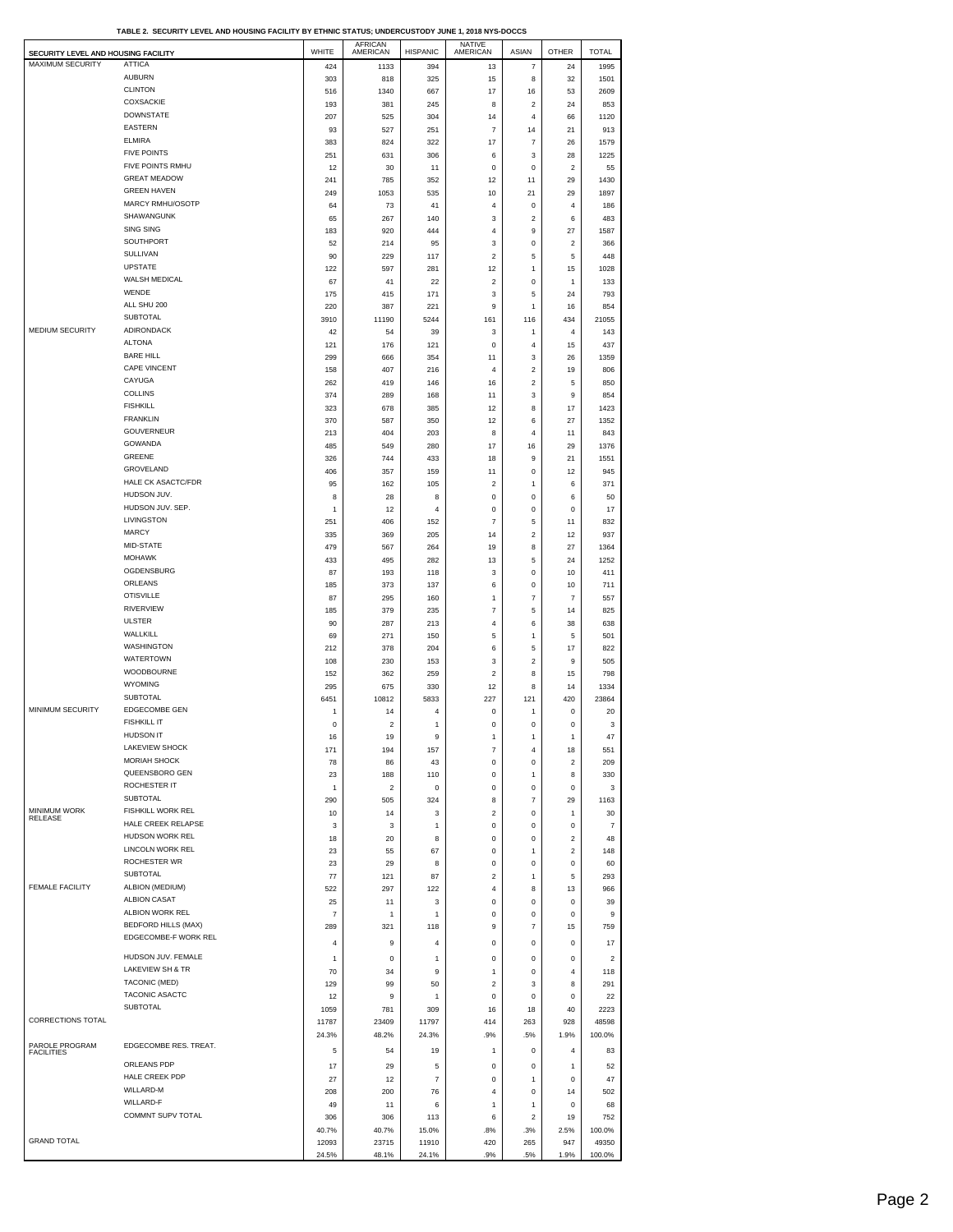| SECURITY LEVEL AND HOUSING FACILITY |                                                    | WHITE          | <b>AFRICAN</b><br>AMERICAN | <b>HISPANIC</b>     | <b>NATIVE</b><br>AMERICAN     | ASIAN                   | <b>OTHER</b>               | <b>TOTAL</b>            |
|-------------------------------------|----------------------------------------------------|----------------|----------------------------|---------------------|-------------------------------|-------------------------|----------------------------|-------------------------|
| MAXIMUM SECURITY                    | ATTICA                                             | 424            | 1133                       | 394                 | 13                            | 7                       | 24                         | 1995                    |
|                                     | <b>AUBURN</b>                                      | 303            | 818                        | 325                 | 15                            | 8                       | 32                         | 1501                    |
|                                     | <b>CLINTON</b>                                     | 516            | 1340                       | 667                 | 17                            | 16                      | 53                         | 2609                    |
|                                     | <b>COXSACKIE</b><br><b>DOWNSTATE</b>               | 193            | 381                        | 245                 | 8                             | 2                       | 24                         | 853                     |
|                                     | <b>EASTERN</b>                                     | 207<br>93      | 525<br>527                 | 304<br>251          | 14<br>7                       | 4<br>14                 | 66<br>21                   | 1120<br>913             |
|                                     | <b>ELMIRA</b>                                      | 383            | 824                        | 322                 | 17                            | 7                       | 26                         | 1579                    |
|                                     | <b>FIVE POINTS</b>                                 | 251            | 631                        | 306                 | 6                             | 3                       | 28                         | 1225                    |
|                                     | FIVE POINTS RMHU                                   | 12             | 30                         | 11                  | $\mathbf 0$                   | 0                       | $\overline{\mathbf{c}}$    | 55                      |
|                                     | <b>GREAT MEADOW</b>                                | 241            | 785                        | 352                 | 12                            | 11                      | 29                         | 1430                    |
|                                     | <b>GREEN HAVEN</b>                                 | 249            | 1053                       | 535                 | 10                            | 21                      | 29                         | 1897                    |
|                                     | <b>MARCY RMHU/OSOTP</b>                            | 64             | 73                         | 41                  | $\overline{4}$                | 0                       | $\overline{4}$             | 186                     |
|                                     | SHAWANGUNK<br><b>SING SING</b>                     | 65             | 267                        | 140                 | 3                             | 2                       | 6                          | 483                     |
|                                     | SOUTHPORT                                          | 183<br>52      | 920<br>214                 | 444<br>95           | 4<br>$\mathbf{3}$             | 9<br>0                  | 27<br>$\boldsymbol{2}$     | 1587<br>366             |
|                                     | SULLIVAN                                           | 90             | 229                        | 117                 | $\overline{\mathbf{c}}$       | 5                       | 5                          | 448                     |
|                                     | <b>UPSTATE</b>                                     | 122            | 597                        | 281                 | 12                            | 1                       | 15                         | 1028                    |
|                                     | WALSH MEDICAL                                      | 67             | 41                         | 22                  | $\sqrt{2}$                    | 0                       | $\mathbf{1}$               | 133                     |
|                                     | WENDE                                              | 175            | 415                        | 171                 | 3                             | 5                       | 24                         | 793                     |
|                                     | ALL SHU 200                                        | 220            | 387                        | 221                 | 9                             | 1                       | 16                         | 854                     |
|                                     | <b>SUBTOTAL</b>                                    | 3910           | 11190                      | 5244                | 161                           | 116                     | 434                        | 21055                   |
| MEDIUM SECURITY                     | ADIRONDACK<br><b>ALTONA</b>                        | 42             | 54                         | 39                  | $\mathbf{3}$                  | 1                       | $\overline{4}$             | 143                     |
|                                     | <b>BARE HILL</b>                                   | 121<br>299     | 176<br>666                 | 121<br>354          | $\mathbf 0$<br>11             | 4<br>3                  | 15<br>26                   | 437<br>1359             |
|                                     | CAPE VINCENT                                       | 158            | 407                        | 216                 | $\overline{4}$                | 2                       | 19                         | 806                     |
|                                     | CAYUGA                                             | 262            | 419                        | 146                 | 16                            | $\overline{\mathbf{c}}$ | 5                          | 850                     |
|                                     | <b>COLLINS</b>                                     | 374            | 289                        | 168                 | 11                            | 3                       | 9                          | 854                     |
|                                     | <b>FISHKILL</b>                                    | 323            | 678                        | 385                 | 12                            | 8                       | 17                         | 1423                    |
|                                     | <b>FRANKLIN</b>                                    | 370            | 587                        | 350                 | 12                            | 6                       | 27                         | 1352                    |
|                                     | <b>GOUVERNEUR</b>                                  | 213            | 404                        | 203                 | 8                             | 4                       | 11                         | 843                     |
|                                     | <b>GOWANDA</b>                                     | 485            | 549                        | 280                 | 17                            | 16                      | 29                         | 1376                    |
|                                     | <b>GREENE</b><br>GROVELAND                         | 326            | 744                        | 433                 | 18                            | 9                       | 21                         | 1551                    |
|                                     | <b>HALE CK ASACTC/FDR</b>                          | 406<br>95      | 357<br>162                 | 159<br>105          | 11<br>$\overline{\mathbf{c}}$ | 0<br>1                  | 12<br>6                    | 945<br>371              |
|                                     | HUDSON JUV.                                        | 8              | 28                         | 8                   | 0                             | 0                       | 6                          | 50                      |
|                                     | HUDSON JUV. SEP.                                   | 1              | 12                         | $\overline{4}$      | $\mathbf 0$                   | 0                       | $\bf{0}$                   | 17                      |
|                                     | LIVINGSTON                                         | 251            | 406                        | 152                 | $\overline{7}$                | 5                       | 11                         | 832                     |
|                                     | <b>MARCY</b>                                       | 335            | 369                        | 205                 | 14                            | $\overline{\mathbf{c}}$ | 12                         | 937                     |
|                                     | MID-STATE                                          | 479            | 567                        | 264                 | 19                            | 8                       | 27                         | 1364                    |
|                                     | <b>MOHAWK</b>                                      | 433            | 495                        | 282                 | 13                            | 5                       | 24                         | 1252                    |
|                                     | OGDENSBURG<br>ORLEANS                              | 87             | 193                        | 118                 | 3                             | 0                       | 10                         | 411                     |
|                                     | <b>OTISVILLE</b>                                   | 185<br>87      | 373<br>295                 | 137<br>160          | 6<br>$\mathbf{1}$             | 0<br>7                  | 10<br>$\overline{7}$       | 711<br>557              |
|                                     | RIVERVIEW                                          | 185            | 379                        | 235                 | $\overline{7}$                | 5                       | 14                         | 825                     |
|                                     | <b>ULSTER</b>                                      | 90             | 287                        | 213                 | 4                             | 6                       | 38                         | 638                     |
|                                     | WALLKILL                                           | 69             | 271                        | 150                 | $\mathbf 5$                   | 1                       | 5                          | 501                     |
|                                     | <b>WASHINGTON</b>                                  | 212            | 378                        | 204                 | 6                             | 5                       | 17                         | 822                     |
|                                     | <b>WATERTOWN</b>                                   | 108            | 230                        | 153                 | $\mathbf{3}$                  | 2                       | 9                          | 505                     |
|                                     | WOODBOURNE                                         | 152            | 362                        | 259                 | $\boldsymbol{2}$              | 8                       | 15                         | 798                     |
|                                     | <b>WYOMING</b><br>SUBTOTAL                         | 295            | 675                        | 330                 | 12                            | 8                       | 14                         | 1334                    |
| MINIMUM SECURITY                    | <b>EDGECOMBE GEN</b>                               | 6451           | 10812<br>14                | 5833<br>4           | 227<br>$\mathsf 0$            | 121                     | 420<br>$\bf{0}$            | 23864<br>20             |
|                                     | <b>FISHKILL IT</b>                                 | 1<br>$\pmb{0}$ | $\overline{\mathbf{c}}$    | 1                   | $\mathbf 0$                   | 1<br>0                  | 0                          | 3                       |
|                                     | <b>HUDSON IT</b>                                   | 16             | 19                         | 9                   |                               |                         | 1                          | 47                      |
|                                     | LAKEVIEW SHOCK                                     | 171            | 194                        | 157                 | $\overline{7}$                | 4                       | 18                         | 551                     |
|                                     | <b>MORIAH SHOCK</b>                                | 78             | 86                         | 43                  | 0                             | 0                       | $\overline{\mathbf{c}}$    | 209                     |
|                                     | QUEENSBORO GEN                                     | 23             | 188                        | 110                 | $\mathsf 0$                   | 1                       | 8                          | 330                     |
|                                     | ROCHESTER IT                                       | 1              | $\overline{2}$             | 0                   | 0                             | 0                       | $^{\circ}$                 | 3                       |
| <b>MINIMUM WORK</b>                 | <b>SUBTOTAL</b><br>FISHKILL WORK REL               | 290            | 505                        | 324                 | 8                             | 7                       | 29                         | 1163                    |
| RELEASE                             | HALE CREEK RELAPSE                                 | 10<br>3        | 14<br>3                    | 3<br>1              | $\overline{2}$<br>0           | 0<br>0                  | $\mathbf{1}$<br>$\pmb{0}$  | 30<br>$\overline{7}$    |
|                                     | HUDSON WORK REL                                    | 18             | 20                         | 8                   | $\mathsf 0$                   | 0                       | $\overline{2}$             | 48                      |
|                                     | LINCOLN WORK REL                                   | 23             | 55                         | 67                  | 0                             | 1                       | $\overline{\mathbf{c}}$    | 148                     |
|                                     | ROCHESTER WR                                       | 23             | 29                         | 8                   | $\mathsf 0$                   | 0                       | $\bf{0}$                   | 60                      |
|                                     | SUBTOTAL                                           | 77             | 121                        | 87                  | $\overline{\mathbf{c}}$       | 1                       | 5                          | 293                     |
| <b>FEMALE FACILITY</b>              | ALBION (MEDIUM)                                    | 522            | 297                        | 122                 | 4                             | 8                       | 13                         | 966                     |
|                                     | <b>ALBION CASAT</b>                                | 25             | 11                         | 3                   | $\mathsf 0$                   | 0                       | $\bf{0}$                   | 39                      |
|                                     | ALBION WORK REL                                    | $\overline{7}$ | 1                          | 1                   | 0                             | 0                       | $\pmb{0}$                  | 9                       |
|                                     | <b>BEDFORD HILLS (MAX)</b><br>EDGECOMBE-F WORK REL | 289            | 321                        | 118                 | 9                             | 7                       | 15                         | 759                     |
|                                     |                                                    | 4              | 9                          | 4                   | $\mathsf 0$                   | 0                       | $\mathbf 0$                | 17                      |
|                                     | HUDSON JUV. FEMALE                                 | 1              | 0                          | 1                   | 0                             | 0                       | 0                          | $\overline{\mathbf{c}}$ |
|                                     | LAKEVIEW SH & TR                                   | 70             | 34                         | 9                   | $\mathbf{1}$                  | 0                       | $\overline{4}$             | 118                     |
|                                     | TACONIC (MED)<br>TACONIC ASACTC                    | 129            | 99                         | 50                  | $\overline{\mathbf{c}}$       | 3                       | 8                          | 291                     |
|                                     | SUBTOTAL                                           | 12             | 9                          | 1                   | $\mathsf 0$                   | 0                       | $\bf{0}$                   | 22                      |
| CORRECTIONS TOTAL                   |                                                    | 1059<br>11787  | 781<br>23409               | 309<br>11797        | 16<br>414                     | 18<br>263               | 40<br>928                  | 2223<br>48598           |
|                                     |                                                    | 24.3%          | 48.2%                      | 24.3%               | .9%                           | .5%                     | 1.9%                       | 100.0%                  |
| PAROLE PROGRAM                      | EDGECOMBE RES. TREAT.                              | 5              | 54                         | 19                  | $\mathbf{1}$                  | 0                       | $\overline{4}$             | 83                      |
| <b>FACILITIES</b>                   | ORLEANS PDP                                        |                |                            |                     |                               |                         |                            |                         |
|                                     | HALE CREEK PDP                                     | 17<br>27       | 29<br>12                   | 5<br>$\overline{7}$ | $\mathsf 0$<br>0              | 0<br>1                  | $\mathbf{1}$<br>$^{\circ}$ | 52<br>47                |
|                                     | WILLARD-M                                          | 208            | 200                        | 76                  | $\overline{4}$                | 0                       | 14                         | 502                     |
|                                     | <b>WILLARD-F</b>                                   | 49             | 11                         | 6                   | $\mathbf{1}$                  | 1                       | $^{\circ}$                 | 68                      |
|                                     | COMMNT SUPV TOTAL                                  | 306            | 306                        | 113                 | 6                             | $\overline{c}$          | 19                         | 752                     |
|                                     |                                                    | 40.7%          | 40.7%                      | 15.0%               | .8%                           | .3%                     | 2.5%                       | 100.0%                  |
| <b>GRAND TOTAL</b>                  |                                                    | 12093          | 23715                      | 11910               | 420                           | 265                     | 947                        | 49350                   |
|                                     |                                                    | 24.5%          | 48.1%                      | 24.1%               | .9%                           | .5%                     | 1.9%                       | 100.0%                  |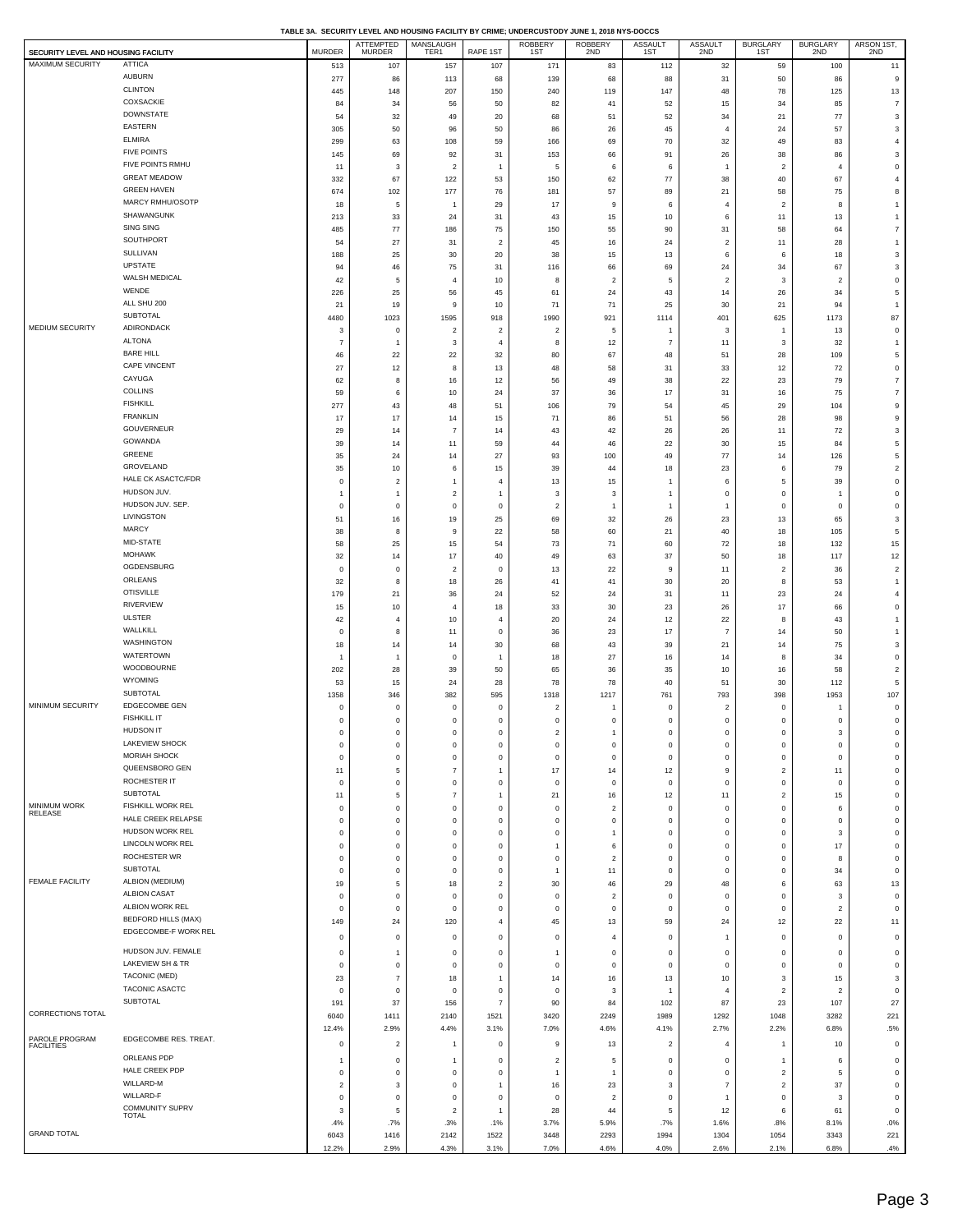| SECURITY LEVEL AND HOUSING FACILITY |                                        | MURDER                   | ATTEMPTED<br>MURDER                     | MANSLAUGH<br>TER1          | RAPE 1ST                 | ROBBERY<br>1ST                | ROBBERY<br>2ND               | ASSAULT<br>1ST             | ASSAULT<br>2ND             | <b>BURGLARY</b><br>1ST     | <b>BURGLARY</b><br>2ND  | ARSON 1ST,<br>2ND                     |
|-------------------------------------|----------------------------------------|--------------------------|-----------------------------------------|----------------------------|--------------------------|-------------------------------|------------------------------|----------------------------|----------------------------|----------------------------|-------------------------|---------------------------------------|
| MAXIMUM SECURITY                    | <b>ATTICA</b>                          | 513                      | 107                                     | 157                        | 107                      | 171                           | 83                           | 112                        | 32                         | 59                         | 100                     | 11                                    |
|                                     | <b>AUBURN</b>                          | 277                      | 86                                      | 113                        | 68                       | 139                           | 68                           | 88                         | 31                         | 50                         | 86                      | 9                                     |
|                                     | <b>CLINTON</b>                         | 445                      | 148                                     | 207                        | 150                      | 240                           | 119                          | $147\,$                    | 48                         | 78                         | 125                     | 13                                    |
|                                     | COXSACKIE                              | 84                       | 34                                      | 56                         | 50                       | 82                            | 41                           | 52                         | 15                         | 34                         | 85                      | $\overline{7}$                        |
|                                     | <b>DOWNSTATE</b>                       | 54                       | 32                                      | 49                         | 20                       | 68                            | 51                           | 52                         | 34                         | 21                         | 77                      | 3                                     |
|                                     | <b>EASTERN</b>                         | 305                      | 50                                      | 96                         | 50                       | 86                            | 26                           | 45                         | 4                          | 24                         | 57                      | 3                                     |
|                                     | <b>ELMIRA</b>                          | 299                      | 63                                      | 108                        | 59                       | 166                           | 69                           | 70                         | 32                         | 49                         | 83                      | $\overline{4}$                        |
|                                     | <b>FIVE POINTS</b><br>FIVE POINTS RMHU | 145                      | 69                                      | 92                         | 31                       | 153                           | 66                           | 91                         | 26                         | 38                         | 86                      | 3                                     |
|                                     | <b>GREAT MEADOW</b>                    | 11<br>332                | 3                                       | $\overline{c}$<br>122      | $\overline{1}$<br>53     | 5<br>150                      | 6<br>62                      | 6<br>77                    | $\mathbf{1}$<br>38         | $\overline{2}$<br>40       | $\overline{4}$<br>67    | $\mathsf{O}\xspace$<br>$\overline{4}$ |
|                                     | <b>GREEN HAVEN</b>                     | 674                      | 67<br>102                               | 177                        | 76                       | 181                           | 57                           | 89                         | 21                         | 58                         | 75                      | 8                                     |
|                                     | MARCY RMHU/OSOTP                       | 18                       | 5                                       |                            | 29                       | 17                            | 9                            | 6                          | $\overline{4}$             | $\overline{2}$             | 8                       | $\mathbf{1}$                          |
|                                     | SHAWANGUNK                             | 213                      | 33                                      | 24                         | 31                       | 43                            | 15                           | $10\,$                     | 6                          | 11                         | 13                      | $\mathbf{1}$                          |
|                                     | <b>SING SING</b>                       | 485                      | 77                                      | 186                        | 75                       | 150                           | 55                           | 90                         | 31                         | 58                         | 64                      | $\boldsymbol{7}$                      |
|                                     | SOUTHPORT                              | 54                       | 27                                      | 31                         | $\overline{2}$           | 45                            | 16                           | 24                         | $\overline{2}$             | 11                         | 28                      | $\mathbf{1}$                          |
|                                     | SULLIVAN                               | 188                      | 25                                      | 30                         | $20\,$                   | 38                            | 15                           | 13                         | 6                          | 6                          | 18                      | 3                                     |
|                                     | UPSTATE                                | 94                       | 46                                      | 75                         | 31                       | 116                           | 66                           | 69                         | 24                         | 34                         | 67                      | 3                                     |
|                                     | WALSH MEDICAL                          | 42                       | 5                                       | $\overline{4}$             | $10$                     | 8                             | $\overline{\mathbf{c}}$      | 5                          | $\overline{c}$             | $\overline{\mathbf{3}}$    | $\overline{\mathbf{c}}$ | $\mathbf 0$                           |
|                                     | WENDE<br>ALL SHU 200                   | 226                      | 25                                      | 56                         | 45                       | 61                            | 24                           | 43                         | 14                         | 26                         | 34                      | 5                                     |
|                                     | SUBTOTAL                               | 21                       | 19                                      | 9                          | $10$                     | 71                            | 71                           | 25                         | 30                         | 21                         | 94                      | $\overline{1}$                        |
| MEDIUM SECURITY                     | <b>ADIRONDACK</b>                      | 4480<br>$\mathbf{3}$     | 1023<br>$\mathbf 0$                     | 1595<br>$\overline{2}$     | 918<br>$\overline{c}$    | 1990<br>$\overline{a}$        | 921<br>5                     | 1114<br>$\overline{1}$     | 401<br>3                   | 625<br>1                   | 1173<br>13              | 87<br>$\mathsf{O}\xspace$             |
|                                     | <b>ALTONA</b>                          | $\overline{7}$           | $\overline{1}$                          | 3                          | $\overline{4}$           | 8                             | 12                           | $\overline{7}$             | 11                         | 3                          | 32                      | $\overline{1}$                        |
|                                     | <b>BARE HILL</b>                       | 46                       | 22                                      | 22                         | 32                       | 80                            | 67                           | 48                         | 51                         | 28                         | 109                     | 5                                     |
|                                     | CAPE VINCENT                           | 27                       | 12                                      | 8                          | 13                       | 48                            | 58                           | 31                         | 33                         | 12                         | 72                      | $\mathsf{O}\xspace$                   |
|                                     | CAYUGA                                 | 62                       | 8                                       | 16                         | 12                       | 56                            | 49                           | 38                         | 22                         | 23                         | 79                      | $\boldsymbol{7}$                      |
|                                     | COLLINS                                | 59                       | 6                                       | 10                         | $24\,$                   | 37                            | 36                           | 17                         | 31                         | 16                         | 75                      | $\overline{7}$                        |
|                                     | <b>FISHKILL</b>                        | 277                      | 43                                      | 48                         | 51                       | 106                           | 79                           | 54                         | 45                         | 29                         | 104                     | $\mathsf g$                           |
|                                     | <b>FRANKLIN</b>                        | 17                       | $17\,$                                  | 14                         | 15                       | 71                            | 86                           | 51                         | 56                         | 28                         | 98                      | 9                                     |
|                                     | <b>GOUVERNEUR</b>                      | 29                       | 14                                      | $\overline{7}$             | 14                       | 43                            | 42                           | 26                         | 26                         | 11                         | 72                      | 3                                     |
|                                     | GOWANDA                                | 39                       | 14                                      | 11                         | 59                       | 44                            | 46                           | 22                         | 30                         | 15                         | 84                      | $\overline{5}$                        |
|                                     | GREENE<br>GROVELAND                    | 35                       | 24                                      | 14                         | $27\,$                   | 93                            | 100                          | 49                         | 77                         | 14                         | 126                     | 5                                     |
|                                     | HALE CK ASACTC/FDR                     | 35<br>$\mathbf 0$        | $10$                                    | 6<br>$\overline{1}$        | 15<br>$\overline{4}$     | 39<br>13                      | 44                           | 18<br>$\overline{1}$       | 23<br>6                    | 6<br>5                     | 79<br>39                | $\overline{2}$<br>$\mathbf 0$         |
|                                     | HUDSON JUV.                            | $\overline{1}$           | $\overline{\mathbf{c}}$<br>$\mathbf{1}$ | $\overline{2}$             | $\overline{1}$           | 3                             | 15<br>3                      | $\overline{1}$             | $\mathbf 0$                | $\mathbf 0$                | $\mathbf{1}$            | $\mathsf{O}\xspace$                   |
|                                     | HUDSON JUV. SEP.                       | $\mathbf 0$              | $\mathbf 0$                             | $\mathbf 0$                | $\,$ 0                   | $\overline{\mathbf{c}}$       | $\mathbf{1}$                 | $\mathbf{1}$               | $\mathbf{1}$               | $\mathbf 0$                | $\mathbf 0$             | $\mathsf 0$                           |
|                                     | LIVINGSTON                             | 51                       | 16                                      | 19                         | 25                       | 69                            | 32                           | 26                         | 23                         | 13                         | 65                      | 3                                     |
|                                     | <b>MARCY</b>                           | 38                       | 8                                       | 9                          | $22\,$                   | 58                            | 60                           | 21                         | 40                         | 18                         | 105                     | 5                                     |
|                                     | MID-STATE                              | 58                       | 25                                      | $15\,$                     | 54                       | 73                            | 71                           | 60                         | $\bf 72$                   | 18                         | 132                     | 15                                    |
|                                     | <b>MOHAWK</b>                          | 32                       | 14                                      | 17                         | 40                       | 49                            | 63                           | 37                         | 50                         | 18                         | 117                     | 12                                    |
|                                     | OGDENSBURG                             | $\mathbf 0$              | $\mathbf 0$                             | $\overline{2}$             | $\mathbf 0$              | 13                            | 22                           | 9                          | 11                         | $\overline{2}$             | 36                      | $\overline{c}$                        |
|                                     | ORLEANS                                | 32                       | $\bf8$                                  | $18\,$                     | 26                       | 41                            | 41                           | $30\,$                     | 20                         | 8                          | 53                      | $\mathbf{1}$                          |
|                                     | <b>OTISVILLE</b><br><b>RIVERVIEW</b>   | 179                      | 21                                      | 36                         | 24                       | 52                            | 24                           | 31                         | 11                         | 23                         | 24                      | $\overline{4}$                        |
|                                     | <b>ULSTER</b>                          | 15                       | $10$                                    | $\overline{4}$             | $18\,$                   | 33                            | 30                           | 23                         | 26                         | 17                         | 66                      | $\mathbf 0$                           |
|                                     | WALLKILL                               | 42<br>$\mathbf 0$        | $\overline{4}$<br>8                     | 10<br>11                   | $\overline{4}$<br>$\,$ 0 | 20<br>36                      | 24<br>23                     | 12<br>$17\,$               | 22<br>$\overline{7}$       | 8<br>14                    | 43<br>50                | $\mathbf{1}$<br>$\mathbf{1}$          |
|                                     | <b>WASHINGTON</b>                      | 18                       | 14                                      | 14                         | 30                       | 68                            | 43                           | 39                         | 21                         | 14                         | 75                      | 3                                     |
|                                     | WATERTOWN                              | $\overline{1}$           | $\overline{1}$                          | $\mathbf 0$                | $\overline{1}$           | 18                            | 27                           | 16                         | 14                         | 8                          | 34                      | $\mathsf 0$                           |
|                                     | WOODBOURNE                             | 202                      | 28                                      | 39                         | 50                       | 65                            | 36                           | 35                         | $10$                       | 16                         | 58                      | $\overline{\mathbf{c}}$               |
|                                     | <b>WYOMING</b>                         | 53                       | 15                                      | 24                         | 28                       | 78                            | 78                           | 40                         | 51                         | 30                         | 112                     | 5                                     |
|                                     | SUBTOTAL                               | 1358                     | 346                                     | 382                        | 595                      | 1318                          | 1217                         | 761                        | 793                        | 398                        | 1953                    | 107                                   |
| MINIMUM SECURITY                    | EDGECOMBE GEN                          | 0                        | $\mathbf 0$                             | 0                          | $\circ$                  | $\overline{2}$                | 1                            | $\mathbf 0$                | $\overline{\mathbf{c}}$    | $\mathbf 0$                | $\mathbf{1}$            | $\mathsf{O}\xspace$                   |
|                                     | <b>FISHKILL IT</b><br><b>HUDSON IT</b> | $\mathbf 0$              | $\mathbf 0$                             | $\mathbf 0$                | $\mathbf 0$              | $\mathbf 0$                   | 0                            | $\mathbf 0$                | $\mathbf 0$                | $\mathbf 0$                | 0                       | $\mathsf{O}\xspace$                   |
|                                     | <b>LAKEVIEW SHOCK</b>                  | $\mathbf 0$<br>0         | $\mathsf 0$<br>0                        | $\mathsf 0$<br>0           | $\mathbf 0$<br>0         | $\overline{2}$<br>$\mathbf 0$ | $\mathbf{1}$<br>0            | $\mathbf 0$<br>0           | $\mathbf 0$<br>0           | $\mathbf 0$<br>0           | 3<br>0                  | $\mathsf 0$<br>0                      |
|                                     | MORIAH SHOCK                           | $\mathbf 0$              | $\mathsf 0$                             | $\mathbf 0$                | $\,$ 0                   | $\,$ 0                        | 0                            | $\mathbf 0$                | $\mathbf 0$                | $\mathbf 0$                | $\mathsf 0$             | $\mathsf 0$                           |
|                                     | QUEENSBORO GEN                         | 11                       | $\,$ 5 $\,$                             | $\overline{7}$             | $\overline{1}$           | 17                            | 14                           | 12                         | 9                          | $\overline{2}$             | 11                      | $\mathbf 0$                           |
|                                     | ROCHESTER IT                           | $\mathbf 0$              | $\mathbf 0$                             | $\mathbf 0$                | $\mathbf 0$              | $\circ$                       | 0                            | $\mathbf 0$                | $\mathbf 0$                | $\mathbf 0$                | 0                       | $\mathbf 0$                           |
|                                     | SUBTOTAL                               | 11                       | $\mathbf 5$                             | $\overline{7}$             | $\mathbf{1}$             | 21                            | 16                           | 12                         | 11                         | $\overline{2}$             | 15                      | $\mathsf 0$                           |
| MINIMUM WORK<br>RELEASE             | <b>FISHKILL WORK REL</b>               | 0                        | $\mathbf 0$                             | $\mathbf 0$                | $\,0\,$                  | $\,0\,$                       | $\overline{\mathbf{c}}$      | $\mathbf 0$                | $\mathbf 0$                | $\mathbf 0$                | 6                       | $\mathbf 0$                           |
|                                     | HALE CREEK RELAPSE                     | $\mathbf 0$              | $\mathbf 0$                             | $\mathbf 0$                | $\mathbf 0$              | $\overline{0}$                | 0                            | $\mathbf 0$                | $\mathbf 0$                | $\mathbf 0$                | $\mathsf 0$             | $\mathbf 0$                           |
|                                     | HUDSON WORK REL<br>LINCOLN WORK REL    | $\mathbf 0$              | $\mathbf 0$                             | $\mathbf 0$                | $\,0\,$                  | $\,$ 0 $\,$                   | $\mathbf{1}$                 | $\mathbf 0$                | $\mathbf 0$                | $\mathbf 0$                | $\mathbf 3$             | $\mathbf 0$                           |
|                                     | ROCHESTER WR                           | $\pmb{0}$<br>$\mathbf 0$ | $\mathbf 0$<br>$\mathbf 0$              | $\mathbf 0$<br>$\mathbf 0$ | $\,0\,$<br>$\mathbf 0$   | 1<br>$\mathbf 0$              | 6<br>$\overline{\mathbf{c}}$ | $\mathbf 0$<br>$\mathbf 0$ | $\mathbf 0$<br>$\mathbf 0$ | $\mathbf 0$<br>$\mathbf 0$ | $17\,$<br>8             | $\mathsf{O}\xspace$<br>$\mathsf 0$    |
|                                     | <b>SUBTOTAL</b>                        | $\mathbf 0$              | $\mathbf 0$                             | $\mathbf 0$                | $\,$ 0                   | $\mathbf{1}$                  | 11                           | $\mathbf 0$                | $\mathbf 0$                | $\mathbf 0$                | 34                      | $\mathsf{O}\xspace$                   |
| <b>FEMALE FACILITY</b>              | ALBION (MEDIUM)                        | 19                       | 5                                       | 18                         | $\sqrt{2}$               | 30                            | 46                           | 29                         | 48                         | 6                          | 63                      | 13                                    |
|                                     | <b>ALBION CASAT</b>                    | $^{\circ}$               | $\mathbf 0$                             | $\mathbf 0$                | $\mathbf 0$              | $\,$ 0                        | $\overline{\mathbf{c}}$      | $\bf{0}$                   | $\mathbf 0$                | $\mathbf 0$                | $\mathbf 3$             | $\mathbf 0$                           |
|                                     | ALBION WORK REL                        | $\mathbf 0$              | $\mathbf 0$                             | $\mathbf 0$                | $\,$ 0                   | $\,$ 0                        | 0                            | $\mathbf 0$                | $\mathbf 0$                | $\mathbf 0$                | $\overline{\mathbf{c}}$ | $\mathsf{O}\xspace$                   |
|                                     | <b>BEDFORD HILLS (MAX)</b>             | 149                      | 24                                      | 120                        | $\overline{4}$           | 45                            | 13                           | 59                         | 24                         | 12                         | 22                      | 11                                    |
|                                     | EDGECOMBE-F WORK REL                   | 0                        | $\mathbf 0$                             | $\mathbf 0$                | $\mathbf 0$              | $\,0\,$                       | $\sqrt{4}$                   | $\mathbf 0$                | $\mathbf{1}$               | $\mathbf 0$                | 0                       | $\mathsf{O}\xspace$                   |
|                                     | HUDSON JUV. FEMALE                     | 0                        | $\mathbf{1}$                            | 0                          | $\,0\,$                  | 1                             | 0                            | 0                          | $\mathbf 0$                | $\mathbf 0$                | 0                       | $\mathbf 0$                           |
|                                     | LAKEVIEW SH & TR                       | $\mathbf 0$              | $\mathbf 0$                             | $\mathbf 0$                | $\mathbf 0$              | $\mathbf 0$                   | 0                            | $\mathbf 0$                | $\mathbf 0$                | $\mathbf 0$                | 0                       | $\mathsf 0$                           |
|                                     | <b>TACONIC (MED)</b>                   | $23\,$                   | $\overline{7}$                          | 18                         | $\mathbf{1}$             | 14                            | 16                           | 13                         | $10$                       | $\overline{\mathbf{3}}$    | 15                      | 3                                     |
|                                     | TACONIC ASACTC                         | $\mathbf 0$              | $\mathbf 0$                             | $\mathbf 0$                | $\mathbf 0$              | $\mathbf 0$                   | 3                            | $\overline{1}$             | $\overline{4}$             | $\overline{2}$             | $\overline{\mathbf{c}}$ | $\mathsf 0$                           |
|                                     | SUBTOTAL                               | 191                      | 37                                      | 156                        | $\overline{7}$           | 90                            | 84                           | 102                        | 87                         | 23                         | 107                     | 27                                    |
| CORRECTIONS TOTAL                   |                                        | 6040                     | 1411                                    | 2140                       | 1521                     | 3420                          | 2249                         | 1989                       | 1292                       | 1048                       | 3282                    | 221                                   |
|                                     |                                        | 12.4%                    | 2.9%                                    | 4.4%                       | 3.1%                     | 7.0%                          | 4.6%                         | 4.1%                       | 2.7%                       | 2.2%                       | 6.8%                    | .5%                                   |
| PAROLE PROGRAM<br><b>FACILITIES</b> | EDGECOMBE RES. TREAT.                  | 0                        | $\overline{\mathbf{c}}$                 | 1                          | $\mathbf 0$              | 9                             | 13                           | $\overline{\mathbf{c}}$    | $\sqrt{4}$                 | 1                          | 10                      | $\mathsf{O}\xspace$                   |
|                                     | ORLEANS PDP                            | $\mathbf{1}$             | $\mathbf 0$                             | $\mathbf{1}$               | $\,0\,$                  | $\overline{\mathbf{c}}$       | 5                            | 0                          | $^{\circ}$                 | $\mathbf{1}$               | 6                       | 0                                     |
|                                     | HALE CREEK PDP                         | $\mathbf 0$              | $\mathbf 0$                             | $\mathbf 0$                | $\mathbf 0$              | $\mathbf{1}$                  | 1                            | $\mathbf 0$                | $\mathbf 0$                | $\overline{2}$             | 5                       | $\mathsf 0$                           |
|                                     | WILLARD-M                              | $\mathbf{2}$             | $\mathbf{3}$                            | $\mathbf 0$                | $\mathbf{1}$             | 16                            | 23                           | $\mathbf{3}$               | $\overline{7}$             | $\overline{2}$             | 37                      | $\mathbf 0$                           |
|                                     | WILLARD-F<br><b>COMMUNITY SUPRV</b>    | $\pmb{0}$                | $\mathbf 0$                             | $\mathbf 0$                | $\mathbf 0$              | $\circ$                       | $\overline{\mathbf{c}}$      | $\mathbf 0$                | $\mathbf{1}$               | $\mathbf 0$                | 3                       | $\mathsf 0$                           |
|                                     | TOTAL                                  | 3<br>.4%                 | 5<br>.7%                                | $\overline{2}$<br>.3%      | $\overline{1}$           | 28<br>3.7%                    | 44                           | 5<br>.7%                   | 12<br>1.6%                 | 6<br>.8%                   | 61<br>8.1%              | $\mathsf 0$<br>.0%                    |
| <b>GRAND TOTAL</b>                  |                                        | 6043                     | 1416                                    | 2142                       | .1%<br>1522              | 3448                          | 5.9%<br>2293                 | 1994                       | 1304                       | 1054                       | 3343                    | 221                                   |
|                                     |                                        | 12.2%                    | 2.9%                                    | 4.3%                       | 3.1%                     | 7.0%                          | 4.6%                         | 4.0%                       | 2.6%                       | 2.1%                       | 6.8%                    | .4%                                   |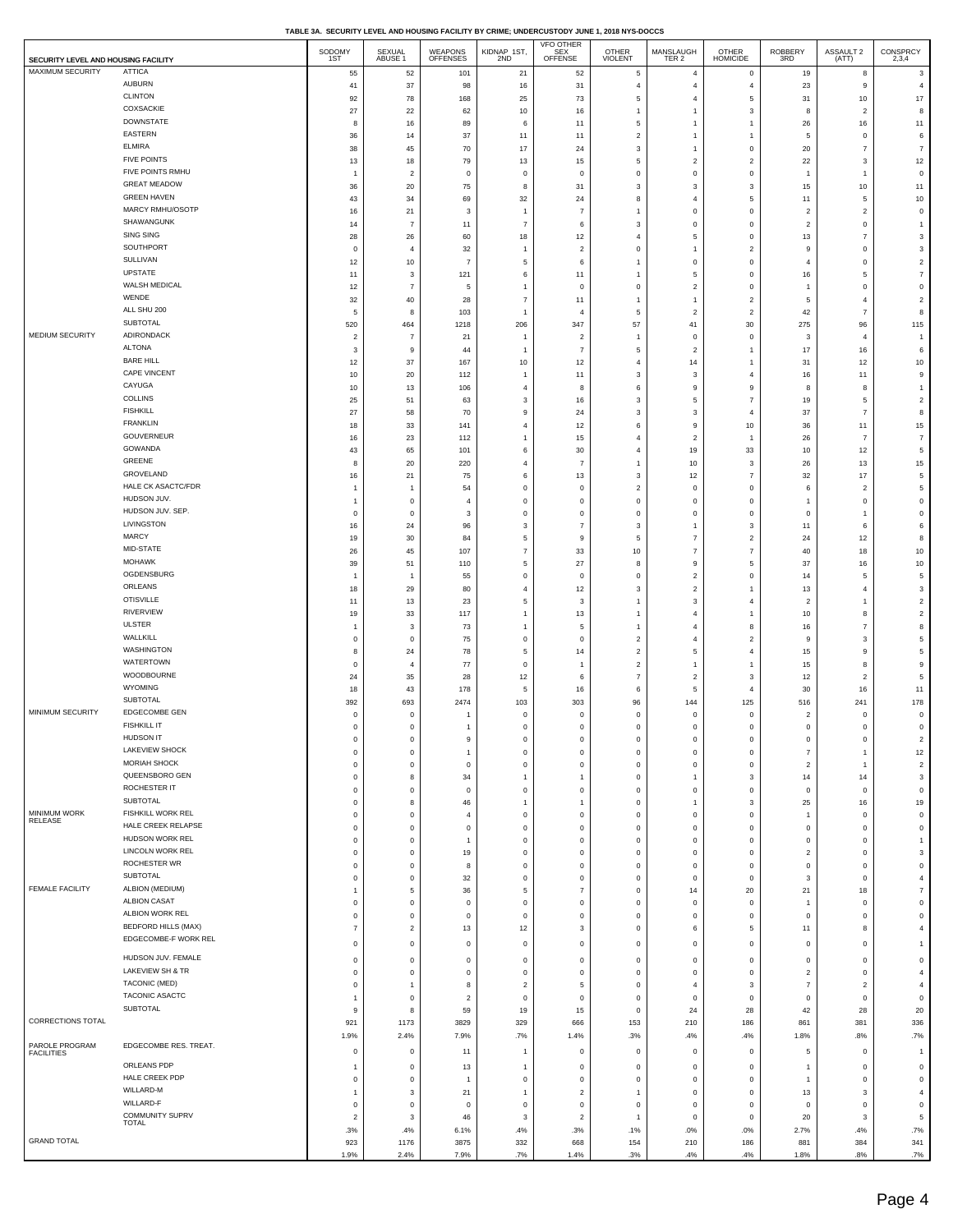| SECURITY LEVEL AND HOUSING FACILITY |                                               | SODOMY<br>1ST                              | SEXUAL<br>ABUSE 1             | <b>WEAPONS</b><br>OFFENSES   | KIDNAP 1ST,<br>2ND              | VFO OTHER<br>SEX<br>OFFENSE | OTHER<br>VIOLENT                   | MANSLAUGH<br>TER 2               | <b>OTHER</b><br><b>HOMICIDE</b>    | ROBBERY<br>3RD                    | ASSAULT 2<br>(ATT)               | $\begin{array}{c}\text{CONSPRCY}\\ \text{2,3,4}\end{array}$ |
|-------------------------------------|-----------------------------------------------|--------------------------------------------|-------------------------------|------------------------------|---------------------------------|-----------------------------|------------------------------------|----------------------------------|------------------------------------|-----------------------------------|----------------------------------|-------------------------------------------------------------|
| MAXIMUM SECURITY                    | <b>ATTICA</b>                                 | 55                                         | 52                            | 101                          | 21                              | 52                          | $\sqrt{5}$                         | $\overline{4}$                   | 0                                  | 19                                | 8                                | 3                                                           |
|                                     | <b>AUBURN</b>                                 | 41                                         | 37                            | 98                           | 16                              | 31                          | $\overline{4}$                     | $\overline{4}$                   | $\overline{4}$                     | 23                                | $\mathsf g$                      | $\overline{4}$                                              |
|                                     | <b>CLINTON</b><br>COXSACKIE                   | 92                                         | 78                            | 168                          | 25                              | 73                          | $\sqrt{5}$                         | $\overline{4}$                   | 5                                  | 31                                | $10$                             | $17\,$                                                      |
|                                     | <b>DOWNSTATE</b>                              | 27<br>8                                    | 22<br>16                      | 62<br>89                     | 10<br>6                         | 16<br>11                    | $\mathbf{1}$<br>$\overline{5}$     | $\overline{1}$<br>$\overline{1}$ | 3<br>$\mathbf{1}$                  | 8<br>26                           | $\overline{2}$<br>$16\,$         | 8<br>11                                                     |
|                                     | EASTERN                                       | 36                                         | 14                            | 37                           | 11                              | 11                          | $\overline{2}$                     | $\mathbf{1}$                     | $\mathbf{1}$                       | 5                                 | $\mathsf 0$                      | 6                                                           |
|                                     | <b>ELMIRA</b>                                 | 38                                         | 45                            | 70                           | 17                              | 24                          | 3                                  | $\overline{1}$                   | $\bf 0$                            | 20                                | $\overline{7}$                   | $\overline{7}$                                              |
|                                     | <b>FIVE POINTS</b><br>FIVE POINTS RMHU        | 13                                         | 18                            | 79                           | 13                              | 15                          | $\mathbf 5$                        | $\overline{c}$                   | $\overline{\mathbf{2}}$            | ${\bf 22}$                        | $\mathbf{3}$                     | 12                                                          |
|                                     | <b>GREAT MEADOW</b>                           | $\overline{1}$<br>36                       | $\overline{2}$<br>20          | $\mathsf 0$<br>75            | $\mathsf{O}\xspace$<br>$\bf8$   | $\circ$<br>31               | $\mathsf{O}\xspace$<br>$\mathbf 3$ | $\mathbf 0$<br>3                 | $\bf 0$<br>3                       | $\overline{1}$<br>15              | $\overline{1}$<br>$10$           | $\mathsf{O}\xspace$<br>11                                   |
|                                     | <b>GREEN HAVEN</b>                            | 43                                         | 34                            | 69                           | $32\,$                          | 24                          | $\bf8$                             | $\overline{4}$                   | 5                                  | 11                                | $\sqrt{5}$                       | $10$                                                        |
|                                     | MARCY RMHU/OSOTP                              | 16                                         | 21                            | 3                            | $\mathbf{1}$                    | $\overline{7}$              | $\mathbf{1}$                       | $\mathbf 0$                      | $\mathbf 0$                        | $\overline{c}$                    | $\overline{2}$                   | $\mathsf{O}\xspace$                                         |
|                                     | SHAWANGUNK                                    | 14                                         | $\overline{7}$                | 11                           | $\boldsymbol{7}$                | 6                           | $\mathbf 3$                        | $\mathsf 0$                      | $\mathbf 0$                        | $\overline{2}$                    | $\mathbf 0$                      | $\overline{1}$                                              |
|                                     | <b>SING SING</b><br>SOUTHPORT                 | 28                                         | 26                            | 60                           | 18                              | 12                          | $\sqrt{4}$                         | $\,$ 5 $\,$                      | $\bf 0$                            | 13<br>$\overline{9}$              | $\overline{7}$                   | 3                                                           |
|                                     | SULLIVAN                                      | $\mathsf{O}\xspace$<br>12                  | $\overline{4}$<br>10          | 32<br>$\overline{7}$         | $\mathbf{1}$<br>$\overline{5}$  | $\overline{2}$<br>6         | $\,$ 0<br>$\mathbf{1}$             | $\overline{1}$<br>$\mathsf 0$    | $\overline{\mathbf{2}}$<br>$\bf 0$ | $\overline{4}$                    | $\mathbf 0$<br>$\mathsf 0$       | $\ensuremath{\mathsf{3}}$<br>$\overline{c}$                 |
|                                     | UPSTATE                                       | 11                                         | 3                             | 121                          | 6                               | 11                          | $\mathbf{1}$                       | 5                                | $\mathbf 0$                        | 16                                | 5                                | $\boldsymbol{7}$                                            |
|                                     | WALSH MEDICAL                                 | 12                                         | $\overline{7}$                | 5                            | $\mathbf{1}$                    | $\circ$                     | $\mathbf 0$                        | $\overline{c}$                   | $\bf 0$                            | $\mathbf{1}$                      | $\mathbf 0$                      | $\mathbf 0$                                                 |
|                                     | WENDE<br>ALL SHU 200                          | 32                                         | 40                            | 28                           | $\boldsymbol{7}$                | 11                          | $\mathbf{1}$                       | $\mathbf{1}$                     | $\overline{2}$                     | 5                                 | $\overline{4}$                   | $\overline{c}$                                              |
|                                     | SUBTOTAL                                      | 5<br>520                                   | 8<br>464                      | 103<br>1218                  | $\overline{1}$<br>206           | $\overline{4}$<br>347       | $\mathbf 5$<br>57                  | $\overline{2}$<br>$41\,$         | $\overline{\mathbf{c}}$<br>30      | 42<br>275                         | $\overline{7}$<br>96             | 8<br>115                                                    |
| MEDIUM SECURITY                     | ADIRONDACK                                    | $\overline{\mathbf{c}}$                    | $\overline{7}$                | 21                           | $\mathbf{1}$                    | $\overline{2}$              | $\mathbf{1}$                       | $\mathbf 0$                      | $\mathbf 0$                        | $\mathbf{3}$                      | $\overline{4}$                   | $\overline{1}$                                              |
|                                     | <b>ALTONA</b>                                 | 3                                          | 9                             | 44                           | $\mathbf{1}$                    | $\overline{7}$              | $\mathbf 5$                        | $\overline{2}$                   | $\mathbf{1}$                       | 17                                | $16\,$                           | 6                                                           |
|                                     | <b>BARE HILL</b>                              | 12                                         | 37                            | 167                          | 10                              | 12                          | $\overline{4}$                     | 14                               | $\mathbf{1}$                       | 31                                | $12\,$                           | $10$                                                        |
|                                     | CAPE VINCENT<br>CAYUGA                        | 10                                         | 20                            | 112                          | $\mathbf{1}$                    | 11                          | $\mathbf{3}$                       | $_{\rm 3}$                       | $\overline{4}$                     | 16                                | 11                               | $\mathsf g$                                                 |
|                                     | <b>COLLINS</b>                                | 10<br>25                                   | 13<br>51                      | 106<br>63                    | $\overline{4}$<br>3             | 8<br>16                     | $\,6\,$<br>3                       | $\mathsf g$<br>5                 | 9<br>$\overline{7}$                | 8<br>19                           | 8<br>5                           | $\overline{1}$<br>$\overline{c}$                            |
|                                     | <b>FISHKILL</b>                               | 27                                         | 58                            | 70                           | $\mathsf g$                     | 24                          | $\mathbf 3$                        | $\mathbf{3}$                     | $\overline{4}$                     | 37                                | $\overline{7}$                   | $\bf8$                                                      |
|                                     | <b>FRANKLIN</b>                               | 18                                         | 33                            | 141                          | $\overline{4}$                  | 12                          | $\,6\,$                            | 9                                | 10                                 | 36                                | 11                               | 15                                                          |
|                                     | GOUVERNEUR                                    | 16                                         | 23                            | 112                          | $\mathbf{1}$                    | 15                          | $\overline{4}$                     | $\overline{\mathbf{2}}$          | 1                                  | 26                                | $\overline{7}$                   | $\boldsymbol{7}$                                            |
|                                     | GOWANDA<br>GREENE                             | 43<br>8                                    | 65<br>20                      | 101<br>220                   | $\,6\,$<br>$\overline{4}$       | 30<br>$\overline{7}$        | $\overline{4}$<br>$\mathbf{1}$     | 19<br>10                         | 33<br>3                            | 10<br>26                          | $12\,$<br>13                     | 5<br>15                                                     |
|                                     | GROVELAND                                     | 16                                         | 21                            | 75                           | $\,6\,$                         | 13                          | $\mathbf 3$                        | 12                               | $\overline{7}$                     | 32                                | 17                               | 5                                                           |
|                                     | HALE CK ASACTC/FDR                            | $\overline{1}$                             | $\overline{1}$                | 54                           | $\mathbf 0$                     | $\mathbf 0$                 | $\overline{2}$                     | $\,0\,$                          | $\bf 0$                            | 6                                 | $\overline{2}$                   | 5                                                           |
|                                     | HUDSON JUV.                                   | $\mathbf{1}$                               | $\mathbf 0$                   | $\overline{4}$               | $\mathbf 0$                     | $\mathbf 0$                 | $\mathbf 0$                        | $\mathsf 0$                      | $\mathbf 0$                        | $\mathbf{1}$                      | $\mathbf 0$                      | $\mathsf{O}\xspace$                                         |
|                                     | HUDSON JUV. SEP.<br>LIVINGSTON                | $\mathsf{O}\xspace$                        | $\mathbf 0$                   | 3                            | $\mathbf 0$                     | $\mathbf 0$                 | $\,$ 0                             | $\mathbf 0$                      | $\mathbf 0$                        | $\,$ 0                            | $\mathbf{1}$                     | $\mathsf 0$                                                 |
|                                     | MARCY                                         | 16<br>19                                   | 24<br>30                      | 96<br>84                     | $\mathbf 3$<br>$\mathbf 5$      | 7<br>9                      | $\mathbf 3$<br>$\mathbf 5$         | $\mathbf{1}$<br>$\boldsymbol{7}$ | 3<br>$\overline{2}$                | 11<br>24                          | 6<br>$12\,$                      | 6<br>8                                                      |
|                                     | MID-STATE                                     | 26                                         | 45                            | 107                          | $\boldsymbol{7}$                | 33                          | $10$                               | $\overline{7}$                   | $\overline{7}$                     | 40                                | 18                               | $10$                                                        |
|                                     | <b>MOHAWK</b>                                 | 39                                         | 51                            | 110                          | $\mathbf 5$                     | 27                          | 8                                  | 9                                | 5                                  | 37                                | 16                               | $10$                                                        |
|                                     | OGDENSBURG                                    | $\overline{1}$                             | -1                            | 55                           | $\,0\,$                         | $\circ$                     | $\,0\,$                            | $\overline{2}$                   | $\bf 0$                            | 14                                | 5                                | 5                                                           |
|                                     | ORLEANS<br><b>OTISVILLE</b>                   | 18<br>11                                   | 29<br>13                      | 80<br>23                     | $\overline{4}$<br>$\mathbf 5$   | 12<br>3                     | 3<br>$\overline{1}$                | $\overline{c}$<br>$_{\rm 3}$     | $\mathbf{1}$<br>$\overline{4}$     | 13<br>$\overline{2}$              | $\overline{4}$<br>$\overline{1}$ | 3<br>$\overline{a}$                                         |
|                                     | <b>RIVERVIEW</b>                              | 19                                         | 33                            | 117                          | $\mathbf{1}$                    | $13\,$                      | $\overline{1}$                     | $\overline{4}$                   | $\mathbf{1}$                       | 10                                | 8                                | $\overline{a}$                                              |
|                                     | <b>ULSTER</b>                                 | $\overline{1}$                             | 3                             | 73                           | $\mathbf{1}$                    | 5                           | $\mathbf{1}$                       | $\overline{4}$                   | 8                                  | 16                                | $\overline{7}$                   | 8                                                           |
|                                     | WALLKILL                                      | $\mathsf 0$                                | $\mathbf 0$                   | 75                           | $\mathbf 0$                     | $\mathbf 0$                 | $\sqrt{2}$                         | $\overline{4}$                   | $\overline{2}$                     | 9                                 | $\overline{\mathbf{3}}$          | 5                                                           |
|                                     | <b>WASHINGTON</b><br>WATERTOWN                | 8                                          | 24<br>$\overline{4}$          | 78<br>77                     | $\mathbf 5$<br>$\mathbf 0$      | 14<br>$\mathbf{1}$          | $\overline{2}$<br>$\sqrt{2}$       | 5<br>$\overline{1}$              | $\overline{4}$<br>1                | 15                                | 9<br>8                           | 5                                                           |
|                                     | WOODBOURNE                                    | $\mathsf{O}\xspace$<br>24                  | 35                            | 28                           | 12                              | 6                           | $\scriptstyle{7}$                  | $\overline{2}$                   | 3                                  | 15<br>12                          | $\overline{2}$                   | 9<br>5                                                      |
|                                     | <b>WYOMING</b>                                | 18                                         | 43                            | 178                          | 5                               | 16                          | 6                                  | 5                                | $\overline{4}$                     | 30                                | 16                               | 11                                                          |
|                                     | SUBTOTAL                                      | 392                                        | 693                           | 2474                         | 103                             | 303                         | 96                                 | 144                              | 125                                | 516                               | 241                              | 178                                                         |
| MINIMUM SECURITY                    | EDGECOMBE GEN<br><b>FISHKILL IT</b>           | 0                                          | $\circ$                       | $\mathbf{1}$                 | $\mathsf{O}\xspace$             | 0                           | $\mathbf 0$                        | 0                                | 0                                  | $\overline{c}$                    | $\circ$                          | $\mathsf{O}\xspace$                                         |
|                                     | HUDSON IT                                     | $\mathsf{O}\xspace$<br>$\Omega$            | $\overline{0}$<br>C           | $\mathbf{1}$<br>$\mathbf{Q}$ | $\mathsf{O}\xspace$<br>$\Omega$ | $\mathsf 0$<br>$\Omega$     | $\mathsf{O}\xspace$<br>O           | $\mathsf 0$<br>$\Omega$          | $\bf 0$<br>$\Omega$                | $\,0\,$<br>$\Omega$               | $\mathbf 0$                      | $\mathsf{O}\xspace$<br>$\mathcal{D}$                        |
|                                     | LAKEVIEW SHOCK                                | $\mathsf{O}\xspace$                        | $\overline{0}$                | $\mathbf{1}$                 | $\mathbf 0$                     | 0                           | $\,$ 0                             | $\,0\,$                          | 0                                  | $\overline{7}$                    | $\overline{1}$                   | 12                                                          |
|                                     | MORIAH SHOCK                                  | $\mathsf 0$                                | $\mathbf 0$                   | $\mathsf 0$                  | $\mathbf 0$                     | $\mathbf 0$                 | $\mathsf 0$                        | $\mathbf 0$                      | 0                                  | $\overline{c}$                    | $\overline{1}$                   | $\overline{a}$                                              |
|                                     | QUEENSBORO GEN<br>ROCHESTER IT                | $\mathbf 0$                                | 8                             | 34                           | $\mathbf{1}$                    | $\mathbf{1}$                | $\,$ 0                             | $\overline{1}$                   | 3                                  | 14                                | 14                               | 3                                                           |
|                                     | <b>SUBTOTAL</b>                               | $\mathsf{O}\xspace$<br>$\mathsf{O}\xspace$ | $\overline{0}$<br>8           | $\mathsf 0$<br>46            | $\mathbf 0$<br>$\overline{1}$   | $\mathbf 0$<br>-1           | $\mathsf{O}\xspace$<br>$\mathbf 0$ | $\mathbf 0$<br>$\mathbf{1}$      | $\bf 0$<br>3                       | $\,0\,$<br>25                     | $\mathsf 0$<br>$16\,$            | $\mathsf{O}\xspace$<br>19                                   |
| MINIMUM WORK                        | FISHKILL WORK REL                             | $\mathsf{O}\xspace$                        | $\overline{0}$                | $\overline{4}$               | $\mathbf 0$                     | 0                           | $\mathbf 0$                        | $\,0\,$                          | 0                                  | $\overline{1}$                    | $\,0\,$                          | $\mathsf 0$                                                 |
| RELEASE                             | HALE CREEK RELAPSE                            | $\mathsf 0$                                | $\mathbf 0$                   | $\mathbf 0$                  | $\mathbf 0$                     | $\mathbf 0$                 | $\mathsf 0$                        | $\mathsf 0$                      | $\mathbf 0$                        | $\,$ 0                            | $\mathbf 0$                      | $\mathsf 0$                                                 |
|                                     | HUDSON WORK REL                               | $\mathbf 0$                                | $\mathbf 0$                   | $\overline{1}$               | $\mathbf 0$                     | $\mathbf 0$                 | $\mathbf 0$                        | $\mathbf 0$                      | 0                                  | $\,$ 0                            | $\mathbf 0$                      | $\overline{1}$                                              |
|                                     | LINCOLN WORK REL<br>ROCHESTER WR              | $\mathsf{O}\xspace$<br>$\mathbf 0$         | $\mathbf 0$<br>$\mathbf 0$    | 19<br>8                      | $\mathbf 0$<br>$\mathbf 0$      | $\mathsf 0$<br>$\mathbf 0$  | $\mathbf 0$<br>$\mathsf 0$         | $\mathbf 0$<br>$\mathsf 0$       | $\bf 0$<br>$\mathbf 0$             | $\overline{\mathbf{c}}$<br>$\,$ 0 | $\mathsf 0$<br>$\mathbf 0$       | 3<br>$\mathbf 0$                                            |
|                                     | <b>SUBTOTAL</b>                               | $\mathsf{O}\xspace$                        | $\mathbf 0$                   | 32                           | $\mathbf 0$                     | 0                           | $\mathbf 0$                        | $\,0\,$                          | 0                                  | $\mathbf{3}$                      | $\mathsf 0$                      | 4                                                           |
| <b>FEMALE FACILITY</b>              | ALBION (MEDIUM)                               | $\overline{1}$                             | 5                             | 36                           | 5                               | $\overline{7}$              | $\mathbf 0$                        | 14                               | 20                                 | 21                                | 18                               | $\overline{7}$                                              |
|                                     | <b>ALBION CASAT</b>                           | $\mathbf 0$                                | $\mathbf 0$                   | $\,0\,$                      | $\,0\,$                         | $\mathbf 0$                 | $\,$ 0                             | $\mathbf 0$                      | $\mathbf 0$                        | $\overline{1}$                    | $\mathbf 0$                      | $\mathbf 0$                                                 |
|                                     | ALBION WORK REL<br><b>BEDFORD HILLS (MAX)</b> | $\mathsf{O}\xspace$                        | $\mathbf 0$                   | $\mathsf 0$                  | $\mathsf{O}\xspace$             | $\mathsf 0$                 | $\mathbf 0$                        | $\mathsf 0$                      | $\bf 0$                            | $\mathsf 0$                       | $\mathsf 0$                      | $\mathsf{O}\xspace$                                         |
|                                     | EDGECOMBE-F WORK REL                          | $\overline{7}$                             | $\overline{2}$                | 13                           | 12                              | 3                           | $\mathsf 0$                        | 6                                | 5                                  | 11                                | 8                                | $\overline{4}$                                              |
|                                     | HUDSON JUV. FEMALE                            | $\mathsf{O}\xspace$                        | $\overline{0}$                | $\mathsf 0$                  | $\mathsf{O}\xspace$             | $\mathsf 0$                 | $\mathsf{O}\xspace$                | $\mathsf 0$                      | $\bf 0$                            | $\mathsf 0$                       | $\mathsf 0$                      | $\mathbf{1}$                                                |
|                                     | LAKEVIEW SH & TR                              | $\mathsf{O}\xspace$<br>$\mathsf 0$         | $\overline{0}$<br>$\mathbf 0$ | $\mathsf 0$<br>$\mathsf 0$   | $\mathbf 0$<br>$\mathsf 0$      | 0<br>$\mathbf 0$            | $\,$ 0<br>$\mathsf 0$              | $\,0\,$<br>$\mathsf 0$           | 0<br>$\mathbf 0$                   | $\,0\,$<br>$\overline{c}$         | $\,0\,$<br>$\mathsf 0$           | $\mathsf 0$<br>$\overline{4}$                               |
|                                     | TACONIC (MED)                                 | $\mathsf{O}\xspace$                        | $\mathbf{1}$                  | 8                            | $\overline{2}$                  | 5                           | $\,$ 0                             | $\overline{4}$                   | 3                                  | $\boldsymbol{7}$                  | $\overline{2}$                   | $\overline{4}$                                              |
|                                     | TACONIC ASACTC                                | $\overline{1}$                             | $\overline{0}$                | $\overline{c}$               | $\mathsf{O}\xspace$             | $\mathsf 0$                 | $\mathsf{O}\xspace$                | $\mathsf 0$                      | $\bf 0$                            | $\mathsf 0$                       | $\mathsf 0$                      | $\mathsf{O}\xspace$                                         |
|                                     | SUBTOTAL                                      | 9                                          | 8                             | 59                           | 19                              | 15                          | $\,$ 0                             | 24                               | 28                                 | 42                                | 28                               | $20\,$                                                      |
| CORRECTIONS TOTAL                   |                                               | 921                                        | 1173                          | 3829                         | 329                             | 666                         | 153                                | 210                              | 186                                | 861                               | 381                              | 336                                                         |
| PAROLE PROGRAM                      | EDGECOMBE RES. TREAT.                         | 1.9%                                       | 2.4%                          | 7.9%                         | .7%                             | 1.4%                        | .3%                                | .4%                              | .4%                                | 1.8%                              | .8%                              | .7%                                                         |
| <b>FACILITIES</b>                   | ORLEANS PDP                                   | 0                                          | $\mathbf 0$                   | 11                           | $\mathbf{1}$                    | $\mathbf 0$                 | $\mathsf 0$                        | $\mathsf 0$                      | $\mathbf 0$                        | 5                                 | $\mathbf 0$                      | $\overline{1}$                                              |
|                                     | HALE CREEK PDP                                | $\overline{1}$<br>$\mathsf 0$              | $\overline{0}$<br>$\mathbf 0$ | 13<br>$\overline{1}$         | $\mathbf{1}$<br>$\mathsf 0$     | 0<br>$\mathbf 0$            | $\mathsf 0$<br>$\mathsf 0$         | $\,0\,$<br>$\mathbf 0$           | 0<br>$\mathbf 0$                   | 1<br>$\mathbf{1}$                 | $\,0\,$<br>$\mathbf 0$           | $\mathsf 0$<br>$\mathbf 0$                                  |
|                                     | WILLARD-M                                     | $\overline{1}$                             | 3                             | 21                           | $\mathbf{1}$                    | $\overline{2}$              | $\overline{1}$                     | $\mathbf 0$                      | 0                                  | $13\,$                            | 3                                | $\overline{4}$                                              |
|                                     | WILLARD-F                                     | $\mathsf{O}\xspace$                        | $\overline{0}$                | $\,0\,$                      | $\mathbf 0$                     | $\mathsf 0$                 | $\,$ 0                             | $\mathsf 0$                      | $\bf 0$                            | $\,0\,$                           | $\mathsf 0$                      | $\mathsf{O}\xspace$                                         |
|                                     | <b>COMMUNITY SUPRV</b><br>TOTAL               | $\overline{2}$                             | 3                             | 46                           | $\mathbf{3}$                    | $\overline{2}$              | $\overline{1}$                     | $\mathbf 0$                      | $\mathsf 0$                        | 20                                | $\overline{\mathbf{3}}$          | 5                                                           |
| <b>GRAND TOTAL</b>                  |                                               | .3%<br>923                                 | .4%<br>1176                   | 6.1%<br>3875                 | .4%<br>332                      | .3%<br>668                  | .1%<br>154                         | .0%<br>210                       | .0%<br>186                         | 2.7%<br>881                       | .4%<br>384                       | .7%<br>341                                                  |
|                                     |                                               | 1.9%                                       | 2.4%                          | 7.9%                         | .7%                             | 1.4%                        | .3%                                | .4%                              | .4%                                | 1.8%                              | .8%                              | .7%                                                         |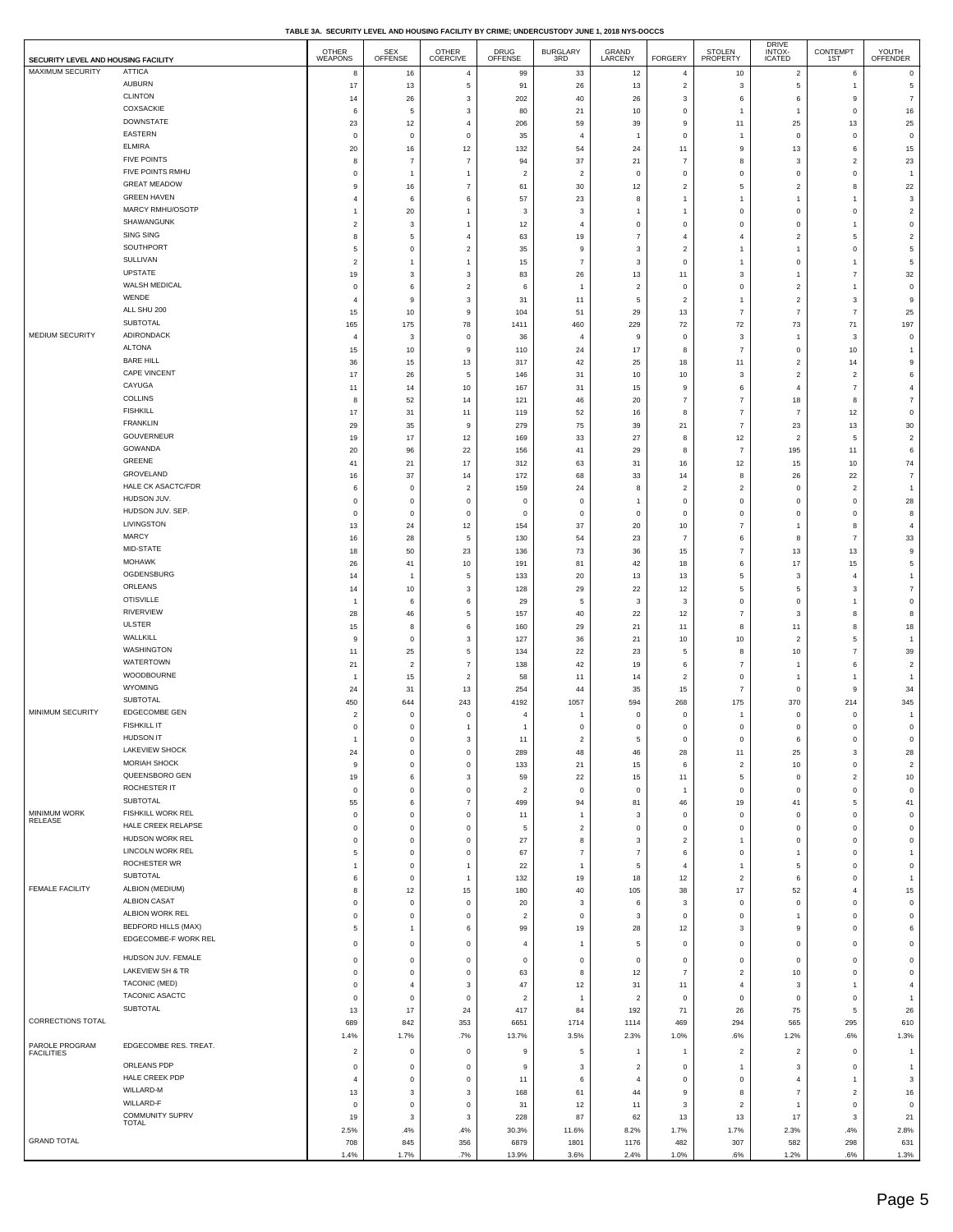| TABLE 3A.  SECURITY LEVEL AND HOUSING FACILITY BY CRIME: UNDERCUSTODY JUNE 1. 2018 NYS-DOCCS |  |  |  |
|----------------------------------------------------------------------------------------------|--|--|--|

| SECURITY LEVEL AND HOUSING FACILITY |                                           | <b>OTHER</b><br>WEAPONS | SEX<br>OFFENSE          | <b>OTHER</b><br><b>COERCIVE</b> | DRUG<br>OFFENSE   | BURGLARY<br>3RD         | GRAND<br>LARCENY          | <b>FORGERY</b>             | STOLEN<br>PROPERTY           | DRIVE<br>INTOX-<br>ICATED        | CONTEMPT<br>1ST              | YOUTH<br>OFFENDER                       |
|-------------------------------------|-------------------------------------------|-------------------------|-------------------------|---------------------------------|-------------------|-------------------------|---------------------------|----------------------------|------------------------------|----------------------------------|------------------------------|-----------------------------------------|
| MAXIMUM SECURITY                    | <b>ATTICA</b>                             | 8                       | 16                      | $\overline{4}$                  | 99                | 33                      | 12                        | $\overline{4}$             | 10                           | $\overline{c}$                   | 6                            | $\mathsf 0$                             |
|                                     | <b>AUBURN</b>                             | 17                      | 13                      | $\mathbf 5$                     | 91                | 26                      | 13                        | $\overline{a}$             | $\mathbf{3}$                 | 5                                | $\mathbf{1}$                 | $\mathbf 5$                             |
|                                     | <b>CLINTON</b>                            | 14                      | 26                      | $\mathbf{3}$                    | 202               | 40                      | 26                        | $\mathbf 3$                | 6                            | 6                                | 9                            | $\overline{7}$                          |
|                                     | COXSACKIE                                 | 6                       | 5                       | 3                               | 80                | 21                      | 10                        | $\,$ 0                     | $\mathbf{1}$                 | $\mathbf{1}$                     | $\mathsf 0$                  | $16\,$                                  |
|                                     | <b>DOWNSTATE</b>                          | 23                      | 12                      | $\overline{4}$                  | 206               | 59                      | 39                        | $\mathsf g$                | 11                           | 25                               | 13                           | 25                                      |
|                                     | EASTERN                                   | $\overline{0}$          | $\,0\,$                 | $\mathsf 0$                     | 35                | $\overline{4}$          | $\overline{1}$            | $\,0\,$                    | $\overline{1}$               | $\mathsf 0$                      | $\,$ 0                       | $\mathsf 0$                             |
|                                     | <b>ELMIRA</b><br><b>FIVE POINTS</b>       | 20                      | 16                      | 12                              | 132               | 54                      | 24                        | 11                         | 9                            | 13                               | 6                            | 15                                      |
|                                     | FIVE POINTS RMHU                          | 8                       | $\overline{7}$          | $\overline{7}$                  | 94                | 37                      | 21                        | $\overline{7}$             | 8                            | 3                                | $\sqrt{2}$                   | 23                                      |
|                                     | <b>GREAT MEADOW</b>                       | $\mathbf 0$             | $\overline{1}$          | $\overline{1}$                  | $\sqrt{2}$        | $\overline{2}$          | $\pmb{0}$                 | $\,$ 0                     | $\,$ 0                       | $\mathsf 0$                      | $\,0\,$                      | $\overline{1}$                          |
|                                     | <b>GREEN HAVEN</b>                        | 9<br>$\overline{4}$     | 16<br>6                 | $\overline{7}$                  | 61                | 30                      | 12                        | $\sqrt{2}$<br>$\mathbf{1}$ | 5                            | $\overline{c}$<br>$\overline{1}$ | 8                            | $22\,$                                  |
|                                     | MARCY RMHU/OSOTP                          | 1                       | $20\,$                  | 6<br>$\overline{1}$             | 57<br>$\mathbf 3$ | 23<br>3                 | 8<br>$\mathbf{1}$         | $\mathbf{1}$               | $\mathbf{1}$<br>$\mathbf 0$  | $\mathsf 0$                      | $\overline{1}$<br>$\,$ 0     | $\ensuremath{\mathsf{3}}$<br>$\sqrt{2}$ |
|                                     | SHAWANGUNK                                | $\overline{c}$          | 3                       | $\overline{1}$                  | 12                | $\overline{4}$          | $\mathsf{O}\xspace$       | $\mathbf 0$                | $\mathsf 0$                  | $\mathsf 0$                      | $\overline{1}$               | $\mathsf{O}\xspace$                     |
|                                     | SING SING                                 | 8                       | 5                       | $\overline{4}$                  | 63                | 19                      | $\overline{7}$            | $\overline{4}$             | $\overline{4}$               | $\overline{2}$                   | 5                            | $\overline{a}$                          |
|                                     | SOUTHPORT                                 | 5                       | $\,0\,$                 | $\overline{\mathbf{c}}$         | 35                | 9                       | $\ensuremath{\mathsf{3}}$ | $\overline{c}$             | $\overline{1}$               | $\mathbf{1}$                     | $\,$ 0                       | 5                                       |
|                                     | SULLIVAN                                  | $\overline{2}$          | $\overline{1}$          | $\mathbf{1}$                    | 15                | $\overline{7}$          | $\mathbf 3$               | $\,$ 0                     | $\overline{1}$               | $\mathsf 0$                      | $\overline{1}$               | $\mathbf 5$                             |
|                                     | <b>UPSTATE</b>                            | 19                      | 3                       | 3                               | 83                | 26                      | 13                        | 11                         | 3                            | $\mathbf{1}$                     | $\overline{7}$               | $32\,$                                  |
|                                     | WALSH MEDICAL                             | $\mathbf 0$             | 6                       | $\overline{\mathbf{c}}$         | 6                 | 1                       | $\sqrt{2}$                | $\,$ 0                     | $\mathbf 0$                  | $\overline{\mathbf{c}}$          | $\overline{1}$               | $\mathsf{O}\xspace$                     |
|                                     | WENDE                                     | $\overline{4}$          | $\mathsf g$             | 3                               | 31                | 11                      | $\mathbf 5$               | $\sqrt{2}$                 | $\overline{1}$               | $\overline{2}$                   | $_{\rm 3}$                   | 9                                       |
|                                     | ALL SHU 200                               | 15                      | 10                      | 9                               | 104               | 51                      | 29                        | 13                         | $\overline{7}$               | $\overline{7}$                   | $\boldsymbol{7}$             | 25                                      |
|                                     | SUBTOTAL                                  | 165                     | 175                     | 78                              | 1411              | 460                     | 229                       | 72                         | 72                           | 73                               | 71                           | 197                                     |
| <b>MEDIUM SECURITY</b>              | ADIRONDACK                                | $\overline{4}$          | 3                       | $\,0\,$                         | 36                |                         | 9                         | $\,0\,$                    | 3                            | $\mathbf{1}$                     | 3                            | $\mathbf 0$                             |
|                                     | <b>ALTONA</b>                             | 15                      | 10                      | 9                               | 110               | 24                      | 17                        | 8                          | $\overline{7}$               | $\mathsf 0$                      | 10                           | $\mathbf{1}$                            |
|                                     | <b>BARE HILL</b><br>CAPE VINCENT          | 36                      | 15                      | 13                              | 317               | 42                      | 25                        | 18                         | 11                           | $\overline{2}$                   | 14                           | 9                                       |
|                                     | CAYUGA                                    | 17                      | 26                      | 5                               | 146               | 31                      | $10$                      | 10                         | 3                            | $\overline{\mathbf{c}}$          | $\overline{2}$               | 6                                       |
|                                     | COLLINS                                   | 11                      | 14                      | 10                              | 167               | 31                      | 15                        | 9                          | 6<br>$\overline{7}$          | $\overline{4}$                   | $\boldsymbol{7}$<br>$\bf8$   | $\overline{4}$<br>$\boldsymbol{7}$      |
|                                     | <b>FISHKILL</b>                           | 8<br>17                 | 52<br>31                | 14<br>11                        | 121<br>119        | 46<br>52                | 20<br>16                  | $\overline{7}$<br>8        | $\overline{7}$               | 18<br>$\overline{7}$             | 12                           | $\mathbf 0$                             |
|                                     | <b>FRANKLIN</b>                           | 29                      | 35                      | $\overline{9}$                  | 279               | 75                      | 39                        | 21                         | $\overline{7}$               | 23                               | 13                           | $30\,$                                  |
|                                     | <b>GOUVERNEUR</b>                         | 19                      | 17                      | 12                              | 169               | $33\,$                  | $27\,$                    | 8                          | 12                           | $\overline{c}$                   | $\sqrt{5}$                   | $\sqrt{2}$                              |
|                                     | GOWANDA                                   | 20                      | 96                      | 22                              | 156               | 41                      | 29                        | 8                          | $\overline{7}$               | 195                              | 11                           | 6                                       |
|                                     | GREENE                                    | 41                      | 21                      | 17                              | 312               | 63                      | 31                        | 16                         | 12                           | 15                               | 10                           | $74\,$                                  |
|                                     | GROVELAND                                 | 16                      | 37                      | 14                              | 172               | 68                      | 33                        | 14                         | 8                            | 26                               | 22                           | $\boldsymbol{7}$                        |
|                                     | HALE CK ASACTC/FDR                        | 6                       | $\mathsf 0$             | $\overline{2}$                  | 159               | 24                      | 8                         | $\sqrt{2}$                 | $\overline{2}$               | $\mathsf 0$                      | $\overline{2}$               | $\overline{1}$                          |
|                                     | HUDSON JUV.                               | $\mathbf 0$             | $\pmb{0}$               | $\,$ 0                          | $\mathsf 0$       | $\mathsf 0$             | $\mathbf{1}$              | $\,0\,$                    | $\,$ 0                       | $\mathsf 0$                      | $\,0\,$                      | 28                                      |
|                                     | HUDSON JUV. SEP.                          | $\mathbf 0$             | $\mathbf 0$             | $\mathbf 0$                     | $\mathbf 0$       | $\mathsf 0$             | $\mathsf{O}\xspace$       | $\mathbf 0$                | $\mathbf 0$                  | $\mathsf{O}\xspace$              | $\mathsf 0$                  | 8                                       |
|                                     | LIVINGSTON                                | 13                      | 24                      | 12                              | 154               | 37                      | 20                        | 10                         | $\overline{7}$               | $\overline{1}$                   | 8                            | $\overline{4}$                          |
|                                     | <b>MARCY</b>                              | 16                      | 28                      | $\sqrt{5}$                      | 130               | 54                      | 23                        | $\boldsymbol{7}$           | 6                            | 8                                | $\scriptstyle{7}$            | 33                                      |
|                                     | MID-STATE                                 | 18                      | 50                      | 23                              | 136               | 73                      | 36                        | 15                         | $\overline{7}$               | 13                               | 13                           | 9                                       |
|                                     | <b>MOHAWK</b><br>OGDENSBURG               | 26                      | 41                      | 10                              | 191               | 81                      | 42                        | 18                         | 6                            | 17                               | 15                           | 5                                       |
|                                     | ORLEANS                                   | 14<br>14                | $\overline{1}$<br>10    | 5<br>3                          | 133<br>128        | 20<br>29                | 13<br>22                  | 13                         | 5<br>5                       | 3<br>5                           | $\overline{4}$<br>$_{\rm 3}$ | $\overline{1}$<br>$\overline{7}$        |
|                                     | <b>OTISVILLE</b>                          | 1                       | 6                       | 6                               | 29                | $\sqrt{5}$              | 3                         | 12<br>3                    | $\mathsf 0$                  | $\mathsf 0$                      | $\overline{1}$               | $\mathsf{O}\xspace$                     |
|                                     | <b>RIVERVIEW</b>                          | 28                      | 46                      | $\sqrt{5}$                      | 157               | 40                      | 22                        | 12                         | $\overline{7}$               | 3                                | 8                            | 8                                       |
|                                     | ULSTER                                    | 15                      | 8                       | 6                               | 160               | 29                      | 21                        | 11                         | 8                            | 11                               | $\bf8$                       | 18                                      |
|                                     | WALLKILL                                  | 9                       | $\,0\,$                 | 3                               | 127               | 36                      | 21                        | 10                         | 10                           | $\overline{2}$                   | $\sqrt{5}$                   | $\overline{1}$                          |
|                                     | WASHINGTON                                | 11                      | 25                      | 5                               | 134               | 22                      | 23                        | $\sqrt{5}$                 | 8                            | 10                               | $\overline{7}$               | 39                                      |
|                                     | WATERTOWN                                 | 21                      | $\overline{\mathbf{c}}$ | $\overline{7}$                  | 138               | 42                      | 19                        | 6                          | $\overline{7}$               | -1                               | $\,6\,$                      | $\sqrt{2}$                              |
|                                     | WOODBOURNE                                | $\overline{1}$          | 15                      | $\overline{\mathbf{2}}$         | 58                | 11                      | 14                        | $\overline{c}$             | $\mathbf 0$                  | $\overline{1}$                   | $\overline{1}$               | $\overline{1}$                          |
|                                     | WYOMING                                   | 24                      | 31                      | 13                              | 254               | 44                      | 35                        | 15                         | $\overline{7}$               | $\mathbf 0$                      | $\mathsf g$                  | 34                                      |
|                                     | SUBTOTAL                                  | 450                     | 644                     | 243                             | 4192              | 1057                    | 594                       | 268                        | 175                          | 370                              | 214                          | 345                                     |
| MINIMUM SECURITY                    | EDGECOMBE GEN                             | $\overline{2}$          | $\mathsf 0$             | $\mathsf 0$                     | $\overline{4}$    | $\mathbf{1}$            | $\mathsf 0$               | $\mathsf 0$                | $\overline{1}$               | $\mathsf 0$                      | $\mathsf 0$                  | $\overline{1}$                          |
|                                     | <b>FISHKILL IT</b>                        | $\mathsf 0$             | $\mathsf 0$             | $\overline{1}$                  | $\overline{1}$    | $\mathsf 0$             | $\mathsf 0$               | $\mathsf 0$                | $\mathbf 0$                  | $\mathsf 0$                      | $\mathsf 0$                  | $\mathbf 0$                             |
|                                     | <b>HUDSON IT</b><br><b>LAKEVIEW SHOCK</b> | $\mathbf{1}$            | $\mathbf 0$             | 3                               | 11                | $\overline{\mathbf{c}}$ | 5                         | $\mathsf 0$                | $\mathsf 0$                  | 6                                | $\mathsf 0$                  | $\mathsf{O}\xspace$                     |
|                                     | MORIAH SHOCK                              | 24                      | $\,0\,$                 | $\,0\,$                         | 289               | 48                      | 46                        | 28                         | 11                           | 25                               | $_{\rm 3}$                   | 28                                      |
|                                     | QUEENSBORO GEN                            | 9<br>19                 | $\,0\,$<br>6            | $\,0\,$<br>$\mathbf{3}$         | 133<br>59         | 21<br>$22\,$            | 15<br>15                  | 6<br>11                    | $\overline{2}$<br>$\sqrt{5}$ | 10<br>$\mathsf{O}\xspace$        | $\,0\,$<br>$\sqrt{2}$        | $\overline{2}$<br>10                    |
|                                     | ROCHESTER IT                              | $\,0\,$                 | $\,0\,$                 | $\,0\,$                         | $\sqrt{2}$        | $\mathsf 0$             | $\mathbf 0$               | $\mathbf{1}$               | $\mathbf 0$                  | $\mathsf 0$                      | $\mathbf 0$                  | $\,$ 0                                  |
|                                     | <b>SUBTOTAL</b>                           | 55                      | 6                       | $\boldsymbol{7}$                | 499               | 94                      | 81                        | 46                         | 19                           | 41                               | $\mathbf 5$                  | 41                                      |
| <b>MINIMUM WORK</b>                 | FISHKILL WORK REL                         | $\mathbf 0$             | $\mathsf 0$             | $\mathsf 0$                     | 11                | $\overline{1}$          | 3                         | $\mathsf 0$                | $\mathsf 0$                  | $\mathsf 0$                      | $\mathsf 0$                  | $\mathbf 0$                             |
| RELEASE                             | HALE CREEK RELAPSE                        | $\mathbf 0$             | $\,0\,$                 | $\,0\,$                         | $\sqrt{5}$        | $\overline{2}$          | $\mathbf 0$               | $\,0\,$                    | $\mathsf 0$                  | $\mathsf 0$                      | $\,$ 0                       | $\mathsf{O}\xspace$                     |
|                                     | HUDSON WORK REL                           | 0                       | $\,0\,$                 | $\mathsf 0$                     | 27                | 8                       | $\ensuremath{\mathsf{3}}$ | $\overline{c}$             | $\overline{1}$               | $\mathsf{O}\xspace$              | $\,0\,$                      | $\mathsf{O}\xspace$                     |
|                                     | LINCOLN WORK REL                          | 5                       | $\mathsf 0$             | $\mathsf 0$                     | 67                | $\overline{7}$          | $\boldsymbol{7}$          | 6                          | $\mathbf 0$                  | $\overline{1}$                   | $\mathsf 0$                  | $\overline{1}$                          |
|                                     | ROCHESTER WR                              | $\mathbf{1}$            | $\,0\,$                 | $\mathbf{1}$                    | $22\,$            | $\mathbf{1}$            | 5                         | $\sqrt{4}$                 | $\overline{1}$               | 5                                | $\mathbf 0$                  | $\mathsf{O}\xspace$                     |
|                                     | SUBTOTAL                                  | 6                       | $\,0\,$                 | $\mathbf{1}$                    | 132               | 19                      | 18                        | 12                         | $\overline{2}$               | 6                                | $\mathsf 0$                  | $\overline{1}$                          |
| FEMALE FACILITY                     | ALBION (MEDIUM)                           | 8                       | 12                      | 15                              | 180               | 40                      | 105                       | 38                         | 17                           | 52                               | $\overline{4}$               | 15                                      |
|                                     | <b>ALBION CASAT</b><br>ALBION WORK REL    | $\mathbf 0$             | $\,0\,$                 | $\mathsf 0$                     | 20                | 3                       | 6                         | 3                          | $\mathbf 0$                  | $\mathsf{O}\xspace$              | $\,$ 0                       | $\mathbf 0$                             |
|                                     | <b>BEDFORD HILLS (MAX)</b>                | $\mathbf 0$             | $\pmb{0}$               | $\,0\,$                         | $\sqrt{2}$        | $\mathsf 0$             | $\ensuremath{\mathsf{3}}$ | $\,$ 0                     | $\,$ 0                       | $\overline{1}$                   | $\,0\,$                      | $\mathbf 0$                             |
|                                     | EDGECOMBE-F WORK REL                      | 5                       | $\mathbf{1}$            | $\,6\,$                         | 99                | 19                      | 28                        | 12                         | 3                            | 9                                | $\mathbf 0$                  | 6                                       |
|                                     |                                           | $\mathbf 0$             | $\,0\,$                 | $\mathsf 0$                     | $\overline{4}$    | $\overline{1}$          | 5                         | $\,0\,$                    | $\,$ 0                       | $\mathsf 0$                      | $\,0\,$                      | $\mathbf 0$                             |
|                                     | HUDSON JUV. FEMALE                        | $\mathbf 0$             | $\mathsf 0$             | $\mathsf 0$                     | $\mathsf 0$       | $\mathsf 0$             | $\mathsf 0$               | $\mathsf 0$                | $\mathsf 0$                  | $\mathsf 0$                      | $\mathsf 0$                  | $\mathsf 0$                             |
|                                     | LAKEVIEW SH & TR                          | 0                       | $\,0\,$                 | $\mathsf 0$                     | 63                | 8                       | 12                        | $\boldsymbol{7}$           | $\overline{2}$               | 10                               | $\,0\,$                      | $\mathsf{O}\xspace$                     |
|                                     | TACONIC (MED)                             | $\mathbf 0$             | $\overline{4}$          | 3                               | 47                | 12                      | 31                        | 11                         | $\overline{4}$               | 3                                | $\mathbf{1}$                 | $\overline{4}$                          |
|                                     | TACONIC ASACTC<br>SUBTOTAL                | $\mathbf 0$             | $\mathsf 0$             | $\mathsf 0$                     | $\overline{c}$    | $\overline{1}$          | $\overline{a}$            | $\,$ 0                     | $\mathbf 0$                  | $\mathsf 0$                      | $\,0\,$                      | $\overline{1}$                          |
| CORRECTIONS TOTAL                   |                                           | 13                      | 17                      | 24                              | 417               | 84                      | 192                       | 71                         | 26                           | 75                               | $\mathbf 5$                  | 26                                      |
|                                     |                                           | 689                     | 842                     | 353                             | 6651              | 1714                    | 1114                      | 469                        | 294                          | 565                              | 295                          | 610                                     |
| PAROLE PROGRAM                      | EDGECOMBE RES. TREAT.                     | 1.4%                    | 1.7%                    | .7%                             | 13.7%             | 3.5%                    | 2.3%                      | 1.0%                       | .6%                          | 1.2%                             | .6%                          | 1.3%                                    |
| <b>FACILITIES</b>                   |                                           | $\overline{2}$          | $\pmb{0}$               | $\mathsf 0$                     | 9                 | 5                       | $\mathbf{1}$              | $\mathbf{1}$               | $\overline{2}$               | $\overline{c}$                   | $\,$ 0                       | $\overline{1}$                          |
|                                     | ORLEANS PDP                               | $\mathbf 0$             | $\mathsf 0$             | $\mathsf 0$                     | 9                 | 3                       | $\overline{a}$            | $\mathsf 0$                | $\overline{1}$               | 3                                | $\mathsf 0$                  | $\overline{1}$                          |
|                                     | HALE CREEK PDP                            | 4                       | $\,0\,$                 | $\mathsf 0$                     | 11                | 6                       | $\sqrt{4}$                | $\,$ 0                     | $\mathsf 0$                  | 4                                | $\mathbf{1}$                 | 3                                       |
|                                     | WILLARD-M                                 | 13                      | $\mathbf{3}$            | 3                               | 168               | 61                      | 44                        | 9                          | 8                            | $\overline{7}$                   | $\overline{c}$               | 16                                      |
|                                     | WILLARD-F<br>COMMUNITY SUPRV              | $\mathsf 0$             | $\mathsf 0$             | $\,0\,$                         | 31                | 12                      | 11                        | $\mathbf 3$                | $\overline{2}$               | $\mathbf{1}$                     | $\,$ 0                       | $\mathbf 0$                             |
|                                     | <b>TOTAL</b>                              | 19                      | $\mathbf{3}$            | 3                               | 228               | 87                      | 62                        | 13                         | 13                           | 17                               | $_{\rm 3}$                   | 21                                      |
| <b>GRAND TOTAL</b>                  |                                           | 2.5%<br>708             | .4%<br>845              | .4%<br>356                      | 30.3%<br>6879     | 11.6%<br>1801           | 8.2%<br>1176              | 1.7%<br>482                | 1.7%<br>307                  | 2.3%<br>582                      | .4%<br>298                   | 2.8%<br>631                             |
|                                     |                                           | 1.4%                    | 1.7%                    | .7%                             | 13.9%             | 3.6%                    | 2.4%                      | 1.0%                       | .6%                          | 1.2%                             | .6%                          | 1.3%                                    |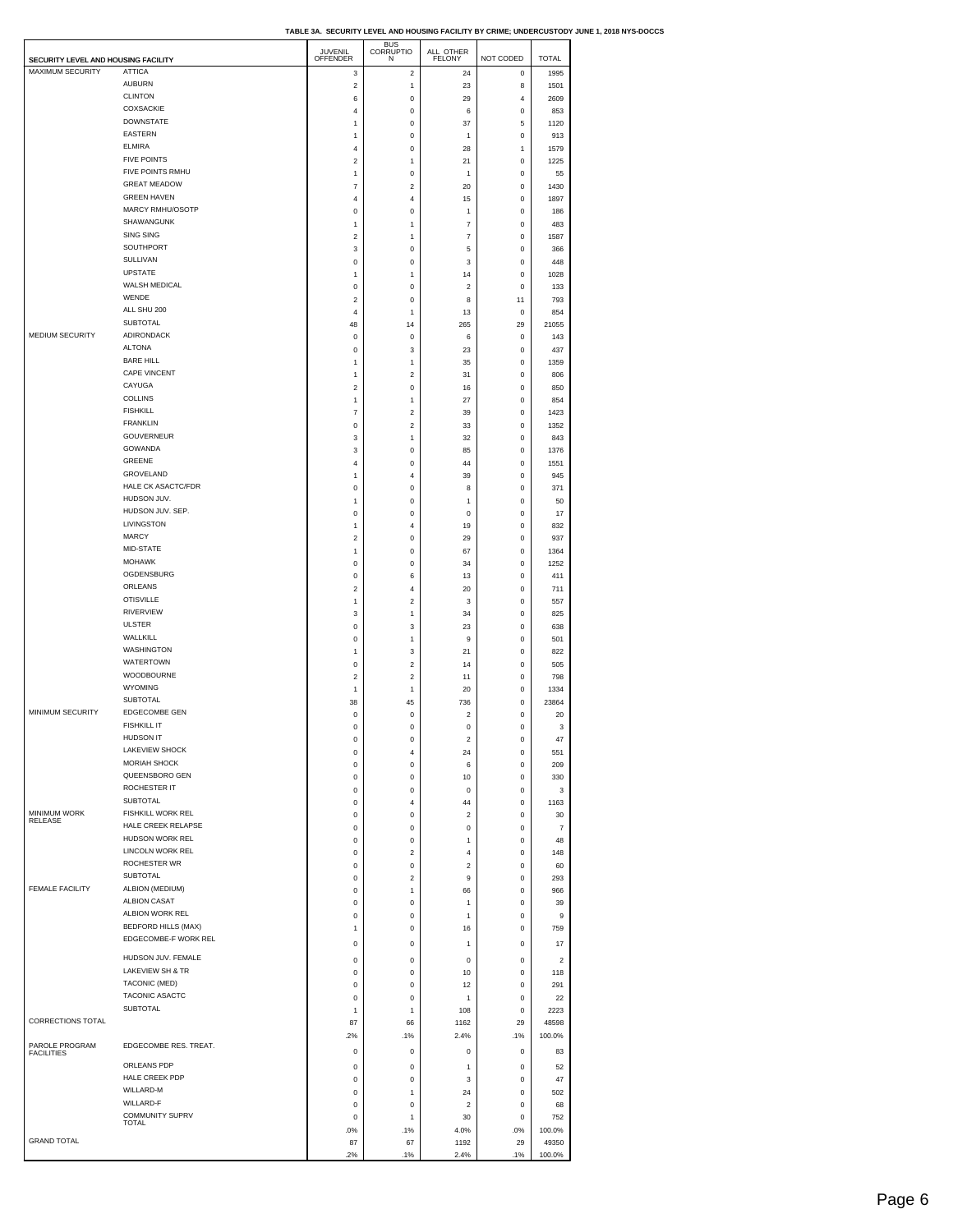| TABLE 3A.  SECURITY LEVEL AND HOUSING FACILITY BY CRIME: UNDERCUSTODY JUNE 1. 2018 NYS-DOCCS |  |  |  |
|----------------------------------------------------------------------------------------------|--|--|--|

| SECURITY LEVEL AND HOUSING FACILITY   |                                         | JUVENIL<br>OFFENDER | <b>BUS</b><br>CORRUPTIO<br>N  | ALL OTHER<br><b>FELONY</b> | NOT CODED                  | <b>TOTAL</b>            |  |
|---------------------------------------|-----------------------------------------|---------------------|-------------------------------|----------------------------|----------------------------|-------------------------|--|
| MAXIMUM SECURITY                      | <b>ATTICA</b>                           | 3                   | $\overline{\mathbf{c}}$       | 24                         | $\pmb{0}$                  | 1995                    |  |
|                                       | <b>AUBURN</b>                           | $\boldsymbol{2}$    | 1                             | 23                         | 8                          | 1501                    |  |
|                                       | <b>CLINTON</b>                          | 6                   | $\pmb{0}$                     | 29                         | 4                          | 2609                    |  |
|                                       | COXSACKIE                               | 4                   | $\mathbf 0$                   | 6                          | $\mathbf 0$                | 853                     |  |
|                                       | <b>DOWNSTATE</b>                        | 1                   | $\mathbf 0$                   | 37                         | 5                          | 1120                    |  |
|                                       | <b>EASTERN</b>                          | 1                   | 0                             | 1                          | 0                          | 913                     |  |
|                                       | <b>ELMIRA</b><br><b>FIVE POINTS</b>     | 4                   | $\mathbf 0$                   | 28                         | 1                          | 1579                    |  |
|                                       | FIVE POINTS RMHU                        | 2                   | 1                             | 21                         | $\pmb{0}$                  | 1225                    |  |
|                                       | <b>GREAT MEADOW</b>                     | $\mathbf{1}$<br>7   | $\mathbf 0$<br>$\overline{c}$ | $\mathbf{1}$<br>20         | $\mathbf 0$<br>$\bf 0$     | 55<br>1430              |  |
|                                       | <b>GREEN HAVEN</b>                      | 4                   | 4                             | 15                         | 0                          | 1897                    |  |
|                                       | MARCY RMHU/OSOTP                        | 0                   | $\mathbf 0$                   | $\mathbf{1}$               | $\mathbf 0$                | 186                     |  |
|                                       | SHAWANGUNK                              | 1                   | 1                             | 7                          | 0                          | 483                     |  |
|                                       | <b>SING SING</b>                        | 2                   | 1                             | 7                          | 0                          | 1587                    |  |
|                                       | SOUTHPORT                               | 3                   | $\mathbf 0$                   | 5                          | $\mathbf 0$                | 366                     |  |
|                                       | SULLIVAN                                | 0                   | 0                             | 3                          | 0                          | 448                     |  |
|                                       | <b>UPSTATE</b>                          | 1                   | 1                             | 14                         | 0                          | 1028                    |  |
|                                       | WALSH MEDICAL                           | 0                   | $\pmb{0}$                     | $\overline{\mathbf{c}}$    | $\pmb{0}$                  | 133                     |  |
|                                       | WENDE                                   | 2                   | 0                             | 8                          | 11                         | 793                     |  |
|                                       | ALL SHU 200                             | $\overline{4}$      | 1                             | 13                         | $\bf 0$                    | 854                     |  |
|                                       | SUBTOTAL                                | 48                  | 14                            | 265                        | 29                         | 21055                   |  |
| MEDIUM SECURITY                       | <b>ADIRONDACK</b>                       | $\mathsf 0$         | $\mathbf 0$                   | 6                          | $\mathbf 0$                | 143                     |  |
|                                       | <b>ALTONA</b>                           | $\mathsf 0$         | 3                             | 23                         | $\bf 0$                    | 437                     |  |
|                                       | <b>BARE HILL</b><br><b>CAPE VINCENT</b> | 1                   | 1                             | 35                         | 0                          | 1359                    |  |
|                                       |                                         | 1                   | $\overline{\mathbf{c}}$       | 31                         | $\mathbf 0$                | 806                     |  |
|                                       | CAYUGA<br><b>COLLINS</b>                | 2                   | $\mathbf 0$                   | 16                         | $\pmb{0}$                  | 850                     |  |
|                                       | <b>FISHKILL</b>                         | 1                   | 1                             | 27                         | 0                          | 854                     |  |
|                                       | <b>FRANKLIN</b>                         | $\overline{7}$      | $\overline{\mathbf{c}}$       | 39                         | $\mathbf 0$                | 1423                    |  |
|                                       | <b>GOUVERNEUR</b>                       | 0<br>3              | $\overline{\mathbf{c}}$<br>1  | 33<br>32                   | 0<br>0                     | 1352<br>843             |  |
|                                       | <b>GOWANDA</b>                          | 3                   | $\pmb{0}$                     | 85                         | $\pmb{0}$                  | 1376                    |  |
|                                       | <b>GREENE</b>                           | 4                   | 0                             | 44                         | 0                          | 1551                    |  |
|                                       | GROVELAND                               | 1                   | $\overline{4}$                | 39                         | 0                          | 945                     |  |
|                                       | HALE CK ASACTC/FDR                      | 0                   | 0                             | 8                          | 0                          | 371                     |  |
|                                       | HUDSON JUV.                             | $\mathbf{1}$        | $\mathbf 0$                   | $\mathbf{1}$               | $\mathbf 0$                | 50                      |  |
|                                       | HUDSON JUV. SEP.                        | 0                   | $\pmb{0}$                     | 0                          | 0                          | 17                      |  |
|                                       | LIVINGSTON                              | 1                   | 4                             | 19                         | 0                          | 832                     |  |
|                                       | <b>MARCY</b>                            | $\boldsymbol{2}$    | $\mathbf 0$                   | 29                         | $\mathbf 0$                | 937                     |  |
|                                       | MID-STATE                               | 1                   | $\pmb{0}$                     | 67                         | 0                          | 1364                    |  |
|                                       | <b>MOHAWK</b>                           | 0                   | $\mathbf 0$                   | 34                         | $\mathbf 0$                | 1252                    |  |
|                                       | OGDENSBURG                              | 0                   | 6                             | 13                         | $\pmb{0}$                  | 411                     |  |
|                                       | ORLEANS                                 | 2                   | 4                             | 20                         | 0                          | 711                     |  |
|                                       | <b>OTISVILLE</b>                        | 1                   | $\overline{c}$                | 3                          | 0                          | 557                     |  |
|                                       | RIVERVIEW                               | 3                   | 1                             | 34                         | $\pmb{0}$                  | 825                     |  |
|                                       | <b>ULSTER</b>                           | $\mathsf 0$         | 3                             | 23                         | $\mathbf 0$                | 638                     |  |
|                                       | WALLKILL                                | $\mathsf 0$         | 1                             | 9                          | 0                          | 501                     |  |
|                                       | <b>WASHINGTON</b><br><b>WATERTOWN</b>   | 1                   | 3                             | 21                         | 0                          | 822                     |  |
|                                       | WOODBOURNE                              | 0                   | $\overline{c}$                | 14                         | 0                          | 505                     |  |
|                                       | <b>WYOMING</b>                          | 2                   | $\overline{c}$                | 11                         | 0                          | 798                     |  |
|                                       | <b>SUBTOTAL</b>                         | 1<br>38             | 1<br>45                       | 20<br>736                  | $\mathbf 0$<br>$\mathbf 0$ | 1334<br>23864           |  |
| MINIMUM SECURITY                      | EDGECOMBE GEN                           | 0                   | 0                             | $\overline{\mathbf{c}}$    | 0                          | 20                      |  |
|                                       | <b>FISHKILL IT</b>                      | 0                   | $\mathbf 0$                   | $\mathbf 0$                | $\mathbf 0$                | 3                       |  |
|                                       | <b>HUDSON IT</b>                        | 0                   | 0                             | 2                          | 0                          | 47                      |  |
|                                       | <b>LAKEVIEW SHOCK</b>                   | 0                   | 4                             | 24                         | 0                          | 551                     |  |
|                                       | MORIAH SHOCK                            | $\mathbf 0$         | $\mathbf 0$                   | 6                          | 0                          | 209                     |  |
|                                       | QUEENSBORO GEN                          | 0                   | $\pmb{0}$                     | 10                         | 0                          | 330                     |  |
|                                       | ROCHESTER IT                            | $\mathsf 0$         | $\mathbf 0$                   | $\mathbf 0$                | $\mathbf 0$                | 3                       |  |
|                                       | <b>SUBTOTAL</b>                         | 0                   | 4                             | 44                         | $\pmb{0}$                  | 1163                    |  |
| <b>MINIMUM WORK</b><br><b>RELEASE</b> | FISHKILL WORK REL                       | 0                   | 0                             | 2                          | 0                          | 30                      |  |
|                                       | HALE CREEK RELAPSE                      | $\mathsf 0$         | $\mathbf 0$                   | 0                          | $\mathbf 0$                | $\overline{7}$          |  |
|                                       | HUDSON WORK REL                         | 0                   | $\pmb{0}$                     | 1                          | 0                          | 48                      |  |
|                                       | LINCOLN WORK REL                        | $\mathsf 0$         | $\overline{c}$                | 4                          | 0                          | 148                     |  |
|                                       | ROCHESTER WR                            | $\mathsf 0$         | $\mathbf 0$                   | $\overline{\mathbf{c}}$    | $\mathbf 0$                | 60                      |  |
|                                       | <b>SUBTOTAL</b>                         | 0                   | $\boldsymbol{2}$              | 9                          | 0                          | 293                     |  |
| <b>FEMALE FACILITY</b>                | ALBION (MEDIUM)                         | $\mathsf 0$         | 1                             | 66                         | 0                          | 966                     |  |
|                                       | <b>ALBION CASAT</b><br>ALBION WORK REL  | 0                   | $\pmb{0}$                     | 1                          | $\pmb{0}$                  | 39                      |  |
|                                       | BEDFORD HILLS (MAX)                     | $\mathsf 0$         | $\mathbf 0$                   | $\mathbf{1}$               | 0                          | 9                       |  |
|                                       | EDGECOMBE-F WORK REL                    | 1                   | $\mathbf 0$                   | 16                         | 0                          | 759                     |  |
|                                       |                                         | $\mathsf 0$         | $\mathbf 0$                   | $\mathbf{1}$               | 0                          | 17                      |  |
|                                       | HUDSON JUV. FEMALE                      | 0                   | 0                             | 0                          | 0                          | $\overline{\mathbf{c}}$ |  |
|                                       | LAKEVIEW SH & TR                        | $\mathsf 0$         | $\mathbf 0$                   | 10                         | $\mathbf 0$                | 118                     |  |
|                                       | TACONIC (MED)                           | 0                   | $\pmb{0}$                     | 12                         | 0                          | 291                     |  |
|                                       | TACONIC ASACTC                          | $\mathsf 0$         | $\mathbf 0$                   | 1                          | $\bf 0$                    | 22                      |  |
|                                       | SUBTOTAL                                | 1                   | 1                             | 108                        | $\pmb{0}$                  | 2223                    |  |
| CORRECTIONS TOTAL                     |                                         | 87                  | 66                            | 1162                       | 29                         | 48598                   |  |
|                                       |                                         | .2%                 | .1%                           | 2.4%                       | .1%                        | 100.0%                  |  |
| PAROLE PROGRAM<br><b>FACILITIES</b>   | EDGECOMBE RES. TREAT.                   | $\mathsf 0$         | $\mathbf 0$                   | 0                          | $\mathbf 0$                | 83                      |  |
|                                       | ORLEANS PDP                             | 0                   | $\pmb{0}$                     | 1                          | 0                          | 52                      |  |
|                                       | HALE CREEK PDP                          | $\mathsf 0$         | $\mathbf 0$                   | 3                          | $\mathbf 0$                | 47                      |  |
|                                       | WILLARD-M                               | 0                   | 1                             | 24                         | 0                          | 502                     |  |
|                                       | WILLARD-F                               | $\mathsf 0$         | $\mathbf 0$                   | $\overline{\mathbf{c}}$    | $\bf 0$                    | 68                      |  |
|                                       | COMMUNITY SUPRV<br>TOTAL                | $\mathsf 0$         | 1                             | 30                         | $\mathbf 0$                | 752                     |  |
|                                       |                                         | .0%                 | .1%                           | 4.0%                       | .0%                        | 100.0%                  |  |
| <b>GRAND TOTAL</b>                    |                                         | 87                  | 67                            | 1192                       | 29                         | 49350                   |  |
|                                       |                                         | 2%                  | .1%                           | 2.4%                       | .1%                        | 100.0%                  |  |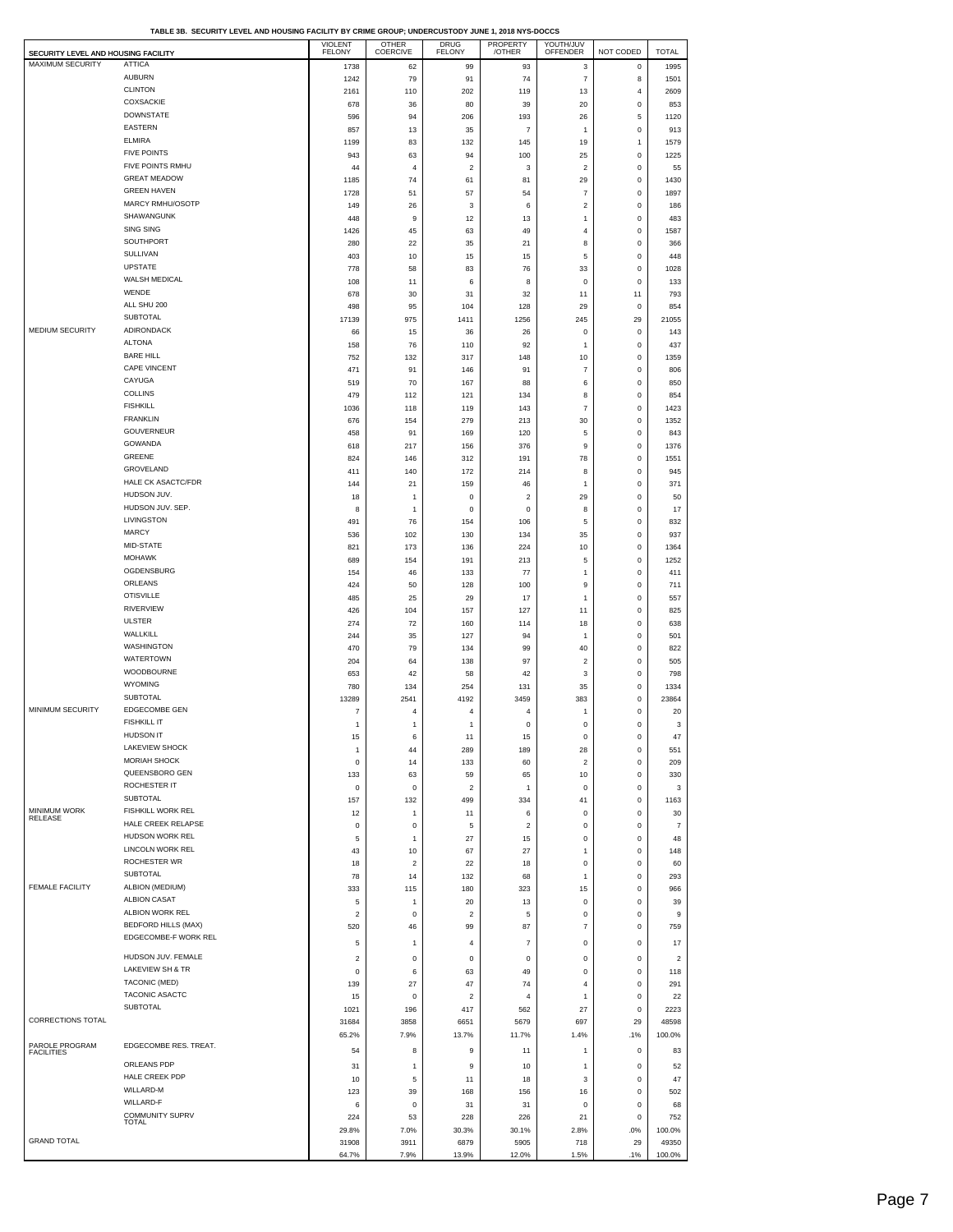| SECURITY LEVEL AND HOUSING FACILITY |                                       | <b>VIOLENT</b><br><b>FELONY</b> | <b>OTHER</b><br>COERCIVE | <b>DRUG</b><br><b>FELONY</b> | PROPERTY<br>/OTHER | YOUTH/JUV<br>OFFENDER     | NOT CODED                     | <b>TOTAL</b>            |
|-------------------------------------|---------------------------------------|---------------------------------|--------------------------|------------------------------|--------------------|---------------------------|-------------------------------|-------------------------|
| MAXIMUM SECURITY                    | <b>ATTICA</b>                         | 1738                            | 62                       | 99                           | 93                 | 3                         | $\mathbf 0$                   | 1995                    |
|                                     | <b>AUBURN</b>                         | 1242                            | 79                       | 91                           | 74                 | $\overline{7}$            | 8                             | 1501                    |
|                                     | <b>CLINTON</b><br>COXSACKIE           | 2161                            | 110                      | 202                          | 119                | 13                        | $\overline{4}$                | 2609                    |
|                                     | <b>DOWNSTATE</b>                      | 678<br>596                      | 36<br>94                 | 80<br>206                    | 39<br>193          | 20<br>26                  | $\mathbf 0$<br>5              | 853<br>1120             |
|                                     | <b>EASTERN</b>                        | 857                             | 13                       | 35                           | $\overline{7}$     | $\mathbf{1}$              | $\mathbf 0$                   | 913                     |
|                                     | <b>ELMIRA</b>                         | 1199                            | 83                       | 132                          | 145                | 19                        | $\mathbf{1}$                  | 1579                    |
|                                     | <b>FIVE POINTS</b>                    | 943                             | 63                       | 94                           | 100                | 25                        | 0                             | 1225                    |
|                                     | FIVE POINTS RMHU                      | 44                              | $\overline{4}$           | $\overline{2}$               | 3                  | $\overline{c}$            | $\mathbf 0$                   | 55                      |
|                                     | <b>GREAT MEADOW</b>                   | 1185                            | 74                       | 61                           | 81                 | 29                        | $\mathbf 0$                   | 1430                    |
|                                     | <b>GREEN HAVEN</b>                    | 1728                            | 51                       | 57                           | 54                 | $\overline{\mathfrak{c}}$ | $\mathbf 0$                   | 1897                    |
|                                     | MARCY RMHU/OSOTP<br>SHAWANGUNK        | 149                             | 26                       | 3                            | 6                  | $\overline{\mathbf{c}}$   | $\mathbf 0$                   | 186                     |
|                                     | <b>SING SING</b>                      | 448<br>1426                     | 9<br>45                  | 12<br>63                     | 13<br>49           | $\mathbf{1}$<br>4         | $\mathbf 0$<br>$\mathbf 0$    | 483<br>1587             |
|                                     | SOUTHPORT                             | 280                             | 22                       | 35                           | 21                 | 8                         | $\mathbf 0$                   | 366                     |
|                                     | SULLIVAN                              | 403                             | 10                       | 15                           | 15                 | 5                         | $\mathbf 0$                   | 448                     |
|                                     | <b>UPSTATE</b>                        | 778                             | 58                       | 83                           | 76                 | 33                        | $\mathbf 0$                   | 1028                    |
|                                     | WALSH MEDICAL                         | 108                             | 11                       | 6                            | 8                  | 0                         | $\mathbf 0$                   | 133                     |
|                                     | WENDE                                 | 678                             | 30                       | 31                           | 32                 | 11                        | 11                            | 793                     |
|                                     | ALL SHU 200<br>SUBTOTAL               | 498                             | 95                       | 104                          | 128                | 29                        | $\mathbf 0$                   | 854                     |
| <b>MEDIUM SECURITY</b>              | ADIRONDACK                            | 17139                           | 975                      | 1411                         | 1256               | 245                       | 29                            | 21055                   |
|                                     | <b>ALTONA</b>                         | 66<br>158                       | 15<br>76                 | 36<br>110                    | 26<br>92           | 0<br>$\mathbf{1}$         | 0<br>$\mathbf 0$              | 143<br>437              |
|                                     | <b>BARE HILL</b>                      | 752                             | 132                      | 317                          | 148                | 10                        | $\mathsf 0$                   | 1359                    |
|                                     | <b>CAPE VINCENT</b>                   | 471                             | 91                       | 146                          | 91                 | $\overline{\mathfrak{c}}$ | $\mathbf 0$                   | 806                     |
|                                     | CAYUGA                                | 519                             | 70                       | 167                          | 88                 | 6                         | $\mathbf 0$                   | 850                     |
|                                     | <b>COLLINS</b>                        | 479                             | 112                      | 121                          | 134                | 8                         | $\mathbf 0$                   | 854                     |
|                                     | <b>FISHKILL</b>                       | 1036                            | 118                      | 119                          | 143                | $\overline{7}$            | $\mathbf 0$                   | 1423                    |
|                                     | <b>FRANKLIN</b><br>GOUVERNEUR         | 676                             | 154                      | 279                          | 213                | 30                        | $\mathbf 0$                   | 1352                    |
|                                     | GOWANDA                               | 458                             | 91                       | 169                          | 120                | 5                         | $\mathbf 0$                   | 843                     |
|                                     | GREENE                                | 618<br>824                      | 217<br>146               | 156<br>312                   | 376<br>191         | 9<br>78                   | $\mathbf 0$<br>$\mathbf 0$    | 1376<br>1551            |
|                                     | GROVELAND                             | 411                             | 140                      | 172                          | 214                | 8                         | $\mathbf 0$                   | 945                     |
|                                     | HALE CK ASACTC/FDR                    | 144                             | 21                       | 159                          | 46                 | $\mathbf{1}$              | $\mathbf 0$                   | 371                     |
|                                     | HUDSON JUV.                           | 18                              | $\mathbf{1}$             | $\mathbf 0$                  | $\overline{2}$     | 29                        | $\mathbf 0$                   | 50                      |
|                                     | HUDSON JUV. SEP.                      | 8                               | 1                        | $^{\circ}$                   | 0                  | 8                         | $\mathbf 0$                   | 17                      |
|                                     | LIVINGSTON                            | 491                             | 76                       | 154                          | 106                | 5                         | $\mathbf 0$                   | 832                     |
|                                     | <b>MARCY</b><br>MID-STATE             | 536                             | 102                      | 130                          | 134                | 35                        | $\mathsf 0$                   | 937                     |
|                                     | <b>MOHAWK</b>                         | 821                             | 173                      | 136                          | 224                | 10                        | $\mathbf 0$                   | 1364                    |
|                                     | OGDENSBURG                            | 689<br>154                      | 154<br>46                | 191<br>133                   | 213<br>77          | 5<br>$\mathbf{1}$         | $\mathbf 0$<br>$\mathbf 0$    | 1252<br>411             |
|                                     | ORLEANS                               | 424                             | 50                       | 128                          | 100                | 9                         | $\mathbf 0$                   | 711                     |
|                                     | <b>OTISVILLE</b>                      | 485                             | 25                       | 29                           | 17                 | 1                         | $\mathbf 0$                   | 557                     |
|                                     | RIVERVIEW                             | 426                             | 104                      | 157                          | 127                | 11                        | $\mathbf 0$                   | 825                     |
|                                     | <b>ULSTER</b>                         | 274                             | 72                       | 160                          | 114                | 18                        | $\mathbf 0$                   | 638                     |
|                                     | WALLKILL                              | 244                             | 35                       | 127                          | 94                 | $\mathbf{1}$              | $\mathbf 0$                   | 501                     |
|                                     | WASHINGTON<br><b>WATERTOWN</b>        | 470                             | 79                       | 134                          | 99                 | 40                        | $\mathbf 0$                   | 822                     |
|                                     | WOODBOURNE                            | 204<br>653                      | 64<br>42                 | 138<br>58                    | 97<br>42           | $\boldsymbol{2}$<br>3     | $\mathbf 0$<br>$\mathbf 0$    | 505<br>798              |
|                                     | <b>WYOMING</b>                        | 780                             | 134                      | 254                          | 131                | 35                        | $\mathbf 0$                   | 1334                    |
|                                     | <b>SUBTOTAL</b>                       | 13289                           | 2541                     | 4192                         | 3459               | 383                       | $\mathbf 0$                   | 23864                   |
| MINIMUM SECURITY                    | EDGECOMBE GEN                         | $\overline{\mathfrak{c}}$       | $\overline{4}$           | $\overline{4}$               | $\overline{4}$     | 1                         | $\mathsf 0$                   | 20                      |
|                                     | <b>FISHKILL IT</b>                    | 1                               | $\mathbf{1}$             | $\mathbf{1}$                 | $\pmb{0}$          | 0                         | $\mathbf 0$                   | 3                       |
|                                     | <b>HUDSON IT</b>                      | 15                              | 6                        | 11                           | 15                 | $\mathsf 0$               | $\mathsf 0$                   | 47                      |
|                                     | LAKEVIEW SHOCK                        | 1                               | 44                       | 289                          | 189                | 28                        | $\mathbf 0$                   | 551                     |
|                                     | <b>MORIAH SHOCK</b><br>QUEENSBORO GEN | $\bf{0}$                        | 14                       | 133                          | 60                 | $\overline{c}$            | $\mathsf{o}\,$                | 209                     |
|                                     | ROCHESTER IT                          | 133<br>0                        | 63<br>0                  | 59<br>$\overline{2}$         | 65<br>$\mathbf{1}$ | 10<br>0                   | $\mathsf{o}\,$<br>$\mathbf 0$ | 330<br>3                |
|                                     | <b>SUBTOTAL</b>                       | 157                             | 132                      | 499                          | 334                | 41                        | $\mathbf 0$                   | 1163                    |
| <b>MINIMUM WORK</b>                 | FISHKILL WORK REL                     | 12                              | 1                        | 11                           | 6                  | 0                         | $\mathbf 0$                   | 30                      |
| RELEASE                             | HALE CREEK RELAPSE                    | 0                               | $\mathsf 0$              | 5                            | $\overline{2}$     | $\mathsf 0$               | $\mathbf 0$                   | $\overline{7}$          |
|                                     | HUDSON WORK REL                       | 5                               | 1                        | 27                           | 15                 | 0                         | $\mathbf 0$                   | 48                      |
|                                     | <b>LINCOLN WORK REL</b>               | 43                              | 10                       | 67                           | 27                 | $\mathbf{1}$              | $\mathsf 0$                   | 148                     |
|                                     | ROCHESTER WR<br><b>SUBTOTAL</b>       | 18                              | $\overline{2}$           | 22                           | 18                 | 0                         | $\mathbf 0$                   | 60                      |
| <b>FEMALE FACILITY</b>              | ALBION (MEDIUM)                       | 78                              | 14                       | 132                          | 68                 | 1                         | $\mathbf 0$                   | 293                     |
|                                     | <b>ALBION CASAT</b>                   | 333<br>5                        | 115<br>1                 | 180<br>20                    | 323<br>13          | 15<br>0                   | $\mathsf 0$<br>$\mathbf 0$    | 966<br>39               |
|                                     | ALBION WORK REL                       | $\overline{\mathbf{c}}$         | $\mathbf 0$              | $\overline{2}$               | 5                  | $\mathsf 0$               | $\mathbf 0$                   | 9                       |
|                                     | <b>BEDFORD HILLS (MAX)</b>            | 520                             | 46                       | 99                           | 87                 | $\overline{\mathfrak{c}}$ | $\mathbf 0$                   | 759                     |
|                                     | EDGECOMBE-F WORK REL                  | 5                               | $\mathbf{1}$             | $\overline{4}$               | $\overline{7}$     | 0                         | $\mathbf 0$                   | 17                      |
|                                     | HUDSON JUV. FEMALE                    | $\overline{\mathbf{c}}$         | $\mathsf 0$              | $\mathbf 0$                  | $\bf{0}$           | $\mathsf 0$               | $\mathbf 0$                   | $\overline{\mathbf{c}}$ |
|                                     | LAKEVIEW SH & TR                      | 0                               | 6                        | 63                           | 49                 | 0                         | $\mathbf 0$                   | 118                     |
|                                     | TACONIC (MED)                         | 139                             | 27                       | 47                           | 74                 | $\sqrt{4}$                | $\mathbf 0$                   | 291                     |
|                                     | TACONIC ASACTC                        | 15                              | $\mathsf 0$              | $\overline{2}$               | $\overline{4}$     | $\mathbf{1}$              | $\mathbf 0$                   | 22                      |
|                                     | <b>SUBTOTAL</b>                       | 1021                            | 196                      | 417                          | 562                | 27                        | $\mathbf 0$                   | 2223                    |
| <b>CORRECTIONS TOTAL</b>            |                                       | 31684                           | 3858                     | 6651                         | 5679               | 697                       | 29                            | 48598                   |
|                                     |                                       | 65.2%                           | 7.9%                     | 13.7%                        | 11.7%              | 1.4%                      | .1%                           | 100.0%                  |
| PAROLE PROGRAM<br><b>FACILITIES</b> | EDGECOMBE RES. TREAT.                 | 54                              | 8                        | 9                            | 11                 | 1                         | 0                             | 83                      |
|                                     | ORLEANS PDP                           | 31                              | $\mathbf{1}$             | 9                            | 10                 | $\mathbf{1}$              | $\mathbf 0$                   | 52                      |
|                                     | HALE CREEK PDP                        | 10                              | 5                        | 11                           | 18                 | 3                         | $\mathbf 0$                   | 47                      |
|                                     | WILLARD-M                             | 123                             | 39                       | 168                          | 156                | 16                        | $\mathbf 0$                   | 502                     |
|                                     | WILLARD-F<br><b>COMMUNITY SUPRV</b>   | 6                               | $\mathsf 0$              | 31                           | 31                 | $\mathsf 0$               | $\mathbf 0$                   | 68                      |
|                                     | <b>TOTAL</b>                          | 224                             | 53                       | 228                          | 226                | 21                        | $\mathbf 0$                   | 752                     |
| <b>GRAND TOTAL</b>                  |                                       | 29.8%<br>31908                  | 7.0%<br>3911             | 30.3%<br>6879                | 30.1%<br>5905      | 2.8%<br>718               | .0%<br>29                     | 100.0%<br>49350         |
|                                     |                                       | 64.7%                           | 7.9%                     | 13.9%                        | 12.0%              | 1.5%                      | .1%                           | 100.0%                  |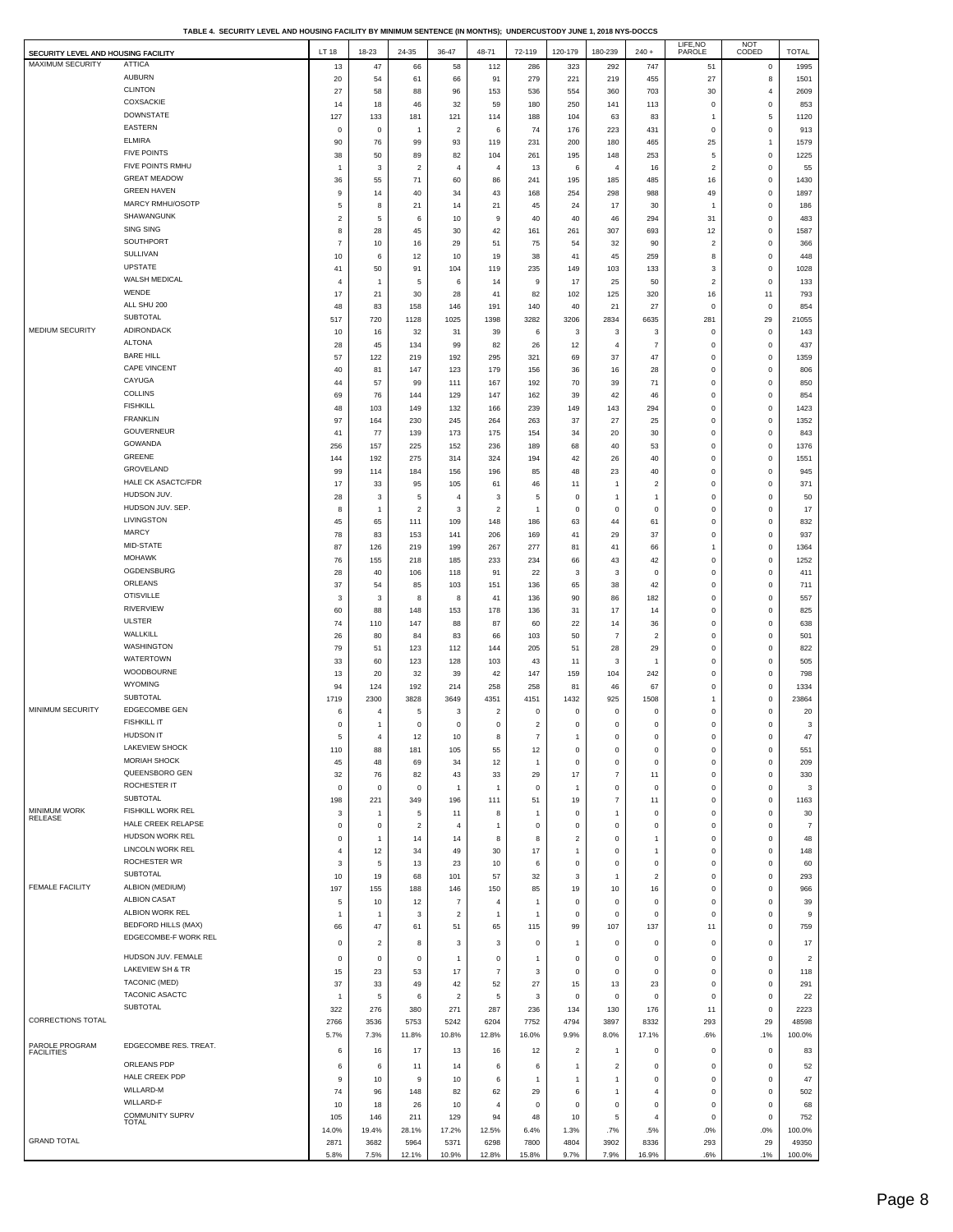**TABLE 4. SECURITY LEVEL AND HOUSING FACILITY BY MINIMUM SENTENCE (IN MONTHS); UNDERCUSTODY JUNE 1, 2018 NYS-DOCCS**

| SECURITY LEVEL AND HOUSING FACILITY |                                         | LT 18                        | 18-23              | 24-35                   | 36-47                          | 48-71                     | 72-119                                    | 120-179                 | 180-239                          | $240 +$                 | LIFE, NO<br>PAROLE          | NOT<br>CODED      | <b>TOTAL</b>                    |
|-------------------------------------|-----------------------------------------|------------------------------|--------------------|-------------------------|--------------------------------|---------------------------|-------------------------------------------|-------------------------|----------------------------------|-------------------------|-----------------------------|-------------------|---------------------------------|
| MAXIMUM SECURITY                    | <b>ATTICA</b>                           | 13                           | 47                 | 66                      | 58                             | 112                       | 286                                       | 323                     | 292                              | 747                     | 51                          | $\mathbf 0$       | 1995                            |
|                                     | <b>AUBURN</b>                           | 20                           | 54                 | 61                      | 66                             | 91                        | 279                                       | 221                     | 219                              | 455                     | 27                          | 8                 | 1501                            |
|                                     | <b>CLINTON</b>                          | 27                           | 58                 | 88                      | 96                             | 153                       | 536                                       | 554                     | 360                              | 703                     | 30                          | 4                 | 2609                            |
|                                     | COXSACKIE<br><b>DOWNSTATE</b>           | 14                           | 18                 | 46                      | 32                             | 59                        | 180                                       | 250                     | 141                              | 113                     | $\mathbf 0$                 | $\mathbf 0$       | 853                             |
|                                     | <b>EASTERN</b>                          | 127<br>$\mathsf 0$           | 133<br>$\mathsf 0$ | 181<br>$\overline{1}$   | 121<br>$\overline{\mathbf{c}}$ | 114<br>6                  | 188<br>74                                 | 104<br>176              | 63<br>223                        | 83<br>431               | $\overline{1}$<br>$\pmb{0}$ | 5<br>$\mathbf 0$  | 1120<br>913                     |
|                                     | <b>ELMIRA</b>                           | 90                           | 76                 | 99                      | 93                             | 119                       | 231                                       | 200                     | 180                              | 465                     | 25                          | 1                 | 1579                            |
|                                     | <b>FIVE POINTS</b>                      | 38                           | 50                 | 89                      | 82                             | 104                       | 261                                       | 195                     | 148                              | 253                     | 5                           | $\mathbf 0$       | 1225                            |
|                                     | FIVE POINTS RMHU                        | $\mathbf{1}$                 | 3                  | $\overline{\mathbf{c}}$ | $\overline{4}$                 | 4                         | 13                                        | 6                       | $\overline{4}$                   | 16                      | $\overline{2}$              | $\mathsf{o}\,$    | 55                              |
|                                     | <b>GREAT MEADOW</b>                     | 36                           | 55                 | 71                      | 60                             | 86                        | 241                                       | 195                     | 185                              | 485                     | 16                          | $\mathbf 0$       | 1430                            |
|                                     | <b>GREEN HAVEN</b><br>MARCY RMHU/OSOTP  | 9                            | 14                 | 40                      | 34                             | 43                        | 168                                       | 254                     | 298                              | 988                     | 49                          | $\mathbf 0$       | 1897                            |
|                                     | SHAWANGUNK                              | 5<br>$\overline{\mathbf{c}}$ | 8<br>$\,$ 5 $\,$   | 21<br>6                 | 14<br>10                       | 21<br>9                   | 45<br>40                                  | 24<br>40                | 17<br>46                         | 30<br>294               | $\overline{1}$<br>31        | $\mathsf 0$<br>0  | 186<br>483                      |
|                                     | <b>SING SING</b>                        | 8                            | 28                 | 45                      | 30                             | 42                        | 161                                       | 261                     | 307                              | 693                     | 12                          | $\mathbf 0$       | 1587                            |
|                                     | SOUTHPORT                               | $\overline{7}$               | 10                 | 16                      | 29                             | 51                        | 75                                        | 54                      | 32                               | 90                      | $\overline{\mathbf{c}}$     | $\mathbf 0$       | 366                             |
|                                     | SULLIVAN                                | 10                           | 6                  | 12                      | 10                             | 19                        | 38                                        | 41                      | 45                               | 259                     | 8                           | $\mathsf{o}\,$    | 448                             |
|                                     | <b>UPSTATE</b>                          | 41                           | 50                 | 91                      | 104                            | 119                       | 235                                       | 149                     | 103                              | 133                     | 3                           | $\mathbf 0$       | 1028                            |
|                                     | WALSH MEDICAL<br>WENDE                  | $\overline{4}$<br>17         | $\mathbf{1}$<br>21 | $\,$ 5                  | 6                              | 14                        | 9<br>82                                   | 17                      | 25                               | 50                      | $\overline{\mathbf{c}}$     | $\mathbf 0$       | 133<br>793                      |
|                                     | ALL SHU 200                             | 48                           | 83                 | 30<br>158               | 28<br>146                      | 41<br>191                 | 140                                       | 102<br>40               | 125<br>21                        | 320<br>27               | 16<br>$\mathbf 0$           | 11<br>$\mathbf 0$ | 854                             |
|                                     | SUBTOTAL                                | 517                          | 720                | 1128                    | 1025                           | 1398                      | 3282                                      | 3206                    | 2834                             | 6635                    | 281                         | 29                | 21055                           |
| <b>MEDIUM SECURITY</b>              | ADIRONDACK                              | 10                           | 16                 | 32                      | 31                             | 39                        | 6                                         | 3                       | 3                                | 3                       | $\pmb{0}$                   | 0                 | 143                             |
|                                     | <b>ALTONA</b>                           | 28                           | 45                 | 134                     | 99                             | 82                        | 26                                        | 12                      | $\overline{4}$                   | $\overline{7}$          | $\mathbf 0$                 | $\mathsf{o}\,$    | 437                             |
|                                     | <b>BARE HILL</b>                        | 57                           | 122                | 219                     | 192                            | 295                       | 321                                       | 69                      | 37                               | 47                      | $\,0\,$                     | $\mathbf 0$       | 1359                            |
|                                     | <b>CAPE VINCENT</b><br>CAYUGA           | 40                           | 81                 | 147                     | 123                            | 179                       | 156                                       | 36                      | 16                               | 28                      | $\,0\,$                     | 0                 | 806                             |
|                                     | <b>COLLINS</b>                          | 44<br>69                     | 57<br>76           | 99<br>144               | 111<br>129                     | 167<br>147                | 192<br>162                                | 70<br>39                | 39<br>42                         | 71<br>46                | $\bf{0}$<br>$\,0\,$         | $\mathsf 0$<br>0  | 850<br>854                      |
|                                     | <b>FISHKILL</b>                         | 48                           | 103                | 149                     | 132                            | 166                       | 239                                       | 149                     | 143                              | 294                     | $\mathbf 0$                 | $\mathbf 0$       | 1423                            |
|                                     | <b>FRANKLIN</b>                         | 97                           | 164                | 230                     | 245                            | 264                       | 263                                       | 37                      | 27                               | 25                      | $\,0\,$                     | $\mathbf 0$       | 1352                            |
|                                     | <b>GOUVERNEUR</b>                       | 41                           | 77                 | 139                     | 173                            | 175                       | 154                                       | 34                      | 20                               | 30                      | $\mathbf 0$                 | $\mathbf 0$       | 843                             |
|                                     | GOWANDA<br>GREENE                       | 256                          | 157                | 225                     | 152                            | 236                       | 189                                       | 68                      | 40                               | 53                      | $\mathbf 0$                 | $\mathsf 0$       | 1376                            |
|                                     | GROVELAND                               | 144<br>99                    | 192<br>114         | 275<br>184              | 314<br>156                     | 324<br>196                | 194<br>85                                 | 42<br>48                | 26<br>23                         | 40<br>40                | $\,0\,$<br>$\,0\,$          | 0<br>$\mathsf 0$  | 1551<br>945                     |
|                                     | HALE CK ASACTC/FDR                      | 17                           | 33                 | 95                      | 105                            | 61                        | 46                                        | 11                      | $\overline{1}$                   | $\boldsymbol{2}$        | $\,0\,$                     | $\,$ 0 $\,$       | 371                             |
|                                     | HUDSON JUV.                             | 28                           | 3                  | 5                       | $\overline{4}$                 | 3                         | 5                                         | $\mathbf 0$             | -1                               | $\mathbf{1}$            | $\mathbf 0$                 | 0                 | 50                              |
|                                     | HUDSON JUV. SEP.                        | 8                            | 1                  | $\overline{2}$          | 3                              | $\boldsymbol{2}$          | 1                                         | $\pmb{0}$               | $^{\circ}$                       | $\mathsf 0$             | $\pmb{0}$                   | 0                 | 17                              |
|                                     | LIVINGSTON                              | 45                           | 65                 | 111                     | 109                            | 148                       | 186                                       | 63                      | 44                               | 61                      | $\pmb{0}$                   | 0                 | 832                             |
|                                     | <b>MARCY</b><br>MID-STATE               | 78                           | 83                 | 153                     | 141                            | 206                       | 169                                       | 41                      | 29                               | 37                      | $\mathbf 0$                 | 0                 | 937                             |
|                                     | <b>MOHAWK</b>                           | 87<br>76                     | 126<br>155         | 219<br>218              | 199<br>185                     | 267<br>233                | 277<br>234                                | 81<br>66                | 41<br>43                         | 66<br>42                | $\overline{1}$<br>$\pmb{0}$ | 0<br>0            | 1364<br>1252                    |
|                                     | OGDENSBURG                              | 28                           | 40                 | 106                     | 118                            | 91                        | 22                                        | 3                       | 3                                | 0                       | $\pmb{0}$                   | 0                 | 411                             |
|                                     | ORLEANS                                 | 37                           | 54                 | 85                      | 103                            | 151                       | 136                                       | 65                      | 38                               | 42                      | $\mathbf 0$                 | 0                 | 711                             |
|                                     | <b>OTISVILLE</b>                        | 3                            | 3                  | 8                       | 8                              | 41                        | 136                                       | 90                      | 86                               | 182                     | $\pmb{0}$                   | 0                 | 557                             |
|                                     | <b>RIVERVIEW</b>                        | 60                           | 88                 | 148                     | 153                            | 178                       | 136                                       | 31                      | 17                               | 14                      | $\circ$                     | 0                 | 825                             |
|                                     | <b>ULSTER</b><br>WALLKILL               | 74                           | 110                | 147                     | 88                             | 87                        | 60                                        | 22                      | 14                               | 36                      | $\mathbf 0$                 | 0                 | 638                             |
|                                     | WASHINGTON                              | 26<br>79                     | 80<br>51           | 84<br>123               | 83<br>112                      | 66<br>144                 | 103<br>205                                | 50<br>51                | $\overline{7}$<br>28             | $\overline{2}$<br>29    | $\pmb{0}$<br>$\mathbf 0$    | 0<br>0            | 501<br>822                      |
|                                     | <b>WATERTOWN</b>                        | 33                           | 60                 | 123                     | 128                            | 103                       | 43                                        | 11                      | 3                                | $\mathbf{1}$            | $\mathbf 0$                 | 0                 | 505                             |
|                                     | WOODBOURNE                              | 13                           | 20                 | 32                      | 39                             | 42                        | 147                                       | 159                     | 104                              | 242                     | $\mathbf 0$                 | 0                 | 798                             |
|                                     | <b>WYOMING</b>                          | 94                           | 124                | 192                     | 214                            | 258                       | 258                                       | 81                      | 46                               | 67                      | $\pmb{0}$                   | $\mathsf 0$       | 1334                            |
| MINIMUM SECURITY                    | <b>SUBTOTAL</b><br><b>EDGECOMBE GEN</b> | 1719                         | 2300               | 3828                    | 3649                           | 4351                      | 4151                                      | 1432                    | 925                              | 1508                    | $\mathbf{1}$                | 0                 | 23864                           |
|                                     | <b>FISHKILL IT</b>                      | 6                            | 4                  | 5                       | 3                              | $\overline{\mathbf{c}}$   | $\mathbf 0$                               | $\pmb{0}$               | $^{\circ}$                       | $\mathbf 0$             | $\mathbf 0$                 | 0                 | 20                              |
|                                     | HUDSON IT                               | 0<br>5                       | 1<br>4             | $\mathbf 0$<br>12       | $\mathsf 0$<br>10              | $\mathbf 0$<br>8          | $\overline{\mathbf{c}}$<br>$\overline{7}$ | 0<br>1                  | $\mathbf 0$<br>$\Omega$          | $\mathsf 0$<br>$\Omega$ | $\theta$<br>$\Omega$        | 0<br>$\Omega$     | $\ensuremath{\mathsf{3}}$<br>47 |
|                                     | LAKEVIEW SHOCK                          | 110                          | 88                 | 181                     | 105                            | 55                        | 12                                        | 0                       | $\mathbf 0$                      | 0                       | $\pmb{0}$                   | 0                 | 551                             |
|                                     | <b>MORIAH SHOCK</b>                     | 45                           | 48                 | 69                      | 34                             | 12                        | 1                                         | $\pmb{0}$               | $\mathsf 0$                      | $\mathsf 0$             | $\mathbf 0$                 | 0                 | 209                             |
|                                     | QUEENSBORO GEN                          | 32                           | 76                 | 82                      | 43                             | 33                        | 29                                        | 17                      | $\overline{7}$                   | 11                      | $\pmb{0}$                   | 0                 | 330                             |
|                                     | ROCHESTER IT<br><b>SUBTOTAL</b>         | $\mathbf 0$                  | $\bf{0}$           | $\mathbf 0$             | $\mathbf{1}$                   | $\overline{1}$            | $\mathbf 0$                               | 1                       | $\mathsf 0$                      | $\mathbf 0$             | $\circ$                     | 0                 | 3                               |
| MINIMUM WORK                        | FISHKILL WORK REL                       | 198<br>3                     | 221<br>1           | 349<br>5                | 196<br>11                      | 111<br>8                  | 51<br>$\mathbf{1}$                        | 19<br>0                 | $\overline{7}$<br>$\overline{1}$ | 11<br>0                 | $\mathbf 0$<br>$\pmb{0}$    | 0<br>0            | 1163<br>30                      |
| RELEASE                             | HALE CREEK RELAPSE                      | $\mathbf 0$                  | $\bf{0}$           | $\overline{2}$          | $\overline{4}$                 | $\mathbf{1}$              | $\mathbf 0$                               | 0                       | $\mathsf 0$                      | $\mathsf 0$             | $\mathbf 0$                 | 0                 | $\overline{7}$                  |
|                                     | HUDSON WORK REL                         | 0                            | 1                  | 14                      | 14                             | 8                         | 8                                         | $\overline{\mathbf{c}}$ | $^{\circ}$                       | $\mathbf{1}$            | 0                           | 0                 | 48                              |
|                                     | LINCOLN WORK REL                        | 4                            | 12                 | 34                      | 49                             | 30                        | 17                                        | 1                       | $\mathsf 0$                      | $\mathbf{1}$            | $\mathbf 0$                 | 0                 | 148                             |
|                                     | ROCHESTER WR<br><b>SUBTOTAL</b>         | 3                            | 5                  | 13                      | 23                             | 10                        | 6                                         | $\mathbf 0$             | $\mathsf 0$                      | $\mathsf 0$             | $\pmb{0}$                   | 0                 | 60                              |
| FEMALE FACILITY                     | ALBION (MEDIUM)                         | 10<br>197                    | 19<br>155          | 68<br>188               | 101<br>146                     | 57<br>150                 | 32<br>85                                  | 3<br>19                 | $\overline{1}$<br>10             | $\boldsymbol{2}$<br>16  | $\circ$<br>$\mathbf 0$      | 0<br>0            | 293<br>966                      |
|                                     | <b>ALBION CASAT</b>                     | 5                            | 10                 | 12                      | $\overline{7}$                 | 4                         | 1                                         | 0                       | $^{\circ}$                       | 0                       | $\pmb{0}$                   | 0                 | 39                              |
|                                     | ALBION WORK REL                         | $\mathbf{1}$                 | $\overline{1}$     | 3                       | $\overline{\mathbf{c}}$        | $\mathbf{1}$              | 1                                         | $\mathbf 0$             | $\mathsf 0$                      | $\mathsf 0$             | $\mathbf 0$                 | 0                 | 9                               |
|                                     | <b>BEDFORD HILLS (MAX)</b>              | 66                           | 47                 | 61                      | 51                             | 65                        | 115                                       | 99                      | 107                              | 137                     | 11                          | 0                 | 759                             |
|                                     | EDGECOMBE-F WORK REL                    | $^{\circ}$                   | $\boldsymbol{2}$   | 8                       | 3                              | $\mathbf 3$               | 0                                         | 1                       | $\mathbf 0$                      | $\mathbf 0$             | $\pmb{0}$                   | 0                 | $17$                            |
|                                     | HUDSON JUV. FEMALE                      | $\mathbf 0$                  | $\bf{0}$           | $\mathsf 0$             | $\mathbf{1}$                   | $\mathbf 0$               | 1                                         | $\bf{0}$                | $\mathsf 0$                      | $\mathbf 0$             | $\mathbf 0$                 | 0                 | $\overline{c}$                  |
|                                     | LAKEVIEW SH & TR                        | 15                           | 23                 | 53                      | 17                             | $\overline{\mathfrak{c}}$ | 3                                         | 0                       | $^{\circ}$                       | 0                       | 0                           | 0                 | 118                             |
|                                     | <b>TACONIC (MED)</b>                    | 37                           | 33                 | 49                      | 42                             | 52                        | 27                                        | 15                      | 13                               | 23                      | $\mathbf 0$                 | 0                 | 291                             |
|                                     | TACONIC ASACTC<br><b>SUBTOTAL</b>       | -1<br>322                    | 5<br>276           | 6<br>380                | $\overline{\mathbf{c}}$<br>271 | $\,$ 5 $\,$<br>287        | 3<br>236                                  | $\pmb{0}$<br>134        | $^{\circ}$<br>130                | $^{\circ}$<br>176       | $\mathbf 0$<br>11           | 0<br>$\mathsf 0$  | 22<br>2223                      |
| <b>CORRECTIONS TOTAL</b>            |                                         | 2766                         | 3536               | 5753                    | 5242                           | 6204                      | 7752                                      | 4794                    | 3897                             | 8332                    | 293                         | 29                | 48598                           |
|                                     |                                         | 5.7%                         | 7.3%               | 11.8%                   | 10.8%                          | 12.8%                     | 16.0%                                     | 9.9%                    | 8.0%                             | 17.1%                   | .6%                         | .1%               | 100.0%                          |
| PAROLE PROGRAM<br><b>FACILITIES</b> | EDGECOMBE RES. TREAT.                   | 6                            | 16                 | 17                      | 13                             | 16                        | 12                                        | $\overline{\mathbf{c}}$ | $\overline{1}$                   | 0                       | 0                           | 0                 | 83                              |
|                                     | ORLEANS PDP                             | 6                            | 6                  | 11                      | 14                             | 6                         | 6                                         | 1                       | $\overline{\mathbf{c}}$          | 0                       | $^{\circ}$                  | 0                 | 52                              |
|                                     | HALE CREEK PDP                          | 9                            | 10                 | 9                       | 10                             | 6                         | 1                                         | 1                       | -1                               | $\mathbf 0$             | $\circ$                     | 0                 | 47                              |
|                                     | WILLARD-M                               | 74                           | 96                 | 148                     | 82                             | 62                        | 29                                        | $\,$ 6 $\,$             | -1                               | $\overline{4}$          | $\pmb{0}$                   | $\mathsf 0$       | 502                             |
|                                     | WILLARD-F                               | 10                           | 18                 | 26                      | 10                             | $\overline{4}$            | $^{\circ}$                                | 0                       | $^{\circ}$                       | 0                       | $^{\circ}$                  | 0                 | 68                              |
|                                     | COMMUNITY SUPRV<br>TOTAL                | 105                          | 146                | 211                     | 129                            | 94                        | 48                                        | 10                      | 5                                | $\overline{4}$          | $\mathbf 0$                 | $\mathsf 0$       | 752                             |
| <b>GRAND TOTAL</b>                  |                                         | 14.0%<br>2871                | 19.4%<br>3682      | 28.1%<br>5964           | 17.2%<br>5371                  | 12.5%<br>6298             | 6.4%<br>7800                              | 1.3%<br>4804            | .7%<br>3902                      | .5%<br>8336             | .0%<br>293                  | .0%<br>29         | 100.0%<br>49350                 |
|                                     |                                         | 5.8%                         | 7.5%               | 12.1%                   | 10.9%                          | 12.8%                     | 15.8%                                     | 9.7%                    | 7.9%                             | 16.9%                   | .6%                         | .1%               | 100.0%                          |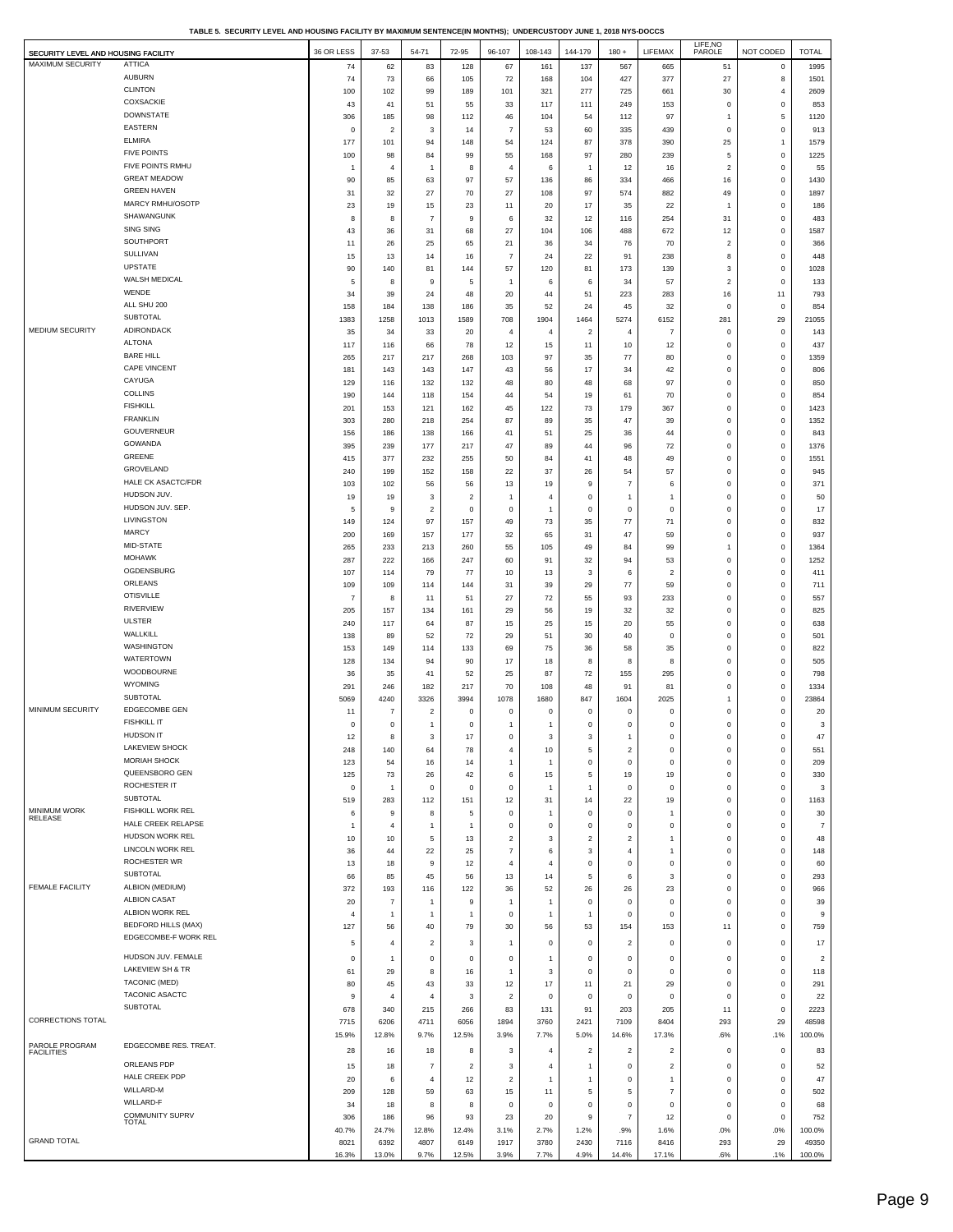**TABLE 5. SECURITY LEVEL AND HOUSING FACILITY BY MAXIMUM SENTENCE(IN MONTHS); UNDERCUSTODY JUNE 1, 2018 NYS-DOCCS**

| SECURITY LEVEL AND HOUSING FACILITY |                                                   | 36 OR LESS        | 37-53                 | 54-71                            | 72-95                              | 96-107                      | 108-143              | 144-179              | $180 +$                 | LIFEMAX                       | LIFE, NO<br>PAROLE          | NOT CODED                  | <b>TOTAL</b>   |
|-------------------------------------|---------------------------------------------------|-------------------|-----------------------|----------------------------------|------------------------------------|-----------------------------|----------------------|----------------------|-------------------------|-------------------------------|-----------------------------|----------------------------|----------------|
| MAXIMUM SECURITY                    | <b>ATTICA</b>                                     | 74                | 62                    | 83                               | 128                                | 67                          | 161                  | 137                  | 567                     | 665                           | 51                          | $\mathbf 0$                | 1995           |
|                                     | <b>AUBURN</b>                                     | 74                | 73                    | 66                               | 105                                | 72                          | 168                  | 104                  | 427                     | 377                           | 27                          | $\bf8$                     | 1501           |
|                                     | <b>CLINTON</b><br>COXSACKIE                       | 100               | 102                   | 99                               | 189                                | 101                         | 321                  | 277                  | 725                     | 661                           | 30                          | 4                          | 2609           |
|                                     | <b>DOWNSTATE</b>                                  | 43                | 41                    | 51                               | 55                                 | 33                          | 117                  | 111                  | 249                     | 153                           | $\mathsf 0$<br>$\mathbf{1}$ | $\mathbf 0$                | 853            |
|                                     | EASTERN                                           | 306<br>0          | 185<br>$\overline{2}$ | 98<br>3                          | 112<br>14                          | 46<br>$\overline{7}$        | 104<br>53            | 54<br>60             | 112<br>335              | 97<br>439                     | $\mathsf 0$                 | 5<br>$\pmb{0}$             | 1120<br>913    |
|                                     | <b>ELMIRA</b>                                     | 177               | 101                   | 94                               | 148                                | 54                          | 124                  | 87                   | 378                     | 390                           | 25                          | $\mathbf{1}$               | 1579           |
|                                     | <b>FIVE POINTS</b>                                | 100               | 98                    | 84                               | 99                                 | 55                          | 168                  | 97                   | 280                     | 239                           | $\mathbf 5$                 | $\mathbf 0$                | 1225           |
|                                     | FIVE POINTS RMHU                                  | $\overline{1}$    | $\overline{4}$        | $\mathbf{1}$                     | 8                                  | 4                           | 6                    | $\overline{1}$       | 12                      | 16                            | $\sqrt{2}$                  | $\mathbf 0$                | 55             |
|                                     | <b>GREAT MEADOW</b>                               | 90                | 85                    | 63                               | 97                                 | 57                          | 136                  | 86                   | 334                     | 466                           | 16                          | $\mathsf 0$                | 1430           |
|                                     | <b>GREEN HAVEN</b>                                | 31                | 32                    | 27                               | 70                                 | 27                          | 108                  | 97                   | 574                     | 882                           | 49                          | $\pmb{0}$                  | 1897           |
|                                     | MARCY RMHU/OSOTP<br>SHAWANGUNK                    | 23                | 19                    | 15                               | 23                                 | 11                          | 20                   | 17                   | 35                      | 22                            | $\mathbf{1}$                | $\mathbf 0$                | 186            |
|                                     | SING SING                                         | 8                 | 8                     | $\overline{7}$                   | 9                                  | 6                           | 32                   | 12                   | 116                     | 254                           | 31                          | $\pmb{0}$                  | 483            |
|                                     | SOUTHPORT                                         | 43<br>11          | 36<br>26              | 31<br>25                         | 68<br>65                           | 27<br>21                    | 104<br>36            | 106<br>34            | 488<br>76               | 672<br>70                     | 12<br>$\overline{2}$        | $\mathbf 0$<br>$\mathsf 0$ | 1587<br>366    |
|                                     | SULLIVAN                                          | 15                | 13                    | 14                               | 16                                 | $\overline{7}$              | 24                   | 22                   | 91                      | 238                           | 8                           | $\mathbf 0$                | 448            |
|                                     | <b>UPSTATE</b>                                    | 90                | 140                   | 81                               | 144                                | 57                          | 120                  | 81                   | 173                     | 139                           | 3                           | $\mathbf 0$                | 1028           |
|                                     | WALSH MEDICAL                                     | 5                 | 8                     | 9                                | 5                                  | $\overline{1}$              | 6                    | 6                    | 34                      | 57                            | $\sqrt{2}$                  | $\pmb{0}$                  | 133            |
|                                     | WENDE                                             | 34                | 39                    | 24                               | 48                                 | 20                          | 44                   | 51                   | 223                     | 283                           | 16                          | 11                         | 793            |
|                                     | ALL SHU 200                                       | 158               | 184                   | 138                              | 186                                | 35                          | 52                   | 24                   | 45                      | 32                            | $\mathsf 0$                 | $\mathbf 0$                | 854            |
| <b>MEDIUM SECURITY</b>              | SUBTOTAL<br>ADIRONDACK                            | 1383              | 1258                  | 1013                             | 1589                               | 708                         | 1904                 | 1464                 | 5274                    | 6152                          | 281                         | 29                         | 21055          |
|                                     | <b>ALTONA</b>                                     | 35                | 34                    | 33                               | 20                                 | 4                           | $\overline{4}$       | $\overline{2}$       | $\overline{4}$          | $\overline{7}$                | $\mathsf 0$                 | $\mathbf 0$                | 143            |
|                                     | <b>BARE HILL</b>                                  | 117<br>265        | 116<br>217            | 66<br>217                        | 78<br>268                          | 12<br>103                   | 15<br>97             | 11<br>35             | 10<br>77                | 12<br>80                      | $\mathsf 0$<br>$\mathbf 0$  | $\mathbf 0$<br>$\mathbf 0$ | 437<br>1359    |
|                                     | CAPE VINCENT                                      | 181               | 143                   | 143                              | 147                                | 43                          | 56                   | $17\,$               | 34                      | 42                            | $\mathbf 0$                 | $\pmb{0}$                  | 806            |
|                                     | CAYUGA                                            | 129               | 116                   | 132                              | 132                                | 48                          | 80                   | 48                   | 68                      | 97                            | $\mathbf 0$                 | $\mathbf 0$                | 850            |
|                                     | <b>COLLINS</b>                                    | 190               | 144                   | 118                              | 154                                | 44                          | 54                   | 19                   | 61                      | 70                            | $\mathbf 0$                 | $\pmb{0}$                  | 854            |
|                                     | <b>FISHKILL</b>                                   | 201               | 153                   | 121                              | 162                                | 45                          | 122                  | 73                   | 179                     | 367                           | $\mathbf 0$                 | $\mathbf 0$                | 1423           |
|                                     | <b>FRANKLIN</b>                                   | 303               | 280                   | 218                              | 254                                | 87                          | 89                   | 35                   | 47                      | 39                            | $\mathbf 0$                 | $\pmb{0}$                  | 1352           |
|                                     | <b>GOUVERNEUR</b>                                 | 156               | 186                   | 138                              | 166                                | 41                          | 51                   | 25                   | 36                      | 44                            | $\mathbf 0$                 | $\mathbf 0$                | 843            |
|                                     | GOWANDA                                           | 395               | 239                   | 177                              | 217                                | 47                          | 89                   | 44                   | 96                      | 72                            | $\mathbf 0$                 | $\mathbf 0$                | 1376           |
|                                     | GREENE                                            | 415               | 377                   | 232                              | 255                                | 50                          | 84                   | 41                   | 48                      | 49                            | $\mathbf 0$                 | $\mathsf 0$                | 1551           |
|                                     | GROVELAND<br>HALE CK ASACTC/FDR                   | 240               | 199                   | 152                              | 158                                | 22                          | 37                   | 26                   | 54                      | 57                            | $\mathbf 0$                 | $\mathbf 0$                | 945            |
|                                     | HUDSON JUV.                                       | 103               | 102                   | 56                               | 56                                 | 13                          | 19                   | 9                    | $\overline{7}$          | 6                             | $\mathsf 0$                 | $\mathsf 0$                | 371            |
|                                     | HUDSON JUV. SEP.                                  | 19<br>5           | 19<br>9               | 3<br>$\overline{c}$              | $\overline{\mathbf{c}}$<br>$\bf 0$ | $\mathbf{1}$<br>$\mathbf 0$ | 4<br>$\overline{1}$  | 0<br>$\mathbf 0$     | 1<br>$\mathsf 0$        | $\overline{1}$<br>$\mathsf 0$ | $\mathbf 0$<br>$\mathbf 0$  | $\mathbf 0$<br>$\mathsf 0$ | 50<br>17       |
|                                     | LIVINGSTON                                        | 149               | 124                   | 97                               | 157                                | 49                          | 73                   | 35                   | 77                      | 71                            | $\mathbf 0$                 | $\pmb{0}$                  | 832            |
|                                     | <b>MARCY</b>                                      | 200               | 169                   | 157                              | 177                                | 32                          | 65                   | 31                   | 47                      | 59                            | $\mathbf 0$                 | $\mathbf 0$                | 937            |
|                                     | MID-STATE                                         | 265               | 233                   | 213                              | 260                                | 55                          | 105                  | 49                   | 84                      | 99                            | $\mathbf{1}$                | $\pmb{0}$                  | 1364           |
|                                     | <b>MOHAWK</b>                                     | 287               | 222                   | 166                              | 247                                | 60                          | 91                   | 32                   | 94                      | 53                            | $\mathbf 0$                 | $\mathbf 0$                | 1252           |
|                                     | OGDENSBURG                                        | 107               | 114                   | 79                               | 77                                 | 10                          | 13                   | 3                    | 6                       | $\overline{2}$                | $\mathsf 0$                 | $\mathbf 0$                | 411            |
|                                     | ORLEANS                                           | 109               | 109                   | 114                              | 144                                | 31                          | 39                   | 29                   | 77                      | 59                            | $\mathsf 0$                 | $\mathbf 0$                | 711            |
|                                     | <b>OTISVILLE</b>                                  | $\overline{7}$    | 8                     | 11                               | 51                                 | 27                          | 72                   | 55                   | 93                      | 233                           | $\mathbf 0$                 | $\mathsf 0$                | 557            |
|                                     | <b>RIVERVIEW</b>                                  | 205               | 157                   | 134                              | 161                                | 29                          | 56                   | 19                   | 32                      | 32                            | $\mathbf 0$                 | $\pmb{0}$                  | 825            |
|                                     | <b>ULSTER</b><br>WALLKILL                         | 240               | 117                   | 64                               | 87                                 | 15                          | 25                   | 15                   | 20                      | 55                            | $\mathbf 0$                 | $\mathbf 0$                | 638            |
|                                     | WASHINGTON                                        | 138               | 89                    | 52                               | 72                                 | 29                          | 51                   | 30                   | 40                      | $\mathsf 0$                   | $\mathbf 0$                 | $\pmb{0}$                  | 501            |
|                                     | WATERTOWN                                         | 153<br>128        | 149<br>134            | 114<br>94                        | 133<br>90                          | 69<br>17                    | 75<br>18             | 36<br>8              | 58<br>8                 | 35<br>8                       | $\mathsf 0$<br>$\mathsf 0$  | $\mathbf 0$<br>$\mathbf 0$ | 822<br>505     |
|                                     | WOODBOURNE                                        | 36                | 35                    | 41                               | 52                                 | 25                          | 87                   | 72                   | 155                     | 295                           | $\mathbf 0$                 | $\mathbf 0$                | 798            |
|                                     | WYOMING                                           | 291               | 246                   | 182                              | 217                                | 70                          | 108                  | 48                   | 91                      | 81                            | $\mathbf 0$                 | $\mathbf 0$                | 1334           |
|                                     | <b>SUBTOTAL</b>                                   | 5069              | 4240                  | 3326                             | 3994                               | 1078                        | 1680                 | 847                  | 1604                    | 2025                          | -1                          | $\mathbf 0$                | 23864          |
| MINIMUM SECURITY                    | <b>EDGECOMBE GEN</b>                              | 11                | $\overline{7}$        | $\overline{\mathbf{2}}$          | $^{\circ}$                         | $\mathbf 0$                 | $\,0\,$              | $\mathbf 0$          | $\mathbf 0$             | $\circ$                       | 0                           | $\mathbf 0$                | 20             |
|                                     | <b>FISHKILL IT</b>                                | 0                 | $\bf{0}$              | $\mathbf{1}$                     | $\pmb{0}$                          | $\mathbf{1}$                | $\overline{1}$       | $\mathsf 0$          | $\mathbf 0$             | $\mathbf 0$                   | $\mathsf 0$                 | $\mathsf 0$                | 3              |
|                                     | <b>HUDSON IT</b>                                  | 12                | 8                     | 3                                | 17                                 | $\mathbf 0$                 | 3                    | 3                    | 1                       | $\pmb{0}$                     | 0                           | $\pmb{0}$                  | 47             |
|                                     | <b>LAKEVIEW SHOCK</b>                             | 248               | 140                   | 64                               | 78                                 | 4                           | 10                   | 5                    | $\overline{2}$          | $\mathsf 0$                   | $\mathsf 0$                 | $\mathbf 0$                | 551            |
|                                     | <b>MORIAH SHOCK</b><br>QUEENSBORO GEN             | 123               | 54                    | 16                               | 14                                 | $\mathbf{1}$                | $\mathbf{1}$         | $^{\circ}$           | $\mathbf 0$             | $\mathbf 0$                   | $\mathbf 0$                 | $\mathbf 0$                | 209            |
|                                     | ROCHESTER IT                                      | 125               | 73                    | 26                               | 42                                 | 6                           | 15                   | 5                    | 19                      | 19                            | $\mathsf 0$<br>$\mathsf 0$  | $\mathbf 0$<br>$\mathsf 0$ | 330            |
|                                     | <b>SUBTOTAL</b>                                   | $^{\circ}$<br>519 | $\overline{1}$<br>283 | $^{\circ}$<br>112                | $^{\circ}$<br>151                  | $\mathbf 0$<br>12           | $\overline{1}$<br>31 | $\overline{1}$<br>14 | $\mathsf 0$<br>22       | $^{\circ}$<br>19              | $\mathbf 0$                 | $\mathbf 0$                | 3<br>1163      |
| <b>MINIMUM WORK</b>                 | FISHKILL WORK REL                                 | 6                 | 9                     | 8                                | 5                                  | $\mathbf 0$                 | $\overline{1}$       | $\mathsf 0$          | $\mathsf 0$             | $\overline{1}$                | $\mathsf 0$                 | $\mathsf 0$                | 30             |
| RELEASE                             | HALE CREEK RELAPSE                                | 1                 | $\overline{4}$        | $\mathbf{1}$                     | $\overline{1}$                     | 0                           | 0                    | 0                    | 0                       | 0                             | $\mathsf 0$                 | $\mathbf 0$                | $\overline{7}$ |
|                                     | HUDSON WORK REL                                   | 10                | 10                    | 5                                | 13                                 | $\boldsymbol{2}$            | 3                    | $\overline{2}$       | $\overline{c}$          | -1                            | $\mathsf 0$                 | $\mathbf 0$                | 48             |
|                                     | <b>LINCOLN WORK REL</b>                           | 36                | 44                    | 22                               | 25                                 | $\overline{\mathfrak{c}}$   | 6                    | 3                    | 4                       | $\overline{1}$                | $\mathsf 0$                 | $\mathbf 0$                | 148            |
|                                     | <b>ROCHESTER WR</b>                               | 13                | 18                    | 9                                | 12                                 | $\overline{4}$              | $\overline{4}$       | $\mathbf 0$          | 0                       | $\mathbf 0$                   | $\mathbf 0$                 | $\mathbf 0$                | 60             |
| <b>FEMALE FACILITY</b>              | <b>SUBTOTAL</b>                                   | 66                | 85                    | 45                               | 56                                 | 13                          | 14                   | 5                    | 6                       | 3                             | $\mathsf 0$                 | $\pmb{0}$                  | 293            |
|                                     | ALBION (MEDIUM)<br><b>ALBION CASAT</b>            | 372               | 193                   | 116                              | 122                                | 36                          | 52                   | 26                   | 26                      | 23                            | $\mathbf 0$                 | $\mathbf 0$                | 966            |
|                                     | ALBION WORK REL                                   | 20                | $\overline{7}$        | $\mathbf{1}$                     | 9                                  | $\overline{1}$              | $\mathbf{1}$         | $\mathbf 0$          | $\mathsf 0$             | $\mathsf 0$                   | $\mathsf 0$                 | $\mathbf 0$                | 39             |
|                                     | <b>BEDFORD HILLS (MAX)</b>                        | 4<br>127          | $\mathbf{1}$<br>56    | $\mathbf{1}$<br>40               | $\mathbf{1}$<br>79                 | 0<br>30                     | $\overline{1}$<br>56 | 1<br>53              | 0<br>154                | 0<br>153                      | $\mathsf 0$<br>11           | $\mathbf 0$<br>$\mathbf 0$ | 9<br>759       |
|                                     | EDGECOMBE-F WORK REL                              |                   |                       |                                  |                                    |                             |                      |                      |                         |                               |                             |                            |                |
|                                     |                                                   | 5                 | $\overline{4}$        | $\overline{\mathbf{c}}$          | 3                                  | $\overline{1}$              | $\,0\,$              | $\,0\,$              | $\overline{\mathbf{c}}$ | $\pmb{0}$                     | $\mathsf 0$                 | $\mathbf 0$                | 17             |
|                                     | HUDSON JUV. FEMALE<br><b>LAKEVIEW SH &amp; TR</b> | 0                 | $\overline{1}$        | $\mathbf 0$                      | $^{\circ}$                         | 0                           | $\mathbf{1}$         | $^{\circ}$           | 0                       | 0                             | $\mathsf 0$                 | $\mathbf 0$                | $\overline{2}$ |
|                                     | <b>TACONIC (MED)</b>                              | 61                | 29                    | 8                                | 16                                 | $\mathbf{1}$                | 3                    | $\mathbf 0$          | $\mathsf 0$             | $\mathsf 0$                   | $\mathsf 0$                 | $\mathsf 0$                | 118            |
|                                     | TACONIC ASACTC                                    | 80<br>g           | 45<br>$\overline{4}$  | 43<br>$\overline{4}$             | 33<br>3                            | 12<br>$\boldsymbol{2}$      | 17<br>$\mathbf 0$    | 11<br>$\mathbf 0$    | 21<br>$\circ$           | 29<br>$\circ$                 | $\mathsf 0$<br>$\mathbf 0$  | $\mathbf 0$<br>$\mathbf 0$ | 291<br>22      |
|                                     | <b>SUBTOTAL</b>                                   | 678               | 340                   | 215                              | 266                                | 83                          | 131                  | 91                   | 203                     | 205                           | 11                          | $\mathsf 0$                | 2223           |
| CORRECTIONS TOTAL                   |                                                   | 7715              | 6206                  | 4711                             | 6056                               | 1894                        | 3760                 | 2421                 | 7109                    | 8404                          | 293                         | 29                         | 48598          |
|                                     |                                                   | 15.9%             | 12.8%                 | 9.7%                             | 12.5%                              | 3.9%                        | 7.7%                 | 5.0%                 | 14.6%                   | 17.3%                         | .6%                         | .1%                        | 100.0%         |
| PAROLE PROGRAM                      | EDGECOMBE RES. TREAT.                             | 28                | 16                    | 18                               | 8                                  | 3                           | $\overline{4}$       | $\overline{2}$       | $\overline{c}$          | $\overline{2}$                | $\mathsf 0$                 | $\mathbf 0$                | 83             |
| <b>FACILITIES</b>                   | ORLEANS PDP                                       |                   |                       |                                  |                                    |                             |                      |                      |                         |                               |                             |                            |                |
|                                     | HALE CREEK PDP                                    | 15                | 18<br>6               | $\overline{7}$<br>$\overline{4}$ | $\overline{\mathbf{c}}$<br>12      | $\mathbf 3$<br>$\sqrt{2}$   | 4<br>-1              | 1<br>1               | 0<br>$\mathbf 0$        | $\overline{\mathbf{c}}$<br>-1 | $\mathbf 0$<br>$\mathsf 0$  | $\mathbf 0$<br>$\pmb{0}$   | 52<br>47       |
|                                     | WILLARD-M                                         | 20<br>209         | 128                   | 59                               | 63                                 | 15                          | 11                   | 5                    | 5                       | $\overline{7}$                | $\mathbf 0$                 | $\mathbf 0$                | 502            |
|                                     | WILLARD-F                                         | 34                | 18                    | 8                                | 8                                  | $\mathbf 0$                 | $\mathbf 0$          | $\mathsf 0$          | $\mathsf 0$             | $\mathsf 0$                   | $\mathsf 0$                 | $\mathbf 0$                | 68             |
|                                     | <b>COMMUNITY SUPRV</b>                            | 306               | 186                   | 96                               | 93                                 | 23                          | 20                   | 9                    | $\overline{7}$          | 12                            | $\mathbf 0$                 | $\mathbf 0$                | 752            |
|                                     | <b>TOTAL</b>                                      | 40.7%             | 24.7%                 | 12.8%                            | 12.4%                              | 3.1%                        | 2.7%                 | 1.2%                 | .9%                     | 1.6%                          | .0%                         | .0%                        | 100.0%         |
| <b>GRAND TOTAL</b>                  |                                                   | 8021              | 6392                  | 4807                             | 6149                               | 1917                        | 3780                 | 2430                 | 7116                    | 8416                          | 293                         | 29                         | 49350          |
|                                     |                                                   | 16.3%             | 13.0%                 | 9.7%                             | 12.5%                              | 3.9%                        | 7.7%                 | 4.9%                 | 14.4%                   | 17.1%                         | .6%                         | .1%                        | 100.0%         |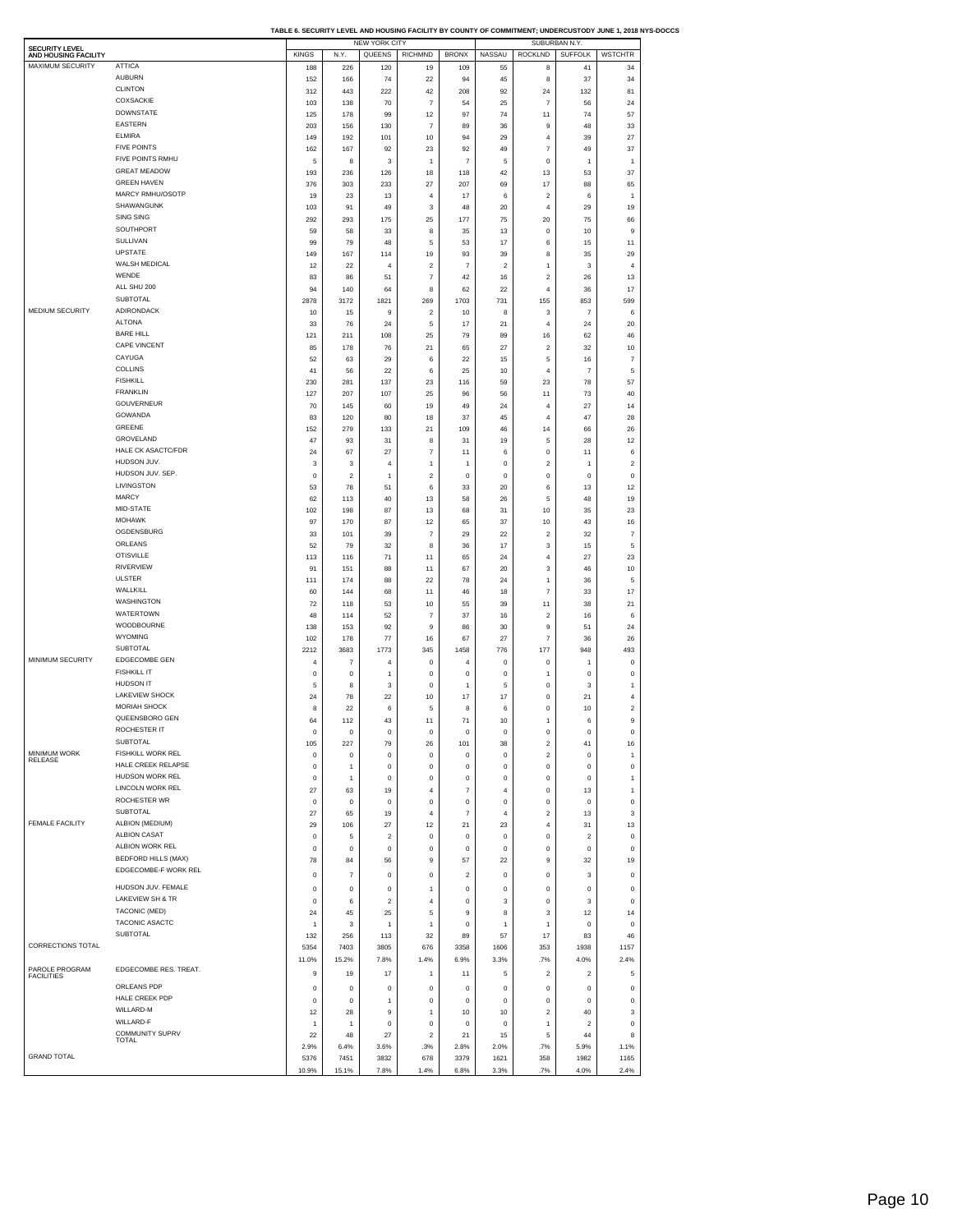**TABLE 6. SECURITY LEVEL AND HOUSING FACILITY BY COUNTY OF COMMITMENT; UNDERCUSTODY JUNE 1, 2018 NYS-DOCCS**

| SECURITY LEVEL<br>AND HOUSING FACILITY<br>MAXIMUM SECURITY                                                    |                                |                |                         | <b>NEW YORK CITY</b> |                         |                         |                         |                          | SUBURBAN N.Y.  |                                                                                                                                                                                                                                                                                                                                              |
|---------------------------------------------------------------------------------------------------------------|--------------------------------|----------------|-------------------------|----------------------|-------------------------|-------------------------|-------------------------|--------------------------|----------------|----------------------------------------------------------------------------------------------------------------------------------------------------------------------------------------------------------------------------------------------------------------------------------------------------------------------------------------------|
|                                                                                                               |                                | <b>KINGS</b>   | N.Y.                    | QUEENS               | <b>RICHMND</b>          | <b>BRONX</b>            | <b>NASSAU</b>           | <b>ROCKLND</b>           | <b>SUFFOLK</b> | <b>WSTCHTR</b>                                                                                                                                                                                                                                                                                                                               |
|                                                                                                               | <b>ATTICA</b><br><b>AUBURN</b> | 188            | 226                     | 120                  | 19                      | 109                     | 55                      | 8                        | 41             | 34                                                                                                                                                                                                                                                                                                                                           |
|                                                                                                               | <b>CLINTON</b>                 | 152            | 166                     | 74                   | 22                      | 94                      | 45                      | 8                        | 37             | 34                                                                                                                                                                                                                                                                                                                                           |
|                                                                                                               | COXSACKIE                      | 312            | 443                     | 222                  | 42                      | 208                     | 92                      | 24                       | 132            | 81                                                                                                                                                                                                                                                                                                                                           |
|                                                                                                               | <b>DOWNSTATE</b>               | 103            | 138                     | 70                   | $\overline{7}$          | 54                      | 25                      | $\overline{\phantom{a}}$ | 56             | 24                                                                                                                                                                                                                                                                                                                                           |
|                                                                                                               |                                | 125            | 178                     | 99                   | 12                      | 97                      | 74                      | 11                       | 74             | 57                                                                                                                                                                                                                                                                                                                                           |
|                                                                                                               | EASTERN                        | 203            | 156                     | 130                  | $\overline{7}$          | 89                      | 36                      | 9                        | 48             | 33                                                                                                                                                                                                                                                                                                                                           |
|                                                                                                               | <b>ELMIRA</b>                  | 149            | 192                     | 101                  | 10                      | 94                      | 29                      | 4                        | 39             | 27                                                                                                                                                                                                                                                                                                                                           |
|                                                                                                               | <b>FIVE POINTS</b>             | 162            | 167                     | 92                   | 23                      | 92                      | 49                      | $\overline{7}$           | 49             | 37                                                                                                                                                                                                                                                                                                                                           |
|                                                                                                               | FIVE POINTS RMHU               | 5              | 8                       | 3                    | 1                       | $\overline{7}$          | 5                       | 0                        | 1              | $\overline{1}$                                                                                                                                                                                                                                                                                                                               |
|                                                                                                               | <b>GREAT MEADOW</b>            | 193            | 236                     | 126                  | 18                      | 118                     | 42                      | 13                       | 53             | 37                                                                                                                                                                                                                                                                                                                                           |
|                                                                                                               | <b>GREEN HAVEN</b>             | 376            | 303                     | 233                  | 27                      | 207                     | 69                      | 17                       | 88             | 65                                                                                                                                                                                                                                                                                                                                           |
|                                                                                                               | MARCY RMHU/OSOTP               | 19             | 23                      | 13                   | 4                       | 17                      | 6                       | $\overline{\mathbf{c}}$  | 6              | $\mathbf{1}$                                                                                                                                                                                                                                                                                                                                 |
|                                                                                                               | SHAWANGUNK                     | 103            | 91                      | 49                   | 3                       | 48                      | 20                      | 4                        | 29             | 19                                                                                                                                                                                                                                                                                                                                           |
|                                                                                                               | <b>SING SING</b>               | 292            | 293                     | 175                  | 25                      | 177                     | 75                      | 20                       | 75             | 66                                                                                                                                                                                                                                                                                                                                           |
|                                                                                                               | SOUTHPORT                      | 59             | 58                      | 33                   | 8                       | 35                      | 13                      | 0                        | 10             | 9                                                                                                                                                                                                                                                                                                                                            |
|                                                                                                               | SULLIVAN                       | 99             | 79                      | 48                   | 5                       | 53                      | 17                      | 6                        | 15             | 11                                                                                                                                                                                                                                                                                                                                           |
|                                                                                                               | <b>UPSTATE</b>                 | 149            | 167                     | 114                  | 19                      | 93                      | 39                      | 8                        | 35             | 29                                                                                                                                                                                                                                                                                                                                           |
|                                                                                                               | WALSH MEDICAL                  |                |                         |                      |                         |                         |                         |                          |                | $\overline{4}$                                                                                                                                                                                                                                                                                                                               |
|                                                                                                               | WENDE                          | 12             | 22                      | 4                    | $\overline{\mathbf{2}}$ | $\overline{7}$          | $\overline{\mathbf{2}}$ | 1                        | 3              |                                                                                                                                                                                                                                                                                                                                              |
|                                                                                                               |                                | 83             | 86                      | 51                   | $\overline{7}$          | 42                      | 16                      | $\overline{2}$           | 26             | 13                                                                                                                                                                                                                                                                                                                                           |
|                                                                                                               | ALL SHU 200                    | 94             | 140                     | 64                   | 8                       | 62                      | 22                      | 4                        | 36             | 17                                                                                                                                                                                                                                                                                                                                           |
|                                                                                                               | SUBTOTAL                       | 2878           | 3172                    | 1821                 | 269                     | 1703                    | 731                     | 155                      | 853            | 599                                                                                                                                                                                                                                                                                                                                          |
| MEDIUM SECURITY                                                                                               | ADIRONDACK                     | 10             | 15                      | 9                    | $\overline{\mathbf{2}}$ | 10                      | 8                       | 3                        | $\overline{7}$ | 6                                                                                                                                                                                                                                                                                                                                            |
|                                                                                                               | <b>ALTONA</b>                  | 33             | 76                      | 24                   | 5                       | 17                      | 21                      | 4                        | 24             | 20                                                                                                                                                                                                                                                                                                                                           |
|                                                                                                               | <b>BARE HILL</b>               | 121            | 211                     | 108                  | 25                      | 79                      | 89                      | 16                       | 62             | 46                                                                                                                                                                                                                                                                                                                                           |
|                                                                                                               | CAPE VINCENT                   | 85             | 178                     | 76                   | 21                      | 65                      | 27                      | $\overline{2}$           | 32             | 10                                                                                                                                                                                                                                                                                                                                           |
|                                                                                                               | CAYUGA                         | 52             | 63                      | 29                   | 6                       | 22                      | 15                      | 5                        | 16             | $\overline{7}$                                                                                                                                                                                                                                                                                                                               |
|                                                                                                               | COLLINS                        | 41             | 56                      | 22                   | 6                       | 25                      | 10                      | 4                        | $\overline{7}$ | 5                                                                                                                                                                                                                                                                                                                                            |
|                                                                                                               | <b>FISHKILL</b>                | 230            | 281                     | 137                  | 23                      | 116                     | 59                      | 23                       | 78             | 57                                                                                                                                                                                                                                                                                                                                           |
|                                                                                                               | <b>FRANKLIN</b>                |                |                         |                      |                         |                         |                         |                          |                |                                                                                                                                                                                                                                                                                                                                              |
|                                                                                                               | GOUVERNEUR                     | 127            | 207                     | 107                  | 25                      | 96                      | 56                      | 11                       | 73             | 40                                                                                                                                                                                                                                                                                                                                           |
|                                                                                                               |                                | 70             | 145                     | 60                   | 19                      | 49                      | 24                      | 4                        | 27             | 14                                                                                                                                                                                                                                                                                                                                           |
|                                                                                                               | GOWANDA                        | 83             | 120                     | 80                   | 18                      | 37                      | 45                      | $\overline{4}$           | 47             | 28                                                                                                                                                                                                                                                                                                                                           |
|                                                                                                               | GREENE                         | 152            | 279                     | 133                  | 21                      | 109                     | 46                      | 14                       | 66             | 26                                                                                                                                                                                                                                                                                                                                           |
|                                                                                                               | GROVELAND                      | 47             | 93                      | 31                   | 8                       | 31                      | 19                      | 5                        | 28             | 12                                                                                                                                                                                                                                                                                                                                           |
|                                                                                                               | HALE CK ASACTC/FDR             | 24             | 67                      | 27                   | $\overline{7}$          | 11                      | 6                       | 0                        | 11             | 6                                                                                                                                                                                                                                                                                                                                            |
|                                                                                                               | HUDSON JUV.                    | 3              | 3                       | $\overline{4}$       | 1                       | 1                       | 0                       | $\overline{\mathbf{c}}$  | $\mathbf{1}$   | $\overline{2}$                                                                                                                                                                                                                                                                                                                               |
|                                                                                                               | HUDSON JUV. SEP.               | 0              | $\overline{\mathbf{c}}$ | $\mathbf{1}$         | $\overline{\mathbf{c}}$ | 0                       | 0                       | 0                        | 0              | $\bf{0}$                                                                                                                                                                                                                                                                                                                                     |
|                                                                                                               | LIVINGSTON                     | 53             | 78                      | 51                   | 6                       | 33                      | 20                      | 6                        | 13             | 12                                                                                                                                                                                                                                                                                                                                           |
|                                                                                                               | MARCY                          | 62             | 113                     | 40                   | 13                      | 58                      | 26                      | 5                        | 48             | 19                                                                                                                                                                                                                                                                                                                                           |
|                                                                                                               | MID-STATE                      | 102            | 198                     | 87                   | 13                      | 68                      | 31                      | 10                       | 35             | 23                                                                                                                                                                                                                                                                                                                                           |
|                                                                                                               | <b>MOHAWK</b>                  |                |                         |                      |                         |                         |                         |                          |                |                                                                                                                                                                                                                                                                                                                                              |
|                                                                                                               | OGDENSBURG                     | 97             | 170                     | 87                   | 12                      | 65                      | 37                      | 10                       | 43             | 16                                                                                                                                                                                                                                                                                                                                           |
|                                                                                                               |                                | 33             | 101                     | 39                   | $\overline{7}$          | 29                      | 22                      | $\overline{2}$           | 32             | $\overline{7}$                                                                                                                                                                                                                                                                                                                               |
|                                                                                                               | ORLEANS                        | 52             | 79                      | 32                   | 8                       | 36                      | 17                      | $\mathsf 3$              | 15             | 5                                                                                                                                                                                                                                                                                                                                            |
|                                                                                                               | <b>OTISVILLE</b>               | 113            | 116                     | 71                   | 11                      | 65                      | 24                      | $\sqrt{4}$               | 27             | 23                                                                                                                                                                                                                                                                                                                                           |
|                                                                                                               | <b>RIVERVIEW</b>               | 91             | 151                     | 88                   | 11                      | 67                      | 20                      | 3                        | 46             | 10                                                                                                                                                                                                                                                                                                                                           |
|                                                                                                               | <b>ULSTER</b>                  | 111            | 174                     | 88                   | 22                      | 78                      | 24                      | $\mathbf{1}$             | 36             | 5                                                                                                                                                                                                                                                                                                                                            |
|                                                                                                               | WALLKILL                       | 60             | 144                     | 68                   | 11                      | 46                      | 18                      | $\overline{7}$           | 33             | 17                                                                                                                                                                                                                                                                                                                                           |
|                                                                                                               | WASHINGTON                     | 72             | 118                     | 53                   | 10                      | 55                      | 39                      | 11                       | 38             | 21                                                                                                                                                                                                                                                                                                                                           |
|                                                                                                               | WATERTOWN                      | 48             | 114                     | 52                   | $\overline{7}$          | 37                      | 16                      | $\sqrt{2}$               | 16             | 6                                                                                                                                                                                                                                                                                                                                            |
|                                                                                                               | WOODBOURNE                     | 138            | 153                     | 92                   | 9                       | 86                      | 30                      | 9                        | 51             | 24                                                                                                                                                                                                                                                                                                                                           |
|                                                                                                               | WYOMING                        | 102            | 178                     | 77                   | 16                      | 67                      | 27                      | $\overline{7}$           | 36             | 26                                                                                                                                                                                                                                                                                                                                           |
|                                                                                                               | SUBTOTAL                       | 2212           | 3683                    | 1773                 | 345                     | 1458                    | 776                     | 177                      | 948            | 493                                                                                                                                                                                                                                                                                                                                          |
| MINIMUM SECURITY                                                                                              | <b>EDGECOMBE GEN</b>           | 4              | $\overline{7}$          | $\overline{4}$       | $^{\circ}$              | 4                       | $\mathbf{0}$            | $\mathbf{0}$             | 1              |                                                                                                                                                                                                                                                                                                                                              |
|                                                                                                               | <b>FISHKILL IT</b>             |                |                         |                      |                         |                         |                         |                          |                | 0                                                                                                                                                                                                                                                                                                                                            |
|                                                                                                               |                                | 0              | 0                       | $\overline{1}$       | $^{\circ}$              | 0                       | 0                       | 1                        | 0              | $\circ$                                                                                                                                                                                                                                                                                                                                      |
|                                                                                                               | <b>HUDSON IT</b>               | 5              |                         |                      |                         |                         |                         |                          |                |                                                                                                                                                                                                                                                                                                                                              |
|                                                                                                               | <b>LAKEVIEW SHOCK</b>          |                | 8                       | 3                    | $\mathbf 0$             | 1                       | 5                       | $\,0\,$                  | 3              |                                                                                                                                                                                                                                                                                                                                              |
|                                                                                                               |                                | 24             | 78                      | 22                   | 10                      | 17                      | 17                      | 0                        | 21             |                                                                                                                                                                                                                                                                                                                                              |
|                                                                                                               | <b>MORIAH SHOCK</b>            | 8              | 22                      | 6                    | 5                       | 8                       | 6                       | 0                        | 10             |                                                                                                                                                                                                                                                                                                                                              |
|                                                                                                               | QUEENSBORO GEN                 | 64             | 112                     | 43                   | 11                      | 71                      | 10                      | 1                        | 6              |                                                                                                                                                                                                                                                                                                                                              |
|                                                                                                               | ROCHESTER IT                   |                | $\Omega$                |                      |                         |                         |                         |                          | n              |                                                                                                                                                                                                                                                                                                                                              |
|                                                                                                               | SUBTOTAL                       | 105            | 227                     | 79                   | 26                      | 101                     | 38                      | $\overline{2}$           | 41             |                                                                                                                                                                                                                                                                                                                                              |
|                                                                                                               | FISHKILL WORK REL              | 0              | 0                       | $^{\circ}$           | $\mathbf 0$             | 0                       | 0                       | $\overline{2}$           | $^{\circ}$     |                                                                                                                                                                                                                                                                                                                                              |
|                                                                                                               | HALE CREEK RELAPSE             | 0              | $\overline{1}$          | $^{\circ}$           | $^{\circ}$              | 0                       | $\mathbf{0}$            | $\mathsf 0$              | $^{\circ}$     |                                                                                                                                                                                                                                                                                                                                              |
|                                                                                                               | HUDSON WORK REL                | $^{\circ}$     | 1                       | $\mathbf 0$          | $\mathbf 0$             | 0                       | $\mathsf 0$             | $\mathsf 0$              | $^{\circ}$     |                                                                                                                                                                                                                                                                                                                                              |
|                                                                                                               | LINCOLN WORK REL               |                |                         |                      | $\overline{4}$          |                         | $\overline{4}$          |                          |                |                                                                                                                                                                                                                                                                                                                                              |
|                                                                                                               |                                | 27             | 63                      | 19                   |                         | $\overline{7}$          |                         | $\mathsf 0$              | 13             |                                                                                                                                                                                                                                                                                                                                              |
|                                                                                                               | ROCHESTER WR                   | $^{\circ}$     | $\mathbf 0$             | $\mathbf 0$          | $\mathbf 0$             | $\mathbf 0$             | $\mathbf{0}$            | $\mathsf 0$              | $^{\circ}$     |                                                                                                                                                                                                                                                                                                                                              |
|                                                                                                               | SUBTOTAL                       | 27             | 65                      | 19                   | $\overline{4}$          | $\overline{7}$          | $\overline{4}$          | $\overline{2}$           | 13             |                                                                                                                                                                                                                                                                                                                                              |
|                                                                                                               | ALBION (MEDIUM)                | 29             | 106                     | 27                   | 12                      | 21                      | 23                      | $\sqrt{4}$               | 31             |                                                                                                                                                                                                                                                                                                                                              |
|                                                                                                               | ALBION CASAT                   | 0              | 5                       | $\overline{2}$       | $\mathbf 0$             | 0                       | $\mathbf{0}$            | $\mathbf{0}$             | $\overline{2}$ |                                                                                                                                                                                                                                                                                                                                              |
|                                                                                                               | ALBION WORK REL                | $^{\circ}$     | 0                       | $\mathbf 0$          | $\mathbf 0$             | $\mathbf 0$             | $\mathbf{0}$            | $\mathsf 0$              | $^{\circ}$     |                                                                                                                                                                                                                                                                                                                                              |
|                                                                                                               | <b>BEDFORD HILLS (MAX)</b>     | 78             | 84                      | 56                   | 9                       | 57                      | 22                      | 9                        | 32             |                                                                                                                                                                                                                                                                                                                                              |
|                                                                                                               | EDGECOMBE-F WORK REL           |                |                         |                      | 0                       |                         |                         |                          |                |                                                                                                                                                                                                                                                                                                                                              |
|                                                                                                               |                                | 0              | $\overline{7}$          | 0                    |                         | $\overline{\mathbf{c}}$ | 0                       | 0                        | 3              |                                                                                                                                                                                                                                                                                                                                              |
|                                                                                                               | HUDSON JUV. FEMALE             | 0              | $\pmb{0}$               | $\mathbf 0$          | 1                       | 0                       | $\bf{0}$                | $\mathsf 0$              | $\pmb{0}$      |                                                                                                                                                                                                                                                                                                                                              |
|                                                                                                               | <b>LAKEVIEW SH &amp; TR</b>    | 0              | 6                       | $\boldsymbol{2}$     | 4                       | 0                       | 3                       | $\,0\,$                  | 3              |                                                                                                                                                                                                                                                                                                                                              |
|                                                                                                               | TACONIC (MED)                  | 24             | 45                      | 25                   | 5                       | 9                       | 8                       | 3                        | 12             |                                                                                                                                                                                                                                                                                                                                              |
|                                                                                                               | TACONIC ASACTC                 | 1              | 3                       | $\mathbf{1}$         | 1                       | 0                       | 1                       | 1                        | 0              |                                                                                                                                                                                                                                                                                                                                              |
|                                                                                                               | <b>SUBTOTAL</b>                | 132            | 256                     | 113                  | 32                      | 89                      | 57                      | 17                       | 83             |                                                                                                                                                                                                                                                                                                                                              |
|                                                                                                               |                                | 5354           | 7403                    | 3805                 | 676                     | 3358                    | 1606                    | 353                      | 1938           |                                                                                                                                                                                                                                                                                                                                              |
|                                                                                                               |                                |                |                         |                      |                         |                         |                         |                          |                |                                                                                                                                                                                                                                                                                                                                              |
|                                                                                                               |                                | 11.0%          | 15.2%                   | 7.8%                 | 1.4%                    | 6.9%                    | 3.3%                    | .7%                      | 4.0%           |                                                                                                                                                                                                                                                                                                                                              |
|                                                                                                               | EDGECOMBE RES. TREAT.          | 9              | 19                      | 17                   | 1                       | 11                      | 5                       | $\overline{2}$           | $\overline{2}$ |                                                                                                                                                                                                                                                                                                                                              |
|                                                                                                               | ORLEANS PDP                    | $^{\circ}$     | 0                       | $^{\circ}$           | $\Omega$                | $^{\circ}$              | $\mathbf{0}$            | $\mathbf{0}$             | $^{\circ}$     |                                                                                                                                                                                                                                                                                                                                              |
|                                                                                                               | HALE CREEK PDP                 | $^{\circ}$     | $^{\circ}$              | $\overline{1}$       | $^{\circ}$              | $^{\circ}$              | $\mathbf{0}$            | $\mathsf 0$              | $^{\circ}$     |                                                                                                                                                                                                                                                                                                                                              |
|                                                                                                               | WILLARD-M                      |                |                         |                      | 1                       |                         |                         |                          |                |                                                                                                                                                                                                                                                                                                                                              |
|                                                                                                               |                                | 12             | 28                      | 9                    |                         | 10                      | 10                      | $\overline{2}$           | 40             |                                                                                                                                                                                                                                                                                                                                              |
| MINIMUM WORK<br>RELEASE<br><b>FEMALE FACILITY</b><br>CORRECTIONS TOTAL<br>PAROLE PROGRAM<br><b>FACILITIES</b> | WILLARD-F                      | $\overline{1}$ | 1                       | $^{\circ}$           | $\mathbf 0$             | $^{\circ}$              | $\mathbf{0}$            | $\mathbf{1}$             | $\overline{2}$ |                                                                                                                                                                                                                                                                                                                                              |
|                                                                                                               | COMMUNITY SUPRV<br>TOTAL       | 22             | 48                      | 27                   | $\overline{2}$          | 21                      | 15                      | 5                        | 44             |                                                                                                                                                                                                                                                                                                                                              |
| <b>GRAND TOTAL</b>                                                                                            |                                | 2.9%<br>5376   | 6.4%<br>7451            | 3.6%<br>3832         | .3%<br>678              | 2.8%<br>3379            | 2.0%<br>1621            | .7%<br>358               | 5.9%<br>1982   | $\overline{1}$<br>$\overline{4}$<br>$\overline{\mathbf{c}}$<br>9<br>16<br>$\overline{1}$<br>$^{\circ}$<br>$\mathbf{1}$<br>$\mathbf{1}$<br>$\mathbf 0$<br>3<br>13<br>$\circ$<br>$\bf{0}$<br>19<br>$\bf{0}$<br>$\pmb{0}$<br>$\pmb{0}$<br>14<br>$\mathbf 0$<br>46<br>1157<br>2.4%<br>5<br>0<br>$\bf{0}$<br>3<br>$^{\circ}$<br>8<br>1.1%<br>1165 |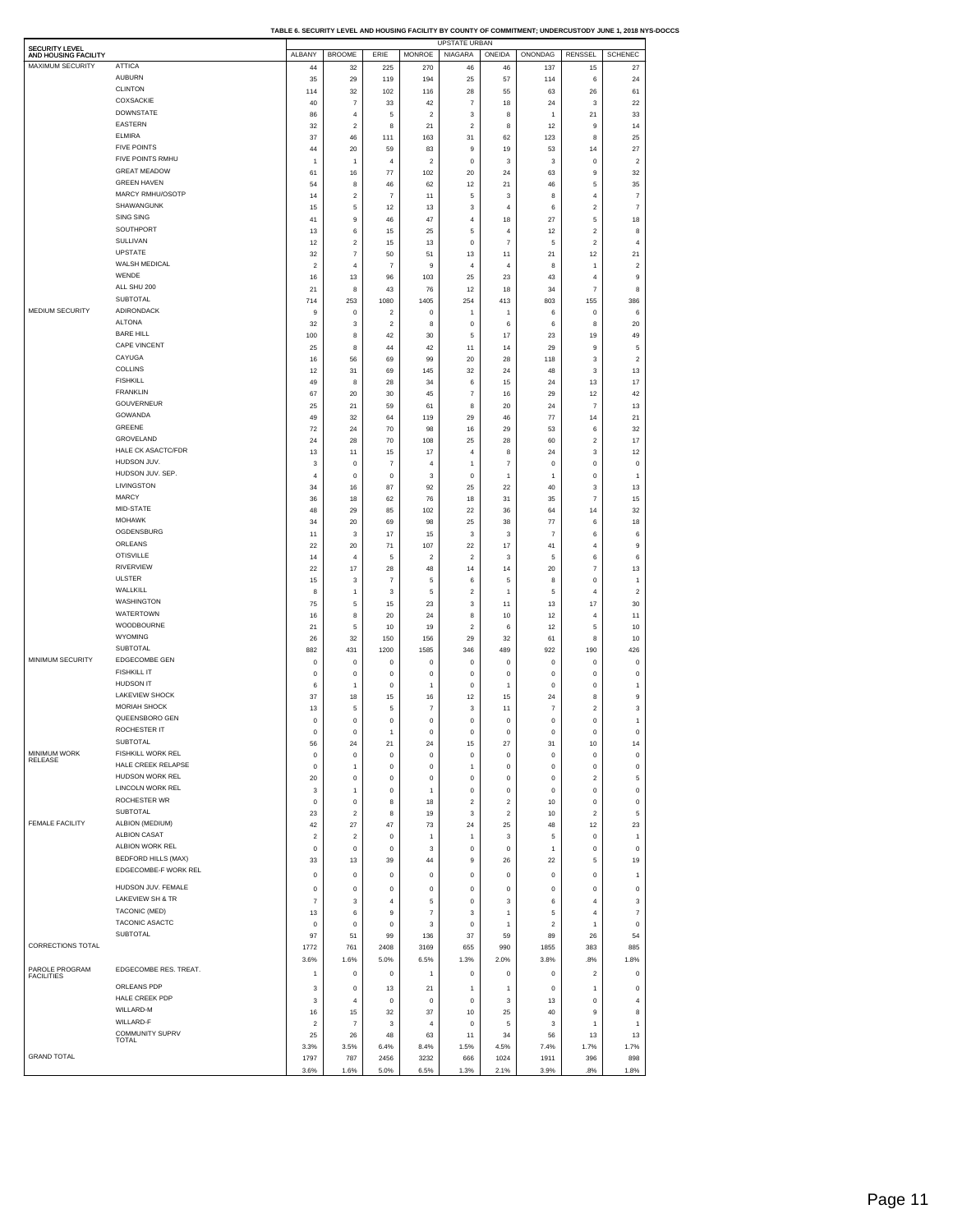|                                               |                            |                         |                  |                           |                | UPSTATE URBAN  |                |                |                         |                  |
|-----------------------------------------------|----------------------------|-------------------------|------------------|---------------------------|----------------|----------------|----------------|----------------|-------------------------|------------------|
| <b>SECURITY LEVEL</b><br>AND HOUSING FACILITY |                            | ALBANY                  | <b>BROOME</b>    | ERIE                      | <b>MONROE</b>  | NIAGARA        | ONEIDA         | ONONDAG        | <b>RENSSEL</b>          | <b>SCHENEC</b>   |
| MAXIMUM SECURITY                              | <b>ATTICA</b>              |                         |                  |                           |                |                |                |                |                         |                  |
|                                               | <b>AUBURN</b>              | 44                      | 32<br>29         | 225                       | 270<br>194     | 46             | 46             | 137<br>114     | 15                      | 27<br>24         |
|                                               | <b>CLINTON</b>             | 35                      |                  | 119                       |                | 25             | 57             |                | 6                       |                  |
|                                               | COXSACKIE                  | 114                     | 32               | 102                       | 116            | 28             | 55             | 63             | 26                      | 61               |
|                                               | <b>DOWNSTATE</b>           | 40                      | $\overline{7}$   | 33                        | 42             | $\overline{7}$ | 18             | 24             | 3                       | 22               |
|                                               |                            | 86                      | $\overline{4}$   | 5                         | $\overline{2}$ | 3              | 8              | 1              | 21                      | 33               |
|                                               | <b>EASTERN</b>             | 32                      | $\boldsymbol{2}$ | 8                         | 21             | $\overline{2}$ | 8              | 12             | 9                       | 14               |
|                                               | <b>ELMIRA</b>              | 37                      | 46               | 111                       | 163            | 31             | 62             | 123            | 8                       | 25               |
|                                               | <b>FIVE POINTS</b>         | 44                      | 20               | 59                        | 83             | 9              | 19             | 53             | 14                      | 27               |
|                                               | FIVE POINTS RMHU           | -1                      | 1                | $\overline{4}$            | $\overline{2}$ | $\mathbf 0$    | 3              | 3              | $\mathbf 0$             | $\boldsymbol{2}$ |
|                                               | <b>GREAT MEADOW</b>        | 61                      | 16               | 77                        | 102            | 20             | 24             | 63             | 9                       | 32               |
|                                               | <b>GREEN HAVEN</b>         | 54                      | 8                | 46                        | 62             | 12             | 21             | 46             | 5                       | 35               |
|                                               | MARCY RMHU/OSOTP           | 14                      | $\boldsymbol{2}$ | $\overline{7}$            | 11             | 5              | 3              | 8              | $\overline{4}$          | $\overline{7}$   |
|                                               | SHAWANGUNK                 | 15                      | 5                | 12                        | 13             | 3              | $\overline{4}$ | 6              | $\overline{2}$          | $\overline{7}$   |
|                                               | SING SING                  | 41                      | 9                | 46                        | 47             | $\sqrt{4}$     | 18             | 27             | 5                       | 18               |
|                                               | SOUTHPORT                  | 13                      | 6                | 15                        | 25             | 5              | $\overline{4}$ | 12             | $\overline{2}$          | 8                |
|                                               | SULLIVAN                   | 12                      | $\boldsymbol{2}$ | 15                        | 13             | $\mathbf 0$    | $\overline{7}$ | 5              | $\overline{2}$          | $\overline{4}$   |
|                                               | <b>UPSTATE</b>             |                         |                  |                           |                |                |                |                |                         |                  |
|                                               | WALSH MEDICAL              | 32                      | $\overline{7}$   | 50                        | 51             | 13             | 11             | 21             | 12                      | 21               |
|                                               | WENDE                      | $\overline{2}$          | $\overline{4}$   | $\overline{7}$            | $\mathsf g$    | $\overline{4}$ | $\overline{4}$ | 8              | $\mathbf{1}$            | $\overline{2}$   |
|                                               |                            | 16                      | 13               | 96                        | 103            | 25             | 23             | 43             | $\overline{4}$          | 9                |
|                                               | ALL SHU 200                | 21                      | 8                | 43                        | 76             | 12             | 18             | 34             | $\overline{7}$          | 8                |
|                                               | <b>SUBTOTAL</b>            | 714                     | 253              | 1080                      | 1405           | 254            | 413            | 803            | 155                     | 386              |
| MEDIUM SECURITY                               | ADIRONDACK                 | 9                       | $\mathbf 0$      | $\overline{2}$            | $^{\circ}$     | 1              | 1              | 6              | $^{\circ}$              | 6                |
|                                               | <b>ALTONA</b>              | 32                      | 3                | $\overline{2}$            | 8              | $\mathbf 0$    | 6              | 6              | 8                       | 20               |
|                                               | <b>BARE HILL</b>           | 100                     | 8                | 42                        | 30             | 5              | 17             | 23             | 19                      | 49               |
|                                               | CAPE VINCENT               | 25                      | 8                | 44                        | 42             | 11             | 14             | 29             | 9                       | 5                |
|                                               | CAYUGA                     | 16                      | 56               | 69                        | 99             | 20             | 28             | 118            | 3                       | $\boldsymbol{2}$ |
|                                               | COLLINS                    | 12                      | 31               | 69                        | 145            | 32             | 24             | 48             | 3                       | 13               |
|                                               | <b>FISHKILL</b>            | 49                      | 8                | 28                        | 34             | 6              | 15             | 24             | 13                      | 17               |
|                                               | <b>FRANKLIN</b>            |                         |                  |                           |                |                |                |                |                         |                  |
|                                               | GOUVERNEUR                 | 67                      | 20               | 30                        | 45             | $\overline{7}$ | 16             | 29             | 12                      | 42               |
|                                               |                            | 25                      | 21               | 59                        | 61             | 8              | 20             | 24             | $\overline{7}$          | 13               |
|                                               | GOWANDA                    | 49                      | 32               | 64                        | 119            | 29             | 46             | 77             | 14                      | 21               |
|                                               | GREENE                     | 72                      | 24               | 70                        | 98             | 16             | 29             | 53             | 6                       | 32               |
|                                               | GROVELAND                  | 24                      | 28               | 70                        | 108            | 25             | 28             | 60             | $\overline{2}$          | 17               |
|                                               | HALE CK ASACTC/FDR         | 13                      | 11               | 15                        | 17             | $\overline{4}$ | 8              | 24             | 3                       | 12               |
|                                               | HUDSON JUV.                | 3                       | $\mathbf 0$      | $\overline{7}$            | $\overline{4}$ | $\mathbf{1}$   | $\overline{7}$ | $\mathsf 0$    | $\bf 0$                 | $\pmb{0}$        |
|                                               | HUDSON JUV. SEP.           | $\overline{4}$          | $\pmb{0}$        | $\mathbf 0$               | 3              | $\mathbf 0$    | 1              | 1              | $\bf 0$                 | $\mathbf{1}$     |
|                                               | LIVINGSTON                 | 34                      | 16               | 87                        | 92             | 25             | 22             | 40             | 3                       | 13               |
|                                               | <b>MARCY</b>               | 36                      | 18               | 62                        | 76             | 18             | 31             | 35             | $\overline{7}$          | 15               |
|                                               | MID-STATE                  | 48                      | 29               | 85                        | 102            | 22             | 36             | 64             | 14                      | 32               |
|                                               | <b>MOHAWK</b>              | 34                      | 20               | 69                        | 98             | 25             | 38             | 77             | 6                       | 18               |
|                                               | OGDENSBURG                 |                         | 3                | 17                        | 15             | $\sqrt{3}$     | 3              | 7              | 6                       | 6                |
|                                               | ORLEANS                    | 11                      |                  |                           |                |                |                |                |                         |                  |
|                                               | <b>OTISVILLE</b>           | 22                      | 20               | 71                        | 107            | 22             | 17             | 41             | $\overline{4}$          | 9                |
|                                               |                            | 14                      | $\overline{4}$   | 5                         | $\sqrt{2}$     | $\sqrt{2}$     | 3              | 5              | 6                       | 6                |
|                                               | <b>RIVERVIEW</b>           | 22                      | 17               | 28                        | 48             | 14             | 14             | 20             | $\overline{7}$          | 13               |
|                                               | <b>ULSTER</b>              | 15                      | 3                | $\overline{\mathfrak{c}}$ | $\sqrt{5}$     | 6              | 5              | 8              | $\pmb{0}$               | 1                |
|                                               | WALLKILL                   | 8                       | $\mathbf{1}$     | 3                         | $\sqrt{5}$     | $\sqrt{2}$     | 1              | 5              | 4                       | 2                |
|                                               | WASHINGTON                 | 75                      | 5                | 15                        | 23             | $\mathbf 3$    | 11             | 13             | 17                      | 30               |
|                                               | WATERTOWN                  | 16                      | 8                | 20                        | 24             | 8              | 10             | 12             | $\overline{4}$          | 11               |
|                                               | WOODBOURNE                 | 21                      | 5                | 10                        | 19             | $\sqrt{2}$     | 6              | 12             | 5                       | 10               |
|                                               | <b>WYOMING</b>             | 26                      | 32               | 150                       | 156            | 29             | 32             | 61             | 8                       | 10               |
|                                               | <b>SUBTOTAL</b>            | 882                     | 431              | 1200                      | 1585           | 346            | 489            | 922            | 190                     | 426              |
| MINIMUM SECURITY                              | EDGECOMBE GEN              | $\mathbf 0$             |                  |                           |                |                |                |                |                         |                  |
|                                               | <b>FISHKILL IT</b>         |                         | 0                | 0                         | 0              | $\pmb{0}$      | 0              | 0              | 0                       | 0                |
|                                               | HUDSON IT                  | 0                       | $\pmb{0}$        | 0                         | $\pmb{0}$      | $\bf{0}$       | $\mathsf 0$    | $\mathbf 0$    | 0                       | $\pmb{0}$        |
|                                               |                            | 6                       | $\overline{1}$   | 0                         | 1              | $\bf{0}$       | 1              | $\bf{0}$       | 0                       | 1                |
|                                               | <b>LAKEVIEW SHOCK</b>      | 37                      | 18               | 15                        | 16             | 12             | 15             | 24             | 8                       | 9                |
|                                               | <b>MORIAH SHOCK</b>        | 13                      | 5                | 5                         | 7              | 3              | 11             | 7              | $\overline{\mathbf{c}}$ | 3                |
|                                               | QUEENSBORO GEN             | $\pmb{0}$               | $\pmb{0}$        | $\pmb{0}$                 | $\pmb{0}$      | $\pmb{0}$      | 0              | 0              | $\mathbf 0$             | 1                |
|                                               | ROCHESTER IT               |                         | υ                |                           |                |                | u              |                |                         |                  |
|                                               | <b>SUBTOTAL</b>            | 56                      | 24               | 21                        | 24             | 15             | 27             | 31             | 10                      | 14               |
| <b>MINIMUM WORK</b>                           | FISHKILL WORK REL          | 0                       | $\pmb{0}$        | $\pmb{0}$                 | $\pmb{0}$      | $\pmb{0}$      | $\,0\,$        | $\,0\,$        | $\pmb{0}$               | $\pmb{0}$        |
| RELEASE                                       | HALE CREEK RELAPSE         | $\pmb{0}$               | $\mathbf{1}$     | $\pmb{0}$                 | $\pmb{0}$      | $\mathbf{1}$   | $\mathsf 0$    | $\mathsf 0$    | $\pmb{0}$               | $\pmb{0}$        |
|                                               | HUDSON WORK REL            | 20                      | $\pmb{0}$        | $\pmb{0}$                 | $\pmb{0}$      | $\pmb{0}$      | $\mathsf 0$    | $\mathsf 0$    | $\overline{\mathbf{c}}$ | 5                |
|                                               | LINCOLN WORK REL           | 3                       |                  | $\pmb{0}$                 | 1              | $\pmb{0}$      | $\mathsf 0$    | $\mathsf 0$    | $\pmb{0}$               | $\pmb{0}$        |
|                                               | ROCHESTER WR               |                         | $\mathbf{1}$     |                           |                |                |                |                |                         |                  |
|                                               | <b>SUBTOTAL</b>            | $\mathbf 0$             | $\pmb{0}$        | 8                         | 18             | $\sqrt{2}$     | $\sqrt{2}$     | $10$           | $\pmb{0}$               | $\pmb{0}$        |
|                                               |                            | 23                      | $\boldsymbol{2}$ | 8                         | 19             | $\mathbf 3$    | $\sqrt{2}$     | $10$           | $\overline{\mathbf{c}}$ | 5                |
| <b>FEMALE FACILITY</b>                        | ALBION (MEDIUM)            | 42                      | 27               | 47                        | 73             | 24             | 25             | 48             | 12                      | 23               |
|                                               | ALBION CASAT               | $\overline{\mathbf{c}}$ | $\boldsymbol{2}$ | 0                         | $\overline{1}$ | $\mathbf{1}$   | 3              | 5              | $\pmb{0}$               | $\mathbf{1}$     |
|                                               | ALBION WORK REL            | $\mathbf 0$             | $\pmb{0}$        | $\pmb{0}$                 | 3              | $\pmb{0}$      | $\mathsf 0$    | 1              | $\pmb{0}$               | $\pmb{0}$        |
|                                               | <b>BEDFORD HILLS (MAX)</b> | 33                      | 13               | 39                        | 44             | 9              | 26             | 22             | 5                       | 19               |
|                                               | EDGECOMBE-F WORK REL       | $\mathbf 0$             | $\pmb{0}$        | $\mathbf 0$               | $\bf{0}$       | $\mathbf 0$    | $\mathsf 0$    | $\mathsf 0$    | $\bf 0$                 | $\mathbf{1}$     |
|                                               |                            |                         |                  |                           |                |                |                |                |                         |                  |
|                                               | HUDSON JUV. FEMALE         | $\mathbf 0$             | 0                | $\mathbf 0$               | $\,0\,$        | $\mathbf 0$    | 0              | $\mathbf{0}$   | $^{\circ}$              | 0                |
|                                               | LAKEVIEW SH & TR           | $\overline{7}$          | 3                | $\overline{4}$            | 5              | $\mathbf 0$    | 3              | 6              | $\overline{4}$          | 3                |
|                                               | TACONIC (MED)              | 13                      | 6                | 9                         | $\overline{7}$ | 3              | $\mathbf{1}$   | 5              | $\overline{4}$          | $\overline{7}$   |
|                                               | TACONIC ASACTC             | $^{\circ}$              | $\pmb{0}$        | $^{\circ}$                | 3              | $\mathbf 0$    | 1              | $\overline{2}$ | $\overline{1}$          | $\mathbf 0$      |
|                                               | SUBTOTAL                   | 97                      | 51               | 99                        | 136            | 37             | 59             | 89             | 26                      | 54               |
| <b>CORRECTIONS TOTAL</b>                      |                            | 1772                    | 761              | 2408                      | 3169           | 655            | 990            | 1855           | 383                     | 885              |
|                                               |                            | 3.6%                    | 1.6%             | 5.0%                      | 6.5%           | 1.3%           | 2.0%           | 3.8%           | .8%                     | 1.8%             |
| PAROLE PROGRAM                                | EDGECOMBE RES. TREAT.      |                         |                  |                           |                |                |                |                |                         |                  |
| <b>FACILITIES</b>                             |                            | $\mathbf{1}$            | 0                | 0                         | 1              | $\bf{0}$       | 0              | 0              | $\overline{\mathbf{c}}$ | 0                |
|                                               | ORLEANS PDP                | 3                       | $\pmb{0}$        | 13                        | 21             | 1              | 1              | $\mathbf 0$    | $\mathbf{1}$            | 0                |
|                                               | HALE CREEK PDP             | 3                       | $\overline{4}$   | 0                         | $\pmb{0}$      | $\pmb{0}$      | 3              | 13             | $\pmb{0}$               | 4                |
|                                               | WILLARD-M                  | 16                      | 15               | 32                        | 37             | $10$           | 25             | 40             | 9                       | 8                |
|                                               | WILLARD-F                  | $\boldsymbol{2}$        | 7                | 3                         | 4              | $\bf{0}$       | 5              | 3              | $\mathbf{1}$            | 1                |
|                                               | COMMUNITY SUPRV            |                         |                  |                           |                |                |                |                |                         |                  |
|                                               | TOTAL                      | 25                      | 26               | 48                        | 63             | 11             | 34             | 56             | 13                      | 13               |
|                                               |                            | 3.3%                    | 3.5%             | 6.4%                      | 8.4%           | 1.5%           | 4.5%           | 7.4%           | 1.7%                    | 1.7%             |
| <b>GRAND TOTAL</b>                            |                            | 1797                    | 787              | 2456                      | 3232           | 666            | 1024           | 1911           | 396                     | 898              |
|                                               |                            | 3.6%                    | 1.6%             | 5.0%                      | 6.5%           | 1.3%           | 2.1%           | 3.9%           | .8%                     | 1.8%             |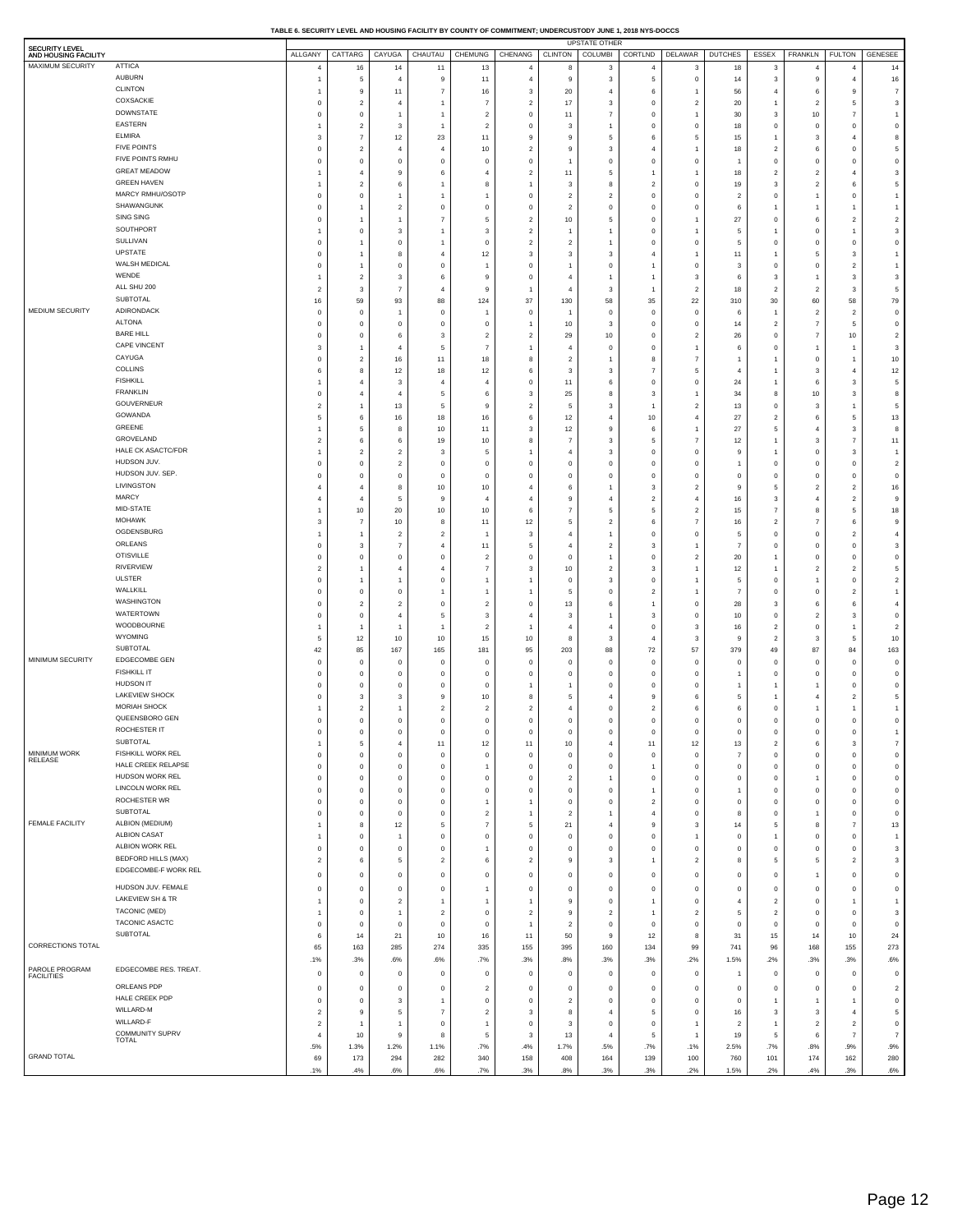| TABLE 6. SECURITY LEVEL AND HOUSING FACILITY BY COUNTY OF COMMITMENT: UNDERCUSTODY JUNE 1, 2018 NYS-DOCCS |  |
|-----------------------------------------------------------------------------------------------------------|--|
|                                                                                                           |  |

| <b>SECURITY LEVEL</b><br>AND HOUSING FACILITY |                                        | ALLGANY                      | CATTARG                          | CAYUGA                       | CHAUTAU                       | <b>CHEMUNG</b>                | CHENANG                          | <b>CLINTON</b>                   | UPSTATE OTHER<br>COLUMBI         | CORTLND   DELAWAR                |                                  | <b>DUTCHES</b>               | ESSEX                            | <b>FRANKLN</b>                   | <b>FULTON</b>                    | <b>GENESEE</b>                   |
|-----------------------------------------------|----------------------------------------|------------------------------|----------------------------------|------------------------------|-------------------------------|-------------------------------|----------------------------------|----------------------------------|----------------------------------|----------------------------------|----------------------------------|------------------------------|----------------------------------|----------------------------------|----------------------------------|----------------------------------|
| MAXIMUM SECURITY                              | <b>ATTICA</b>                          | $\overline{4}$               | 16                               | 14                           | 11                            | 13                            | $\overline{4}$                   | 8                                | 3                                | $\overline{4}$                   | 3                                | 18                           | 3                                | $\overline{4}$                   | $\overline{4}$                   | 14                               |
|                                               | AUBURN<br><b>CLINTON</b>               | $\mathbf{1}$                 | 5                                | $\overline{4}$               | 9                             | 11                            | $\overline{4}$                   | 9                                | 3                                | 5                                | $^{\circ}$                       | 14                           | 3                                | 9                                | $\overline{4}$                   | 16                               |
|                                               | COXSACKIE                              | $\mathbf{1}$<br>$\mathbf 0$  | 9<br>$\overline{c}$              | 11<br>$\overline{4}$         | $\overline{7}$                | $16\,$<br>$\overline{7}$      | 3<br>$\overline{c}$              | 20<br>17                         | $\overline{4}$<br>3              | 6<br>$\mathbf 0$                 | -1<br>$\overline{2}$             | 56<br>20                     | $\overline{4}$<br>$\overline{1}$ | 6<br>$\overline{c}$              | 9<br>5                           | $\overline{7}$<br>3              |
|                                               | <b>DOWNSTATE</b>                       | $\pmb{0}$                    | $\mathbf 0$                      |                              |                               | $\overline{2}$                | $\bf{0}$                         | 11                               | $\overline{7}$                   | O                                | $\overline{1}$                   | 30                           | 3                                | 10                               | $\overline{7}$                   | $\overline{1}$                   |
|                                               | EASTERN<br><b>ELMIRA</b>               | $\mathbf{1}$                 | $\overline{c}$                   | 3                            |                               | $\overline{2}$                | $\,0\,$                          | 3                                | $\overline{1}$                   | O                                | $\mathbf 0$                      | 18                           | 0                                | $\mathbf 0$                      | $\mathbf 0$                      | $\mathbf 0$                      |
|                                               | <b>FIVE POINTS</b>                     | 3<br>$\pmb{0}$               | $\overline{7}$<br>$\overline{c}$ | 12<br>4                      | 23<br>$\overline{4}$          | 11<br>10                      | 9<br>$\overline{c}$              | 9<br>9                           | 5<br>3                           | 6                                | 5<br>-1                          | 15<br>18                     | $\overline{1}$<br>$\overline{2}$ | $\mathsf 3$<br>6                 | $\sqrt{4}$<br>$^{\circ}$         | 8<br>5                           |
|                                               | FIVE POINTS RMHU                       | $\pmb{0}$                    | $\mathbf 0$                      | $\circ$                      | $^{\circ}$                    | $^{\circ}$                    | $\,0\,$                          | $\overline{1}$                   | $\mathbf 0$                      | O                                | $\mathbf 0$                      | $\mathbf{1}$                 | $\bf 0$                          | $\mathbf 0$                      | $\mathbf 0$                      | $\mathbf 0$                      |
|                                               | <b>GREAT MEADOW</b>                    | $\mathbf{1}$                 | $\overline{4}$                   | 9                            |                               | $\overline{4}$                | $\overline{2}$                   | 11                               | 5                                |                                  |                                  | 18                           | $\overline{2}$                   | $\overline{c}$                   | $\overline{4}$                   | 3                                |
|                                               | <b>GREEN HAVEN</b><br>MARCY RMHU/OSOTP | $\mathbf{1}$                 | $\overline{c}$                   | 6                            |                               | 8                             | $\overline{1}$                   | 3                                | 8                                | $\overline{2}$                   | $\mathbf 0$                      | 19                           | 3                                | $\overline{c}$                   | 6                                | 5                                |
|                                               | SHAWANGUNK                             | $\pmb{0}$<br>$\mathbf 0$     | $\bf 0$<br>$\overline{1}$        | -1<br>$\overline{2}$         | $^{\circ}$                    | $^{\circ}$                    | $\,0\,$<br>$\,0\,$               | $\overline{c}$<br>$\overline{2}$ | $\overline{2}$<br>$\mathbf 0$    | $\circ$<br>$\circ$               | $\mathbf 0$<br>$\mathbf 0$       | $\overline{2}$<br>6          | $\mathbf 0$<br>$\overline{1}$    | $\overline{1}$<br>$\overline{1}$ | $\mathbf 0$<br>$\overline{1}$    | $\overline{1}$<br>$\overline{1}$ |
|                                               | SING SING                              | $\mathbf 0$                  | $\overline{1}$                   |                              |                               | 5                             | $\overline{2}$                   | 10                               | 5                                | O                                |                                  | 27                           | $\mathbf 0$                      | 6                                | $\sqrt{2}$                       | $\overline{2}$                   |
|                                               | SOUTHPORT                              | $\mathbf{1}$                 | $\mathbf 0$                      | 3                            |                               | 3                             | $\overline{2}$                   | $\overline{1}$                   | $\overline{1}$                   | $\circ$                          | $\overline{1}$                   | 5                            | $\overline{1}$                   | $\mathbf 0$                      | $\overline{1}$                   | 3                                |
|                                               | SULLIVAN<br>UPSTATE                    | $\pmb{0}$<br>$\mathbf 0$     | $\overline{1}$<br>$\overline{1}$ | $\circ$<br>8                 | $\overline{4}$                | $^{\circ}$<br>12              | $\overline{2}$<br>3              | $\overline{c}$<br>3              | $\overline{1}$<br>3              | $\mathbf{0}$                     | $\mathbf 0$<br>$\overline{1}$    | 5<br>11                      | 0<br>$\overline{1}$              | $\mathbf 0$<br>5                 | $\mathbf 0$<br>$\mathbf 3$       | $\mathbf 0$<br>$\overline{1}$    |
|                                               | WALSH MEDICAL                          | $\mathbf 0$                  | $\overline{1}$                   | $\circ$                      | $^{\circ}$                    |                               | $\mathbf 0$                      | $\overline{1}$                   | $\mathbf 0$                      |                                  | $\mathbf 0$                      | 3                            | $\circ$                          | $\mathbf 0$                      | $\sqrt{2}$                       | $\overline{1}$                   |
|                                               | WENDE                                  | $\mathbf{1}$                 | $\overline{c}$                   | 3                            | 6                             | 9                             | $\,0\,$                          | $\overline{4}$                   | $\overline{1}$                   |                                  | 3                                | 6                            | 3                                | $\overline{1}$                   | $\mathbf 3$                      | -3                               |
|                                               | ALL SHU 200<br>SUBTOTAL                | $\boldsymbol{2}$             | 3                                | 7                            | $\overline{4}$                | 9                             | $\overline{1}$                   | $\overline{4}$                   | 3                                |                                  | $\overline{2}$                   | 18                           | $\overline{2}$                   | $\overline{c}$                   | 3                                | 5                                |
| <b>MEDIUM SECURITY</b>                        | ADIRONDACK                             | 16<br>0                      | 59<br>$\mathbf 0$                | 93                           | 88<br>$^{\circ}$              | 124                           | 37<br>$\,0\,$                    | 130                              | 58<br>$\mathbf 0$                | 35<br>$\mathbf 0$                | 22<br>$\mathbf 0$                | 310<br>6                     | 30<br>1                          | 60<br>$\overline{c}$             | 58<br>$\sqrt{2}$                 | 79<br>$\mathbf 0$                |
|                                               | <b>ALTONA</b>                          | $\pmb{0}$                    | $\mathbf 0$                      | $\circ$                      | $^{\circ}$                    | $^{\circ}$                    | $\overline{1}$                   | 10                               | 3                                | $\circ$                          | $\,0\,$                          | 14                           | $\overline{c}$                   | $\overline{7}$                   | 5                                | $\mathbf 0$                      |
|                                               | <b>BARE HILL</b>                       | $\pmb{0}$                    | $\mathbf 0$                      | 6                            | 3                             | $\overline{c}$                | $\overline{2}$                   | 29                               | 10                               | $\mathbf{0}$                     | $\overline{2}$                   | 26                           | 0                                | $\overline{7}$                   | $10$                             | $\overline{2}$                   |
|                                               | CAPE VINCENT<br>CAYUGA                 | 3                            | $\overline{1}$                   |                              | 5                             | $\overline{7}$                | $\mathbf{1}$                     | $\overline{4}$                   | $\,0\,$                          | $\mathbf 0$                      | $\overline{1}$                   | 6                            | $\mathbf 0$                      | $\overline{1}$                   | $\overline{1}$                   | -3                               |
|                                               | COLLINS                                | $\mathbf 0$<br>6             | $\overline{2}$<br>8              | 16<br>12                     | 11<br>18                      | 18<br>12                      | 8<br>6                           | $\overline{2}$<br>3              | -1<br>3                          | 8<br>$\overline{7}$              | $\overline{7}$<br>5              | 1<br>$\overline{4}$          | 1<br>$\overline{1}$              | $\mathbf 0$<br>$_{\rm 3}$        | $\overline{1}$<br>$\overline{4}$ | 10<br>12                         |
|                                               | <b>FISHKILL</b>                        | $\mathbf{1}$                 | $\overline{4}$                   | 3                            | $\overline{4}$                | $\overline{4}$                | $\,0\,$                          | 11                               | 6                                | $\mathfrak{c}$                   | $\mathbf 0$                      | 24                           | $\overline{1}$                   | 6                                | 3                                | 5                                |
|                                               | <b>FRANKLIN</b>                        | $\mathbf 0$                  | $\overline{4}$                   |                              | 5                             | 6                             | 3                                | 25                               | 8                                | 3                                | $\overline{1}$                   | 34                           | 8                                | 10                               | $\mathsf 3$                      | 8                                |
|                                               | GOUVERNEUR<br>GOWANDA                  | $\boldsymbol{2}$<br>5        | $\overline{1}$<br>6              | 13                           | 5                             | 9<br>16                       | $\overline{c}$                   | 5<br>12                          | 3<br>$\overline{4}$              | 1<br>10                          | $\overline{2}$<br>$\overline{4}$ | 13<br>27                     | $\mathbf 0$<br>$\overline{c}$    | 3<br>6                           | $\overline{1}$<br>5              | 5                                |
|                                               | GREENE                                 | $\mathbf{1}$                 | 5                                | 16<br>8                      | 18<br>10                      | 11                            | 6<br>3                           | 12                               | 9                                | 6                                | -1                               | 27                           | 5                                | $\overline{4}$                   | 3                                | 13<br>8                          |
|                                               | GROVELAND                              | $\boldsymbol{2}$             | 6                                | 6                            | 19                            | 10                            | 8                                | $\overline{7}$                   | 3                                | 5                                | $\overline{7}$                   | 12                           | $\overline{1}$                   | $_{\rm 3}$                       | $\overline{7}$                   | 11                               |
|                                               | HALE CK ASACTC/FDR                     | $\mathbf{1}$                 | $\overline{2}$                   | $\overline{2}$               | 3                             | 5                             | -1                               | $\overline{4}$                   | 3                                | $\mathbf{0}$                     | $\mathbf 0$                      | 9                            | 1                                | $\mathbf 0$                      | 3                                | $\overline{1}$                   |
|                                               | HUDSON JUV.<br>HUDSON JUV. SEP.        | $\pmb{0}$<br>$\mathbf 0$     | $\mathbf 0$<br>$\bf 0$           | $\overline{2}$<br>$\circ$    | $^{\circ}$<br>$^{\circ}$      | $^{\circ}$<br>$^{\circ}$      | $\,0\,$<br>$\,0\,$               | $\overline{0}$<br>$\overline{0}$ | $\mathbf 0$<br>$\,0\,$           | $\mathbf{0}$<br>$\mathbf{0}$     | $\circ$<br>$\mathbf 0$           | $\mathbf{1}$<br>$\bf{0}$     | $\mathbf 0$<br>$\mathbf 0$       | $\mathbf 0$<br>$\mathbf 0$       | $^{\circ}$<br>$\mathbf 0$        | $\overline{2}$<br>$\mathbf 0$    |
|                                               | LIVINGSTON                             | $\overline{4}$               | $\overline{4}$                   | 8                            | 10                            | 10                            | $\overline{4}$                   | 6                                | $\overline{1}$                   | 3                                | $\overline{2}$                   | 9                            | 5                                | $\overline{c}$                   | $\sqrt{2}$                       | 16                               |
|                                               | MARCY                                  | $\overline{4}$               | $\overline{4}$                   | 5                            | 9                             | $\overline{4}$                | $\overline{4}$                   | 9                                | $\overline{4}$                   | $\overline{2}$                   | $\overline{4}$                   | 16                           | 3                                | $\overline{4}$                   | $\sqrt{2}$                       | g                                |
|                                               | MID-STATE<br><b>MOHAWK</b>             | $\mathbf{1}$                 | 10                               | 20                           | 10                            | 10                            | 6                                | $\overline{7}$                   | 5                                | 5                                | $\overline{2}$                   | 15                           | $\overline{7}$                   | 8                                | 5                                | 18                               |
|                                               | OGDENSBURG                             | 3<br>$\mathbf{1}$            | $\overline{7}$<br>$\overline{1}$ | 10<br>$\overline{2}$         | 8<br>$\overline{2}$           | 11<br>$\overline{1}$          | 12<br>3                          | 5<br>$\overline{4}$              | $\overline{2}$<br>$\overline{1}$ | 6<br>$\mathbf 0$                 | $\overline{7}$<br>$\mathbf 0$    | 16<br>5                      | $\overline{2}$<br>0              | $\overline{7}$<br>$\mathbf 0$    | 6<br>$\overline{c}$              | g<br>4                           |
|                                               | ORLEANS                                | 0                            | 3                                | 7                            | 4                             | 11                            | 5                                | $\overline{4}$                   | $\overline{2}$                   | 3                                |                                  | $\overline{7}$               | $\mathbf 0$                      | $\mathbf 0$                      | $\,0\,$                          | 3                                |
|                                               | <b>OTISVILLE</b>                       | 0                            | 0                                | $\mathbf 0$                  | $^{\circ}$                    | $\overline{2}$                | $\,0\,$                          | $\mathbf 0$                      | $\overline{1}$                   | $\circ$                          | $\overline{2}$                   | 20                           | $\overline{1}$                   | $\mathbf 0$                      | $\mathbf 0$                      | $\mathbf 0$                      |
|                                               | <b>RIVERVIEW</b><br><b>ULSTER</b>      | $\boldsymbol{2}$<br>0        | $\overline{1}$<br>$\overline{1}$ | 4                            | $\overline{4}$<br>$^{\circ}$  | $\overline{7}$                | 3<br>$\mathbf{1}$                | 10<br>$\mathbf 0$                | $\overline{2}$<br>3              | 3<br>$\mathbf 0$                 | $\overline{1}$                   | 12<br>5                      | 1<br>0                           | $\overline{2}$<br>$\mathbf{1}$   | $\overline{c}$<br>$\mathbf 0$    | 5<br>$\overline{2}$              |
|                                               | WALLKILL                               | 0                            | 0                                | $\mathbf 0$                  |                               |                               |                                  | 5                                | $\,0\,$                          | $\overline{2}$                   |                                  | $\overline{7}$               | $\mathbf 0$                      | $\mathbf 0$                      | $\sqrt{2}$                       | $\overline{1}$                   |
|                                               | WASHINGTON                             | 0                            | $\overline{\mathbf{c}}$          | $\overline{2}$               | $^{\circ}$                    | $\overline{2}$                | $\,0\,$                          | 13                               | 6                                |                                  | $\bf{0}$                         | 28                           | 3                                | 6                                | 6                                | 4                                |
|                                               | WATERTOWN<br>WOODBOURNE                | 0                            | 0                                | $\overline{4}$               | 5                             | 3                             | $\overline{4}$                   | 3                                | $\overline{1}$                   | 3                                | $\bf{0}$                         | 10                           | 0                                | $\overline{2}$                   | 3                                | $\mathbf 0$                      |
|                                               | WYOMING                                | $\mathbf{1}$<br>5            | $\overline{1}$<br>12             | 1<br>10                      | 1<br>10                       | $\overline{2}$<br>15          | $\overline{1}$<br>10             | $\overline{4}$<br>8              | $\overline{4}$<br>3              | $\circ$<br>4                     | 3<br>3                           | 16<br>9                      | $\overline{c}$<br>$\overline{2}$ | $\mathbf 0$<br>3                 | $\overline{1}$<br>5              | $\overline{2}$<br>10             |
|                                               | SUBTOTAL                               | 42                           | 85                               | 167                          | 165                           | 181                           | 95                               | 203                              | 88                               | 72                               | 57                               | 379                          | 49                               | 87                               | 84                               | 163                              |
| MINIMUM SECURITY                              | EDGECOMBE GEN<br>FISHKILL IT           | 0                            | 0                                | $\mathbf 0$                  | $\circ$                       | $\circ$                       | $\,0\,$                          | $\mathbf 0$                      | $\mathbf 0$                      | $\overline{0}$                   | $\mathbf 0$                      | $\mathbf 0$                  | $\mathbf 0$                      | $\mathbf 0$                      | $\mathbf 0$                      | $\circ$                          |
|                                               | HUDSON IT                              | 0<br>0                       | 0<br>0                           | $\mathbf 0$<br>$\mathbf 0$   | $^{\circ}$<br>$\Omega$        | $^{\circ}$<br>$^{\circ}$      | $\,0\,$                          | $\mathbf 0$<br>1                 | $\,0\,$<br>$\mathbf 0$           | $\mathbf 0$<br>O                 | $\mathbf 0$<br>$\mathbf 0$       | $\mathbf{1}$<br>$\mathbf{1}$ | 0                                | $\mathbf 0$<br>$\overline{1}$    | $\mathbf 0$<br>$^{\circ}$        | $\circ$<br>$\mathbf 0$           |
|                                               | LAKEVIEW SHOCK                         | 0                            | 3                                | 3                            | 9                             | 10                            | 8                                | 5                                | $\overline{4}$                   | g                                | 6                                | 5                            | 1                                | $\overline{4}$                   | $\overline{2}$                   | 5                                |
|                                               | MORIAH SHOCK                           | $\mathbf{1}$                 | $\overline{\mathbf{c}}$          |                              | $\overline{2}$                | $\overline{2}$                | $\overline{c}$                   | $\overline{4}$                   | $\,0\,$                          | $\overline{2}$                   | 6                                | 6                            | 0                                | f                                | $\overline{1}$                   | $\overline{1}$                   |
|                                               | QUEENSBORO GEN<br>ROCHESTER IT         | 0<br>0                       | 0<br>$\mathbf 0$                 | 0<br>$^{\circ}$              | $\,0\,$<br>$\Omega$           | $\,0\,$<br>$\Omega$           | $\bf{0}$<br>$\Omega$             | $\mathbf 0$<br>$\Omega$          | $\bf{0}$<br>$\mathbf 0$          | $\circ$<br>$\Omega$              | $\mathbf 0$<br>$\mathbf 0$       | 0<br>0                       | 0<br>$\mathbf 0$                 | $\mathbf 0$<br>$\mathbf 0$       | $\,0\,$<br>$\Omega$              | $\bf{0}$<br>$\mathbf{1}$         |
|                                               | SUBTOTAL                               | $\mathbf{1}$                 | 5                                | $\overline{4}$               | 11                            | 12                            | 11                               | 10                               | $\overline{4}$                   | 11                               | 12                               | 13                           | $\overline{c}$                   | 6                                | 3                                | $\overline{7}$                   |
| MINIMUM WORK<br>RELEASE                       | FISHKILL WORK REL                      | 0                            | $\mathbf 0$                      | 0                            | $\,0\,$                       | $\mathbf 0$                   | $\bf{0}$                         | $\,0\,$                          | $\mathbf 0$                      | $\,$ 0                           | $\bf{0}$                         | $\overline{7}$               | $\mathbf 0$                      | $\mathbf 0$                      | $\mathbf 0$                      | $\mathbf 0$                      |
|                                               | HALE CREEK RELAPSE<br>HUDSON WORK REL  | 0                            | 0                                | 0                            | $\,0\,$                       | $\overline{1}$                | $\bf{0}$                         | $\,0\,$                          | $\bf{0}$                         | 1                                | $\bf{0}$                         | $\mathsf{o}\,$               | 0                                | $\mathbf 0$                      | $\mathbf 0$                      | $\mathbb O$                      |
|                                               | LINCOLN WORK REL                       | 0<br>0                       | 0<br>0                           | 0<br>0                       | $^{\circ}$<br>$\,0\,$         | $\overline{0}$<br>$^{\circ}$  | $\bf{0}$<br>$\bf{0}$             | $\overline{c}$<br>$\,0\,$        | $\overline{1}$<br>$\,0\,$        | $\overline{0}$<br>1              | $\bf{0}$<br>$\bf{0}$             | 0<br>$\mathbf{1}$            | 0<br>0                           | $\overline{1}$<br>$\mathbf 0$    | $\mathbf 0$<br>$\mathbf 0$       | $\mathbf 0$<br>$\mathbf 0$       |
|                                               | ROCHESTER WR                           | 0                            | $\mathbf 0$                      | 0                            | $\,0\,$                       | $\overline{1}$                | $\mathbf{1}$                     | $\,$ 0                           | $\,0\,$                          | $\overline{2}$                   | $\mathbf 0$                      | $\mathsf{o}\,$               | 0                                | $\mathbf 0$                      | $\mathbf 0$                      | $\mathbf 0$                      |
|                                               | SUBTOTAL                               | 0                            | 0                                | 0                            | $\,0\,$                       | $\overline{c}$                | $\mathbf{1}$                     | $\overline{2}$                   | $\mathbf{1}$                     | $\overline{4}$                   | $\,0\,$                          | 8                            | 0                                | $\mathbf{1}$                     | $\mathbf 0$                      | $\mathbf 0$                      |
| FEMALE FACILITY                               | ALBION (MEDIUM)<br>ALBION CASAT        | $\mathbf{1}$<br>$\mathbf{1}$ | 8<br>0                           | 12<br>$\overline{1}$         | 5<br>$\,0\,$                  | $\overline{7}$<br>$\mathbf 0$ | 5<br>$\bf{0}$                    | 21<br>$\mathbf 0$                | $\overline{4}$<br>$\,0\,$        | 9<br>$\circ$                     | 3<br>$\overline{1}$              | 14<br>0                      | 5<br>$\overline{1}$              | 8<br>$\mathbf 0$                 | $\overline{7}$<br>$\mathbf 0$    | 13<br>$\overline{1}$             |
|                                               | ALBION WORK REL                        | 0                            | 0                                | 0                            | $\,0\,$                       | $\overline{1}$                | $\bf{0}$                         | $\,0\,$                          | $\,0\,$                          | $\mathbf 0$                      | $\,0\,$                          | $\mathsf{o}\,$               | 0                                | $\mathbf 0$                      | $\mathbf 0$                      | 3                                |
|                                               | <b>BEDFORD HILLS (MAX)</b>             | $\boldsymbol{2}$             | $\bf 6$                          | 5                            | $\overline{2}$                | 6                             | $\overline{2}$                   | 9                                | 3                                | 1                                | $\overline{2}$                   | 8                            | 5                                | 5                                | $\sqrt{2}$                       | 3                                |
|                                               | EDGECOMBE-F WORK REL                   | $\pmb{0}$                    | $\mathbf 0$                      | 0                            | $^{\circ}$                    | $\mathbf 0$                   | $\mathbf 0$                      | $\,0\,$                          | $\mathbf 0$                      | $\,$ 0                           | $\mathbf 0$                      | $\bf{0}$                     | $\mathbf 0$                      | $\overline{1}$                   | $\mathbf 0$                      | $\mathbf 0$                      |
|                                               | HUDSON JUV. FEMALE                     | $\pmb{0}$                    | $\mathbf 0$                      | $^{\circ}$                   | $\mathbf 0$                   | $\overline{1}$                | $\mathbf 0$                      | $\,0\,$                          | $\mathbf 0$                      | $\mathbf 0$                      | $\mathbf 0$                      | $\mathsf 0$                  | $\mathbf 0$                      | $\mathbf 0$                      | $\mathbf 0$                      | $\mathbf 0$                      |
|                                               | LAKEVIEW SH & TR<br>TACONIC (MED)      | $\mathbf{1}$                 | $\mathbf 0$                      | $\overline{2}$               | -1                            | $\mathbf{1}$                  | $\overline{1}$                   | $\,9$                            | $\mathbf 0$                      | $\overline{1}$                   | $\mathbf 0$                      | $\overline{4}$               | $\overline{2}$                   | $\mathbf 0$                      | $\overline{1}$                   | $\overline{1}$                   |
|                                               | TACONIC ASACTC                         | $\mathbf{1}$<br>$\mathbf 0$  | $\mathbf 0$<br>$\mathbf 0$       | $\overline{1}$<br>$^{\circ}$ | $\overline{2}$<br>$\mathbf 0$ | $\mathbf 0$<br>$\mathbf 0$    | $\overline{2}$<br>$\overline{1}$ | $\,9$<br>$\overline{2}$          | $\overline{2}$<br>$\mathbf 0$    | $\overline{1}$<br>$\mathbf 0$    | $\overline{2}$<br>$\mathbf 0$    | 5<br>$\mathsf 0$             | $\overline{c}$<br>$\mathbf 0$    | $\mathbf 0$<br>$\mathbf 0$       | $\mathbf 0$<br>$\mathbf 0$       | 3<br>$\mathbf 0$                 |
|                                               | SUBTOTAL                               | 6                            | 14                               | 21                           | 10                            | 16                            | 11                               | 50                               | 9                                | 12                               | 8                                | 31                           | 15                               | 14                               | 10                               | 24                               |
| CORRECTIONS TOTAL                             |                                        | 65                           | 163                              | 285                          | 274                           | 335                           | 155                              | 395                              | 160                              | 134                              | 99                               | 741                          | 96                               | 168                              | 155                              | 273                              |
|                                               | EDGECOMBE RES. TREAT.                  | .1%                          | .3%                              | .6%                          | .6%                           | .7%                           | .3%                              | .8%                              | .3%                              | .3%                              | .2%                              | 1.5%                         | .2%                              | .3%                              | .3%                              | .6%                              |
| PAROLE PROGRAM<br>FACILITIES                  |                                        | 0                            | $\bf{0}$                         | $^{\circ}$                   | $^{\circ}$                    | $\mathbf 0$                   | $\bf{0}$                         | $\mathbf 0$                      | $\,0\,$                          | $\overline{\mathbf{0}}$          | $\mathbf 0$                      | 1                            | 0                                | $\mathbf 0$                      | $\mathbf 0$                      | $\overline{0}$                   |
|                                               | ORLEANS PDP<br>HALE CREEK PDP          | 0<br>0                       | 0<br>0                           | $\mathbf 0$<br>3             | $^{\circ}$<br>1               | $\overline{2}$<br>$\mathbf 0$ | $\bf{0}$<br>$\bf{0}$             | $\mathbf 0$<br>$\overline{2}$    | $\,0\,$<br>$\,0\,$               | $\overline{0}$<br>$\overline{0}$ | $\bf{0}$<br>$\bf{0}$             | 0<br>0                       | 0<br>$\overline{1}$              | $\mathbf 0$<br>$\mathbf{1}$      | $\mathbf 0$<br>$\mathbf{1}$      | $\overline{2}$<br>$\mathbf 0$    |
|                                               | WILLARD-M                              | $\overline{\mathbf{c}}$      | 9                                | 5                            | $\overline{7}$                | $\overline{c}$                | 3                                | 8                                | $\overline{4}$                   | 5                                | $\bf{0}$                         | 16                           | 3                                | $_{\rm 3}$                       | $\overline{4}$                   | 5                                |
|                                               | WILLARD-F                              | $\overline{\mathbf{c}}$      | $\overline{1}$                   | $\overline{1}$               | $\,0\,$                       | $\overline{1}$                | $\bf{0}$                         | $\mathbf{3}$                     | $\,0\,$                          | $\overline{0}$                   | $\overline{1}$                   | $\overline{\mathbf{2}}$      | $\overline{1}$                   | $\overline{2}$                   | $\overline{c}$                   | $\mathbf 0$                      |
|                                               | COMMUNITY SUPRV<br><b>TOTAL</b>        | $\overline{4}$               | 10                               | 9                            | 8                             | 5                             | 3                                | 13                               | $\overline{4}$                   | 5                                |                                  | 19                           | 5                                | 6                                | $\overline{7}$                   | $\overline{7}$                   |
| <b>GRAND TOTAL</b>                            |                                        | .5%<br>69                    | 1.3%<br>173                      | 1.2%<br>294                  | 1.1%<br>282                   | .7%<br>340                    | .4%<br>158                       | 1.7%<br>408                      | .5%<br>164                       | .7%<br>139                       | .1%<br>100                       | 2.5%<br>760                  | .7%<br>101                       | .8%<br>174                       | .9%<br>162                       | .9%<br>280                       |
|                                               |                                        | .1%                          | .4%                              | .6%                          | .6%                           | .7%                           | .3%                              | .8%                              | .3%                              | .3%                              | .2%                              | 1.5%                         | .2%                              | .4%                              | .3%                              | .6%                              |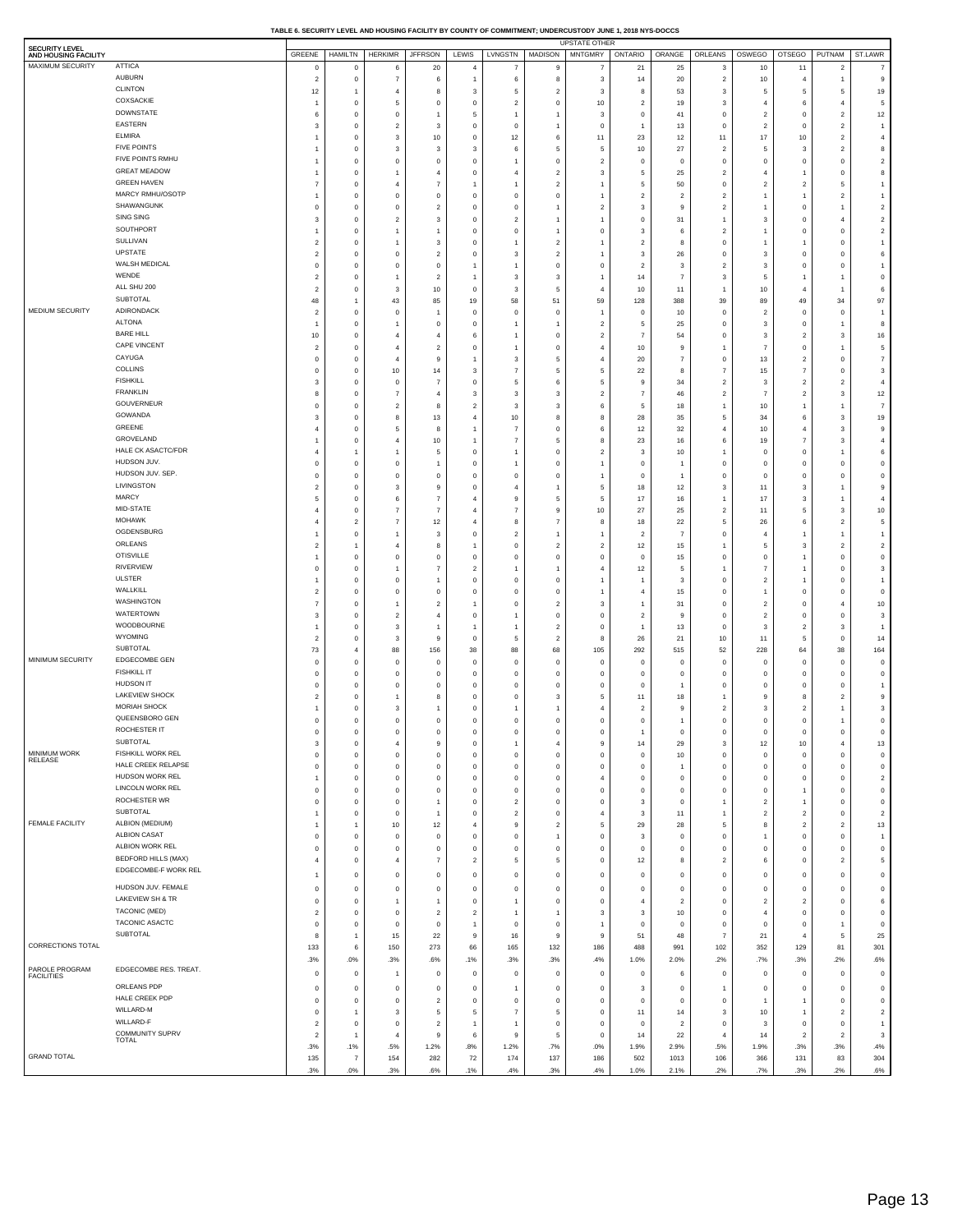**TABLE 6. SECURITY LEVEL AND HOUSING FACILITY BY COUNTY OF COMMITMENT; UNDERCUSTODY JUNE 1, 2018 NYS-DOCCS**

| SECURITY LEVEL<br>AND HOUSING FACILITY |                                              |                            | GREENE   HAMILTN              | HERKIMR JFFRSON                           |                                  | LEWIS                                     | LVNGSTN                       | <b>MADISON</b>                | <b>UPSTATE OTHER</b><br><b>MNTGMRY</b> | ONTARIO   ORANGE        |                            | <b>ORLEANS</b>                   | OSWEGO                           | OTSEGO                       | PUTNAM ST.LAWR                   |                                   |
|----------------------------------------|----------------------------------------------|----------------------------|-------------------------------|-------------------------------------------|----------------------------------|-------------------------------------------|-------------------------------|-------------------------------|----------------------------------------|-------------------------|----------------------------|----------------------------------|----------------------------------|------------------------------|----------------------------------|-----------------------------------|
| MAXIMUM SECURITY                       | <b>ATTICA</b>                                | 0                          | $\circ$                       | 6                                         | 20                               | $\overline{4}$                            | $\overline{7}$                | 9                             | $\overline{7}$                         | 21                      | 25                         | 3                                | 10                               | 11                           | $\overline{2}$                   | $\overline{7}$                    |
|                                        | AUBURN                                       | $\overline{2}$             | $\mathbf 0$                   | $\overline{7}$                            | 6                                | $\mathbf{1}$                              | 6                             | 8                             | 3                                      | 14                      | 20                         | $\overline{\mathbf{c}}$          | 10                               | 4                            | $\overline{1}$                   | 9                                 |
|                                        | <b>CLINTON</b>                               | 12                         | $\overline{1}$                | $\overline{4}$                            | 8                                | 3                                         | 5                             | $\overline{2}$                | 3                                      | 8                       | 53                         | 3                                | 5                                | 5                            | 5                                | 19                                |
|                                        | COXSACKIE                                    |                            | $\mathbf 0$                   | 5                                         | $\mathbf 0$                      | $\mathbf 0$                               | $\overline{2}$                | $\mathbf 0$                   | 10                                     | $\overline{\mathbf{2}}$ | 19                         | 3                                | $\overline{4}$                   | 6                            | $\overline{4}$                   | 5                                 |
|                                        | <b>DOWNSTATE</b><br>EASTERN                  | 6                          | $\mathbf 0$                   | $\mathbf 0$                               | -1                               | 5                                         | $\overline{1}$                | 1                             | 3                                      | $^{\circ}$              | 41                         | $\,0\,$                          | $\overline{2}$                   | 0                            | $\overline{2}$                   | 12                                |
|                                        | <b>ELMIRA</b>                                | 3                          | $\mathbf 0$<br>$\mathbf 0$    | $\overline{2}$<br>$\mathbf{3}$            | 3<br>10                          | $\mathbf 0$<br>$\mathbf 0$                | $\mathbf 0$<br>12             | $\mathbf{1}$<br>6             | $\overline{0}$<br>11                   | $\overline{1}$<br>23    | 13<br>12                   | $\,$ 0<br>11                     | $\overline{2}$<br>$17\,$         | $\mathbf 0$<br>10            | $\overline{a}$<br>$\overline{2}$ | $\overline{1}$<br>$\overline{4}$  |
|                                        | <b>FIVE POINTS</b>                           |                            | $\mathbf 0$                   | 3                                         | 3                                | 3                                         | 6                             | 5                             | 5                                      | 10                      | 27                         | $\overline{2}$                   | 5                                | $\mathbf 3$                  | $\overline{c}$                   | 8                                 |
|                                        | FIVE POINTS RMHU                             |                            | $\mathbf 0$                   | $\overline{0}$                            | $\mathbf 0$                      | $^{\circ}$                                | $\overline{1}$                | $\,0\,$                       | $\overline{2}$                         | $^{\circ}$              | 0                          | $\,0\,$                          | $\overline{0}$                   | 0                            | 0                                | $\overline{2}$                    |
|                                        | <b>GREAT MEADOW</b>                          |                            | $\mathbf 0$                   | $\overline{1}$                            | $\overline{4}$                   | $\mathbf 0$                               | $\overline{4}$                | $\overline{2}$                | 3                                      | 5                       | 25                         | $\overline{a}$                   | $\overline{4}$                   | $\mathbf{1}$                 | $\mathsf 0$                      | 8                                 |
|                                        | <b>GREEN HAVEN</b>                           |                            | $\mathbf 0$                   | $\overline{4}$                            | $\overline{7}$                   | $\overline{1}$                            | -1                            | $\overline{\mathbf{c}}$       | 1                                      | 5                       | 50                         | $\,0\,$                          | $\overline{2}$                   | $\mathbf 2$                  | 5                                | $\overline{1}$                    |
|                                        | MARCY RMHU/OSOTP                             |                            | $\mathbf 0$                   | $\overline{0}$                            | $\,0\,$                          | $\mathbf 0$                               | $\mathbf 0$                   | $\,0\,$                       | 1                                      | $\overline{2}$          | $\sqrt{2}$                 | $\overline{c}$                   | 1                                | $\mathbf{1}$                 | $\overline{c}$                   | $\overline{1}$                    |
|                                        | SHAWANGUNK<br>SING SING                      | $\Omega$                   | $\mathbf 0$                   | $\overline{0}$                            | $\overline{2}$                   | $^{\circ}$                                | $^{\circ}$                    | 1<br>$\mathbf{1}$             | $\overline{\mathbf{2}}$<br>1           | -3                      | 9                          | $\overline{c}$<br>$\overline{1}$ |                                  | $\mathbf 0$                  | $\overline{1}$                   | $\overline{2}$<br>$\overline{2}$  |
|                                        | SOUTHPORT                                    | 3                          | $\mathbf 0$<br>$\mathbf 0$    | $\overline{2}$<br>$\overline{1}$          | 3<br>$\overline{1}$              | $\mathbf 0$<br>$^{\circ}$                 | $\overline{2}$<br>$^{\circ}$  | $\mathbf{1}$                  | $\overline{0}$                         | $\mathbf 0$<br>3        | 31<br>6                    | $\overline{c}$                   | 3<br>1                           | $\mathbf 0$<br>0             | $\overline{4}$<br>$\mathsf 0$    | $\overline{2}$                    |
|                                        | SULLIVAN                                     | $\overline{2}$             | $\mathbf 0$                   |                                           | 3                                | $\mathbf 0$                               | -1                            | $\overline{c}$                | 1                                      | $\overline{c}$          | 8                          | $\,0\,$                          | 1                                | $\overline{1}$               | 0                                | 1                                 |
|                                        | UPSTATE                                      | $\overline{2}$             | $\mathbf 0$                   | $^{\circ}$                                | $\overline{2}$                   | $^{\circ}$                                | 3                             | $\overline{\mathbf{c}}$       | 1                                      | 3                       | 26                         | $\,0\,$                          | 3                                | $\mathbf 0$                  | 0                                | 6                                 |
|                                        | WALSH MEDICAL                                | $^{\circ}$                 | $\mathbf 0$                   | $\mathbf 0$                               | $\,0\,$                          | 1                                         | $\overline{1}$                | $\,0\,$                       | $\overline{0}$                         | $\overline{c}$          | 3                          | $\overline{a}$                   | 3                                | $\mathbf 0$                  | $\mathbf 0$                      | $\overline{1}$                    |
|                                        | WENDE                                        | $\overline{2}$             | $\mathbf 0$                   | $\overline{1}$                            | $\overline{2}$                   | $\overline{1}$                            | 3                             | 3                             | 1                                      | 14                      | $\overline{7}$             | $\mathbf{3}$                     | 5                                | $\mathbf{1}$                 | $\overline{1}$                   | $\mathbf 0$                       |
|                                        | ALL SHU 200<br>SUBTOTAL                      | $\overline{2}$             | $\mathbf 0$                   | 3                                         | $10$                             | $\mathbf 0$                               | 3                             | 5                             | 4                                      | 10                      | 11                         | $\overline{1}$                   | 10                               | $\overline{4}$               | $\overline{1}$                   | 6                                 |
| MEDIUM SECURITY                        | ADIRONDACK                                   | 48                         | $\overline{1}$                | 43                                        | 85<br>$\overline{1}$             | 19                                        | 58                            | 51                            | 59                                     | 128                     | 388                        | 39                               | 89                               | 49                           | $34\,$                           | 97<br>$\overline{1}$              |
|                                        | <b>ALTONA</b>                                | $\overline{2}$<br>1        | $\mathbf 0$<br>$\mathbf 0$    | $\mathbf 0$<br>$\overline{1}$             | 0                                | $\mathbf 0$<br>0                          | $^{\circ}$<br>-1              | $\mathbf 0$<br>$\mathbf{1}$   | 1<br>$\overline{2}$                    | $\mathbf 0$<br>5        | $10$<br>25                 | $\,0\,$<br>$\,0\,$               | $\overline{2}$<br>3              | 0<br>0                       | $\mathbf 0$<br>$\overline{1}$    | 8                                 |
|                                        | <b>BARE HILL</b>                             | 10                         | $\mathbf 0$                   | $\overline{4}$                            | $\overline{4}$                   | 6                                         |                               | $\mathbf 0$                   | $\overline{2}$                         | $\overline{7}$          | 54                         | $\,0\,$                          | 3                                | $\mathbf 2$                  | 3                                | 16                                |
|                                        | <b>CAPE VINCENT</b>                          | $\overline{2}$             | $\mathbf 0$                   | $\overline{4}$                            | $\overline{2}$                   | $^{\circ}$                                | $\overline{1}$                | $\,0\,$                       | 4                                      | 10                      | 9                          | $\overline{1}$                   | $\overline{7}$                   | $\mathsf 0$                  | $\overline{1}$                   | 5                                 |
|                                        | CAYUGA                                       | $^{\circ}$                 | $\mathbf 0$                   | $\overline{4}$                            | 9                                | $\overline{1}$                            | 3                             | $\sqrt{5}$                    | 4                                      | 20                      | $\overline{\phantom{a}}$   | $\,0\,$                          | 13                               | $\mathbf 2$                  | $\mathsf 0$                      | $\overline{7}$                    |
|                                        | COLLINS                                      | $\Omega$                   | $\mathbf 0$                   | $10\,$                                    | 14                               | 3                                         | $\overline{7}$                | 5                             | 5                                      | 22                      | 8                          | $\overline{7}$                   | 15                               | $\overline{7}$               | $\mathsf 0$                      | 3                                 |
|                                        | <b>FISHKILL</b>                              | 3                          | $\mathbf 0$                   | $\mathbf 0$                               | $\overline{7}$                   | $\mathbf 0$                               | 5                             | 6                             | 5                                      | $\overline{9}$          | 34                         | $\overline{\mathbf{c}}$          | 3                                | $\mathbf 2$                  | $\overline{c}$                   | $\overline{4}$                    |
|                                        | <b>FRANKLIN</b><br>GOUVERNEUR                | 8                          | $\mathbf 0$                   | $\overline{7}$                            | $\overline{4}$                   | 3                                         | 3                             | 3                             | $\overline{2}$                         | -7                      | 46                         | $\overline{c}$                   | $\overline{7}$                   | $\mathbf 2$                  | 3                                | 12                                |
|                                        | GOWANDA                                      | $\Omega$<br>3              | $\mathbf 0$<br>$\mathbf 0$    | $\overline{2}$<br>8                       | 8<br>13                          | $\overline{\mathbf{c}}$<br>$\overline{4}$ | -3<br>10                      | 3<br>8                        | 6<br>8                                 | 5<br>28                 | 18<br>35                   | $\overline{1}$<br>5              | 10<br>34                         | $\mathbf{1}$<br>6            | $\overline{1}$<br>3              | $\overline{7}$<br>19              |
|                                        | GREENE                                       | 4                          | $\mathbf 0$                   | 5                                         | 8                                | -1                                        | $\overline{7}$                | $\,0\,$                       | 6                                      | 12                      | 32                         | $\overline{4}$                   | 10                               | $\overline{4}$               | 3                                | 9                                 |
|                                        | GROVELAND                                    |                            | $\mathbf 0$                   | $\overline{4}$                            | 10                               | $\overline{1}$                            | $\overline{7}$                | 5                             | 8                                      | 23                      | 16                         | 6                                | 19                               | $\overline{7}$               | 3                                | $\overline{4}$                    |
|                                        | HALE CK ASACTC/FDR                           | 4                          | $\overline{1}$                | $\overline{1}$                            | 5                                | $\mathbf 0$                               | -1                            | $\,0\,$                       | $\overline{2}$                         | 3                       | $10$                       | $\overline{1}$                   | $\overline{0}$                   | 0                            | $\overline{1}$                   | 6                                 |
|                                        | HUDSON JUV.                                  | $\Omega$                   | $\mathbf 0$                   | $\overline{0}$                            | $\overline{1}$                   | $^{\circ}$                                | -1                            | $\,0\,$                       | $\mathbf{1}$                           | $^{\circ}$              | $\overline{1}$             | $^{\circ}$                       | $\mathbf 0$                      | 0                            | $\mathbf 0$                      | $\mathbf 0$                       |
|                                        | HUDSON JUV. SEP                              | $^{\circ}$                 | $\mathbf 0$                   | $\mathbf 0$                               | $\mathbf 0$                      | $\mathbf 0$                               | $\mathbf 0$                   | $\,0\,$                       | 1                                      | $\mathbf 0$             | $\overline{1}$             | $\,0\,$                          | $\overline{0}$                   | $\mathbf 0$                  | $\mathbf 0$                      | $\mathbf 0$                       |
|                                        | LIVINGSTON<br>MARCY                          | $\overline{2}$             | $\mathbf 0$                   | 3                                         | 9                                | $^{\circ}$                                | $\overline{4}$                | $\mathbf{1}$                  | 5                                      | 18                      | 12                         | 3                                | 11                               | 3                            | $\overline{1}$                   | 9                                 |
|                                        | MID-STATE                                    | 5                          | $\mathbf 0$                   | $\,6$<br>$\overline{7}$                   | $\overline{7}$                   | $\overline{4}$                            | 9                             | $\sqrt{5}$                    | 5                                      | 17                      | $16\,$                     | $\overline{1}$                   | 17                               | $\mathbf 3$                  | $\mathbf{1}$                     | $\overline{4}$                    |
|                                        | <b>MOHAWK</b>                                | 4                          | $\mathbf 0$<br>$\overline{2}$ | $\overline{7}$                            | $\overline{7}$<br>12             | $\overline{4}$<br>$\overline{4}$          | $\overline{7}$<br>8           | 9<br>$\overline{7}$           | 10<br>8                                | 27<br>18                | 25<br>22                   | $\overline{\mathbf{c}}$<br>5     | 11<br>26                         | 5<br>6                       | 3<br>$\sqrt{2}$                  | 10<br>5                           |
|                                        | OGDENSBURG                                   |                            | $\mathsf 0$                   | $\mathbf{1}$                              | 3                                | $^{\circ}$                                | $\overline{2}$                | $\mathbf{1}$                  | 1                                      | $\overline{2}$          | $\overline{7}$             | $\mathsf 0$                      | $\overline{4}$                   | $\overline{1}$               | $\overline{1}$                   | $\overline{1}$                    |
|                                        | ORLEANS                                      | $\overline{2}$             | $\overline{1}$                | $\overline{4}$                            | 8                                | $\overline{1}$                            | $\mathbf 0$                   | $\overline{c}$                | $\overline{2}$                         | 12                      | 15                         | $\overline{1}$                   | 5                                | 3                            | $\overline{2}$                   | $\overline{2}$                    |
|                                        | <b>OTISVILLE</b>                             |                            | $\mathbf{0}$                  | $\mathbf 0$                               | $\mathsf 0$                      | $^{\circ}$                                | $\mathbf 0$                   | $\mathsf 0$                   | $\overline{0}$                         | $\mathbf 0$             | 15                         | $\mathsf 0$                      | $\mathbf 0$                      | $\overline{1}$               | $\mathsf 0$                      | $^{\circ}$                        |
|                                        | RIVERVIEW                                    | $^{\circ}$                 | $\mathsf 0$                   | $\overline{1}$                            | $\overline{7}$                   | $\overline{2}$                            | -1                            | $\mathbf{1}$                  | $\overline{4}$                         | 12                      | 5                          | $\overline{1}$                   | $\overline{7}$                   | $\overline{1}$               | $\mathsf 0$                      | 3                                 |
|                                        | ULSTER                                       |                            | $\mathbf{0}$                  | $\mathbf 0$                               |                                  | $^{\circ}$                                | $\mathbf 0$                   | $\mathsf 0$                   | -1                                     |                         | 3                          | $\mathsf 0$                      | $\overline{2}$                   | $\overline{1}$               | $\mathsf 0$                      | $\overline{1}$                    |
|                                        | WALLKILL<br>WASHINGTON                       | $\overline{2}$             | $\mathsf 0$                   | $\mathbf 0$                               | $\mathsf 0$                      | $^{\circ}$                                | $\mathbf 0$                   | $\mathsf 0$                   | 1                                      | $\overline{4}$          | 15                         | $\mathsf 0$                      | $\overline{1}$                   | $\mathsf 0$                  | $\mathsf 0$                      | $^{\circ}$                        |
|                                        | WATERTOWN                                    | 7<br>3                     | $\mathbf{0}$<br>$\mathsf 0$   | $\overline{1}$<br>$\overline{2}$          | $\overline{2}$<br>$\overline{4}$ | -1<br>$^{\circ}$                          | $\mathbf 0$<br>-1             | $\overline{2}$<br>$\mathsf 0$ | 3<br>$\overline{0}$                    | -1<br>$\overline{2}$    | 31<br>9                    | $\mathsf 0$<br>$\mathsf 0$       | $\overline{2}$<br>$\overline{2}$ | $\mathsf 0$<br>$\mathsf 0$   | $\overline{4}$<br>$\mathsf 0$    | 10<br>$\overline{\mathbf{3}}$     |
|                                        | WOODBOURNE                                   |                            | $\mathbf{0}$                  | $\overline{\mathbf{3}}$                   | -1                               | -1                                        | -1                            | $\overline{2}$                | $\overline{0}$                         | $\overline{1}$          | 13                         | $\mathsf 0$                      | 3                                | $\overline{2}$               | 3                                | $\overline{1}$                    |
|                                        | WYOMING                                      | $\overline{2}$             | $\mathsf 0$                   | $\overline{\mathbf{3}}$                   | 9                                | $^{\circ}$                                | 5                             | $\overline{2}$                | 8                                      | 26                      | 21                         | $10$                             | 11                               | 5                            | $\mathsf 0$                      | 14                                |
|                                        | SUBTOTAL                                     | 73                         | $\overline{4}$                | 88                                        | 156                              | 38                                        | 88                            | 68                            | 105                                    | 292                     | 515                        | 52                               | 228                              | 64                           | $38\,$                           | 164                               |
| MINIMUM SECURITY                       | EDGECOMBE GEN                                | $\mathbf 0$                | $\mathsf 0$                   | $\mathbf 0$                               | $\mathsf 0$                      | $\mathbf 0$                               | $^{\circ}$                    | $\mathsf 0$                   | $\overline{0}$                         | $\mathbf 0$             | $\mathsf 0$                | $\mathbf 0$                      | $\mathbf 0$                      | $\mathsf 0$                  | $\mathsf 0$                      | $^{\circ}$                        |
|                                        | <b>FISHKILL IT</b>                           | 0                          | $\mathbf{0}$                  | $\mathbf 0$                               | $^{\circ}$                       | $^{\circ}$                                | $^{\circ}$                    | $\mathsf 0$                   | $\mathbf 0$                            | $\mathbf 0$             | $\mathsf 0$                | $\mathsf 0$                      | $\circ$                          | $\mathsf 0$                  | $\mathsf 0$                      | $\overline{0}$                    |
|                                        | HUDSON IT                                    | O                          | $\mathsf 0$                   | $\mathbf 0$                               | $\mathsf 0$                      | $^{\circ}$                                | $\mathbf 0$                   | $\mathsf 0$                   | $\overline{0}$                         | $\mathbf 0$             | $\overline{1}$             | $\mathsf 0$                      | $\mathbf 0$                      | $\mathsf 0$                  | $\mathbf 0$                      |                                   |
|                                        | <b>LAKEVIEW SHOCK</b><br><b>MORIAH SHOCK</b> | $\overline{2}$             | $\mathbf{0}$<br>$\mathsf 0$   | $\overline{1}$<br>$\overline{\mathbf{3}}$ | 8<br>$\overline{1}$              | $^{\circ}$<br>$^{\circ}$                  | $\mathbf 0$<br>-1             | 3<br>1                        | 5<br>$\overline{4}$                    | 11<br>$\overline{2}$    | 18<br>9                    | $\overline{1}$<br>$\overline{2}$ | 9<br>3                           | 8<br>$\overline{2}$          | $\overline{2}$<br>$\overline{1}$ | 9<br>3                            |
|                                        | QUEENSBORO GEN                               | $\mathbf 0$                | $\circ$                       | $\mathbf 0$                               | $\mathsf 0$                      | $^{\circ}$                                | $\mathbf 0$                   | $\mathbf 0$                   | $\mathbf 0$                            | $\mathbf 0$             | -1                         | $\mathsf 0$                      | $\mathbf 0$                      | $\mathsf 0$                  | -1                               | $\mathbf 0$                       |
|                                        | ROCHESTER IT                                 |                            |                               |                                           | $\Omega$                         |                                           |                               | Ō                             |                                        |                         | $\Omega$                   |                                  |                                  | $\Omega$                     |                                  |                                   |
|                                        | SUBTOTAL                                     | 3                          | $\mathsf 0$                   | $\overline{4}$                            | $\,9$                            | $\mathbf 0$                               | -1                            | $\overline{4}$                | 9                                      | 14                      | 29                         | 3                                | 12                               | 10                           | $\overline{4}$                   | 13                                |
| MINIMUM WORK<br>RELEASE                | FISHKILL WORK REL                            | $\mathbf 0$                | $\mathsf 0$                   | $\mathbf 0$                               | $\mathsf 0$                      | $\mathbf 0$                               | $\mathbf 0$                   | $\,0\,$                       | $\overline{0}$                         | $\,$ 0                  | 10                         | $\mathsf 0$                      | $\,$ 0                           | $\mathsf 0$                  | $\mathsf 0$                      | $\,$ 0                            |
|                                        | HALE CREEK RELAPSE                           | $\mathbf 0$                | $\mathbf{0}$                  | $\mathbf 0$                               | $^{\circ}$                       | $^{\circ}$                                | $\mathbf 0$                   | $\mathsf 0$                   | $\mathbf 0$                            | $\mathbf 0$             | $\overline{1}$             | $\mathsf 0$                      | $\mathbf 0$                      | $\mathsf 0$                  | $\mathsf 0$                      | $^{\circ}$                        |
|                                        | HUDSON WORK REL<br>LINCOLN WORK REL          | -1                         | $\,0\,$                       | $\mathbf 0$                               | $\mathsf 0$                      | $^{\circ}$                                | $\mathbf 0$                   | $\,0\,$                       | $\overline{4}$                         | $\mathbf 0$             | $\,0\,$                    | $\,0\,$                          | $\mathbf 0$                      | $\mathsf 0$                  | $\mathsf 0$                      | $\overline{2}$                    |
|                                        | ROCHESTER WR                                 | $\mathbf 0$<br>$\mathbf 0$ | $\mathsf 0$<br>$\mathsf 0$    | $\mathbf 0$<br>$\mathbf 0$                | $\mathsf 0$<br>$\overline{1}$    | $^{\circ}$<br>$^{\circ}$                  | $\mathbf 0$<br>$\overline{2}$ | $\mathsf 0$<br>$\,0\,$        | $\overline{0}$<br>$\overline{0}$       | $\mathbf 0$<br>3        | $\mathsf 0$<br>$\mathsf 0$ | $\mathsf 0$<br>$\overline{1}$    | $\mathbf 0$<br>$\overline{2}$    | $\mathbf{1}$<br>$\mathbf{1}$ | $\mathsf 0$<br>$\mathsf 0$       | $\overline{\mathbf{0}}$<br>$\,$ 0 |
|                                        | <b>SUBTOTAL</b>                              |                            | $\mathsf 0$                   | $\mathbf 0$                               |                                  | $^{\circ}$                                | $\overline{2}$                | $\mathsf 0$                   | $\overline{4}$                         | 3                       | 11                         | $\overline{1}$                   | $\overline{2}$                   | $\overline{c}$               | $\mathsf 0$                      | $\overline{2}$                    |
| <b>FEMALE FACILITY</b>                 | ALBION (MEDIUM)                              |                            | $\overline{1}$                | 10                                        | 12                               | $\overline{4}$                            | 9                             | $\overline{2}$                | 5                                      | 29                      | 28                         | 5                                | 8                                | $\overline{c}$               | $\overline{2}$                   | 13                                |
|                                        | <b>ALBION CASAT</b>                          | $\mathbf 0$                | $\mathsf 0$                   | $\mathbf 0$                               | $\mathsf 0$                      | $^{\circ}$                                | $\mathbf 0$                   | $\mathbf{1}$                  | $\mathbf 0$                            | 3                       | $\mathsf 0$                | $\mathsf 0$                      | 1                                | $\mathsf 0$                  | $\mathsf 0$                      | $\overline{1}$                    |
|                                        | ALBION WORK REL                              | $\mathbf 0$                | $\mathsf 0$                   | $\mathbf 0$                               | $\mathsf 0$                      | $^{\circ}$                                | $\mathbf 0$                   | $\,0\,$                       | $\overline{0}$                         | $\mathbf 0$             | $\mathsf 0$                | $\,0\,$                          | $\mathbf 0$                      | $\mathsf 0$                  | $\mathsf 0$                      | $\,$ 0                            |
|                                        | BEDFORD HILLS (MAX)                          | $\overline{4}$             | $\mathsf 0$                   | $\overline{4}$                            | $\overline{7}$                   | $\overline{2}$                            | 5                             | 5                             | $\mathbf 0$                            | 12                      | 8                          | $\overline{2}$                   | 6                                | $\mathsf 0$                  | $\overline{2}$                   | 5                                 |
|                                        | EDGECOMBE-F WORK REL                         | -1                         | $\mathbf 0$                   | $\mathbf 0$                               | $\mathbf 0$                      | 0                                         | $\mathbf 0$                   | $\,0\,$                       | $\mathbf 0$                            | $\mathbf 0$             | $\mathsf 0$                | $\,0\,$                          | $\overline{0}$                   | 0                            | $\,0\,$                          | $^{\circ}$                        |
|                                        | HUDSON JUV. FEMALE                           | $\mathbf 0$                | $\mathbf 0$                   | $\mathbf 0$                               | $\mathbf 0$                      | 0                                         | $\,0\,$                       | $\mathbf 0$                   | 0                                      | $\mathbf 0$             | 0                          | $\mathbf 0$                      | $\mathbf 0$                      | 0                            | 0                                | $^{\circ}$                        |
|                                        | LAKEVIEW SH & TR                             | $\mathbf 0$                | $\mathbf 0$                   | $\overline{1}$                            | $\overline{1}$                   | 0                                         | $\overline{1}$                | $\,0\,$                       | $\mathbf 0$                            | $\overline{4}$          | $\overline{c}$             | $\,0\,$                          | $\overline{2}$                   | $\overline{2}$               | 0                                | 6                                 |
|                                        | TACONIC (MED)                                | $\overline{2}$             | $\,0\,$                       | $\mathbf 0$                               | $\overline{2}$                   | $\overline{c}$                            | $\overline{1}$                | $\mathbf{1}$                  | 3                                      | 3                       | 10                         | $\,$ 0                           | $\overline{4}$                   | 0                            | 0                                | $\mathbf 0$                       |
|                                        | TACONIC ASACTC<br>SUBTOTAL                   | $\mathbf 0$                | $\mathbf 0$                   | $\mathbf 0$                               | $^{\circ}$                       | $\mathbf{1}$                              | $\mathbf 0$                   | $\mathbf 0$                   | 1                                      | $\mathbf 0$             | 0                          | $\,0\,$                          | $\mathbf 0$                      | 0                            | $\overline{1}$                   | $^{\circ}$                        |
| CORRECTIONS TOTAL                      |                                              | 8                          | $\overline{1}$                | 15                                        | 22                               | 9                                         | 16                            | 9                             | 9                                      | 51                      | 48                         | $\overline{7}$                   | 21                               | $\overline{4}$               | 5                                | 25                                |
|                                        |                                              | 133<br>.3%                 | 6<br>.0%                      | 150<br>.3%                                | 273<br>.6%                       | 66<br>.1%                                 | 165<br>.3%                    | 132<br>.3%                    | 186<br>.4%                             | 488<br>1.0%             | 991<br>2.0%                | 102<br>.2%                       | 352<br>.7%                       | 129<br>.3%                   | 81<br>.2%                        | 301<br>.6%                        |
| PAROLE PROGRAM                         | EDGECOMBE RES. TREAT.                        | $\mathbf 0$                | $\,0\,$                       | $\overline{1}$                            | $\overline{0}$                   | 0                                         |                               | $\,0\,$                       | $\mathbf 0$                            | $\,$ 0                  |                            | $\,0\,$                          |                                  |                              | $\mathbf 0$                      | $\mathbf 0$                       |
| <b>FACILITIES</b>                      | ORLEANS PDP                                  |                            |                               |                                           |                                  |                                           | $\bf{0}$                      |                               |                                        |                         | 6                          |                                  | $\mathbf 0$                      | $\mathbf 0$                  |                                  |                                   |
|                                        | HALE CREEK PDP                               | $^{\circ}$<br>$\mathbf 0$  | $\mathsf 0$<br>$\mathsf 0$    | $\mathbf 0$<br>$\mathbf 0$                | $^{\circ}$<br>$\overline{2}$     | $^{\circ}$<br>$^{\circ}$                  | -1<br>$\mathbf 0$             | $\mathbf 0$                   | $\overline{0}$<br>$\mathbf 0$          | 3<br>$\mathbf 0$        | $\mathsf 0$<br>$\mathsf 0$ | $\overline{1}$<br>$\mathsf 0$    | $\mathbf 0$                      | $^{\circ}$<br>$\overline{1}$ | $\mathsf 0$<br>$\mathsf 0$       | $^{\circ}$<br>$^{\circ}$          |
|                                        | WILLARD-M                                    | $\mathbf 0$                | $\overline{1}$                | $\overline{\mathbf{3}}$                   | 5                                | 5                                         | $\overline{7}$                | $\,0\,$<br>5                  | $\overline{0}$                         | 11                      | 14                         | 3                                | 10                               | $\mathbf{1}$                 | $\overline{2}$                   | $\overline{2}$                    |
|                                        | WILLARD-F                                    | $\overline{2}$             | $\mathsf 0$                   | $\mathbf 0$                               | $\overline{2}$                   | $\overline{1}$                            | -1                            | $\circ$                       | $\overline{0}$                         | $\mathbf 0$             | $\overline{2}$             | $\mathsf 0$                      | 3                                | $\mathsf 0$                  | $\mathsf 0$                      | $\overline{1}$                    |
|                                        | COMMUNITY SUPRV<br><b>TOTAL</b>              | $\overline{2}$             | $\overline{1}$                | $\overline{4}$                            | 9                                | 6                                         | 9                             | 5                             | $\overline{0}$                         | 14                      | 22                         | $\overline{4}$                   | 14                               | $\overline{2}$               | $\overline{2}$                   | 3                                 |
|                                        |                                              | .3%                        | .1%                           | .5%                                       | 1.2%                             | .8%                                       | 1.2%                          | .7%                           | .0%                                    | 1.9%                    | 2.9%                       | .5%                              | 1.9%                             | .3%                          | .3%                              | .4%                               |
| <b>GRAND TOTAL</b>                     |                                              | 135                        | $\overline{7}$                | 154                                       | 282                              | 72                                        | 174                           | 137                           | 186                                    | 502                     | 1013                       | 106                              | 366                              | 131                          | 83                               | 304                               |
|                                        |                                              | .3%                        | $.0\%$                        | .3%                                       | .6%                              | .1%                                       | .4%                           | .3%                           | .4%                                    | 1.0%                    | 2.1%                       | .2%                              | .7%                              | .3%                          | .2%                              | .6%                               |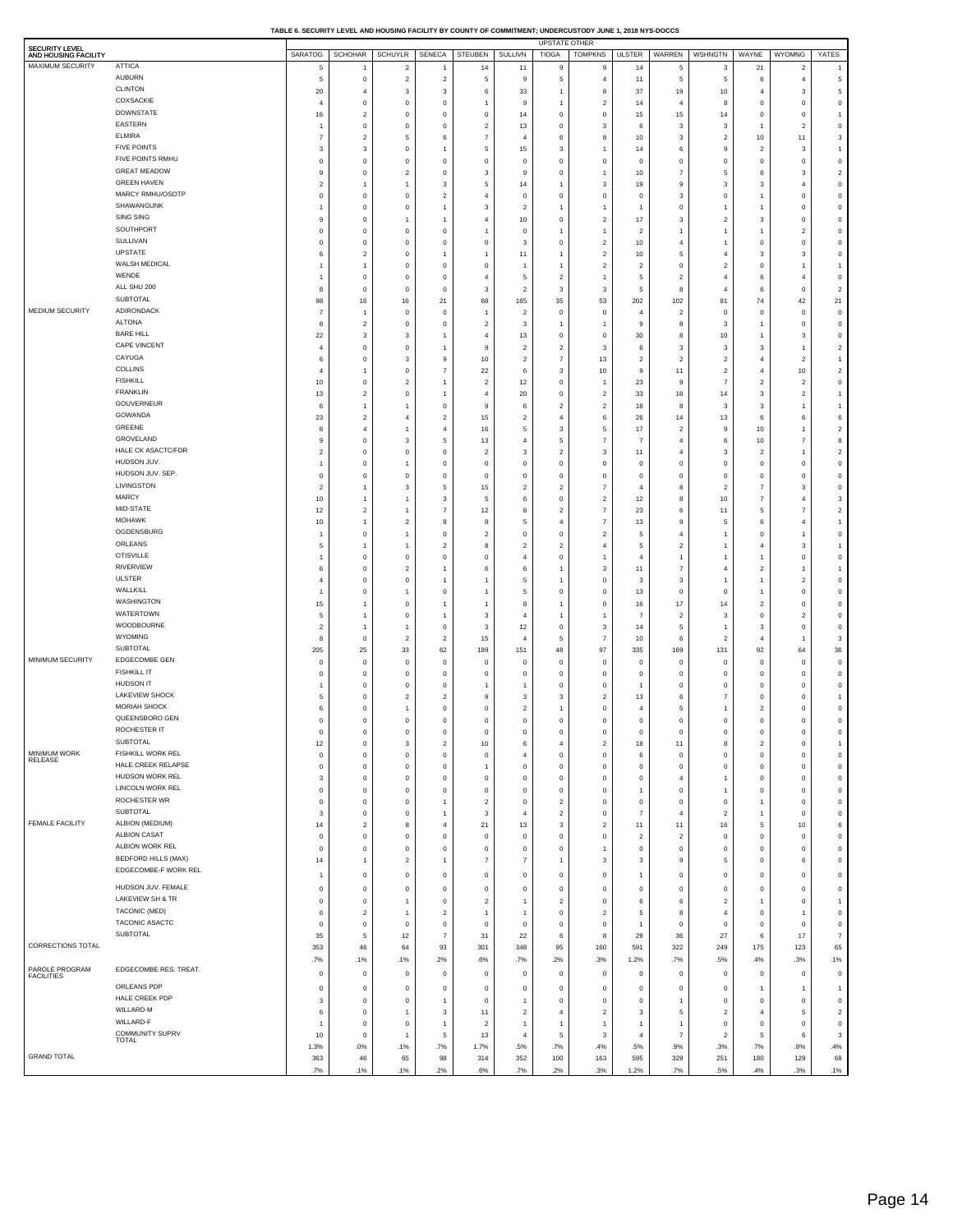**TABLE 6. SECURITY LEVEL AND HOUSING FACILITY BY COUNTY OF COMMITMENT; UNDERCUSTODY JUNE 1, 2018 NYS-DOCCS**

| <b>SECURITY LEVEL</b>               |                                       |                  |                             |                               |                                  |                                  |                            | <b>UPSTATE OTHER</b>       |                                        |                            |                            |                         |                         |                                  |                               |
|-------------------------------------|---------------------------------------|------------------|-----------------------------|-------------------------------|----------------------------------|----------------------------------|----------------------------|----------------------------|----------------------------------------|----------------------------|----------------------------|-------------------------|-------------------------|----------------------------------|-------------------------------|
| AND HOUSING FACILITY                |                                       | <b>SARATOG</b>   | <b>SCHOHAR</b>              | <b>SCHUYLR</b>                | SENECA                           | <b>STEUBEN</b>                   | SULLIVN                    | <b>TIOGA</b>               | <b>TOMPKNS</b>                         | <b>ULSTER</b>              | WARREN                     | <b>WSHNGTN</b>          | WAYNE                   | <b>WYOMNG</b>                    | YATES                         |
| MAXIMUM SECURITY                    | <b>ATTICA</b><br>AUBURN               | 5                | $\overline{1}$              | $\overline{2}$                | $\overline{1}$                   | 14                               | 11                         | 9                          | 9                                      | 14                         | 5                          | 3                       | 21                      | $\overline{2}$                   | $\overline{1}$                |
|                                     | <b>CLINTON</b>                        | 5                | $\,0\,$                     | $\overline{2}$                | $\overline{2}$                   | 5                                | 9                          | 5                          | $\overline{4}$                         | 11                         | 5                          | 5                       | 6                       | $\overline{4}$                   | 5                             |
|                                     | COXSACKIE                             | 20               | 4                           | 3                             | 3                                | 6                                | 33                         | $\overline{1}$             | 8                                      | 37                         | 19                         | 10                      | $\overline{4}$          | 3                                | 5                             |
|                                     | <b>DOWNSTATE</b>                      | 4<br>16          | 0<br>$\overline{2}$         | $\circ$<br>$\mathbf 0$        | $^{\circ}$<br>$\mathsf 0$        | 1<br>$\mathbf 0$                 | 9<br>14                    | $\mathbf 0$                | $\overline{\mathbf{c}}$<br>$\mathbf 0$ | 14<br>15                   | $\overline{4}$<br>15       | 8<br>14                 | 0<br>$\mathbf 0$        | 0<br>$\mathbf 0$                 | $\,0\,$<br>-1                 |
|                                     | EASTERN                               | 1                | $\,0\,$                     | $\mathbf 0$                   | $\mathsf 0$                      | $\overline{\mathbf{2}}$          | 13                         | $\mathbf 0$                | 3                                      | 6                          | 3                          | 3                       | $\overline{1}$          | $\sqrt{2}$                       | $\,0\,$                       |
|                                     | <b>ELMIRA</b>                         | $\overline{7}$   | $\overline{2}$              | 5                             | 6                                | $\overline{7}$                   | $\overline{4}$             | 6                          | 8                                      | 10                         | 3                          | $\overline{2}$          | 10                      | 11                               | 3                             |
|                                     | <b>FIVE POINTS</b>                    | 3                | 3                           | $\mathbf 0$                   | $\overline{1}$                   | 5                                | 15                         | 3                          | $\overline{1}$                         | 14                         | 6                          | 9                       | $\overline{2}$          | 3                                | 1                             |
|                                     | FIVE POINTS RMHU                      | $\mathbf 0$      | $\mathbf 0$                 | $\mathbf 0$                   | $\overline{0}$                   | $\mathbf 0$                      | $^{\circ}$                 | $\mathbf 0$                | $\mathbf 0$                            | $^{\circ}$                 | $\mathbf 0$                | $\mathbf 0$             | $^{\circ}$              | $\mathbf 0$                      | $\,0\,$                       |
|                                     | <b>GREAT MEADOW</b>                   | 9                | $\,0\,$                     | $\overline{2}$                | $\mathsf 0$                      | 3                                | 9                          | $\mathbf 0$                | $\mathbf{1}$                           | 10                         | $\overline{7}$             | 5                       | 6                       | 3                                | $\overline{2}$                |
|                                     | <b>GREEN HAVEN</b>                    | $\boldsymbol{2}$ | 1                           | -1                            | 3                                | 5                                | 14                         | -1                         | 3                                      | 19                         | 9                          | 3                       | 3                       | $\overline{4}$                   | $\,0\,$                       |
|                                     | MARCY RMHU/OSOTP                      | $\mathbf 0$      | $\,0\,$                     | $\overline{0}$                | $\overline{2}$                   | $\overline{4}$                   | $\mathbf 0$                | $\mathbf 0$                | $\mathbf 0$                            | $\mathbf 0$                | 3                          | $\mathbf 0$             | -1                      | $\mathbf 0$                      | $\,0\,$                       |
|                                     | SHAWANGUNK                            | 1                | $\mathbf 0$                 | $\mathbf 0$                   | $\overline{1}$                   | 3                                | $\overline{2}$             | -1                         | $\overline{1}$                         | -1                         | $\mathbf 0$                | 1                       | 1                       | $\mathbf 0$                      | $\circ$                       |
|                                     | SING SING                             | 9                | $\,0\,$                     | -1                            | $\overline{1}$                   | $\overline{4}$                   | 10                         | $\mathbf 0$                | $\mathbf 2$                            | 17                         | 3                          | $\sqrt{2}$              | 3                       | $\pmb{0}$                        | $\,0\,$                       |
|                                     | SOUTHPORT<br>SULLIVAN                 | $\mathbf 0$      | $\,0\,$                     | $\overline{0}$                | $\mathsf 0$                      | -1                               | $\mathbf{0}$               | -1                         | $\mathbf{1}$                           | $\overline{2}$             | 1                          | 1                       | -1                      | $\overline{2}$                   | $\,0\,$                       |
|                                     | UPSTATE                               | 0<br>6           | $\,0\,$<br>$\boldsymbol{2}$ | $\mathbf 0$<br>$\mathbf 0$    | $\mathsf 0$<br>-1                | $\mathbf 0$<br>$\mathbf{1}$      | 3<br>11                    | $^{\circ}$<br>-1           | $\mathbf 2$<br>$\mathbf 2$             | 10<br>10                   | 4<br>5                     | -1<br>4                 | $\mathbf 0$<br>3        | $\mathbf 0$<br>3                 | $\,0\,$<br>$\overline{0}$     |
|                                     | WALSH MEDICAL                         | 1                | $\mathbf{1}$                | $\overline{0}$                | $\mathsf 0$                      | $\mathbf 0$                      | $\overline{1}$             | $\overline{1}$             | $\mathbf 2$                            | $\overline{2}$             | $\mathbf 0$                | $\overline{2}$          | $\mathbf 0$             | $\mathbf{1}$                     | -1                            |
|                                     | WENDE                                 | 1                | $\,0\,$                     | $\overline{0}$                | $\mathsf 0$                      | $\overline{4}$                   | 5                          | $\overline{2}$             | $\mathbf{1}$                           | 5                          | $\overline{2}$             | $\overline{4}$          | 6                       | $\overline{4}$                   | $\circ$                       |
|                                     | ALL SHU 200                           | 8                | $\,0\,$                     | $\mathbf 0$                   | $\mathsf 0$                      | 3                                | $\overline{2}$             | 3                          | 3                                      | 5                          | 8                          | $\overline{4}$          | 6                       | $\mathbf 0$                      | $\overline{2}$                |
|                                     | SUBTOTAL                              | 98               | 16                          | 16                            | 21                               | 68                               | 165                        | 35                         | 53                                     | 202                        | 102                        | 81                      | 74                      | 42                               | 21                            |
| MEDIUM SECURITY                     | ADIRONDACK                            | $\overline{7}$   | 1                           | $\mathbf 0$                   | $\mathsf 0$                      | -1                               | $\overline{2}$             | $\mathbf 0$                | $\mathbf 0$                            | $\overline{4}$             | $\overline{2}$             | $\mathbf{0}$            | $\pmb{0}$               | $\pmb{0}$                        | $\,0\,$                       |
|                                     | <b>ALTONA</b>                         | 8                | $\overline{2}$              | $\overline{0}$                | $\mathsf 0$                      | $\overline{2}$                   | 3                          | -1                         | $\overline{1}$                         | 9                          | 8                          | 3                       | -1                      | $\mathbf 0$                      | $\,0\,$                       |
|                                     | <b>BARE HILL</b>                      | 22               | 3                           | 3                             | $\overline{1}$                   | $\overline{4}$                   | 13                         | $\mathbf 0$                | $\mathbf 0$                            | 30                         | 8                          | 10                      | -1                      | 3                                | $\,0\,$                       |
|                                     | CAPE VINCENT                          | $\overline{4}$   | $\mathbf 0$                 | $\mathbf 0$                   |                                  | 9                                | $\overline{2}$             | $\overline{2}$             | 3                                      | 6                          | 3                          | 3                       | 3                       | 1                                | $\overline{2}$                |
|                                     | CAYUGA                                | 6                | $\,0\,$                     | 3                             | 9                                | 10                               | $\overline{2}$             | $\overline{7}$             | 13                                     | $\overline{2}$             | $\sqrt{2}$                 | $\overline{2}$          | $\overline{4}$          | $\overline{c}$                   | -1                            |
|                                     | COLLINS                               | $\overline{4}$   | 1                           | $\overline{0}$                | $\overline{7}$                   | 22                               | 6                          | 3                          | 10                                     | 9                          | 11                         | $\overline{2}$          | $\overline{4}$          | 10                               | $\overline{2}$                |
|                                     | <b>FISHKILL</b><br><b>FRANKLIN</b>    | 10<br>13         | $\,0\,$<br>$\overline{2}$   | $\overline{2}$<br>$\mathbf 0$ | $\overline{1}$                   | $\overline{2}$<br>$\overline{4}$ | 12<br>20                   | $\mathbf 0$<br>$\mathbf 0$ | $\overline{1}$<br>$\mathbf 2$          | 23<br>33                   | 9<br>16                    | $\overline{7}$<br>14    | $\overline{2}$<br>3     | $\overline{2}$<br>$\overline{2}$ | $\,0\,$<br>1                  |
|                                     | GOUVERNEUR                            | 6                | $\mathbf{1}$                | -1                            | $\mathsf 0$                      | 9                                | 6                          | $\overline{2}$             | $\mathbf 2$                            | 18                         | 8                          | 3                       | 3                       | $\mathbf{1}$                     | -1                            |
|                                     | GOWANDA                               | 23               | $\overline{2}$              | $\overline{4}$                | $\overline{2}$                   | 15                               | $\overline{2}$             | $\overline{4}$             | 6                                      | 26                         | 14                         | 13                      | 6                       | 6                                | 6                             |
|                                     | GREENE                                | 8                | $\overline{4}$              | -1                            | $\overline{4}$                   | 16                               | 5                          | 3                          | 5                                      | 17                         | $\overline{2}$             | 9                       | 10                      | 1                                | $\overline{2}$                |
|                                     | GROVELAND                             | 9                | $\mathbf 0$                 | 3                             | 5                                | 13                               | $\overline{4}$             | 5                          | $\overline{7}$                         | 7                          | 4                          | 6                       | 10                      | 7                                | 8                             |
|                                     | HALE CK ASACTC/FDR                    | $\boldsymbol{2}$ | $\,0\,$                     | $\mathbf 0$                   | $\mathsf 0$                      | $\overline{2}$                   | 3                          | $\overline{2}$             | 3                                      | 11                         | 4                          | 3                       | $\overline{2}$          | 1                                | $\overline{2}$                |
|                                     | HUDSON JUV.                           | 1                | $\mathsf 0$                 | -1                            | $\mathsf 0$                      | $\mathbf 0$                      | $^{\circ}$                 | $\mathbf 0$                | $\mathbf 0$                            | $\mathbf 0$                | $\mathbf 0$                | $\mathbf 0$             | $\mathbf 0$             | $\mathbf 0$                      | $\,0\,$                       |
|                                     | HUDSON JUV. SEP.                      | $\mathbf 0$      | $\,0\,$                     | $^{\circ}$                    | $\mathsf 0$                      | $\mathbf 0$                      | $\Omega$                   | $\mathbf 0$                | $\mathbf 0$                            | $\mathbf 0$                | $\mathbf 0$                | $\mathbf 0$             | $\mathbf 0$             | $\mathbf 0$                      | $\,0\,$                       |
|                                     | LIVINGSTON                            | $\boldsymbol{2}$ | 1                           | 3                             | 5                                | 15                               | 2                          | $\overline{2}$             | $\overline{7}$                         | 4                          | 8                          | $\overline{2}$          | 7                       | 3                                | $\,0\,$                       |
|                                     | MARCY                                 | 10               | $\mathbf{1}$                | -1                            | 3                                | 5                                | 6                          | $\mathbf 0$                | $\boldsymbol{2}$                       | 12                         | 8                          | 10                      | $\overline{7}$          | $\overline{4}$                   | 3                             |
|                                     | MID-STATE<br><b>MOHAWK</b>            | 12               | $\overline{2}$              | $\mathbf{1}$                  | $\overline{7}$                   | 12                               | 8                          | $\overline{2}$             | $\overline{7}$                         | 23                         | 6                          | 11                      | 5                       | $\overline{7}$                   | $\overline{2}$                |
|                                     | OGDENSBURG                            | $10$<br>1        | 1<br>$\mathbf 0$            | $\overline{2}$<br>-1          | 8<br>$\overline{0}$              | 8                                | .5<br>$^{\circ}$           | $\overline{4}$<br>$\circ$  | $\overline{7}$<br>$\boldsymbol{2}$     | 13                         | 9<br>4                     | 5                       | 6<br>$\circ$            | 4                                | $\overline{1}$<br>$\mathbf 0$ |
|                                     | ORLEANS                               | 5                | 1                           | -1                            | $\overline{c}$                   | $\overline{\mathbf{2}}$<br>8     | $\overline{2}$             | $\overline{\mathbf{c}}$    | $\sqrt{4}$                             | 5<br>5                     | $\overline{\mathbf{2}}$    | 1                       | $\overline{4}$          | 1<br>3                           | 1                             |
|                                     | <b>OTISVILLE</b>                      | 1                | $\,0\,$                     | $\mathbf 0$                   | $\,0\,$                          | $\mathbf 0$                      | $\overline{4}$             | $\mathbf 0$                | $\overline{1}$                         | $\overline{4}$             | 1                          | 1                       | $\mathbf{1}$            | $\mathbf 0$                      | $\,0\,$                       |
|                                     | <b>RIVERVIEW</b>                      | 6                | $\mathbf 0$                 | $\overline{2}$                | $\overline{1}$                   | 6                                | 6                          | $\overline{1}$             | 3                                      | 11                         | $\overline{7}$             | $\overline{4}$          | $\overline{\mathbf{2}}$ | 1                                | 1                             |
|                                     | <b>ULSTER</b>                         | 4                | $\mathbf 0$                 | $\mathbf 0$                   |                                  | 1                                | 5                          |                            | $\bf{0}$                               | 3                          | 3                          |                         | -1                      | $\overline{2}$                   | $\,0\,$                       |
|                                     | WALLKILL                              | 1                | $\mathbf 0$                 | 1                             | $\overline{0}$                   | 1                                | 5                          | $\mathbf 0$                | $\mathbf 0$                            | 13                         | $\mathbf 0$                | $\mathbf 0$             | $\overline{1}$          | $\mathbf 0$                      | $\mathbf 0$                   |
|                                     | WASHINGTON                            | 15               | $\mathbf{1}$                | $\mathbf 0$                   |                                  | $\mathbf{1}$                     | 8                          | $\overline{1}$             | $\pmb{0}$                              | 16                         | 17                         | 14                      | $\overline{\mathbf{c}}$ | $\mathbf 0$                      | $\,0\,$                       |
|                                     | WATERTOWN                             | 5                | 1                           | $\mathbf 0$                   |                                  | 3                                |                            | $\overline{1}$             | $\overline{1}$                         | $\overline{7}$             | $\overline{2}$             | 3                       | $\pmb{0}$               | $\overline{2}$                   | $\,0\,$                       |
|                                     | WOODBOURNE                            | $\overline{2}$   | $\mathbf{1}$                | -1                            | $\overline{0}$                   | 3                                | 12                         | $\mathbf 0$                | 3                                      | 14                         | 5                          | 1                       | 3                       | $\mathbf 0$                      | $\,0\,$                       |
|                                     | WYOMING                               | 8                | $\mathbf 0$                 | $\overline{2}$                | $\overline{c}$                   | 15                               |                            | 5                          | $\overline{7}$                         | $10$                       | 6                          | $\overline{2}$          | $\overline{4}$          | $\overline{1}$                   | 3                             |
| MINIMUM SECURITY                    | SUBTOTAL<br>EDGECOMBE GEN             | 205              | 25                          | 33                            | 62                               | 189                              | 151                        | 48                         | 97                                     | 335                        | 169                        | 131                     | 92                      | 64                               | 36                            |
|                                     | <b>FISHKILL IT</b>                    | 0<br>0           | $\mathbf 0$<br>$\mathbf 0$  | $\mathbf 0$<br>$\mathbf 0$    | $\overline{0}$<br>$\overline{0}$ | $\mathbf 0$                      | $\mathbf 0$<br>$^{\circ}$  | $\mathbf 0$<br>$\circ$     | $\bf{0}$<br>0                          | $\mathbf 0$<br>$\mathbf 0$ | $\mathbf 0$<br>$\mathbf 0$ | $\mathbf 0$<br>$\circ$  | $\pmb{0}$<br>0          | $\mathbf 0$<br>0                 | $\,0\,$<br>$\,0\,$            |
|                                     | <b>HUDSON IT</b>                      | $\overline{1}$   | $\mathbf 0$                 | $\mathbf 0$                   | $\mathsf 0$                      | 0                                |                            | $\circ$                    | $\mathbf 0$                            |                            | $\mathbf 0$                | $\mathbf 0$             | 0                       | $\mathbf 0$                      | $\mathbf 0$                   |
|                                     | LAKEVIEW SHOCK                        | 5                | $\mathbf 0$                 | $\overline{2}$                | $\overline{2}$                   | 9                                | 3                          | 3                          | $\mathbf 2$                            | 13                         | 6                          | $\overline{7}$          | $\mathbf 0$             | $\mathbf 0$                      | $\overline{1}$                |
|                                     | <b>MORIAH SHOCK</b>                   | 6                | $\bf{0}$                    | $\mathbf{1}$                  | $\overline{0}$                   | 0                                | $\overline{2}$             | $\overline{1}$             | $\mathbf 0$                            | $\overline{4}$             | 5                          | 1                       | $\overline{\mathbf{c}}$ | $\mathbf 0$                      | $\,0\,$                       |
|                                     | QUEENSBORO GEN                        | 0                | $\bf{0}$                    | $\mathbf 0$                   | $\overline{0}$                   | $\mathbf 0$                      | $\mathbf 0$                | $\mathbf 0$                | $\mathbf 0$                            | $\mathbf 0$                | $\mathbf 0$                | $\mathbf 0$             | $\mathbf 0$             | O                                | $\mathbf 0$                   |
|                                     | ROCHESTER IT                          | 0                | 0                           | $\mathbf 0$                   |                                  | O                                |                            | $\mathbf 0$                | $\mathbf 0$                            | $\mathbf 0$                | Ō                          | Ó                       | 0                       | Ó                                | $\mathbf 0$                   |
|                                     | <b>SUBTOTAL</b>                       | 12               | $\,0\,$                     | 3                             | $\overline{c}$                   | 10                               | 6                          | 4                          | $\mathbf 2$                            | 18                         | 11                         | 8                       | $\overline{\mathbf{c}}$ | $\mathbf 0$                      | $\overline{1}$                |
| MINIMUM WORK<br>RELEASE             | FISHKILL WORK REL                     | $\mathbf 0$      | $\,0\,$                     | $\bf 0$                       | $\,0\,$                          | $\mathbf 0$                      |                            | $\mathbf 0$                | $\mathbf 0$                            | 6                          | $\,0\,$                    | $\bf{0}$                | $\pmb{0}$               | $\pmb{0}$                        | $\,0\,$                       |
|                                     | HALE CREEK RELAPSE<br>HUDSON WORK REL | $\mathbf 0$      | $\,0\,$                     | $\mathbf 0$                   | $\,0\,$                          | $\mathbf{1}$                     | $\mathbf 0$                | $\mathbf 0$                | $\pmb{0}$                              | $\bf{0}$                   | 0                          | 0                       | $\mathbf 0$             | $\mathbf 0$                      | $\,0\,$                       |
|                                     | LINCOLN WORK REL                      | 3<br>0           | $\,0\,$<br>$\,0\,$          | $\mathbf 0$<br>$\mathbf 0$    | $\,0\,$<br>$\,0\,$               | $\mathbf 0$<br>$\mathbf 0$       | $\mathbf 0$<br>$\mathbf 0$ | $\mathbf 0$<br>$\mathbf 0$ | $\mathbf 0$<br>$\mathbf 0$             | $\bf{0}$<br>$\mathbf{1}$   | 4<br>$\mathbf 0$           | 1<br>1                  | $\pmb{0}$<br>0          | $\pmb{0}$<br>$\mathbf 0$         | $\,0\,$<br>$\,0\,$            |
|                                     | ROCHESTER WR                          | $\mathbf 0$      | $\,0\,$                     | $\mathbf 0$                   | $\overline{1}$                   | $\sqrt{2}$                       | $\mathbf 0$                | $\overline{\mathbf{c}}$    | $\mathbf 0$                            | $\pmb{0}$                  | $\bf{0}$                   | $\bf{0}$                | $\overline{1}$          | $\mathbf 0$                      | $\,0\,$                       |
|                                     | <b>SUBTOTAL</b>                       | 3                | $\,0\,$                     | $\mathbf 0$                   | $\overline{1}$                   | $\mathsf 3$                      | $\overline{4}$             | $\overline{2}$             | $\pmb{0}$                              | $\overline{7}$             | $\overline{4}$             | $\overline{2}$          | $\mathbf{1}$            | $\mathbf 0$                      | $\,0\,$                       |
| <b>FEMALE FACILITY</b>              | ALBION (MEDIUM)                       | 14               | $\boldsymbol{2}$            | 8                             | $\sqrt{4}$                       | 21                               | 13                         | $\mathbf{3}$               | $\mathbf 2$                            | 11                         | 11                         | 16                      | 5                       | 10                               | 6                             |
|                                     | <b>ALBION CASAT</b>                   | $\mathbf 0$      | $\,0\,$                     | $\bf 0$                       | $\,0\,$                          | 0                                | 0                          | $\mathbf 0$                | $\mathbf 0$                            | $\overline{\mathbf{2}}$    | $\sqrt{2}$                 | 0                       | 0                       | $\mathbf 0$                      | $\,0\,$                       |
|                                     | ALBION WORK REL                       | $\mathbf 0$      | $\bf{0}$                    | $\mathbf 0$                   | $\,0\,$                          | $\mathbf 0$                      | $\mathbf 0$                | $\mathbf 0$                | $\mathbf{1}$                           | $\mathbf 0$                | $\bf{0}$                   | $\bf{0}$                | $\mathbf 0$             | $\mathbf 0$                      | $\,0\,$                       |
|                                     | <b>BEDFORD HILLS (MAX)</b>            | 14               | 1                           | $\overline{2}$                | $\mathbf{1}$                     | $\overline{7}$                   | 7                          | $\overline{1}$             | 3                                      | 3                          | 9                          | 5                       | $\mathbf 0$             | 6                                | $\,0\,$                       |
|                                     | EDGECOMBE-F WORK REL                  | 1                | $\,0\,$                     | $\mathbf 0$                   | $\mathsf 0$                      | $\mathbf 0$                      | $\mathbf 0$                | $\mathbf 0$                | $\mathbf 0$                            | -1                         | $\mathbf 0$                | $\mathsf 0$             | $\mathbf 0$             | $\mathbf 0$                      | $\circ$                       |
|                                     | HUDSON JUV. FEMALE                    | 0                | 0                           | $\mathbf 0$                   | $^{\circ}$                       | $\mathbf 0$                      | $^{\circ}$                 | $^{\circ}$                 | 0                                      | $^{\circ}$                 | $\mathbf 0$                | 0                       | 0                       | 0                                | $\mathbf 0$                   |
|                                     | LAKEVIEW SH & TR                      | 0                | $\,0\,$                     | 1                             | $\,0\,$                          | $\overline{c}$                   | $\overline{1}$             | $\overline{2}$             | 0                                      | 6                          | 6                          | $\overline{2}$          | $\overline{1}$          | $\,0\,$                          | $\overline{1}$                |
|                                     | <b>TACONIC (MED)</b>                  | 6                | $\overline{a}$              | $\mathbf{1}$                  | $\overline{\mathbf{c}}$          | $\mathbf{1}$                     | $\overline{1}$             | $\mathbf 0$                | $\overline{\mathbf{c}}$                | 5                          | 8                          | $\overline{4}$          | 0                       | 1                                | $\,0\,$                       |
|                                     | TACONIC ASACTC                        | 0                | $\,0\,$                     | $\mathbf 0$                   | $\mathbf 0$                      | $\mathbf{0}$                     | $^{\circ}$                 | $\mathbf 0$                | 0                                      | -1                         | $\mathbf 0$                | $\mathbf 0$             | 0                       | $\mathbf 0$                      | $\,0\,$                       |
|                                     | SUBTOTAL                              | 35               | 5                           | 12                            | $\overline{7}$                   | 31                               | 22                         | 6                          | 8                                      | 29                         | 36                         | 27                      | 6                       | 17                               | $\overline{7}$                |
| CORRECTIONS TOTAL                   |                                       | 353              | 46                          | 64                            | 93                               | 301                              | 348                        | 95                         | 160                                    | 591                        | 322                        | 249                     | 175                     | 123                              | 65                            |
|                                     |                                       | .7%              | .1%                         | .1%                           | .2%                              | .6%                              | .7%                        | .2%                        | .3%                                    | 1.2%                       | .7%                        | .5%                     | .4%                     | .3%                              | .1%                           |
| PAROLE PROGRAM<br><b>FACILITIES</b> | EDGECOMBE RES. TREAT.                 | 0                | 0                           | $\mathbf 0$                   | $\mathbf 0$                      | 0                                | 0                          | $\mathbf 0$                | 0                                      | $\bf{0}$                   | 0                          | 0                       | 0                       | $\mathbf 0$                      | $\mathbf 0$                   |
|                                     | ORLEANS PDP                           | 0                | $\mathbf 0$                 | $\mathbf 0$                   | $\,0\,$                          | 0                                | 0                          | $\mathbf 0$                | $\mathbf 0$                            | $\bf{0}$                   | $\mathbf 0$                | $\mathbf 0$             | $\overline{1}$          | 1                                | $\overline{1}$                |
|                                     | HALE CREEK PDP                        | 3                | $\,0\,$                     | $\mathbf 0$                   |                                  | 0                                |                            | $\mathbf 0$                | $\bf{0}$                               | $\bf{0}$                   | 1                          | $\mathbf 0$             | 0                       | $\mathbf 0$                      | $\,0\,$                       |
|                                     | WILLARD-M                             | 6                | $\,0\,$                     | $\overline{1}$                | 3                                | 11                               | $\overline{2}$             | $\overline{4}$             | $\mathbf 2$                            | 3                          | 5                          | $\overline{\mathbf{2}}$ | $\overline{4}$          | $\,$ 5 $\,$                      | $\overline{\mathbf{2}}$       |
|                                     | WILLARD-F                             | 1                | $\,0\,$                     | $\pmb{0}$                     | $\overline{1}$                   | $\overline{\mathbf{2}}$          | $\overline{1}$             | $\overline{1}$             | $\overline{1}$                         | $\mathbf{1}$               | 1                          | $\,0\,$                 | 0                       | $\mathbf 0$                      | $\,0\,$                       |
|                                     | COMMUNITY SUPRV<br><b>TOTAL</b>       | $10$             | $\mathbf 0$                 | 1                             | 5                                | 13                               |                            | 5                          | 3                                      | $\overline{4}$             | $\overline{7}$             | $\sqrt{2}$              | 5                       | 6                                | 3                             |
| <b>GRAND TOTAL</b>                  |                                       | 1.3%             | .0%                         | .1%                           | .7%                              | 1.7%                             | .5%                        | .7%                        | .4%                                    | .5%                        | .9%                        | .3%                     | .7%                     | .8%                              | .4%                           |
|                                     |                                       | 363<br>.7%       | 46<br>1%                    | 65<br>.1%                     | 98<br>.2%                        | 314<br>.6%                       | 352<br>.7%                 | 100<br>2%                  | 163<br>3%                              | 595<br>1.2%                | 329<br>.7%                 | 251<br>.5%              | 180<br>.4%              | 129<br>.3%                       | 68<br>.1%                     |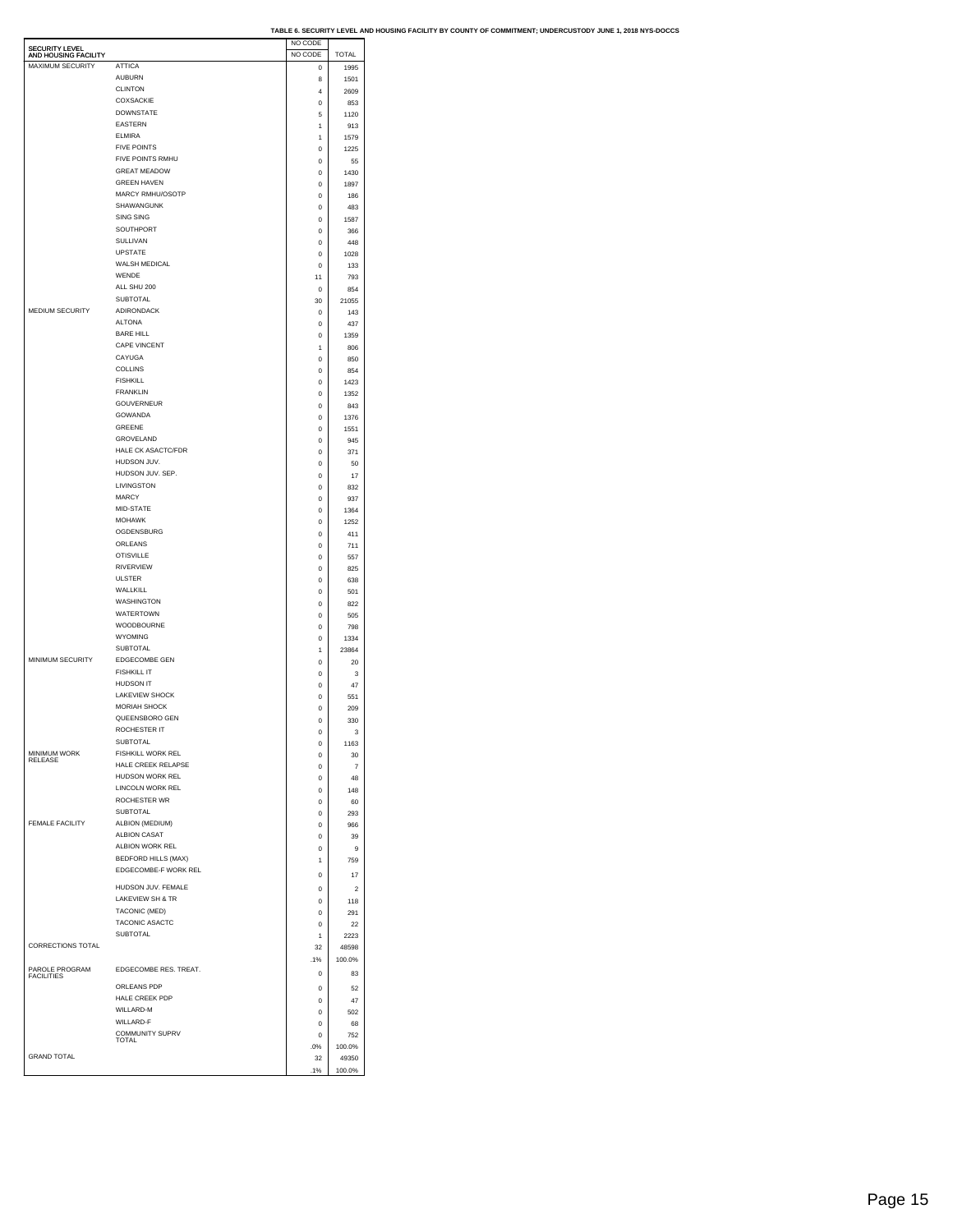|                                               |                           | NO CODE     |                         |  |
|-----------------------------------------------|---------------------------|-------------|-------------------------|--|
| <b>SECURITY LEVEL</b><br>AND HOUSING FACILITY |                           | NO CODE     | <b>TOTAL</b>            |  |
| MAXIMUM SECURITY                              | <b>ATTICA</b>             | 0           | 1995                    |  |
|                                               | <b>AUBURN</b>             | 8           | 1501                    |  |
|                                               | <b>CLINTON</b>            | 4           | 2609                    |  |
|                                               | COXSACKIE                 | 0           | 853                     |  |
|                                               | <b>DOWNSTATE</b>          | 5           | 1120                    |  |
|                                               | <b>EASTERN</b>            | 1           | 913                     |  |
|                                               | <b>ELMIRA</b>             | 1           | 1579                    |  |
|                                               | <b>FIVE POINTS</b>        | 0           | 1225                    |  |
|                                               | FIVE POINTS RMHU          |             |                         |  |
|                                               | <b>GREAT MEADOW</b>       | 0           | 55                      |  |
|                                               | <b>GREEN HAVEN</b>        | 0           | 1430                    |  |
|                                               | MARCY RMHU/OSOTP          | 0           | 1897                    |  |
|                                               |                           | 0           | 186                     |  |
|                                               | SHAWANGUNK                | 0           | 483                     |  |
|                                               | SING SING                 | 0           | 1587                    |  |
|                                               | SOUTHPORT                 | 0           | 366                     |  |
|                                               | SULLIVAN                  | 0           | 448                     |  |
|                                               | <b>UPSTATE</b>            | 0           | 1028                    |  |
|                                               | WALSH MEDICAL             | 0           | 133                     |  |
|                                               | WENDE                     | 11          | 793                     |  |
|                                               | ALL SHU 200               | 0           | 854                     |  |
|                                               | <b>SUBTOTAL</b>           | 30          | 21055                   |  |
| MEDIUM SECURITY                               | ADIRONDACK                | 0           | 143                     |  |
|                                               | <b>ALTONA</b>             | 0           | 437                     |  |
|                                               | <b>BARE HILL</b>          | 0           | 1359                    |  |
|                                               | CAPE VINCENT              | 1           | 806                     |  |
|                                               | CAYUGA                    | 0           | 850                     |  |
|                                               | COLLINS                   | 0           | 854                     |  |
|                                               | <b>FISHKILL</b>           | 0           | 1423                    |  |
|                                               | <b>FRANKLIN</b>           | 0           | 1352                    |  |
|                                               | <b>GOUVERNEUR</b>         | 0           | 843                     |  |
|                                               | <b>GOWANDA</b>            | 0           | 1376                    |  |
|                                               | GREENE                    | 0           | 1551                    |  |
|                                               | <b>GROVELAND</b>          | 0           | 945                     |  |
|                                               | <b>HALE CK ASACTC/FDR</b> | 0           | 371                     |  |
|                                               | HUDSON JUV.               | 0           |                         |  |
|                                               | HUDSON JUV. SEP.          |             | 50                      |  |
|                                               | LIVINGSTON                | 0           | 17                      |  |
|                                               | MARCY                     | 0           | 832                     |  |
|                                               | MID-STATE                 | 0           | 937                     |  |
|                                               | <b>MOHAWK</b>             | 0           | 1364                    |  |
|                                               |                           | 0           | 1252                    |  |
|                                               | OGDENSBURG                | 0           | 411                     |  |
|                                               | ORLEANS                   | 0           | 711                     |  |
|                                               | <b>OTISVILLE</b>          | 0           | 557                     |  |
|                                               | RIVERVIEW                 | 0           | 825                     |  |
|                                               | <b>ULSTER</b>             | 0           | 638                     |  |
|                                               | WALLKILL                  | 0           | 501                     |  |
|                                               | WASHINGTON                | 0           | 822                     |  |
|                                               | WATERTOWN                 | 0           | 505                     |  |
|                                               | WOODBOURNE                | 0           | 798                     |  |
|                                               | WYOMING                   | 0           | 1334                    |  |
|                                               | SUBTOTAL                  | 1           | 23864                   |  |
| MINIMUM SECURITY                              | EDGECOMBE GEN             | 0           | 20                      |  |
|                                               | <b>FISHKILL IT</b>        | 0           | 3                       |  |
|                                               | HUDSON IT                 | 0           | 47                      |  |
|                                               | <b>LAKEVIEW SHOCK</b>     | 0           | 551                     |  |
|                                               | MORIAH SHOCK              | 0           | 209                     |  |
|                                               | QUEENSBORO GEN            | $\mathbf 0$ | 330                     |  |
|                                               | ROCHESTER IT              |             |                         |  |
|                                               | <b>SUBTOTAL</b>           | 0           | 1163                    |  |
| MINIMUM WORK                                  | FISHKILL WORK REL         | 0           | 30                      |  |
| RELEASE                                       | HALE CREEK RELAPSE        | 0           | 7                       |  |
|                                               | HUDSON WORK REL           | 0           | 48                      |  |
|                                               | LINCOLN WORK REL          |             | 148                     |  |
|                                               | ROCHESTER WR              | 0           |                         |  |
|                                               | SUBTOTAL                  | 0           | 60                      |  |
| FEMALE FACILITY                               | ALBION (MEDIUM)           | 0           | 293                     |  |
|                                               | ALBION CASAT              | 0           | 966                     |  |
|                                               |                           | 0           | 39                      |  |
|                                               | ALBION WORK REL           | 0           | 9                       |  |
|                                               | BEDFORD HILLS (MAX)       | 1           | 759                     |  |
|                                               | EDGECOMBE-F WORK REL      | 0           | 17                      |  |
|                                               | HUDSON JUV. FEMALE        | 0           | $\overline{\mathbf{c}}$ |  |
|                                               | LAKEVIEW SH & TR          | 0           | 118                     |  |
|                                               | TACONIC (MED)             | 0           | 291                     |  |
|                                               | TACONIC ASACTC            | $\mathbf 0$ | 22                      |  |
|                                               | <b>SUBTOTAL</b>           | 1           | 2223                    |  |
| <b>CORRECTIONS TOTAL</b>                      |                           | 32          | 48598                   |  |
|                                               |                           | .1%         | 100.0%                  |  |
| PAROLE PROGRAM                                | EDGECOMBE RES. TREAT.     |             |                         |  |
| <b>FACILITIES</b>                             |                           | 0           | 83                      |  |
|                                               | ORLEANS PDP               | $\mathbf 0$ | 52                      |  |
|                                               | HALE CREEK PDP            | 0           | 47                      |  |
|                                               | WILLARD-M                 | 0           | 502                     |  |
|                                               | WILLARD-F                 | 0           | 68                      |  |
|                                               | COMMUNITY SUPRV           | 0           | 752                     |  |
|                                               | TOTAL                     | .0%         | 100.0%                  |  |
| <b>GRAND TOTAL</b>                            |                           | 32          | 49350                   |  |
|                                               |                           | .1%         | 100.0%                  |  |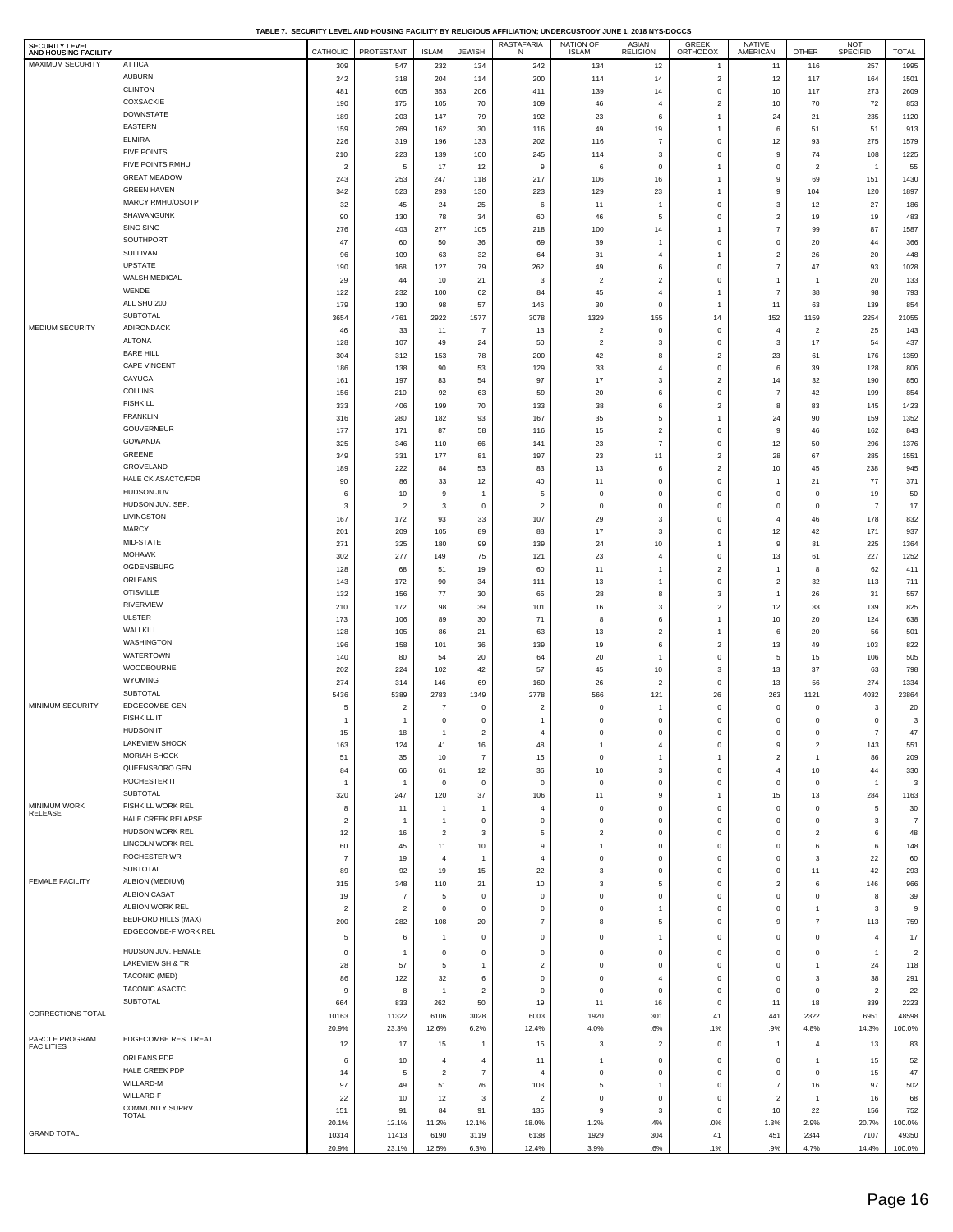| TABLE 7.  SECURITY LEVEL AND HOUSING FACILITY BY RELIGIOUS AFFILIATION: UNDERCUSTODY JUNE 1. 2018 NYS-DOCCS |  |
|-------------------------------------------------------------------------------------------------------------|--|
|                                                                                                             |  |

| SECURITY LEVEL<br>AND HOUSING FACILITY |                                           | CATHOLIC              | PROTESTANT            | <b>ISLAM</b>         | <b>JEWISH</b>                      | RASTAFARIA<br>N                  | NATION OF<br><b>ISLAM</b>        | ASIAN<br>RELIGION                | GREEK<br>ORTHODOX              | NATIVE<br>AMERICAN             | OTHER                          | <b>NOT</b><br>SPECIFID | <b>TOTAL</b>            |
|----------------------------------------|-------------------------------------------|-----------------------|-----------------------|----------------------|------------------------------------|----------------------------------|----------------------------------|----------------------------------|--------------------------------|--------------------------------|--------------------------------|------------------------|-------------------------|
| MAXIMUM SECURITY                       | <b>ATTICA</b>                             | 309                   | 547                   | 232                  | 134                                | 242                              | 134                              | 12                               | $\mathbf{1}$                   | 11                             | 116                            | 257                    | 1995                    |
|                                        | <b>AUBURN</b>                             | 242                   | 318                   | 204                  | 114                                | 200                              | 114                              | 14                               | $\mathbf 2$                    | 12                             | 117                            | 164                    | 1501                    |
|                                        | <b>CLINTON</b>                            | 481                   | 605                   | 353                  | 206                                | 411                              | 139                              | 14                               | $\mathbf 0$                    | 10                             | 117                            | 273                    | 2609                    |
|                                        | COXSACKIE<br><b>DOWNSTATE</b>             | 190                   | 175                   | 105                  | 70                                 | 109                              | 46                               | $\overline{4}$                   | $\mathbf{2}$                   | 10                             | 70                             | 72                     | 853                     |
|                                        | EASTERN                                   | 189<br>159            | 203<br>269            | 147<br>162           | 79<br>30                           | 192<br>116                       | 23<br>49                         | 6<br>19                          | $\mathbf{1}$<br>$\overline{1}$ | 24<br>6                        | 21<br>51                       | 235<br>51              | 1120<br>913             |
|                                        | <b>ELMIRA</b>                             | 226                   | 319                   | 196                  | 133                                | 202                              | 116                              | $\overline{7}$                   | $\mathbf 0$                    | 12                             | 93                             | 275                    | 1579                    |
|                                        | <b>FIVE POINTS</b>                        | 210                   | 223                   | 139                  | 100                                | 245                              | 114                              | 3                                | $\mathbf 0$                    | 9                              | 74                             | 108                    | 1225                    |
|                                        | FIVE POINTS RMHU                          | $\overline{2}$        | 5                     | 17                   | 12                                 | 9                                | 6                                | $\mathbf 0$                      | $\overline{1}$                 | $\mathbf 0$                    | $\overline{2}$                 | $\overline{1}$         | 55                      |
|                                        | <b>GREAT MEADOW</b><br><b>GREEN HAVEN</b> | 243                   | 253                   | 247                  | 118                                | 217                              | 106                              | 16                               | $\overline{1}$                 | 9                              | 69                             | 151                    | 1430                    |
|                                        | MARCY RMHU/OSOTP                          | 342<br>32             | 523<br>45             | 293<br>24            | 130<br>25                          | 223<br>6                         | 129<br>11                        | 23<br>$\overline{1}$             | $\overline{1}$<br>$\mathbf 0$  | 9<br>$\mathbf{3}$              | 104<br>12                      | 120<br>27              | 1897<br>186             |
|                                        | SHAWANGUNK                                | 90                    | 130                   | 78                   | 34                                 | 60                               | 46                               | 5                                | $\mathbf 0$                    | $\overline{2}$                 | 19                             | 19                     | 483                     |
|                                        | SING SING                                 | 276                   | 403                   | 277                  | 105                                | 218                              | 100                              | 14                               | $\mathbf{1}$                   | $\boldsymbol{7}$               | 99                             | 87                     | 1587                    |
|                                        | SOUTHPORT                                 | 47                    | 60                    | 50                   | 36                                 | 69                               | 39                               | $\overline{1}$                   | $\mathbf 0$                    | $\,$ 0                         | 20                             | 44                     | 366                     |
|                                        | SULLIVAN                                  | 96                    | 109                   | 63                   | 32                                 | 64                               | 31                               | $\overline{4}$                   | $\mathbf{1}$                   | $\overline{2}$                 | 26                             | 20                     | 448                     |
|                                        | UPSTATE<br>WALSH MEDICAL                  | 190                   | 168                   | 127                  | 79                                 | 262                              | 49                               | 6                                | $\mathbf 0$                    | $\overline{7}$                 | 47                             | 93                     | 1028                    |
|                                        | WENDE                                     | 29<br>122             | 44<br>232             | 10<br>100            | 21<br>62                           | 3<br>84                          | $\overline{2}$<br>45             | $\overline{2}$<br>$\overline{4}$ | $\mathbf 0$<br>$\overline{1}$  | $\mathbf{1}$<br>$\overline{7}$ | $\overline{1}$<br>38           | 20<br>98               | 133<br>793              |
|                                        | ALL SHU 200                               | 179                   | 130                   | 98                   | 57                                 | 146                              | 30                               | $\pmb{0}$                        | $\overline{1}$                 | 11                             | 63                             | 139                    | 854                     |
|                                        | SUBTOTAL                                  | 3654                  | 4761                  | 2922                 | 1577                               | 3078                             | 1329                             | 155                              | 14                             | 152                            | 1159                           | 2254                   | 21055                   |
| <b>MEDIUM SECURITY</b>                 | ADIRONDACK                                | 46                    | 33                    | 11                   | $\overline{7}$                     | 13                               | $\overline{2}$                   | $\mathbf 0$                      | $\mathbf 0$                    | $\overline{4}$                 | $\overline{2}$                 | 25                     | 143                     |
|                                        | <b>ALTONA</b>                             | 128                   | 107                   | 49                   | 24                                 | 50                               | $\overline{2}$                   | 3                                | $\mathbf 0$                    | 3                              | 17                             | 54                     | 437                     |
|                                        | <b>BARE HILL</b><br>CAPE VINCENT          | 304<br>186            | 312<br>138            | 153                  | 78<br>53                           | 200                              | 42<br>33                         | 8<br>$\overline{4}$              | $\overline{2}$<br>$\mathbf 0$  | 23<br>6                        | 61<br>39                       | 176                    | 1359<br>806             |
|                                        | CAYUGA                                    | 161                   | 197                   | 90<br>83             | 54                                 | 129<br>97                        | 17                               | 3                                | $\mathbf{2}$                   | 14                             | 32                             | 128<br>190             | 850                     |
|                                        | COLLINS                                   | 156                   | 210                   | 92                   | 63                                 | 59                               | 20                               | 6                                | $\mathbf 0$                    | $\overline{7}$                 | 42                             | 199                    | 854                     |
|                                        | <b>FISHKILL</b>                           | 333                   | 406                   | 199                  | 70                                 | 133                              | 38                               | $\,6\,$                          | $\mathbf{2}$                   | $\boldsymbol{8}$               | 83                             | 145                    | 1423                    |
|                                        | <b>FRANKLIN</b>                           | 316                   | 280                   | 182                  | 93                                 | 167                              | 35                               | 5                                | $\overline{1}$                 | 24                             | 90                             | 159                    | 1352                    |
|                                        | GOUVERNEUR<br>GOWANDA                     | 177                   | 171                   | 87                   | 58                                 | 116                              | 15                               | $\overline{\mathbf{c}}$          | $\mathbf 0$                    | 9                              | 46                             | 162                    | 843                     |
|                                        | GREENE                                    | 325<br>349            | 346<br>331            | 110<br>177           | 66<br>81                           | 141<br>197                       | 23<br>23                         | $\overline{7}$<br>11             | $\mathbf 0$<br>$\mathbf{2}$    | 12<br>28                       | 50<br>67                       | 296<br>285             | 1376<br>1551            |
|                                        | GROVELAND                                 | 189                   | 222                   | 84                   | 53                                 | 83                               | 13                               | 6                                | $\mathbf 2$                    | 10                             | 45                             | 238                    | 945                     |
|                                        | HALE CK ASACTC/FDR                        | 90                    | 86                    | 33                   | 12                                 | 40                               | 11                               | $\,$ 0                           | $\mathbf 0$                    | $\overline{1}$                 | 21                             | 77                     | 371                     |
|                                        | HUDSON JUV.                               | 6                     | 10                    | 9                    | $\overline{1}$                     | 5                                | $\mathbf 0$                      | $\mathbf 0$                      | $\mathbf 0$                    | $\bf{0}$                       | $\mathbf 0$                    | 19                     | 50                      |
|                                        | HUDSON JUV. SEP.<br>LIVINGSTON            | 3                     | $\overline{c}$        | 3                    | $\mathbf 0$                        | $\overline{\mathbf{c}}$          | 0                                | $\,$ 0                           | $\mathbf 0$                    | $\mathbf 0$                    | $\,0\,$                        | $\overline{7}$         | 17                      |
|                                        | <b>MARCY</b>                              | 167<br>201            | 172<br>209            | 93<br>105            | 33<br>89                           | 107<br>88                        | 29<br>17                         | 3<br>3                           | $\mathbf 0$<br>$\mathbf 0$     | $\overline{4}$<br>12           | 46<br>42                       | 178<br>171             | 832<br>937              |
|                                        | MID-STATE                                 | 271                   | 325                   | 180                  | 99                                 | 139                              | 24                               | 10                               | $\mathbf{1}$                   | 9                              | 81                             | 225                    | 1364                    |
|                                        | <b>MOHAWK</b>                             | 302                   | 277                   | 149                  | 75                                 | 121                              | 23                               | $\overline{4}$                   | $\mathbf 0$                    | 13                             | 61                             | 227                    | 1252                    |
|                                        | OGDENSBURG                                | 128                   | 68                    | 51                   | 19                                 | 60                               | 11                               | -1                               | $\mathbf{2}$                   | $\overline{1}$                 | 8                              | 62                     | 411                     |
|                                        | ORLEANS                                   | 143                   | 172                   | 90                   | 34                                 | 111                              | 13                               | $\overline{1}$                   | $\mathbf 0$                    | $\mathbf{2}$                   | 32                             | 113                    | 711                     |
|                                        | <b>OTISVILLE</b><br><b>RIVERVIEW</b>      | 132                   | 156                   | 77                   | 30                                 | 65                               | 28                               | 8                                | $\mathbf 3$                    | $\overline{1}$                 | 26                             | 31                     | 557                     |
|                                        | <b>ULSTER</b>                             | 210<br>173            | 172<br>106            | 98<br>89             | 39<br>30                           | 101<br>71                        | 16<br>8                          | 3<br>6                           | $\mathbf{2}$<br>$\mathbf{1}$   | 12<br>10                       | 33<br>20                       | 139<br>124             | 825<br>638              |
|                                        | WALLKILL                                  | 128                   | 105                   | 86                   | 21                                 | 63                               | 13                               | $\overline{\mathbf{c}}$          | $\overline{1}$                 | 6                              | $20\,$                         | 56                     | 501                     |
|                                        | WASHINGTON                                | 196                   | 158                   | 101                  | 36                                 | 139                              | 19                               | 6                                | $\overline{2}$                 | 13                             | 49                             | 103                    | 822                     |
|                                        | WATERTOWN                                 | 140                   | 80                    | 54                   | 20                                 | 64                               | 20                               | $\overline{1}$                   | $\mathbf 0$                    | 5                              | 15                             | 106                    | 505                     |
|                                        | WOODBOURNE<br><b>WYOMING</b>              | 202                   | 224                   | 102                  | 42                                 | 57                               | 45                               | 10                               | $\mathbf 3$                    | 13                             | 37                             | 63                     | 798                     |
|                                        | <b>SUBTOTAL</b>                           | 274<br>5436           | 314<br>5389           | 146<br>2783          | 69<br>1349                         | 160<br>2778                      | 26<br>566                        | $\overline{\mathbf{2}}$<br>121   | $\mathbf 0$<br>26              | 13<br>263                      | 56<br>1121                     | 274<br>4032            | 1334<br>23864           |
| MINIMUM SECURITY                       | <b>EDGECOMBE GEN</b>                      | 5                     | $\overline{c}$        | 7                    | $\mathbf 0$                        | $\overline{2}$                   | 0                                | $\overline{1}$                   | $\mathbf 0$                    | $\mathbf 0$                    | $\circ$                        | 3                      | 20                      |
|                                        | <b>FISHKILL IT</b>                        | $\overline{1}$        | $\mathbf{1}$          | $\mathsf 0$          | $\mathbf 0$                        | $\overline{1}$                   | $\mathbf 0$                      | $\mathbf 0$                      | $\mathbf 0$                    | $\mathbf 0$                    | $\mathbf 0$                    | $\mathbf 0$            | 3                       |
|                                        | <b>HUDSON IT</b>                          | 15                    | 18                    | $\mathbf{1}$         | $\overline{2}$                     | $\overline{4}$                   | 0                                | $\mathbf 0$                      | $\mathbf 0$                    | 0                              | $\mathbf 0$                    | $\boldsymbol{7}$       | 47                      |
|                                        | LAKEVIEW SHOCK<br><b>MORIAH SHOCK</b>     | 163                   | 124                   | 41                   | 16                                 | 48                               | $\overline{1}$                   | $\overline{4}$                   | $\mathbf 0$                    | 9                              | $\overline{c}$                 | 143                    | 551                     |
|                                        | QUEENSBORO GEN                            | 51<br>84              | 35<br>66              | 10<br>61             | $\boldsymbol{7}$<br>12             | 15<br>36                         | $\mathbf 0$<br>10                | $\overline{1}$<br>3              | $\mathbf{1}$<br>$\mathbf 0$    | $\mathbf 2$<br>4               | $\overline{1}$<br>10           | 86<br>44               | 209<br>330              |
|                                        | ROCHESTER IT                              | -1                    | $\mathbf{1}$          | $\mathsf 0$          | $\mathbf 0$                        | $\mathbf 0$                      | $\mathbf 0$                      | $\mathbf 0$                      | $\mathbf 0$                    | $\mathbf 0$                    | $\mathbf 0$                    | -1                     | 3                       |
|                                        | SUBTOTAL                                  | 320                   | 247                   | 120                  | 37                                 | 106                              | 11                               | $\boldsymbol{9}$                 | $\mathbf{1}$                   | 15                             | 13                             | 284                    | 1163                    |
| <b>MINIMUM WORK</b><br>RELEASE         | FISHKILL WORK REL                         | 8                     | 11                    | $\overline{1}$       | $\mathbf{1}$                       | $\overline{4}$                   | $\mathbf 0$                      | $\mathbf 0$                      | $\mathbf 0$                    | $\mathbf 0$                    | $\,0\,$                        | 5                      | 30                      |
|                                        | HALE CREEK RELAPSE<br>HUDSON WORK REL     | $\overline{2}$        | $\mathbf{1}$          | $\mathbf{1}$         | $\mathbf 0$<br>$\mathbf{3}$        | $\,0\,$                          | $^{\circ}$                       | $\mathbf 0$                      | $\mathbf 0$                    | $\,$ 0                         | $\mathbf 0$                    | 3                      | $\overline{7}$          |
|                                        | <b>LINCOLN WORK REL</b>                   | 12<br>60              | 16<br>45              | $\overline{c}$<br>11 | 10                                 | 5<br>$\overline{9}$              | $\overline{2}$<br>$\overline{1}$ | $\mathbf 0$<br>$\mathbf 0$       | $\mathbf 0$<br>$\mathbf 0$     | $\mathbf 0$<br>$\mathbf 0$     | $\overline{2}$<br>6            | 6<br>6                 | 48<br>148               |
|                                        | ROCHESTER WR                              | -7                    | 19                    | $\overline{4}$       | $\overline{1}$                     | $\overline{4}$                   | $^{\circ}$                       | $\,$ 0                           | $\mathbf 0$                    | $\mathbf 0$                    | 3                              | $22\,$                 | 60                      |
|                                        | SUBTOTAL                                  | 89                    | 92                    | 19                   | 15                                 | 22                               | 3                                | $\,$ 0                           | $\mathbf 0$                    | $\mathbf 0$                    | 11                             | 42                     | 293                     |
| <b>FEMALE FACILITY</b>                 | ALBION (MEDIUM)                           | 315                   | 348                   | 110                  | 21                                 | 10                               | 3                                | 5                                | $\mathbf 0$                    | $\overline{2}$                 | 6                              | 146                    | 966                     |
|                                        | <b>ALBION CASAT</b><br>ALBION WORK REL    | 19                    | 7                     | 5                    | 0                                  | $\,$ 0                           | 0                                | $\,$ 0                           | $\mathbf 0$                    | $\mathbf 0$                    | $\,0\,$                        | 8                      | 39<br>9                 |
|                                        | <b>BEDFORD HILLS (MAX)</b>                | $\overline{2}$<br>200 | $\overline{c}$<br>282 | 0<br>108             | $\mathbf 0$<br>20                  | $\mathbf 0$<br>$\scriptstyle{7}$ | $\mathbf 0$<br>8                 | $\overline{1}$<br>5              | $\mathbf 0$<br>$\mathbf 0$     | $\mathbf 0$<br>$\mathsf g$     | $\mathbf{1}$<br>$\overline{7}$ | 3<br>113               | 759                     |
|                                        | EDGECOMBE-F WORK REL                      | 5                     | 6                     | $\mathbf{1}$         | $\mathbf 0$                        | $\mathbf 0$                      | $\mathbf 0$                      | $\overline{1}$                   | $\mathbf 0$                    | $\circ$                        | $\mathbf 0$                    | $\overline{4}$         | 17                      |
|                                        | HUDSON JUV. FEMALE                        | $\mathbf 0$           | $\overline{1}$        | 0                    | $\mathbf 0$                        | $\mathbf 0$                      | 0                                | $\,$ 0                           | $\mathbf 0$                    | $\mathbf 0$                    | $\mathbf 0$                    | $\mathbf{1}$           | $\overline{\mathbf{c}}$ |
|                                        | LAKEVIEW SH & TR                          | 28                    | 57                    | 5                    | $\overline{1}$                     | $\mathbf{2}$                     | $^{\circ}$                       | $\,$ 0                           | $\mathbf 0$                    | $\mathbf 0$                    | $\overline{1}$                 | 24                     | 118                     |
|                                        | <b>TACONIC (MED)</b>                      | 86                    | 122                   | 32                   | 6                                  | $\,0\,$                          | $\mathbf 0$                      | $\overline{4}$                   | $\mathbf 0$                    | $\mathbf 0$                    | 3                              | 38                     | 291                     |
|                                        | TACONIC ASACTC                            | 9                     | 8                     | $\overline{1}$       | $\overline{a}$                     | $\mathbf 0$                      | $\mathbf 0$                      | $\mathbf 0$                      | $\mathbf 0$                    | $\circ$                        | $\mathbf 0$                    | $\overline{c}$         | 22                      |
|                                        | SUBTOTAL                                  | 664                   | 833                   | 262                  | 50                                 | 19                               | 11                               | 16                               | $\mathbf 0$                    | 11                             | 18                             | 339                    | 2223                    |
| CORRECTIONS TOTAL                      |                                           | 10163                 | 11322                 | 6106                 | 3028                               | 6003                             | 1920                             | 301                              | 41                             | 441                            | 2322                           | 6951                   | 48598                   |
| PAROLE PROGRAM                         | EDGECOMBE RES. TREAT.                     | 20.9%                 | 23.3%                 | 12.6%                | 6.2%                               | 12.4%                            | 4.0%                             | .6%                              | .1%                            | .9%                            | 4.8%                           | 14.3%                  | 100.0%                  |
| <b>FACILITIES</b>                      | ORLEANS PDP                               | 12                    | 17                    | 15                   | $\overline{1}$                     | 15                               | 3                                | $\overline{\mathbf{2}}$          | $\mathbf 0$                    | $\overline{1}$                 | $\overline{4}$                 | 13                     | 83                      |
|                                        | HALE CREEK PDP                            | 6<br>14               | 10<br>5               | $\overline{4}$       | $\overline{4}$<br>$\boldsymbol{7}$ | 11<br>$\overline{4}$             | $\overline{1}$<br>$^{\circ}$     | $\,$ 0<br>$\,$ 0                 | $\mathbf 0$<br>$\mathbf 0$     | $\mathbf 0$<br>$\,$ 0          | $\overline{1}$<br>$\mathbf 0$  | 15                     | 52<br>47                |
|                                        | WILLARD-M                                 | 97                    | 49                    | $\overline{c}$<br>51 | 76                                 | 103                              | 5                                | $\overline{1}$                   | $\mathbf 0$                    | $\overline{7}$                 | 16                             | 15<br>97               | 502                     |
|                                        | WILLARD-F                                 | 22                    | 10                    | 12                   | $\mathbf{3}$                       | $\overline{2}$                   | $\mathbf 0$                      | $\mathbf 0$                      | $\mathbf 0$                    | $\overline{2}$                 | $\overline{1}$                 | 16                     | 68                      |
|                                        | <b>COMMUNITY SUPRV</b><br>TOTAL           | 151                   | 91                    | 84                   | 91                                 | 135                              | 9                                | 3                                | $\mathbf 0$                    | 10                             | 22                             | 156                    | 752                     |
| <b>GRAND TOTAL</b>                     |                                           | 20.1%                 | 12.1%                 | 11.2%                | 12.1%                              | 18.0%                            | 1.2%                             | .4%                              | .0%                            | 1.3%                           | 2.9%                           | 20.7%                  | 100.0%                  |
|                                        |                                           | 10314<br>20.9%        | 11413<br>23.1%        | 6190<br>12.5%        | 3119<br>6.3%                       | 6138<br>12.4%                    | 1929<br>3.9%                     | 304<br>.6%                       | 41<br>.1%                      | 451<br>.9%                     | 2344<br>4.7%                   | 7107<br>14.4%          | 49350<br>100.0%         |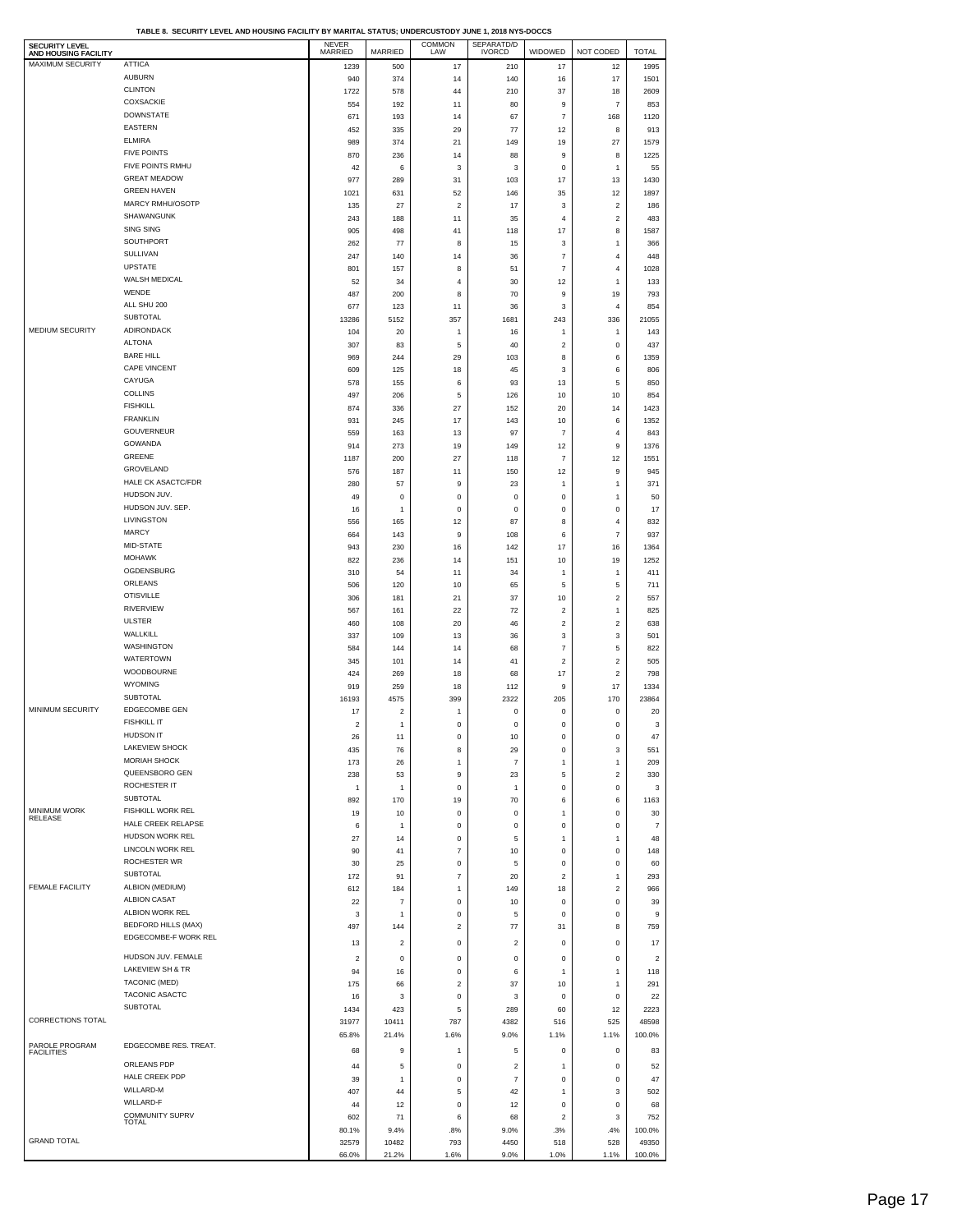| <b>SECURITY LEVEL</b><br>AND HOUSING FACILITY |                                           | NEVER<br>MARRIED | MARRIED                        | COMMON<br>LAW          | SEPARATD/D<br>IVORCD       | WIDOWED                         | NOT CODED               | <b>TOTAL</b>            |
|-----------------------------------------------|-------------------------------------------|------------------|--------------------------------|------------------------|----------------------------|---------------------------------|-------------------------|-------------------------|
| MAXIMUM SECURITY                              | <b>ATTICA</b>                             | 1239             | 500                            | 17                     | 210                        | 17                              | 12                      | 1995                    |
|                                               | <b>AUBURN</b>                             | 940              | 374                            | 14                     | 140                        | 16                              | 17                      | 1501                    |
|                                               | <b>CLINTON</b><br><b>COXSACKIE</b>        | 1722<br>554      | 578<br>192                     | 44<br>11               | 210<br>80                  | 37<br>9                         | 18<br>$\overline{7}$    | 2609<br>853             |
|                                               | <b>DOWNSTATE</b>                          | 671              | 193                            | 14                     | 67                         | $\overline{7}$                  | 168                     | 1120                    |
|                                               | <b>EASTERN</b>                            | 452              | 335                            | 29                     | 77                         | 12                              | 8                       | 913                     |
|                                               | <b>ELMIRA</b>                             | 989              | 374                            | 21                     | 149                        | 19                              | 27                      | 1579                    |
|                                               | <b>FIVE POINTS</b>                        | 870              | 236                            | 14                     | 88                         | 9                               | 8                       | 1225                    |
|                                               | FIVE POINTS RMHU                          | 42               | 6                              | 3                      | 3                          | $\mathbf 0$                     | $\mathbf{1}$            | 55                      |
|                                               | <b>GREAT MEADOW</b><br><b>GREEN HAVEN</b> | 977              | 289                            | 31                     | 103                        | 17                              | 13                      | 1430                    |
|                                               | MARCY RMHU/OSOTP                          | 1021<br>135      | 631<br>27                      | 52<br>$\sqrt{2}$       | 146<br>17                  | 35<br>$\ensuremath{\mathsf{3}}$ | 12<br>$\boldsymbol{2}$  | 1897<br>186             |
|                                               | SHAWANGUNK                                | 243              | 188                            | 11                     | 35                         | $\overline{4}$                  | $\boldsymbol{2}$        | 483                     |
|                                               | <b>SING SING</b>                          | 905              | 498                            | 41                     | 118                        | 17                              | 8                       | 1587                    |
|                                               | SOUTHPORT                                 | 262              | 77                             | 8                      | 15                         | $\mathbf 3$                     | 1                       | 366                     |
|                                               | SULLIVAN                                  | 247              | 140                            | 14                     | 36                         | $\overline{7}$                  | 4                       | 448                     |
|                                               | <b>UPSTATE</b><br>WALSH MEDICAL           | 801              | 157                            | 8                      | 51                         | $\overline{\mathfrak{z}}$       | 4                       | 1028                    |
|                                               | WENDE                                     | 52<br>487        | 34<br>200                      | $\overline{4}$<br>8    | 30<br>70                   | 12<br>9                         | 1<br>19                 | 133<br>793              |
|                                               | ALL SHU 200                               | 677              | 123                            | 11                     | 36                         | $\mathbf 3$                     | 4                       | 854                     |
|                                               | SUBTOTAL                                  | 13286            | 5152                           | 357                    | 1681                       | 243                             | 336                     | 21055                   |
| <b>MEDIUM SECURITY</b>                        | ADIRONDACK                                | 104              | 20                             | 1                      | 16                         | $\mathbf{1}$                    | 1                       | 143                     |
|                                               | <b>ALTONA</b>                             | 307              | 83                             | 5                      | 40                         | $\overline{2}$                  | 0                       | 437                     |
|                                               | <b>BARE HILL</b><br><b>CAPE VINCENT</b>   | 969              | 244                            | 29                     | 103                        | 8                               | 6                       | 1359                    |
|                                               | CAYUGA                                    | 609<br>578       | 125<br>155                     | 18<br>6                | 45<br>93                   | 3<br>13                         | 6<br>5                  | 806<br>850              |
|                                               | <b>COLLINS</b>                            | 497              | 206                            | 5                      | 126                        | 10                              | 10                      | 854                     |
|                                               | <b>FISHKILL</b>                           | 874              | 336                            | 27                     | 152                        | 20                              | 14                      | 1423                    |
|                                               | <b>FRANKLIN</b>                           | 931              | 245                            | 17                     | 143                        | 10                              | 6                       | 1352                    |
|                                               | <b>GOUVERNEUR</b>                         | 559              | 163                            | 13                     | 97                         | $\overline{7}$                  | 4                       | 843                     |
|                                               | GOWANDA<br><b>GREENE</b>                  | 914              | 273                            | 19                     | 149                        | 12                              | 9                       | 1376                    |
|                                               | GROVELAND                                 | 1187<br>576      | 200<br>187                     | 27<br>11               | 118<br>150                 | $\overline{\mathfrak{c}}$<br>12 | 12<br>9                 | 1551<br>945             |
|                                               | HALE CK ASACTC/FDR                        | 280              | 57                             | 9                      | 23                         | $\mathbf{1}$                    | 1                       | 371                     |
|                                               | HUDSON JUV.                               | 49               | $\mathsf 0$                    | $\bf{0}$               | $\mathbf 0$                | $\bf{0}$                        | 1                       | 50                      |
|                                               | HUDSON JUV. SEP.                          | 16               | 1                              | $\pmb{0}$              | $\mathbf 0$                | $\pmb{0}$                       | 0                       | 17                      |
|                                               | LIVINGSTON                                | 556              | 165                            | 12                     | 87                         | 8                               | 4                       | 832                     |
|                                               | MARCY<br>MID-STATE                        | 664              | 143                            | $\boldsymbol{9}$       | 108                        | 6                               | $\overline{7}$          | 937                     |
|                                               | <b>MOHAWK</b>                             | 943<br>822       | 230<br>236                     | 16<br>14               | 142<br>151                 | 17<br>10                        | 16<br>19                | 1364<br>1252            |
|                                               | OGDENSBURG                                | 310              | 54                             | 11                     | 34                         | $\mathbf{1}$                    | 1                       | 411                     |
|                                               | ORLEANS                                   | 506              | 120                            | 10                     | 65                         | 5                               | 5                       | 711                     |
|                                               | <b>OTISVILLE</b>                          | 306              | 181                            | 21                     | 37                         | 10                              | $\boldsymbol{2}$        | 557                     |
|                                               | <b>RIVERVIEW</b>                          | 567              | 161                            | 22                     | 72                         | $\boldsymbol{2}$                | $\mathbf{1}$            | 825                     |
|                                               | <b>ULSTER</b><br>WALLKILL                 | 460              | 108                            | 20                     | 46                         | $\boldsymbol{2}$                | $\boldsymbol{2}$        | 638                     |
|                                               | WASHINGTON                                | 337<br>584       | 109<br>144                     | 13<br>14               | 36<br>68                   | $\mathbf 3$<br>$\overline{7}$   | 3<br>5                  | 501<br>822              |
|                                               | WATERTOWN                                 | 345              | 101                            | 14                     | 41                         | $\boldsymbol{2}$                | $\boldsymbol{2}$        | 505                     |
|                                               | WOODBOURNE                                | 424              | 269                            | 18                     | 68                         | 17                              | $\overline{\mathbf{c}}$ | 798                     |
|                                               | <b>WYOMING</b>                            | 919              | 259                            | 18                     | 112                        | 9                               | 17                      | 1334                    |
|                                               | <b>SUBTOTAL</b>                           | 16193            | 4575                           | 399                    | 2322                       | 205                             | 170                     | 23864                   |
| MINIMUM SECURITY                              | EDGECOMBE GEN<br><b>FISHKILL IT</b>       | 17               | $\overline{2}$                 | -1                     | $^{\circ}$                 | $^{\circ}$                      | $\mathbf 0$             | 20                      |
|                                               | HUDSON IT                                 | $\sqrt{2}$<br>26 | $\mathbf{1}$<br>11             | 0<br>$\Omega$          | 0<br>10                    | 0<br>$\Omega$                   | 0<br>$\Omega$           | 3<br>47                 |
|                                               | <b>LAKEVIEW SHOCK</b>                     | 435              | 76                             | 8                      | 29                         | $\pmb{0}$                       | 3                       | 551                     |
|                                               | <b>MORIAH SHOCK</b>                       | 173              | 26                             | $\mathbf{1}$           | $\overline{7}$             | $\mathbf{1}$                    | $\mathbf{1}$            | 209                     |
|                                               | QUEENSBORO GEN                            | 238              | 53                             | $\boldsymbol{9}$       | 23                         | $\mathbf 5$                     | $\overline{\mathbf{c}}$ | 330                     |
|                                               | ROCHESTER IT                              | $\mathbf{1}$     | $\mathbf{1}$                   | $\pmb{0}$              | $\mathbf{1}$               | $\pmb{0}$                       | 0                       | 3                       |
| MINIMUM WORK                                  | SUBTOTAL<br>FISHKILL WORK REL             | 892              | 170                            | 19                     | 70                         | 6                               | 6                       | 1163                    |
| RELEASE                                       | HALE CREEK RELAPSE                        | 19<br>6          | 10<br>$\mathbf{1}$             | $\pmb{0}$<br>$\bf{0}$  | $\mathbf 0$<br>$\mathbf 0$ | $\mathbf{1}$<br>$\mathbf 0$     | 0<br>0                  | 30<br>$\overline{7}$    |
|                                               | HUDSON WORK REL                           | 27               | 14                             | $\circ$                | $\mathbf 5$                | $\mathbf{1}$                    | 1                       | 48                      |
|                                               | <b>LINCOLN WORK REL</b>                   | 90               | 41                             | $\overline{7}$         | 10                         | $\mathbf 0$                     | 0                       | 148                     |
|                                               | ROCHESTER WR                              | 30               | 25                             | $\bf{0}$               | 5                          | $\mathbf 0$                     | $\bf{0}$                | 60                      |
| <b>FEMALE FACILITY</b>                        | <b>SUBTOTAL</b>                           | 172              | 91                             | $\overline{7}$         | 20                         | $\boldsymbol{2}$                | 1                       | 293                     |
|                                               | ALBION (MEDIUM)<br><b>ALBION CASAT</b>    | 612              | 184                            | $\overline{1}$         | 149                        | 18                              | $\overline{\mathbf{c}}$ | 966                     |
|                                               | ALBION WORK REL                           | 22<br>3          | $\overline{7}$<br>$\mathbf{1}$ | $\pmb{0}$<br>$\pmb{0}$ | 10<br>5                    | $\mathbf 0$<br>$\mathsf 0$      | 0<br>$\bf{0}$           | 39<br>9                 |
|                                               | <b>BEDFORD HILLS (MAX)</b>                | 497              | 144                            | $\overline{2}$         | 77                         | 31                              | 8                       | 759                     |
|                                               | EDGECOMBE-F WORK REL                      | 13               | $\overline{2}$                 | $\bf{0}$               | $\overline{2}$             | $\mathbf 0$                     | $\bf{0}$                | 17                      |
|                                               | HUDSON JUV. FEMALE                        | $\overline{2}$   | $\mathsf 0$                    | $\bf{0}$               | $\mathbf 0$                | $\bf{0}$                        | 0                       | $\overline{\mathbf{c}}$ |
|                                               | LAKEVIEW SH & TR                          | 94               | 16                             | $\pmb{0}$              | 6                          | $\mathbf{1}$                    | 1                       | 118                     |
|                                               | TACONIC (MED)                             | 175              | 66                             | $\boldsymbol{2}$       | 37                         | 10                              | $\mathbf{1}$            | 291                     |
|                                               | TACONIC ASACTC                            | 16               | 3                              | $\bf{0}$               | 3                          | $\mathbf 0$                     | 0                       | 22                      |
|                                               | <b>SUBTOTAL</b>                           | 1434             | 423                            | 5                      | 289                        | 60                              | 12                      | 2223                    |
| CORRECTIONS TOTAL                             |                                           | 31977            | 10411                          | 787                    | 4382                       | 516                             | 525                     | 48598                   |
| PAROLE PROGRAM                                | EDGECOMBE RES. TREAT.                     | 65.8%            | 21.4%                          | 1.6%                   | 9.0%                       | 1.1%                            | 1.1%                    | 100.0%                  |
| <b>FACILITIES</b>                             |                                           | 68               | 9                              | 1                      | 5                          | 0                               | 0                       | 83                      |
|                                               | ORLEANS PDP<br>HALE CREEK PDP             | 44               | 5                              | $\bf{0}$               | $\sqrt{2}$                 | $\mathbf{1}$                    | $\mathbf 0$             | 52                      |
|                                               | WILLARD-M                                 | 39<br>407        | $\mathbf{1}$<br>44             | $\bf{0}$<br>5          | $\overline{7}$<br>42       | 0<br>$\mathbf{1}$               | 0<br>3                  | 47<br>502               |
|                                               | WILLARD-F                                 | 44               | 12                             | 0                      | 12                         | 0                               | 0                       | 68                      |
|                                               | COMMUNITY SUPRV<br>TOTAL                  | 602              | 71                             | 6                      | 68                         | $\overline{2}$                  | 3                       | 752                     |
|                                               |                                           | 80.1%            | 9.4%                           | .8%                    | 9.0%                       | .3%                             | .4%                     | 100.0%                  |
| <b>GRAND TOTAL</b>                            |                                           | 32579            | 10482                          | 793                    | 4450                       | 518                             | 528                     | 49350                   |
|                                               |                                           | 66.0%            | 21.2%                          | 1.6%                   | 9.0%                       | 1.0%                            | 1.1%                    | 100.0%                  |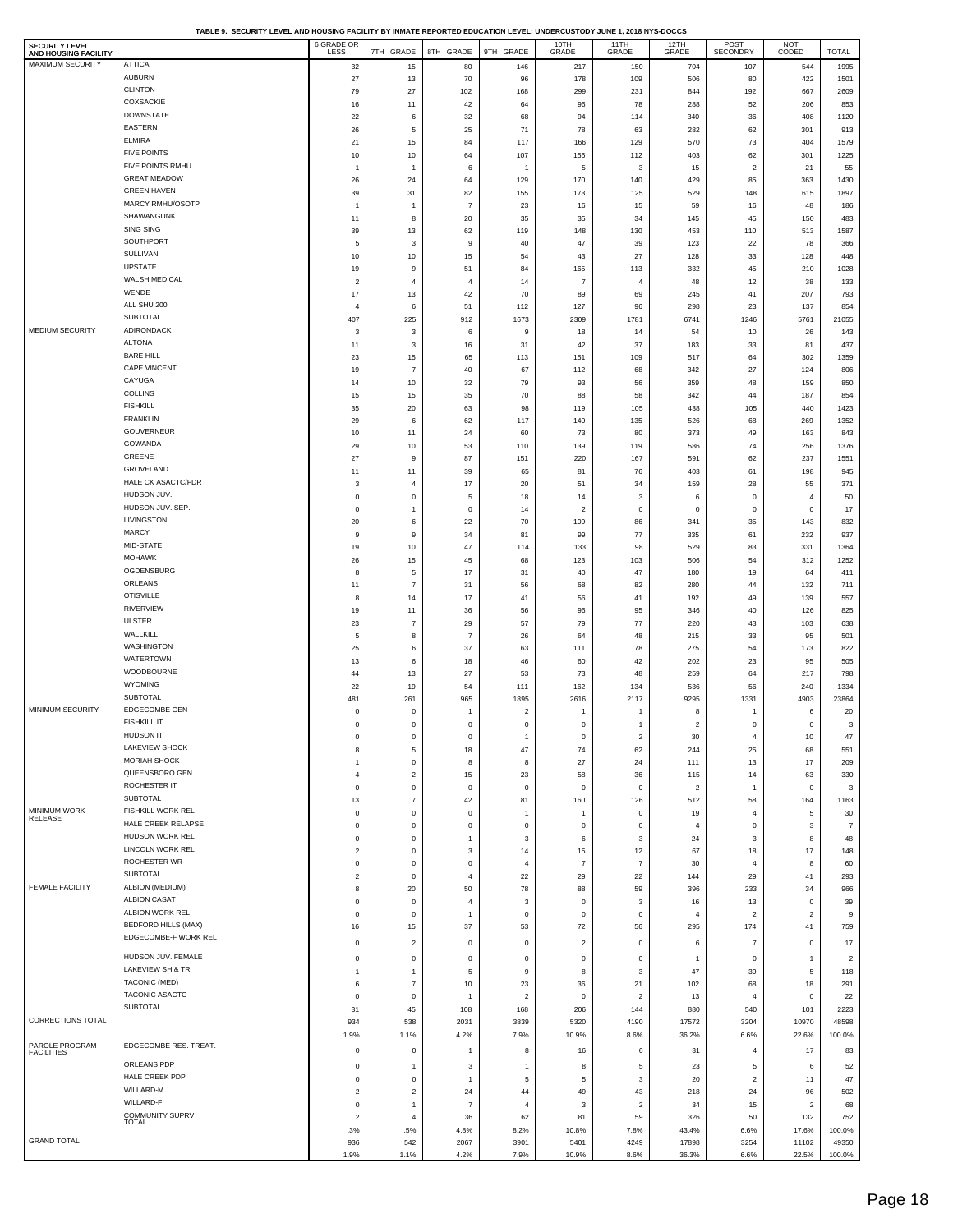**TABLE 9. SECURITY LEVEL AND HOUSING FACILITY BY INMATE REPORTED EDUCATION LEVEL; UNDERCUSTODY JUNE 1, 2018 NYS-DOCCS**

| <b>SECURITY LEVEL</b><br>AND HOUSING FACILITY |                                               | 6 GRADE OR                  | 7TH GRADE                     | 8TH GRADE                 | 9TH GRADE                       | 10TH<br>GRADE     | 11TH<br>GRADE                            | 12TH<br>GRADE           | POST<br>SECONDRY             | NOT<br>CODED            | <b>TOTAL</b>          |
|-----------------------------------------------|-----------------------------------------------|-----------------------------|-------------------------------|---------------------------|---------------------------------|-------------------|------------------------------------------|-------------------------|------------------------------|-------------------------|-----------------------|
| MAXIMUM SECURITY                              | <b>ATTICA</b>                                 | 32                          | 15                            | 80                        | 146                             | 217               | 150                                      | 704                     | 107                          | 544                     | 1995                  |
|                                               | <b>AUBURN</b>                                 | 27                          | 13                            | 70                        | 96                              | 178               | 109                                      | 506                     | 80                           | 422                     | 1501                  |
|                                               | <b>CLINTON</b><br>COXSACKIE                   | 79<br>16                    | 27<br>11                      | 102<br>42                 | 168<br>64                       | 299<br>96         | 231<br>78                                | 844<br>288              | 192<br>52                    | 667<br>206              | 2609<br>853           |
|                                               | <b>DOWNSTATE</b>                              | $22\,$                      | 6                             | 32                        | 68                              | 94                | 114                                      | 340                     | 36                           | 408                     | 1120                  |
|                                               | <b>EASTERN</b>                                | 26                          | 5                             | 25                        | 71                              | 78                | 63                                       | 282                     | 62                           | 301                     | 913                   |
|                                               | <b>ELMIRA</b>                                 | 21                          | 15                            | 84                        | 117                             | 166               | 129                                      | 570                     | 73                           | 404                     | 1579                  |
|                                               | <b>FIVE POINTS</b><br>FIVE POINTS RMHU        | 10                          | 10                            | 64                        | 107                             | 156               | 112                                      | 403                     | 62                           | 301                     | 1225                  |
|                                               | <b>GREAT MEADOW</b>                           | $\mathbf{1}$<br>26          | $\overline{1}$<br>24          | 6<br>64                   | $\overline{1}$<br>129           | 5<br>170          | 3<br>140                                 | 15<br>429               | $\overline{2}$<br>85         | 21<br>363               | 55<br>1430            |
|                                               | <b>GREEN HAVEN</b>                            | 39                          | 31                            | 82                        | 155                             | 173               | 125                                      | 529                     | 148                          | 615                     | 1897                  |
|                                               | MARCY RMHU/OSOTP                              | $\mathbf{1}$                | $\overline{1}$                | $\overline{7}$            | 23                              | 16                | 15                                       | 59                      | 16                           | 48                      | 186                   |
|                                               | SHAWANGUNK                                    | 11                          | 8                             | 20                        | 35                              | 35                | 34                                       | 145                     | 45                           | 150                     | 483                   |
|                                               | SING SING<br>SOUTHPORT                        | 39                          | 13                            | 62                        | 119                             | 148               | 130                                      | 453                     | 110                          | 513                     | 1587                  |
|                                               | SULLIVAN                                      | $\mathbf 5$<br>10           | 3<br>10                       | 9<br>15                   | 40<br>54                        | 47<br>43          | 39<br>27                                 | 123<br>128              | 22<br>33                     | 78<br>128               | 366<br>448            |
|                                               | <b>UPSTATE</b>                                | 19                          | 9                             | 51                        | 84                              | 165               | 113                                      | 332                     | 45                           | 210                     | 1028                  |
|                                               | WALSH MEDICAL                                 | $\overline{\mathbf{c}}$     | $\overline{4}$                | $\overline{4}$            | 14                              | $\overline{7}$    | $\overline{4}$                           | 48                      | 12                           | 38                      | 133                   |
|                                               | WENDE                                         | 17                          | 13                            | 42                        | 70                              | 89                | 69                                       | 245                     | 41                           | 207                     | 793                   |
|                                               | ALL SHU 200<br><b>SUBTOTAL</b>                | $\overline{4}$              | 6                             | 51                        | 112                             | 127               | 96                                       | 298                     | 23                           | 137                     | 854                   |
| MEDIUM SECURITY                               | <b>ADIRONDACK</b>                             | 407                         | 225                           | 912                       | 1673                            | 2309              | 1781                                     | 6741                    | 1246                         | 5761                    | 21055<br>143          |
|                                               | <b>ALTONA</b>                                 | 3<br>11                     | 3<br>3                        | 6<br>16                   | 9<br>31                         | 18<br>42          | 14<br>37                                 | 54<br>183               | 10<br>33                     | 26<br>81                | 437                   |
|                                               | <b>BARE HILL</b>                              | 23                          | 15                            | 65                        | 113                             | 151               | 109                                      | 517                     | 64                           | 302                     | 1359                  |
|                                               | <b>CAPE VINCENT</b>                           | 19                          | $\overline{7}$                | 40                        | 67                              | 112               | 68                                       | 342                     | 27                           | 124                     | 806                   |
|                                               | CAYUGA                                        | 14                          | 10                            | 32                        | 79                              | 93                | 56                                       | 359                     | 48                           | 159                     | 850                   |
|                                               | <b>COLLINS</b><br><b>FISHKILL</b>             | 15<br>35                    | 15<br>20                      | 35<br>63                  | 70<br>98                        | 88<br>119         | 58<br>105                                | 342<br>438              | 44<br>105                    | 187<br>440              | 854<br>1423           |
|                                               | <b>FRANKLIN</b>                               | 29                          | 6                             | 62                        | 117                             | 140               | 135                                      | 526                     | 68                           | 269                     | 1352                  |
|                                               | GOUVERNEUR                                    | 10                          | 11                            | 24                        | 60                              | 73                | 80                                       | 373                     | 49                           | 163                     | 843                   |
|                                               | GOWANDA                                       | 29                          | 10                            | 53                        | 110                             | 139               | 119                                      | 586                     | $\bf 74$                     | 256                     | 1376                  |
|                                               | <b>GREENE</b><br>GROVELAND                    | 27                          | 9                             | 87                        | 151                             | 220               | 167                                      | 591                     | 62                           | 237                     | 1551                  |
|                                               | <b>HALE CK ASACTC/FDR</b>                     | 11<br>$\mathbf{3}$          | 11<br>$\overline{4}$          | 39<br>17                  | 65<br>20                        | 81<br>51          | 76<br>34                                 | 403<br>159              | 61<br>28                     | 198<br>55               | 945<br>371            |
|                                               | HUDSON JUV.                                   | $\mathbf 0$                 | $\mathbf 0$                   | 5                         | 18                              | 14                | 3                                        | 6                       | $\mathsf 0$                  | $\overline{4}$          | 50                    |
|                                               | HUDSON JUV. SEP.                              | $\mathsf 0$                 | $\mathbf{1}$                  | $\pmb{0}$                 | 14                              | $\overline{c}$    | $\mathbf 0$                              | $\,0\,$                 | $\mathsf 0$                  | 0                       | 17                    |
|                                               | LIVINGSTON                                    | 20                          | 6                             | 22                        | 70                              | 109               | 86                                       | 341                     | 35                           | 143                     | 832                   |
|                                               | <b>MARCY</b><br>MID-STATE                     | 9                           | 9                             | 34                        | 81                              | 99                | 77                                       | 335                     | 61                           | 232                     | 937                   |
|                                               | <b>MOHAWK</b>                                 | 19<br>26                    | 10<br>15                      | 47<br>45                  | 114<br>68                       | 133<br>123        | 98<br>103                                | 529<br>506              | 83<br>54                     | 331<br>312              | 1364<br>1252          |
|                                               | OGDENSBURG                                    | 8                           | 5                             | 17                        | 31                              | 40                | 47                                       | 180                     | 19                           | 64                      | 411                   |
|                                               | ORLEANS                                       | 11                          | $\overline{7}$                | 31                        | 56                              | 68                | 82                                       | 280                     | 44                           | 132                     | 711                   |
|                                               | <b>OTISVILLE</b>                              | 8                           | 14                            | 17                        | 41                              | 56                | 41                                       | 192                     | 49                           | 139                     | 557                   |
|                                               | <b>RIVERVIEW</b>                              | 19                          | 11                            | 36                        | 56                              | 96                | 95                                       | 346                     | 40                           | 126                     | 825                   |
|                                               | <b>ULSTER</b><br>WALLKILL                     | 23                          | $\overline{7}$<br>8           | 29<br>$\overline{7}$      | 57                              | 79                | 77                                       | 220                     | 43                           | 103                     | 638                   |
|                                               | WASHINGTON                                    | $\mathbf 5$<br>25           | 6                             | 37                        | 26<br>63                        | 64<br>111         | 48<br>78                                 | 215<br>275              | 33<br>54                     | 95<br>173               | 501<br>822            |
|                                               | <b>WATERTOWN</b>                              | 13                          | 6                             | 18                        | 46                              | 60                | 42                                       | 202                     | 23                           | 95                      | 505                   |
|                                               | WOODBOURNE                                    | 44                          | 13                            | 27                        | 53                              | 73                | 48                                       | 259                     | 64                           | 217                     | 798                   |
|                                               | <b>WYOMING</b><br><b>SUBTOTAL</b>             | 22                          | 19                            | 54                        | 111                             | 162               | 134                                      | 536                     | 56                           | 240                     | 1334                  |
| MINIMUM SECURITY                              | <b>EDGECOMBE GEN</b>                          | 481<br>$\mathbf 0$          | 261<br>$\mathbf 0$            | 965<br>1                  | 1895<br>$\overline{\mathbf{c}}$ | 2616<br>-1        | 2117<br>-1                               | 9295<br>8               | 1331                         | 4903<br>6               | 23864<br>20           |
|                                               | <b>FISHKILL IT</b>                            | $\mathsf 0$                 | $\mathsf 0$                   | 0                         | $\bf{0}$                        | 0                 | $\mathbf{1}$                             | $\sqrt{2}$              | $\mathsf 0$                  | $\mathbf 0$             | 3                     |
|                                               | <b>HUDSON IT</b>                              | υ                           | υ                             | U                         |                                 | o                 | 2                                        | 30                      |                              | 10                      | 47                    |
|                                               | LAKEVIEW SHOCK                                | 8                           | 5                             | 18                        | 47                              | 74                | 62                                       | 244                     | 25                           | 68                      | 551                   |
|                                               | <b>MORIAH SHOCK</b><br>QUEENSBORO GEN         | $\mathbf{1}$                | $\,0\,$                       | $\bf8$                    | $\bf8$                          | 27                | 24                                       | 111                     | 13                           | 17                      | 209                   |
|                                               | ROCHESTER IT                                  | $\sqrt{4}$<br>$\mathsf 0$   | $\overline{c}$<br>$\mathbf 0$ | 15<br>$\pmb{0}$           | 23<br>$\mathbf 0$               | 58<br>0           | 36<br>$\mathbf 0$                        | 115<br>$\boldsymbol{2}$ | 14<br>$\overline{1}$         | 63<br>$\mathbf 0$       | 330<br>3              |
|                                               | SUBTOTAL                                      | 13                          | $\overline{7}$                | 42                        | 81                              | 160               | 126                                      | 512                     | 58                           | 164                     | 1163                  |
| MINIMUM WORK<br>RELEASE                       | FISHKILL WORK REL                             | $\mathbf 0$                 | $\mathbf 0$                   | $\pmb{0}$                 | $\overline{1}$                  | $\mathbf{1}$      | $\mathbf 0$                              | 19                      | $\overline{4}$               | 5                       | 30                    |
|                                               | HALE CREEK RELAPSE                            | $\mathbf 0$                 | $\mathbf 0$                   | $\mathbf 0$               | $\mathbf 0$                     | 0                 | $\mathsf 0$                              | $\overline{4}$          | $\mathsf 0$                  | 3                       | $\overline{7}$        |
|                                               | HUDSON WORK REL<br><b>LINCOLN WORK REL</b>    | $\mathsf 0$<br>$\sqrt{2}$   | $\mathbf 0$<br>$\mathbf 0$    | $\mathbf{1}$<br>3         | $\mathbf{3}$<br>14              | 6<br>15           | $\ensuremath{\mathsf{3}}$<br>12          | 24<br>67                | 3<br>18                      | 8<br>17                 | 48<br>148             |
|                                               | ROCHESTER WR                                  | $\mathbf 0$                 | $\mathbf 0$                   | $\mathbf 0$               | $\overline{4}$                  | $\overline{7}$    | $\overline{7}$                           | 30                      | $\overline{4}$               | 8                       | 60                    |
|                                               | SUBTOTAL                                      | $\sqrt{2}$                  | $\mathbf 0$                   | $\sqrt{4}$                | $22\,$                          | 29                | $22\,$                                   | 144                     | 29                           | 41                      | 293                   |
| <b>FEMALE FACILITY</b>                        | ALBION (MEDIUM)                               | $\bf8$                      | 20                            | 50                        | 78                              | 88                | 59                                       | 396                     | 233                          | 34                      | 966                   |
|                                               | <b>ALBION CASAT</b>                           | $\mathbf 0$                 | $\,0\,$                       | $\overline{4}$            | $\mathbf{3}$                    | 0                 | $\mathbf 3$                              | 16                      | 13                           | $\mathbf 0$             | 39                    |
|                                               | ALBION WORK REL<br><b>BEDFORD HILLS (MAX)</b> | $\mathbf 0$                 | $\mathbf 0$                   | $\mathbf{1}$<br>37        | $\mathbf 0$                     | $\mathsf 0$<br>72 | $\mathsf 0$                              | $\overline{4}$          | $\overline{2}$               | $\overline{2}$          | 9                     |
|                                               | EDGECOMBE-F WORK REL                          | 16                          | 15                            |                           | 53                              |                   | 56                                       | 295                     | 174                          | 41                      | 759                   |
|                                               | HUDSON JUV. FEMALE                            | $\mathbf 0$                 | $\overline{2}$                | $\pmb{0}$                 | $\pmb{0}$                       | $\boldsymbol{2}$  | $\pmb{0}$                                | 6                       | $\overline{7}$               | $\,0\,$                 | $17\,$                |
|                                               | LAKEVIEW SH & TR                              | $\mathbf 0$<br>$\mathbf{1}$ | $\mathsf 0$<br>$\overline{1}$ | $\mathbf 0$<br>$\sqrt{5}$ | $\mathbf 0$<br>$\boldsymbol{9}$ | $\mathsf 0$<br>8  | $\mathbf 0$<br>$\ensuremath{\mathsf{3}}$ | $\overline{1}$<br>47    | $\mathsf 0$<br>39            | $\overline{1}$<br>5     | $\overline{2}$<br>118 |
|                                               | <b>TACONIC (MED)</b>                          | 6                           | $\overline{7}$                | 10                        | 23                              | 36                | 21                                       | 102                     | 68                           | 18                      | 291                   |
|                                               | TACONIC ASACTC                                | $\mathbf 0$                 | $\,0\,$                       | $\mathbf{1}$              | $\sqrt{2}$                      | $\mathsf 0$       | $\sqrt{2}$                               | 13                      | $\overline{4}$               | $\pmb{0}$               | 22                    |
|                                               | SUBTOTAL                                      | 31                          | 45                            | 108                       | 168                             | 206               | 144                                      | 880                     | 540                          | 101                     | 2223                  |
| CORRECTIONS TOTAL                             |                                               | 934                         | 538                           | 2031                      | 3839                            | 5320              | 4190                                     | 17572                   | 3204                         | 10970                   | 48598                 |
| PAROLE PROGRAM                                | EDGECOMBE RES. TREAT.                         | 1.9%                        | 1.1%                          | 4.2%                      | 7.9%                            | 10.9%             | 8.6%                                     | 36.2%                   | 6.6%                         | 22.6%                   | 100.0%                |
| <b>FACILITIES</b>                             | ORLEANS PDP                                   | $\,0\,$                     | $\mathsf 0$                   | 1                         | 8                               | 16                | 6                                        | 31                      | $\overline{4}$               | 17                      | 83                    |
|                                               | HALE CREEK PDP                                | $\bf{0}$<br>$\mathbf 0$     | $\overline{1}$<br>$\mathsf 0$ | 3<br>$\mathbf{1}$         | $\overline{1}$<br>5             | 8<br>5            | 5<br>$\mathbf{3}$                        | 23<br>20                | 5<br>$\overline{\mathbf{c}}$ | 6<br>11                 | 52<br>47              |
|                                               | WILLARD-M                                     | $\sqrt{2}$                  | $\overline{2}$                | 24                        | 44                              | 49                | 43                                       | 218                     | 24                           | 96                      | 502                   |
|                                               | WILLARD-F                                     | $\bf{0}$                    | $\mathbf{1}$                  | $\overline{7}$            | $\overline{4}$                  | 3                 | $\sqrt{2}$                               | 34                      | 15                           | $\overline{\mathbf{c}}$ | 68                    |
|                                               | <b>COMMUNITY SUPRV</b><br><b>TOTAL</b>        | $\overline{2}$              | $\overline{4}$                | 36                        | 62                              | 81                | 59                                       | 326                     | 50                           | 132                     | 752                   |
| <b>GRAND TOTAL</b>                            |                                               | .3%                         | .5%                           | 4.8%                      | 8.2%                            | 10.8%             | 7.8%                                     | 43.4%                   | 6.6%                         | 17.6%                   | 100.0%                |
|                                               |                                               | 936<br>1.9%                 | 542<br>1.1%                   | 2067<br>4.2%              | 3901<br>7.9%                    | 5401<br>10.9%     | 4249<br>8.6%                             | 17898<br>36.3%          | 3254<br>6.6%                 | 11102<br>22.5%          | 49350<br>100.0%       |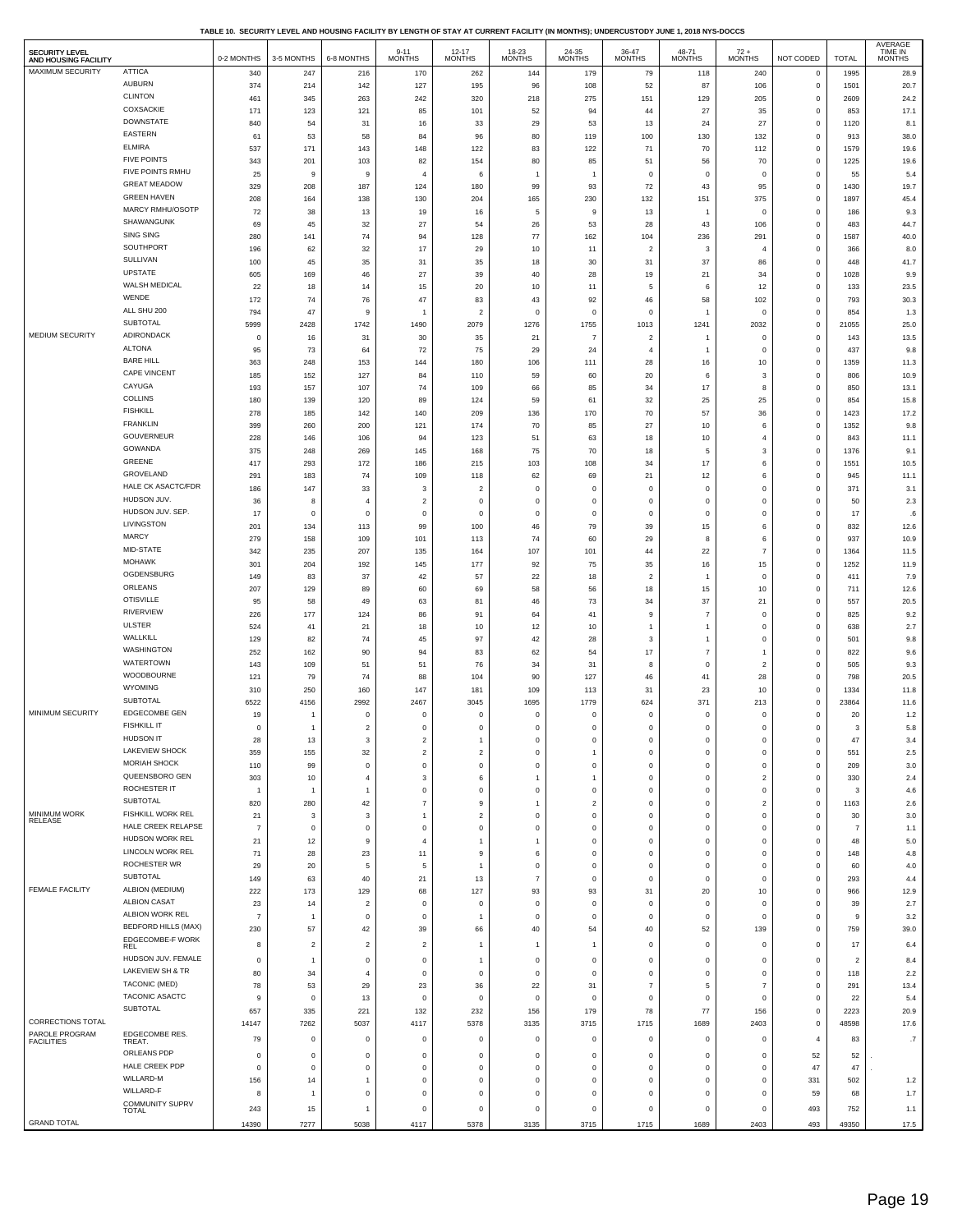**TABLE 10. SECURITY LEVEL AND HOUSING FACILITY BY LENGTH OF STAY AT CURRENT FACILITY (IN MONTHS); UNDERCUSTODY JUNE 1, 2018 NYS-DOCCS**

| <b>SECURITY LEVEL</b><br>AND HOUSING FACILITY |                                                | 0-2 MONTHS           | 3-5 MONTHS     | 6-8 MONTHS                   | $9 - 11$<br><b>MONTHS</b>     | $12 - 17$<br><b>MONTHS</b>    | 18-23<br>MONTHS           | 24-35<br><b>MONTHS</b>     | 36-47<br><b>MONTHS</b>     | 48-71<br><b>MONTHS</b>     | $72 +$ MONTHS              | NOT CODED                  | <b>TOTAL</b>            | AVERAGE<br><b>TIME IN</b><br><b>MONTHS</b> |
|-----------------------------------------------|------------------------------------------------|----------------------|----------------|------------------------------|-------------------------------|-------------------------------|---------------------------|----------------------------|----------------------------|----------------------------|----------------------------|----------------------------|-------------------------|--------------------------------------------|
| MAXIMUM SECURITY                              | <b>ATTICA</b>                                  | 340                  | 247            | 216                          | 170                           | 262                           | 144                       | 179                        | 79                         | 118                        | 240                        | $\,0\,$                    | 1995                    | 28.9                                       |
|                                               | <b>AUBURN</b>                                  | 374                  | 214            | 142                          | 127                           | 195                           | 96                        | 108                        | 52                         | 87                         | 106                        | $\bf{0}$                   | 1501                    | 20.7                                       |
|                                               | <b>CLINTON</b>                                 | 461                  | 345            | 263                          | 242                           | 320                           | 218                       | 275                        | 151                        | 129                        | 205                        | $\mathbf 0$                | 2609                    | 24.2                                       |
|                                               | COXSACKIE<br><b>DOWNSTATE</b>                  | 171                  | 123            | 121                          | 85                            | 101                           | 52                        | 94                         | 44                         | 27                         | 35                         | $\mathbf 0$                | 853                     | 17.1                                       |
|                                               | <b>EASTERN</b>                                 | 840                  | 54             | 31                           | 16                            | 33                            | 29                        | 53                         | 13                         | 24                         | 27                         | $\mathbf 0$                | 1120                    | 8.1                                        |
|                                               | <b>ELMIRA</b>                                  | 61<br>537            | 53<br>171      | 58<br>143                    | 84<br>148                     | 96<br>122                     | 80<br>83                  | 119<br>122                 | 100<br>71                  | 130<br>70                  | 132<br>112                 | $\mathbf 0$<br>$\mathbf 0$ | 913<br>1579             | 38.0<br>19.6                               |
|                                               | <b>FIVE POINTS</b>                             | 343                  | 201            | 103                          | 82                            | 154                           | 80                        | 85                         | 51                         | 56                         | 70                         | $\mathbf 0$                | 1225                    | 19.6                                       |
|                                               | FIVE POINTS RMHU                               | 25                   | 9              | 9                            | $\overline{4}$                | 6                             | $\overline{1}$            | $\overline{1}$             | $\mathbf 0$                | $\,$ 0                     | $^{\circ}$                 | $\mathbf 0$                | 55                      | 5.4                                        |
|                                               | <b>GREAT MEADOW</b>                            | 329                  | 208            | 187                          | 124                           | 180                           | 99                        | 93                         | 72                         | 43                         | 95                         | $\mathbf 0$                | 1430                    | 19.7                                       |
|                                               | <b>GREEN HAVEN</b>                             | 208                  | 164            | 138                          | 130                           | 204                           | 165                       | 230                        | 132                        | 151                        | 375                        | $\,$ 0                     | 1897                    | 45.4                                       |
|                                               | MARCY RMHU/OSOTP                               | 72                   | 38             | 13                           | 19                            | 16                            | 5                         | 9                          | 13                         | $\overline{1}$             | $\overline{0}$             | $\mathbf 0$                | 186                     | 9.3                                        |
|                                               | SHAWANGUNK                                     | 69                   | 45             | 32                           | 27                            | 54                            | 26                        | 53                         | 28                         | 43                         | 106                        | $\mathbf 0$                | 483                     | 44.7                                       |
|                                               | <b>SING SING</b>                               | 280                  | 141            | 74                           | 94                            | 128                           | $77$                      | 162                        | 104                        | 236                        | 291                        | $\mathbf 0$                | 1587                    | 40.0                                       |
|                                               | SOUTHPORT<br>SULLIVAN                          | 196                  | 62             | 32                           | 17                            | 29                            | 10                        | 11                         | $\overline{2}$             | 3                          | $\overline{4}$             | $\mathbf 0$                | 366                     | 8.0                                        |
|                                               | <b>UPSTATE</b>                                 | 100                  | 45             | 35                           | 31                            | 35                            | 18                        | 30                         | 31                         | 37                         | 86                         | $\mathbf 0$                | 448                     | 41.7                                       |
|                                               | WALSH MEDICAL                                  | 605<br>${\bf 22}$    | 169<br>18      | 46<br>14                     | $27\,$<br>15                  | 39<br>$20\,$                  | 40<br>10                  | 28<br>11                   | 19<br>5                    | 21<br>6                    | 34<br>12                   | $\bf{0}$<br>$\mathbf 0$    | 1028<br>133             | 9.9<br>23.5                                |
|                                               | WENDE                                          | 172                  | 74             | 76                           | 47                            | 83                            | 43                        | 92                         | 46                         | 58                         | 102                        | $\mathbf 0$                | 793                     | 30.3                                       |
|                                               | ALL SHU 200                                    | 794                  | 47             | 9                            |                               | $\overline{\mathbf{c}}$       | $\mathbf 0$               | $\mathbf 0$                | $\mathbf 0$                | 1                          | $\overline{0}$             | $\mathbf 0$                | 854                     | 1.3                                        |
|                                               | SUBTOTAL                                       | 5999                 | 2428           | 1742                         | 1490                          | 2079                          | 1276                      | 1755                       | 1013                       | 1241                       | 2032                       | $\,$ 0                     | 21055                   | 25.0                                       |
| MEDIUM SECURITY                               | <b>ADIRONDACK</b>                              | $^{\circ}$           | 16             | 31                           | 30                            | 35                            | 21                        | 7                          | $\overline{a}$             | 1                          | $\mathbf 0$                | $\mathbf 0$                | 143                     | 13.5                                       |
|                                               | <b>ALTONA</b>                                  | 95                   | 73             | 64                           | 72                            | 75                            | 29                        | 24                         | $\overline{4}$             | 1                          | $\overline{0}$             | $\mathbf 0$                | 437                     | 9.8                                        |
|                                               | <b>BARE HILL</b>                               | 363                  | 248            | 153                          | 144                           | 180                           | 106                       | 111                        | 28                         | 16                         | 10                         | $\,$ 0                     | 1359                    | 11.3                                       |
|                                               | CAPE VINCENT                                   | 185                  | 152            | 127                          | 84                            | 110                           | 59                        | 60                         | 20                         | 6                          | 3                          | $\mathbf 0$                | 806                     | 10.9                                       |
|                                               | CAYUGA<br><b>COLLINS</b>                       | 193                  | 157            | 107                          | 74                            | 109                           | 66                        | 85                         | 34                         | 17                         | 8                          | $\mathbf 0$                | 850                     | 13.1                                       |
|                                               | <b>FISHKILL</b>                                | 180<br>278           | 139<br>185     | 120<br>142                   | 89<br>140                     | 124<br>209                    | 59<br>136                 | 61<br>170                  | 32<br>70                   | 25<br>57                   | 25<br>36                   | $\,$ 0<br>$\bf{0}$         | 854<br>1423             | 15.8<br>17.2                               |
|                                               | <b>FRANKLIN</b>                                | 399                  | 260            | 200                          | 121                           | 174                           | 70                        | 85                         | 27                         | 10                         | 6                          | $\mathbf 0$                | 1352                    | 9.8                                        |
|                                               | <b>GOUVERNEUR</b>                              | 228                  | 146            | 106                          | 94                            | 123                           | 51                        | 63                         | 18                         | 10                         | $\overline{4}$             | $\mathbf 0$                | 843                     | 11.1                                       |
|                                               | GOWANDA                                        | 375                  | 248            | 269                          | 145                           | 168                           | 75                        | 70                         | 18                         | 5                          | 3                          | $\mathbf 0$                | 1376                    | 9.1                                        |
|                                               | GREENE                                         | 417                  | 293            | 172                          | 186                           | 215                           | 103                       | 108                        | 34                         | 17                         | 6                          | $\mathbf 0$                | 1551                    | 10.5                                       |
|                                               | GROVELAND                                      | 291                  | 183            | 74                           | 109                           | 118                           | 62                        | 69                         | 21                         | 12                         | 6                          | $\mathbf 0$                | 945                     | 11.1                                       |
|                                               | HALE CK ASACTC/FDR                             | 186                  | 147            | 33                           | 3                             | $\overline{\mathbf{c}}$       | $\mathsf 0$               | $\mathbf 0$                | $^{\circ}$                 | $\pmb{0}$                  | $\pmb{0}$                  | $\,$ 0                     | 371                     | 3.1                                        |
|                                               | HUDSON JUV.<br>HUDSON JUV. SEP.                | 36                   | 8<br>$\circ$   | $\overline{4}$               | $\overline{2}$<br>$\mathbf 0$ | $\mathsf 0$                   | $\mathsf 0$               | $\mathbf 0$<br>$\mathbf 0$ | $\mathbf 0$<br>$\mathbf 0$ | $\mathbf 0$<br>$^{\circ}$  | $\mathbf 0$                | $\mathbf 0$<br>$\mathbf 0$ | 50                      | 2.3                                        |
|                                               | LIVINGSTON                                     | 17<br>201            | 134            | $\mathsf 0$<br>113           | 99                            | $\mathsf 0$<br>100            | $\mathsf 0$<br>46         | 79                         | 39                         | 15                         | $\mathbf 0$<br>6           | $\mathbf 0$                | 17<br>832               | .6<br>12.6                                 |
|                                               | <b>MARCY</b>                                   | 279                  | 158            | 109                          | 101                           | 113                           | 74                        | 60                         | 29                         | 8                          | 6                          | $\mathbf 0$                | 937                     | 10.9                                       |
|                                               | MID-STATE                                      | 342                  | 235            | 207                          | 135                           | 164                           | 107                       | 101                        | 44                         | 22                         | $\overline{7}$             | $\,$ 0                     | 1364                    | 11.5                                       |
|                                               | <b>MOHAWK</b>                                  | 301                  | 204            | 192                          | 145                           | 177                           | 92                        | 75                         | 35                         | 16                         | 15                         | $\mathbf 0$                | 1252                    | 11.9                                       |
|                                               | OGDENSBURG                                     | 149                  | 83             | 37                           | 42                            | 57                            | 22                        | 18                         | $\overline{2}$             | $\mathbf{1}$               | $\mathbf 0$                | $\mathbf 0$                | 411                     | 7.9                                        |
|                                               | ORLEANS                                        | 207                  | 129            | 89                           | 60                            | 69                            | 58                        | 56                         | 18                         | 15                         | 10                         | $\mathbf 0$                | 711                     | 12.6                                       |
|                                               | <b>OTISVILLE</b><br>RIVERVIEW                  | 95                   | 58             | 49                           | 63                            | 81                            | 46                        | 73                         | 34                         | 37<br>$\overline{7}$       | 21                         | $\mathbf 0$                | 557                     | 20.5                                       |
|                                               | <b>ULSTER</b>                                  | 226<br>524           | 177<br>41      | 124<br>21                    | 86<br>18                      | 91<br>10                      | 64<br>12                  | 41<br>10                   | 9<br>1                     | 1                          | $\,$ 0<br>$\,$ 0           | $\,$ 0<br>$\,$ 0           | 825<br>638              | 9.2<br>2.7                                 |
|                                               | <b>WALLKILL</b>                                | 129                  | 82             | 74                           | 45                            | 97                            | 42                        | 28                         | 3                          | 1                          | $\mathbf 0$                | $\mathbf 0$                | 501                     | 9.8                                        |
|                                               | WASHINGTON                                     | 252                  | 162            | 90                           | 94                            | 83                            | 62                        | 54                         | 17                         | $\overline{7}$             | $\overline{1}$             | $\bf{0}$                   | 822                     | 9.6                                        |
|                                               | <b>WATERTOWN</b>                               | 143                  | 109            | 51                           | 51                            | 76                            | 34                        | 31                         | 8                          | $\mathbf 0$                | $\overline{\mathbf{2}}$    | $\mathbf 0$                | 505                     | 9.3                                        |
|                                               | WOODBOURNE                                     | 121                  | 79             | 74                           | 88                            | 104                           | 90                        | 127                        | 46                         | 41                         | 28                         | $\mathbf 0$                | 798                     | 20.5                                       |
|                                               | <b>WYOMING</b><br><b>SUBTOTAL</b>              | 310                  | 250            | 160                          | 147                           | 181                           | 109                       | 113                        | 31                         | 23                         | 10                         | $\,$ 0                     | 1334                    | 11.8                                       |
| MINIMUM SECURITY                              | EDGECOMBE GEN                                  | 6522                 | 4156           | 2992                         | 2467                          | 3045                          | 1695                      | 1779                       | 624                        | 371                        | 213                        | $\mathbf 0$                | 23864                   | 11.6                                       |
|                                               | <b>FISHKILL IT</b>                             | 19<br>$\mathbf 0$    | $\overline{1}$ | 0<br>$\overline{\mathbf{c}}$ | $\mathsf 0$<br>$\mathsf 0$    | $^{\circ}$<br>$\mathsf 0$     | $^{\circ}$<br>$\mathbf 0$ | $\mathsf 0$<br>$\mathbf 0$ | 0<br>$\mathbf 0$           | $\mathbf 0$<br>$\mathbf 0$ | $\mathbf 0$<br>$\mathbf 0$ | $\mathbf 0$<br>$\mathbf 0$ | 20<br>3                 | 1.2<br>5.8                                 |
|                                               | HUDSON IT                                      | 28                   | 13             | 3                            | 2                             | -1                            | $\Omega$                  | 0                          | 0                          | $\mathbf 0$                | $\mathbf 0$                | 0                          | 47                      | 3.4                                        |
|                                               | <b>LAKEVIEW SHOCK</b>                          | 359                  | 155            | 32                           | $\overline{c}$                | $\overline{2}$                | 0                         | $\overline{1}$             | $\mathbf 0$                | $\mathbf 0$                | $\,$ 0                     | $\mathbf 0$                | 551                     | 2.5                                        |
|                                               | <b>MORIAH SHOCK</b>                            | 110                  | 99             | $\mathsf 0$                  | $\mathsf 0$                   | $\mathsf 0$                   | $\mathbf 0$               | $\mathsf 0$                | $\mathbf 0$                | $\mathsf 0$                | $\mathbf 0$                | $\mathbf 0$                | 209                     | 3.0                                        |
|                                               | QUEENSBORO GEN                                 | 303                  | 10             | $\overline{4}$               | 3                             | 6                             | -1                        | $\overline{1}$             | $\mathbf 0$                | $\mathbf 0$                | $\sqrt{2}$                 | $\mathbf 0$                | 330                     | 2.4                                        |
|                                               | ROCHESTER IT                                   | $\overline{1}$       | $\overline{1}$ | $\overline{1}$               | $\mathsf 0$                   | $\mathsf 0$                   | $\mathsf 0$               | $\mathbf 0$                | $\mathbf 0$                | $\bf{0}$                   | $\,$ 0                     | $\mathbf 0$                | 3                       | 4.6                                        |
| MINIMUM WORK                                  | SUBTOTAL<br>FISHKILL WORK REL                  | 820                  | 280            | 42                           | $\overline{7}$                | 9                             | $\overline{1}$            | $\overline{2}$             | $\mathbf 0$                | $\mathsf 0$                | $\overline{2}$             | $\mathbf 0$                | 1163                    | 2.6                                        |
| RELEASE                                       | HALE CREEK RELAPSE                             | 21<br>$\overline{7}$ | 3<br>$\circ$   | 3<br>$\mathsf 0$             | $\mathbf{1}$<br>$\mathsf 0$   | $\overline{c}$<br>$\mathsf 0$ | 0<br>$\mathsf 0$          | $\mathbf 0$<br>$\mathbf 0$ | 0<br>$\mathbf 0$           | $\mathbf 0$<br>$\mathbf 0$ | $\,$ 0<br>$\mathbf 0$      | $\mathbf 0$<br>$\mathbf 0$ | 30<br>$\overline{7}$    | 3.0<br>1.1                                 |
|                                               | HUDSON WORK REL                                | 21                   | 12             | 9                            | $\overline{4}$                | $\overline{1}$                | $\mathbf{1}$              | 0                          | $\mathbf 0$                | $\mathbf 0$                | $\mathbf 0$                | $\,$ 0                     | 48                      | 5.0                                        |
|                                               | <b>LINCOLN WORK REL</b>                        | 71                   | 28             | 23                           | 11                            | 9                             | 6                         | 0                          | $\mathbf 0$                | $\mathbf 0$                | $\mathbf 0$                | $\mathbf 0$                | 148                     | 4.8                                        |
|                                               | ROCHESTER WR                                   | 29                   | 20             | 5                            | 5                             | $\overline{1}$                | $\mathsf 0$               | $\mathbf 0$                | $\mathbf 0$                | $\mathsf 0$                | $\mathbf 0$                | $\mathbf 0$                | 60                      | 4.0                                        |
|                                               | SUBTOTAL                                       | 149                  | 63             | 40                           | 21                            | 13                            | $\scriptstyle{7}$         | 0                          | $\mathbf 0$                | $\mathbf 0$                | $\,$ 0                     | $\mathbf 0$                | 293                     | 4.4                                        |
| <b>FEMALE FACILITY</b>                        | ALBION (MEDIUM)                                | 222                  | 173            | 129                          | 68                            | 127                           | 93                        | 93                         | 31                         | 20                         | 10                         | $\mathbf 0$                | 966                     | 12.9                                       |
|                                               | <b>ALBION CASAT</b>                            | 23                   | 14             | $\overline{2}$               | $\Omega$                      | $\mathsf 0$                   | $\mathsf 0$               | $\mathbf 0$                | $\mathbf 0$                | $\,0\,$                    | $\,$ 0                     | $\,$ 0                     | 39                      | 2.7                                        |
|                                               | ALBION WORK REL                                | $\overline{7}$       | $\overline{1}$ | $\mathsf 0$                  | $\mathsf 0$                   | $\mathbf{1}$                  | $\mathsf 0$               | $\mathbf 0$                | $\mathbf 0$                | $\mathbf 0$                | $\,$ 0                     | $\mathbf 0$                | 9                       | 3.2                                        |
|                                               | <b>BEDFORD HILLS (MAX)</b><br>EDGECOMBE-F WORK | 230                  | 57             | 42                           | 39                            | 66                            | 40                        | 54                         | 40                         | 52                         | 139                        | $\mathbf 0$                | 759                     | 39.0                                       |
|                                               | REL                                            | 8                    | $\overline{2}$ | $\overline{\mathbf{c}}$      | $\overline{2}$                | $\mathbf{1}$                  | $\mathbf{1}$              | $\overline{1}$             | $\mathbf 0$                | $\mathbf 0$                | $\overline{0}$             | $\mathbf 0$                | 17                      | 6.4                                        |
|                                               | HUDSON JUV. FEMALE                             | $\mathbf 0$          | $\overline{1}$ | $\mathsf 0$                  | $\mathsf 0$                   | $\mathbf{1}$                  | $\mathbf 0$               | $\mathbf 0$                | $\mathbf 0$                | $\mathbf 0$                | $\,$ 0                     | $\mathbf 0$                | $\overline{\mathbf{c}}$ | 8.4                                        |
|                                               | LAKEVIEW SH & TR<br><b>TACONIC (MED)</b>       | 80                   | 34             | $\overline{4}$               | $\mathsf 0$                   | $\mathsf 0$                   | $\mathsf 0$               | $\mathsf 0$                | $\mathbf 0$                | $\mathsf 0$                | $\mathbf 0$                | $\mathbf 0$                | 118                     | 2.2                                        |
|                                               | TACONIC ASACTC                                 | 78                   | 53             | 29                           | 23                            | 36                            | 22                        | 31                         | $\overline{7}$             | 5                          | $\overline{7}$             | $\mathbf 0$                | 291                     | 13.4                                       |
|                                               | SUBTOTAL                                       | 9<br>657             | $\circ$<br>335 | 13<br>221                    | $\mathsf 0$<br>132            | $\mathsf 0$<br>232            | $\mathsf 0$<br>156        | $\mathbf 0$<br>179         | $\mathbf 0$<br>78          | $\mathbf 0$<br>77          | $\mathbf 0$<br>156         | $\mathbf 0$<br>$\,$ 0      | 22<br>2223              | 5.4<br>20.9                                |
| CORRECTIONS TOTAL                             |                                                | 14147                | 7262           | 5037                         | 4117                          | 5378                          | 3135                      | 3715                       | 1715                       | 1689                       | 2403                       | $\mathbf 0$                | 48598                   | 17.6                                       |
| PAROLE PROGRAM<br>FACILITIES                  | EDGECOMBE RES.                                 | 79                   | $\circ$        | 0                            | 0                             | 0                             | 0                         | 0                          | 0                          | $\mathbf 0$                | $\mathbf 0$                | $\overline{4}$             | 83                      | $.7\,$                                     |
|                                               | TREAT.<br>ORLEANS PDP                          | $^{\circ}$           | $\circ$        |                              | $^{\circ}$                    | $\mathsf 0$                   | $^{\circ}$                | $\mathbf 0$                | $\mathbf 0$                | $\mathbf 0$                | $^{\circ}$                 |                            | 52                      |                                            |
|                                               | HALE CREEK PDP                                 | $^{\circ}$           | $\mathbf 0$    | 0<br>0                       | $^{\circ}$                    | $\mathsf 0$                   | 0                         | 0                          | 0                          | $\mathbf 0$                | $\mathbf 0$                | 52<br>47                   | $47\,$                  |                                            |
|                                               | WILLARD-M                                      | 156                  | 14             | $\overline{1}$               | $\mathsf 0$                   | $\mathsf 0$                   | $\mathsf 0$               | $\mathbf 0$                | $\mathbf 0$                | $\mathsf 0$                | $\mathbf 0$                | 331                        | 502                     | 1.2                                        |
|                                               | WILLARD-F                                      | 8                    | $\overline{1}$ | $\mathsf 0$                  | $\Omega$                      | $\mathsf 0$                   | $^{\circ}$                | 0                          | $\Omega$                   | $\mathbf 0$                | $\mathbf 0$                | 59                         | 68                      | 1.7                                        |
|                                               | COMMUNITY SUPRV<br>TOTAL                       | 243                  | 15             | $\overline{1}$               | $\mathsf 0$                   | $\mathsf 0$                   | $\mathsf 0$               | 0                          | $\mathbf 0$                | $\,0\,$                    | $\mathbf 0$                | 493                        | 752                     | 1.1                                        |
| <b>GRAND TOTAL</b>                            |                                                | 14390                | 7277           | 5038                         | 4117                          | 5378                          | 3135                      | 3715                       | 1715                       | 1689                       | 2403                       | 493                        | 49350                   | 17.5                                       |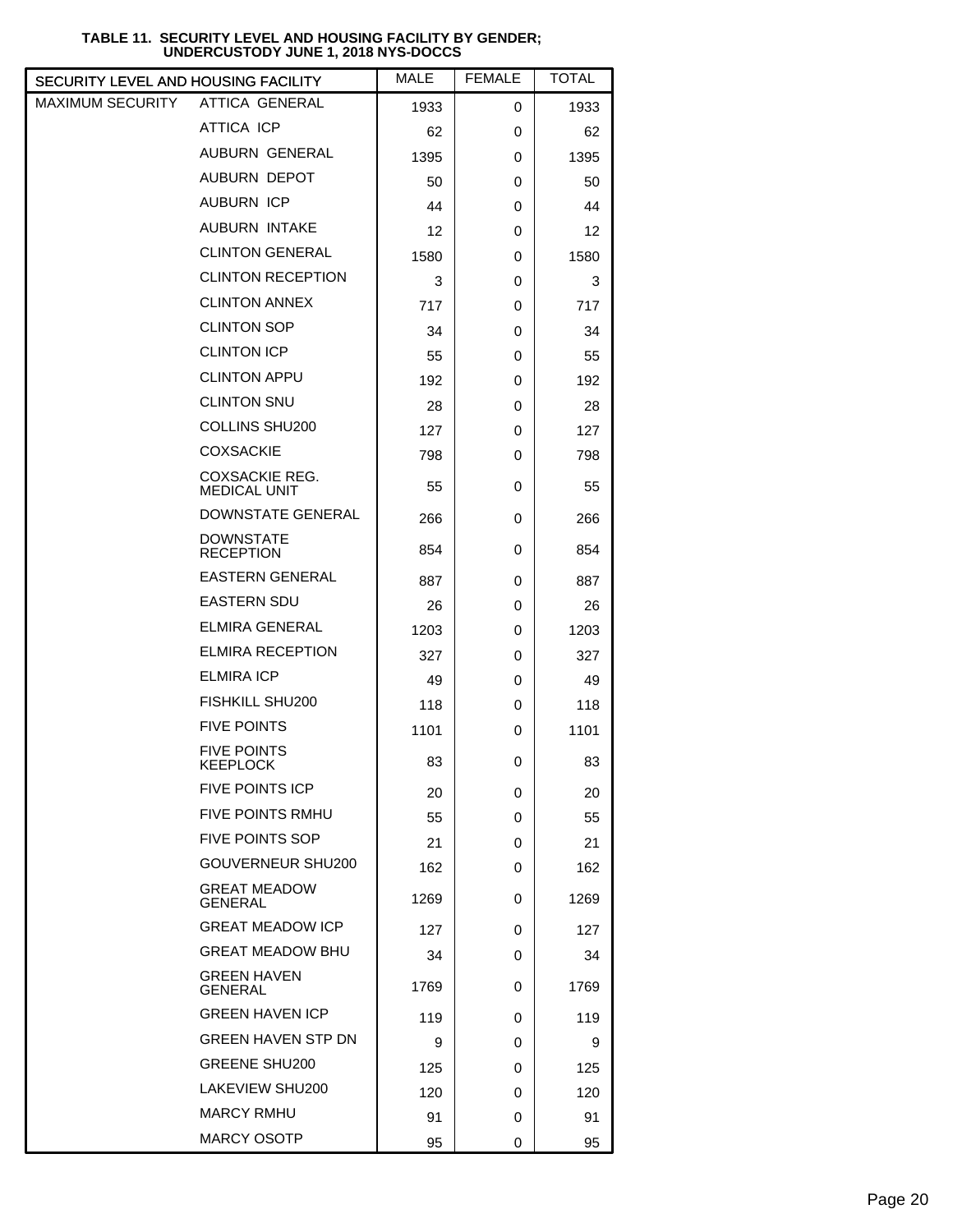| SECURITY LEVEL AND HOUSING FACILITY |                                              | MALE | <b>FEMALE</b> | <b>TOTAL</b> |
|-------------------------------------|----------------------------------------------|------|---------------|--------------|
| <b>MAXIMUM SECURITY</b>             | ATTICA GENERAL                               | 1933 | 0             | 1933         |
|                                     | <b>ATTICA ICP</b>                            | 62   | 0             | 62           |
|                                     | <b>AUBURN GENERAL</b>                        | 1395 | 0             | 1395         |
|                                     | <b>AUBURN DEPOT</b>                          | 50   | 0             | 50           |
|                                     | <b>AUBURN ICP</b>                            | 44   | 0             | 44           |
|                                     | <b>AUBURN INTAKE</b>                         | 12   | 0             | 12           |
|                                     | <b>CLINTON GENERAL</b>                       | 1580 | 0             | 1580         |
|                                     | <b>CLINTON RECEPTION</b>                     | 3    | 0             | 3            |
|                                     | <b>CLINTON ANNEX</b>                         | 717  | 0             | 717          |
|                                     | <b>CLINTON SOP</b>                           | 34   | 0             | 34           |
|                                     | <b>CLINTON ICP</b>                           | 55   | 0             | 55           |
|                                     | <b>CLINTON APPU</b>                          | 192  | 0             | 192          |
|                                     | <b>CLINTON SNU</b>                           | 28   | 0             | 28           |
|                                     | <b>COLLINS SHU200</b>                        | 127  | 0             | 127          |
|                                     | <b>COXSACKIE</b>                             | 798  | 0             | 798          |
|                                     | <b>COXSACKIE REG.</b><br><b>MEDICAL UNIT</b> | 55   | 0             | 55           |
|                                     | DOWNSTATE GENERAL                            | 266  | 0             | 266          |
|                                     | <b>DOWNSTATE</b><br><b>RECEPTION</b>         | 854  | 0             | 854          |
|                                     | <b>EASTERN GENERAL</b>                       | 887  | 0             | 887          |
|                                     | <b>EASTERN SDU</b>                           | 26   | 0             | 26           |
|                                     | <b>ELMIRA GENERAL</b>                        | 1203 | 0             | 1203         |
|                                     | <b>ELMIRA RECEPTION</b>                      | 327  | 0             | 327          |
|                                     | ELMIRA ICP                                   | 49   | 0             | 49           |
|                                     | FISHKILL SHU200                              | 118  | 0             | 118          |
|                                     | <b>FIVE POINTS</b>                           | 1101 | 0             | 1101         |
|                                     | <b>FIVE POINTS</b><br><b>KEEPLOCK</b>        | 83   | 0             | 83           |
|                                     | <b>FIVE POINTS ICP</b>                       | 20   | 0             | 20           |
|                                     | <b>FIVE POINTS RMHU</b>                      | 55   | 0             | 55           |
|                                     | <b>FIVE POINTS SOP</b>                       | 21   | 0             | 21           |
|                                     | GOUVERNEUR SHU200                            | 162  | 0             | 162          |
|                                     | <b>GREAT MEADOW</b><br><b>GENERAL</b>        | 1269 | 0             | 1269         |
|                                     | <b>GREAT MEADOW ICP</b>                      | 127  | 0             | 127          |
|                                     | <b>GREAT MEADOW BHU</b>                      | 34   | 0             | 34           |
|                                     | <b>GREEN HAVEN</b><br>GENERAL                | 1769 | 0             | 1769         |
|                                     | <b>GREEN HAVEN ICP</b>                       | 119  | 0             | 119          |
|                                     | <b>GREEN HAVEN STP DN</b>                    | 9    | 0             | 9            |
|                                     | <b>GREENE SHU200</b>                         | 125  | 0             | 125          |
|                                     | LAKEVIEW SHU200                              | 120  | 0             | 120          |
|                                     | <b>MARCY RMHU</b>                            | 91   | 0             | 91           |
|                                     | <b>MARCY OSOTP</b>                           | 95   | 0             | 95           |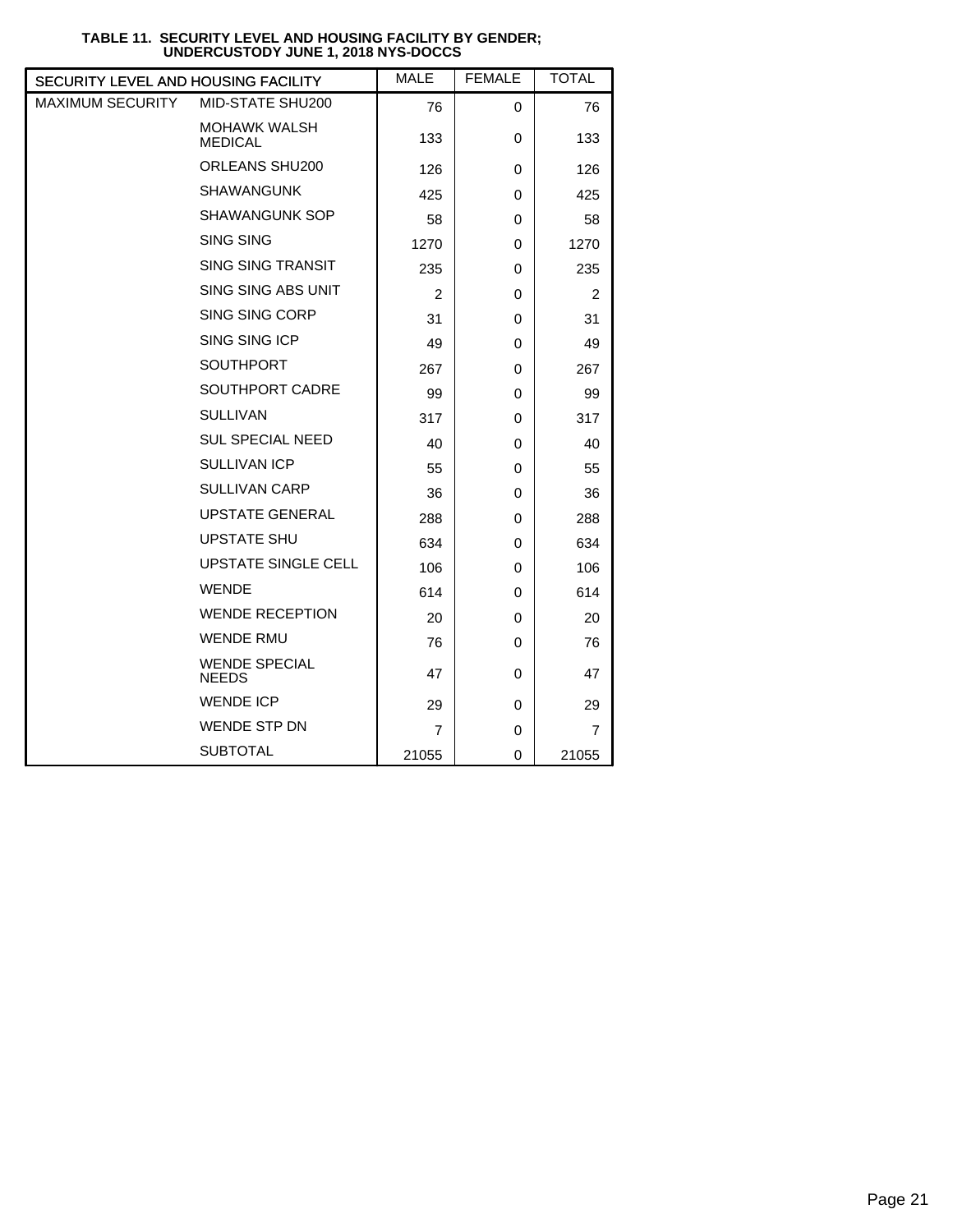| SECURITY LEVEL AND HOUSING FACILITY |                                       | <b>MALE</b>    | <b>FEMALE</b> | <b>TOTAL</b>   |
|-------------------------------------|---------------------------------------|----------------|---------------|----------------|
| <b>MAXIMUM SECURITY</b>             | MID-STATE SHU200                      | 76             | 0             | 76             |
|                                     | <b>MOHAWK WALSH</b><br><b>MEDICAL</b> | 133            | 0             | 133            |
|                                     | ORLEANS SHU200                        | 126            | 0             | 126            |
|                                     | <b>SHAWANGUNK</b>                     | 425            | 0             | 425            |
|                                     | <b>SHAWANGUNK SOP</b>                 | 58             | 0             | 58             |
|                                     | <b>SING SING</b>                      | 1270           | 0             | 1270           |
|                                     | <b>SING SING TRANSIT</b>              | 235            | 0             | 235            |
|                                     | SING SING ABS UNIT                    | $\overline{2}$ | 0             | $\overline{2}$ |
|                                     | SING SING CORP                        | 31             | 0             | 31             |
|                                     | SING SING ICP                         | 49             | 0             | 49             |
|                                     | <b>SOUTHPORT</b>                      | 267            | 0             | 267            |
|                                     | SOUTHPORT CADRE                       | 99             | 0             | 99             |
|                                     | <b>SULLIVAN</b>                       | 317            | 0             | 317            |
|                                     | <b>SUL SPECIAL NEED</b>               | 40             | 0             | 40             |
|                                     | <b>SULLIVAN ICP</b>                   | 55             | 0             | 55             |
|                                     | <b>SULLIVAN CARP</b>                  | 36             | 0             | 36             |
|                                     | <b>UPSTATE GENERAL</b>                | 288            | 0             | 288            |
|                                     | <b>UPSTATE SHU</b>                    | 634            | 0             | 634            |
|                                     | UPSTATE SINGLE CELL                   | 106            | 0             | 106            |
|                                     | <b>WENDE</b>                          | 614            | 0             | 614            |
|                                     | <b>WENDE RECEPTION</b>                | 20             | 0             | 20             |
|                                     | <b>WENDE RMU</b>                      | 76             | 0             | 76             |
|                                     | <b>WENDE SPECIAL</b><br><b>NEEDS</b>  | 47             | 0             | 47             |
|                                     | <b>WENDE ICP</b>                      | 29             | 0             | 29             |
|                                     | <b>WENDE STP DN</b>                   | $\overline{7}$ | 0             | $\overline{7}$ |
|                                     | <b>SUBTOTAL</b>                       | 21055          | 0             | 21055          |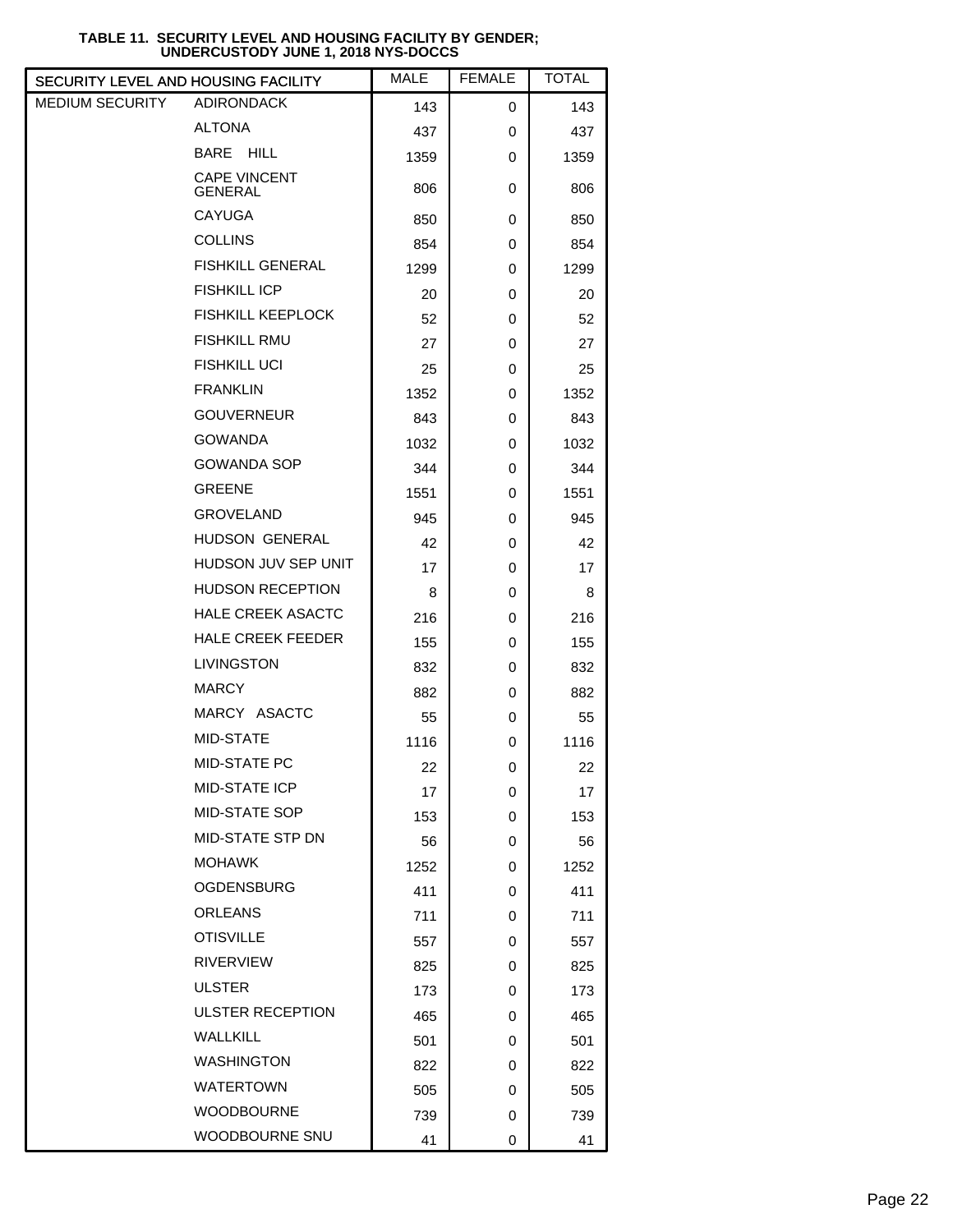| SECURITY LEVEL AND HOUSING FACILITY |                                       | <b>MALE</b> | <b>FEMALE</b> | <b>TOTAL</b> |
|-------------------------------------|---------------------------------------|-------------|---------------|--------------|
| MEDIUM SECURITY                     | <b>ADIRONDACK</b>                     | 143         | 0             | 143          |
|                                     | <b>ALTONA</b>                         | 437         | 0             | 437          |
|                                     | BARE HILL                             | 1359        | 0             | 1359         |
|                                     | <b>CAPE VINCENT</b><br><b>GENERAL</b> | 806         | 0             | 806          |
|                                     | <b>CAYUGA</b>                         | 850         | 0             | 850          |
|                                     | <b>COLLINS</b>                        | 854         | 0             | 854          |
|                                     | <b>FISHKILL GENERAL</b>               | 1299        | 0             | 1299         |
|                                     | <b>FISHKILL ICP</b>                   | 20          | 0             | 20           |
|                                     | <b>FISHKILL KEEPLOCK</b>              | 52          | 0             | 52           |
|                                     | <b>FISHKILL RMU</b>                   | 27          | 0             | 27           |
|                                     | <b>FISHKILL UCI</b>                   | 25          | 0             | 25           |
|                                     | <b>FRANKLIN</b>                       | 1352        | 0             | 1352         |
|                                     | <b>GOUVERNEUR</b>                     | 843         | 0             | 843          |
|                                     | <b>GOWANDA</b>                        | 1032        | 0             | 1032         |
|                                     | <b>GOWANDA SOP</b>                    | 344         | 0             | 344          |
|                                     | <b>GREENE</b>                         | 1551        | 0             | 1551         |
|                                     | <b>GROVELAND</b>                      | 945         | 0             | 945          |
|                                     | HUDSON GENERAL                        | 42          | 0             | 42           |
|                                     | HUDSON JUV SEP UNIT                   | 17          | 0             | 17           |
|                                     | <b>HUDSON RECEPTION</b>               | 8           | 0             | 8            |
|                                     | <b>HALE CREEK ASACTC</b>              | 216         | 0             | 216          |
|                                     | <b>HALE CREEK FEEDER</b>              | 155         | 0             | 155          |
|                                     | <b>LIVINGSTON</b>                     | 832         | 0             | 832          |
|                                     | <b>MARCY</b>                          | 882         | 0             | 882          |
|                                     | MARCY ASACTC                          | 55          | 0             | 55           |
|                                     | MID-STATE                             | 1116        | 0             | 1116         |
|                                     | MID-STATE PC                          | 22          | 0             | 22           |
|                                     | MID-STATE ICP                         | 17          | 0             | 17           |
|                                     | MID-STATE SOP                         | 153         | 0             | 153          |
|                                     | MID-STATE STP DN                      | 56          | 0             | 56           |
|                                     | <b>MOHAWK</b>                         | 1252        | 0             | 1252         |
|                                     | <b>OGDENSBURG</b>                     | 411         | 0             | 411          |
|                                     | <b>ORLEANS</b>                        | 711         | 0             | 711          |
|                                     | <b>OTISVILLE</b>                      | 557         | 0             | 557          |
|                                     | <b>RIVERVIEW</b>                      | 825         | 0             | 825          |
|                                     | <b>ULSTER</b>                         | 173         | 0             | 173          |
|                                     | <b>ULSTER RECEPTION</b>               | 465         | 0             | 465          |
|                                     | <b>WALLKILL</b>                       | 501         | 0             | 501          |
|                                     | <b>WASHINGTON</b>                     | 822         | 0             | 822          |
|                                     | <b>WATERTOWN</b>                      | 505         | 0             | 505          |
|                                     | <b>WOODBOURNE</b>                     | 739         | 0             | 739          |
|                                     | WOODBOURNE SNU                        | 41          | 0             | 41           |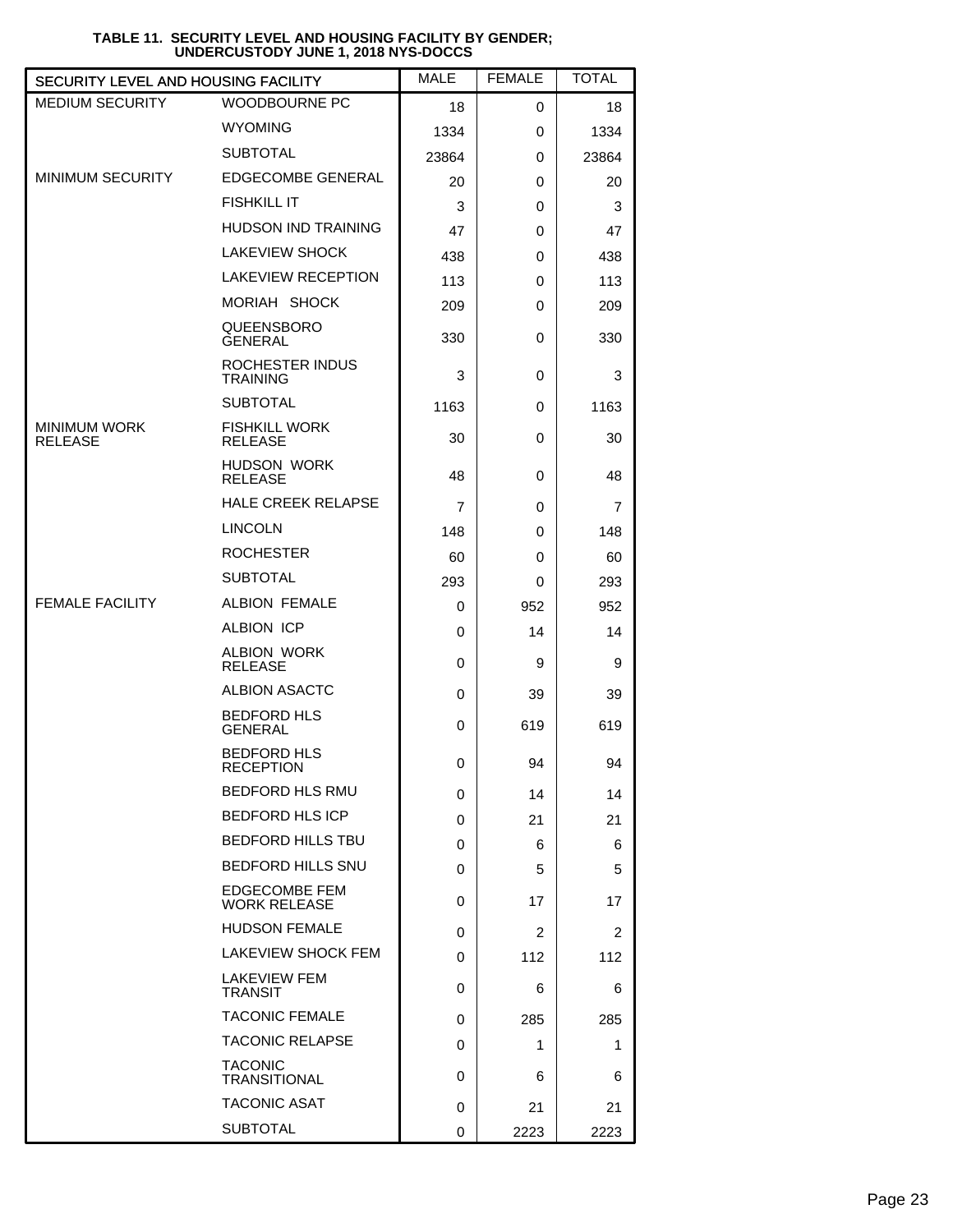| SECURITY LEVEL AND HOUSING FACILITY   |                                             | <b>MALE</b> | <b>FEMALE</b>  | <b>TOTAL</b> |
|---------------------------------------|---------------------------------------------|-------------|----------------|--------------|
| <b>MEDIUM SECURITY</b>                | <b>WOODBOURNE PC</b>                        | 18          | 0              | 18           |
|                                       | <b>WYOMING</b>                              | 1334        | 0              | 1334         |
|                                       | <b>SUBTOTAL</b>                             | 23864       | 0              | 23864        |
| <b>MINIMUM SECURITY</b>               | <b>EDGECOMBE GENERAL</b>                    | 20          | 0              | 20           |
|                                       | <b>FISHKILL IT</b>                          | 3           | 0              | 3            |
|                                       | <b>HUDSON IND TRAINING</b>                  | 47          | 0              | 47           |
|                                       | <b>LAKEVIEW SHOCK</b>                       | 438         | 0              | 438          |
|                                       | <b>LAKEVIEW RECEPTION</b>                   | 113         | 0              | 113          |
|                                       | MORIAH SHOCK                                | 209         | 0              | 209          |
|                                       | QUEENSBORO<br><b>GENERAL</b>                | 330         | 0              | 330          |
|                                       | ROCHESTER INDUS<br><b>TRAINING</b>          | 3           | 0              | 3            |
|                                       | <b>SUBTOTAL</b>                             | 1163        | 0              | 1163         |
| <b>MINIMUM WORK</b><br><b>RELEASE</b> | <b>FISHKILL WORK</b><br><b>RELEASE</b>      | 30          | 0              | 30           |
|                                       | <b>HUDSON WORK</b><br><b>RELEASE</b>        | 48          | 0              | 48           |
|                                       | <b>HALE CREEK RELAPSE</b>                   | 7           | 0              | 7            |
|                                       | <b>LINCOLN</b>                              | 148         | 0              | 148          |
|                                       | <b>ROCHESTER</b>                            | 60          | 0              | 60           |
|                                       | <b>SUBTOTAL</b>                             | 293         | 0              | 293          |
| <b>FEMALE FACILITY</b>                | <b>ALBION FEMALE</b>                        | 0           | 952            | 952          |
|                                       | <b>ALBION ICP</b>                           | 0           | 14             | 14           |
|                                       | <b>ALBION WORK</b><br><b>RELEASE</b>        | 0           | 9              | 9            |
|                                       | <b>ALBION ASACTC</b>                        | 0           | 39             | 39           |
|                                       | <b>BEDFORD HLS</b><br><b>GENERAL</b>        | 0           | 619            | 619          |
|                                       | <b>BEDFORD HLS</b><br><b>RECEPTION</b>      | 0           | 94             | 94           |
|                                       | <b>BEDFORD HLS RMU</b>                      | 0           | 14             | 14           |
|                                       | <b>BEDFORD HLS ICP</b>                      | 0           | 21             | 21           |
|                                       | <b>BEDFORD HILLS TBU</b>                    | 0           | 6              | 6            |
|                                       | <b>BEDFORD HILLS SNU</b>                    | 0           | 5              | 5            |
|                                       | <b>EDGECOMBE FEM</b><br><b>WORK RELEASE</b> | 0           | 17             | 17           |
|                                       | <b>HUDSON FEMALE</b>                        | 0           | $\overline{2}$ | 2            |
|                                       | LAKEVIEW SHOCK FEM                          | 0           | 112            | 112          |
|                                       | LAKEVIEW FEM<br><b>TRANSIT</b>              | 0           | 6              | 6            |
|                                       | <b>TACONIC FEMALE</b>                       | 0           | 285            | 285          |
|                                       | <b>TACONIC RELAPSE</b>                      | 0           | 1              | 1            |
|                                       | <b>TACONIC</b><br><b>TRANSITIONAL</b>       | 0           | 6              | 6            |
|                                       | <b>TACONIC ASAT</b>                         | 0           | 21             | 21           |
|                                       | <b>SUBTOTAL</b>                             | 0           | 2223           | 2223         |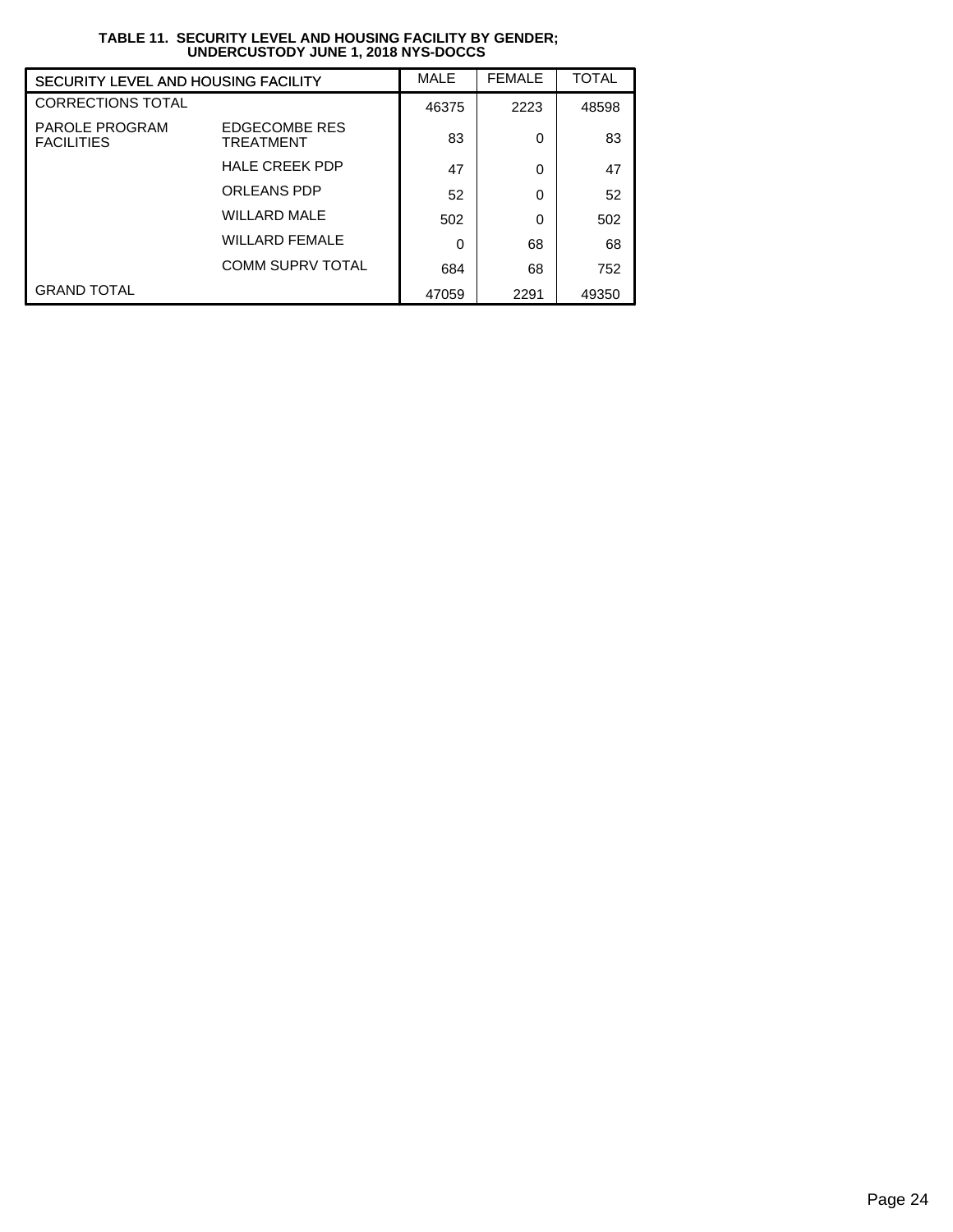| SECURITY LEVEL AND HOUSING FACILITY        |                                   | MALE     | <b>FEMALE</b> | <b>TOTAL</b> |
|--------------------------------------------|-----------------------------------|----------|---------------|--------------|
| <b>CORRECTIONS TOTAL</b>                   |                                   | 46375    | 2223          | 48598        |
| <b>PAROLE PROGRAM</b><br><b>FACILITIES</b> | <b>EDGECOMBE RES</b><br>TREATMENT | 83       | 0             | 83           |
|                                            | <b>HALE CREEK PDP</b>             | 47       | 0             | 47           |
|                                            | <b>ORLEANS PDP</b>                | 52       | 0             | 52           |
|                                            | <b>WILLARD MALE</b>               | 502      | 0             | 502          |
|                                            | <b>WILLARD FEMALE</b>             | $\Omega$ | 68            | 68           |
|                                            | <b>COMM SUPRV TOTAL</b>           | 684      | 68            | 752          |
| <b>GRAND TOTAL</b>                         |                                   | 47059    | 2291          | 49350        |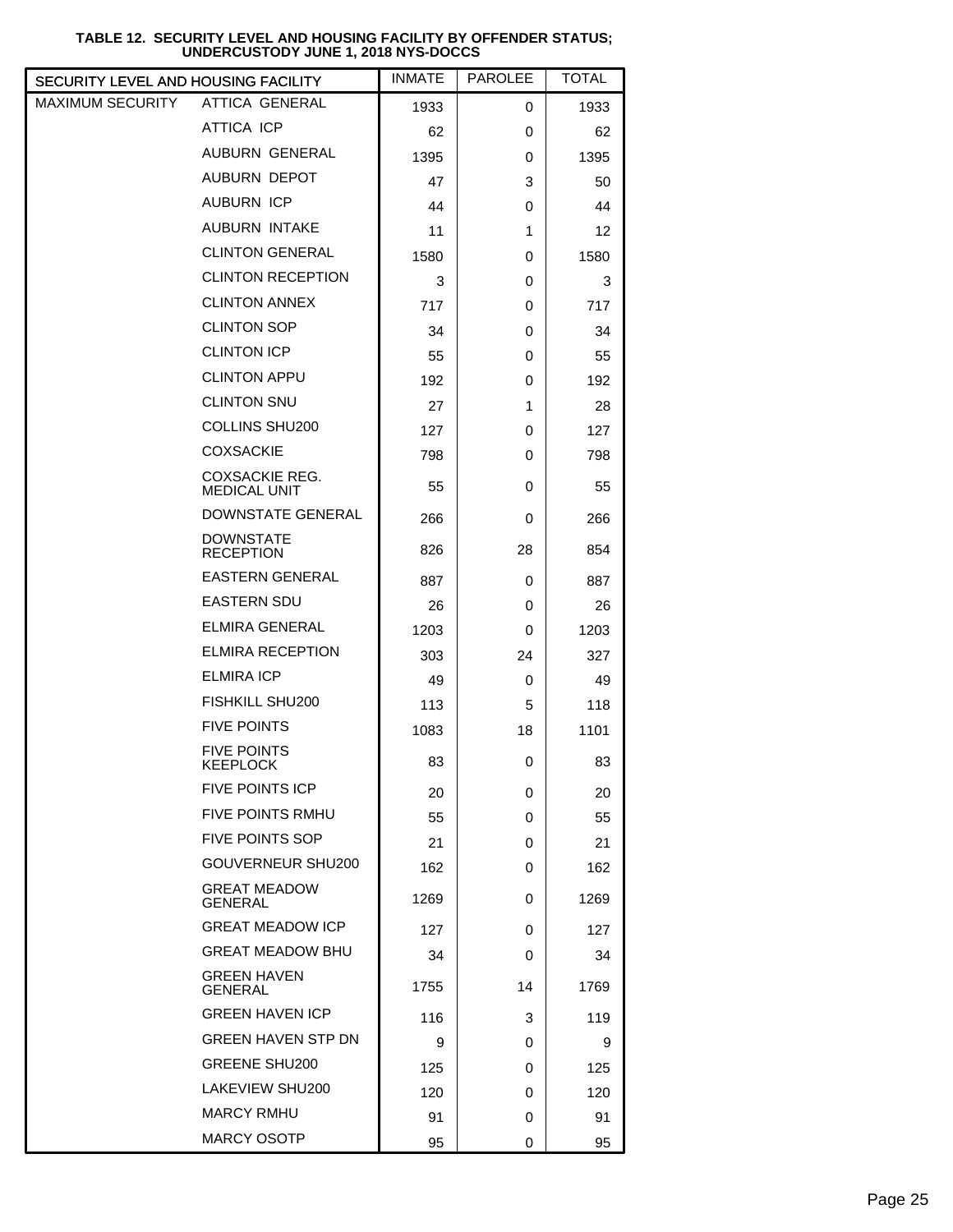#### ATTICA GENERAL ATTICA ICP AUBURN GENERAL AUBURN DEPOT AUBURN ICP AUBURN INTAKE CLINTON GENERAL CLINTON RECEPTION CLINTON ANNEX CLINTON SOP CLINTON ICP CLINTON APPU CLINTON SNU COLLINS SHU200 COXSACKIE COXSACKIE REG. MEDICAL UNIT DOWNSTATE GENERAL DOWNSTATE **RECEPTION** EASTERN GENERAL EASTERN SDU ELMIRA GENERAL ELMIRA RECEPTION ELMIRA ICP FISHKILL SHU200 FIVE POINTS FIVE POINTS **KEEPLOCK** FIVE POINTS ICP FIVE POINTS RMHU FIVE POINTS SOP GOUVERNEUR SHU200 GREAT MEADOW GENERAL GREAT MEADOW ICP GREAT MEADOW BHU GREEN HAVEN GENERAL GREEN HAVEN ICP GREEN HAVEN STP DN GREENE SHU200 LAKEVIEW SHU200 MARCY RMHU MARCY OSOTP MAXIMUM SECURITY 95 0 95 91 | 0 | 91 120 0 120 125 0 125 9 | 0 | 9 116 3 119 1755 14 1769 34 0 34  $127$  0 127 1269 0 1269 162 0 162 21 | 0 | 21 55 0 55 20 0 20 83 0 83 1083 18 101 113 | 5 | 118 49 | 0 | 49 303 24 327 1203 0 1203 26 0 26 887 0 887 826 28 854 266 0 266 55 0 55 798 0 798 127 0 127 27 1 28 192 0 192 55 0 55 34 0 34 717 0 717 3 0 3 1580 0 1580 11 | 1 | 12 44 0 44 47 | 3 | 50 1395 0 1395 62 0 62 1933 0 1933 SECURITY LEVEL AND HOUSING FACILITY

## **TABLE 12. SECURITY LEVEL AND HOUSING FACILITY BY OFFENDER STATUS; UNDERCUSTODY JUNE 1, 2018 NYS-DOCCS**

INMATE | PAROLEE | TOTAL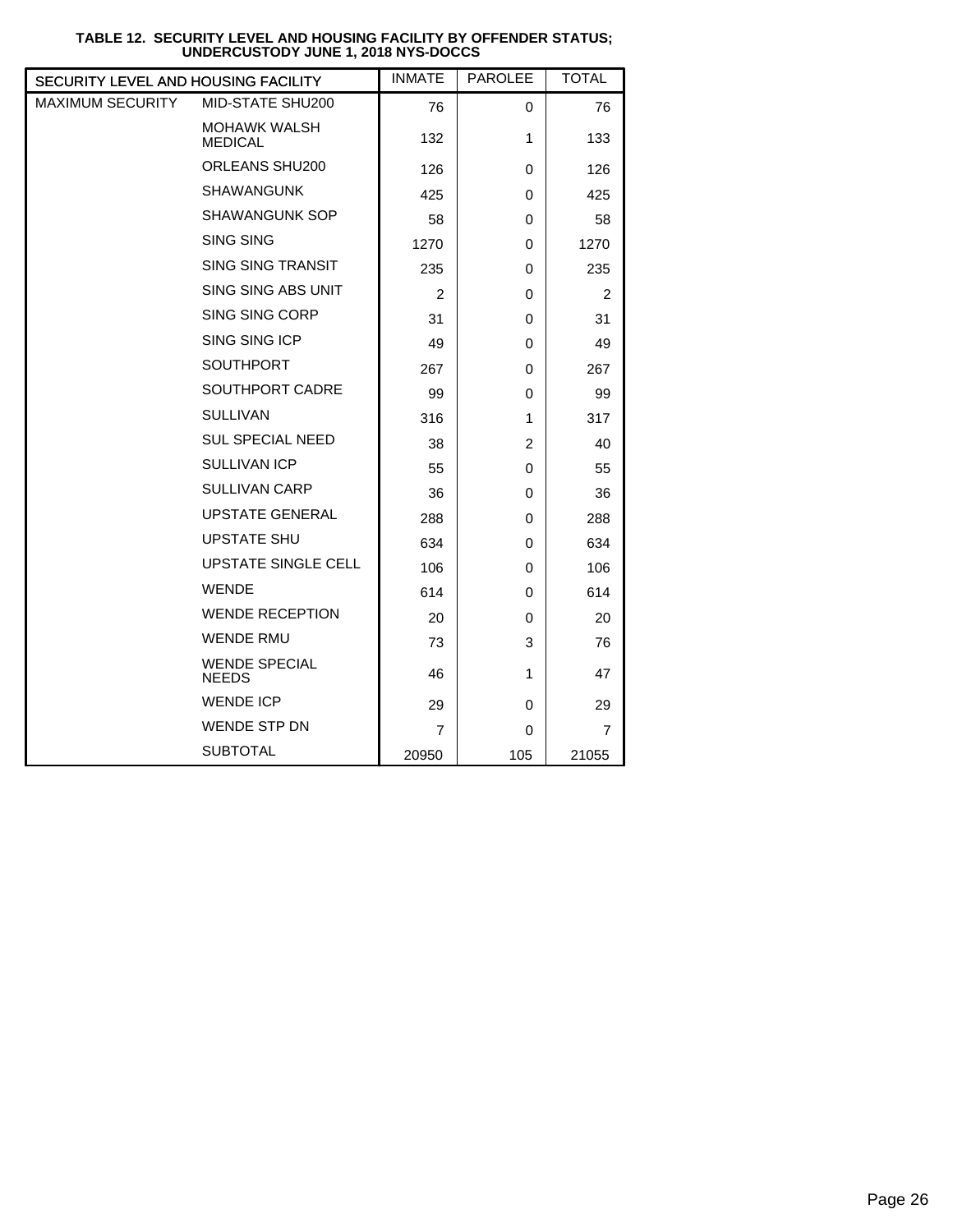| SECURITY LEVEL AND HOUSING FACILITY |                                       | <b>INMATE</b>  | <b>PAROLEE</b> | <b>TOTAL</b> |
|-------------------------------------|---------------------------------------|----------------|----------------|--------------|
| <b>MAXIMUM SECURITY</b>             | MID-STATE SHU200                      | 76             | 0              | 76           |
|                                     | <b>MOHAWK WALSH</b><br><b>MEDICAL</b> | 132            | 1              | 133          |
|                                     | ORLEANS SHU200                        | 126            | 0              | 126          |
|                                     | <b>SHAWANGUNK</b>                     | 425            | 0              | 425          |
|                                     | <b>SHAWANGUNK SOP</b>                 | 58             | 0              | 58           |
|                                     | <b>SING SING</b>                      | 1270           | 0              | 1270         |
|                                     | <b>SING SING TRANSIT</b>              | 235            | 0              | 235          |
|                                     | SING SING ABS UNIT                    | $\overline{2}$ | 0              | 2            |
|                                     | SING SING CORP                        | 31             | 0              | 31           |
|                                     | SING SING ICP                         | 49             | 0              | 49           |
|                                     | <b>SOUTHPORT</b>                      | 267            | 0              | 267          |
|                                     | <b>SOUTHPORT CADRE</b>                | 99             | 0              | 99           |
|                                     | <b>SULLIVAN</b>                       | 316            | 1              | 317          |
|                                     | <b>SUL SPECIAL NEED</b>               | 38             | $\overline{c}$ | 40           |
|                                     | <b>SULLIVAN ICP</b>                   | 55             | 0              | 55           |
|                                     | <b>SULLIVAN CARP</b>                  | 36             | 0              | 36           |
|                                     | <b>UPSTATE GENERAL</b>                | 288            | 0              | 288          |
|                                     | <b>UPSTATE SHU</b>                    | 634            | 0              | 634          |
|                                     | <b>UPSTATE SINGLE CELL</b>            | 106            | 0              | 106          |
|                                     | <b>WENDE</b>                          | 614            | 0              | 614          |
|                                     | <b>WENDE RECEPTION</b>                | 20             | 0              | 20           |
|                                     | <b>WENDE RMU</b>                      | 73             | 3              | 76           |
|                                     | <b>WENDE SPECIAL</b><br><b>NEEDS</b>  | 46             | 1              | 47           |
|                                     | <b>WENDE ICP</b>                      | 29             | 0              | 29           |
|                                     | <b>WENDE STP DN</b>                   | 7              | 0              | 7            |
|                                     | <b>SUBTOTAL</b>                       | 20950          | 105            | 21055        |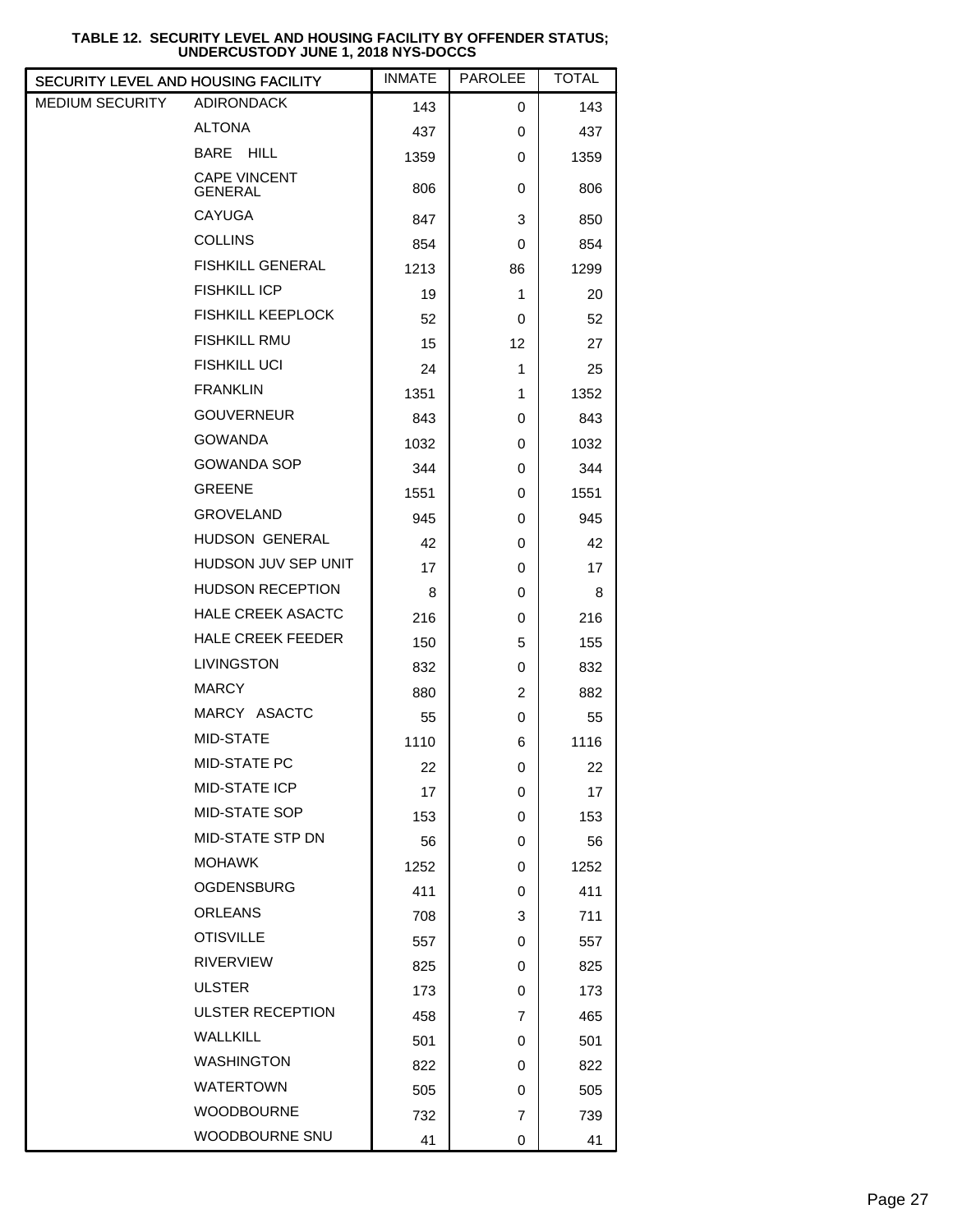| SECURITY LEVEL AND HOUSING FACILITY |                                       | <b>INMATE</b> | <b>PAROLEE</b> | <b>TOTAL</b> |  |
|-------------------------------------|---------------------------------------|---------------|----------------|--------------|--|
| MEDIUM SECURITY                     | <b>ADIRONDACK</b>                     | 143           | 0              | 143          |  |
|                                     | <b>ALTONA</b>                         | 437           | 0              | 437          |  |
|                                     | BARE HILL                             | 1359          | 0              | 1359         |  |
|                                     | <b>CAPE VINCENT</b><br><b>GENERAL</b> | 806           | 0              | 806          |  |
|                                     | <b>CAYUGA</b>                         | 847           | 3              | 850          |  |
|                                     | <b>COLLINS</b>                        | 854           | 0              | 854          |  |
|                                     | <b>FISHKILL GENERAL</b>               | 1213          | 86             | 1299         |  |
|                                     | <b>FISHKILL ICP</b>                   | 19            | 1              | 20           |  |
|                                     | <b>FISHKILL KEEPLOCK</b>              | 52            | 0              | 52           |  |
|                                     | <b>FISHKILL RMU</b>                   | 15            | 12             | 27           |  |
|                                     | <b>FISHKILL UCI</b>                   | 24            | 1              | 25           |  |
|                                     | <b>FRANKLIN</b>                       | 1351          | 1              | 1352         |  |
|                                     | <b>GOUVERNEUR</b>                     | 843           | 0              | 843          |  |
|                                     | <b>GOWANDA</b>                        | 1032          | 0              | 1032         |  |
|                                     | <b>GOWANDA SOP</b>                    | 344           | 0              | 344          |  |
|                                     | <b>GREENE</b>                         | 1551          | 0              | 1551         |  |
|                                     | <b>GROVELAND</b>                      | 945           | 0              | 945          |  |
|                                     | HUDSON GENERAL                        | 42            | 0              | 42           |  |
|                                     | HUDSON JUV SEP UNIT                   | 17            | 0              | 17           |  |
|                                     | <b>HUDSON RECEPTION</b>               | 8             | 0              | 8            |  |
|                                     | <b>HALE CREEK ASACTC</b>              | 216           | 0              | 216          |  |
|                                     | <b>HALE CREEK FEEDER</b>              | 150           | 5              | 155          |  |
|                                     | <b>LIVINGSTON</b>                     | 832           | 0              | 832          |  |
|                                     | <b>MARCY</b>                          | 880           | 2              | 882          |  |
|                                     | MARCY ASACTC                          | 55            | 0              | 55           |  |
|                                     | MID-STATE                             | 1110          | 6              | 1116         |  |
|                                     | MID-STATE PC                          | 22            | U              | 22           |  |
|                                     | MID-STATE ICP                         | 17            | 0              | 17           |  |
|                                     | MID-STATE SOP                         | 153           | 0              | 153          |  |
|                                     | MID-STATE STP DN                      | 56            | 0              | 56           |  |
|                                     | <b>MOHAWK</b>                         | 1252          | 0              | 1252         |  |
|                                     | <b>OGDENSBURG</b>                     | 411           | 0              | 411          |  |
|                                     | <b>ORLEANS</b>                        | 708           | 3              | 711          |  |
|                                     | <b>OTISVILLE</b>                      | 557           | 0              | 557          |  |
|                                     | <b>RIVERVIEW</b>                      | 825           | 0              | 825          |  |
|                                     | <b>ULSTER</b>                         | 173           | 0              | 173          |  |
|                                     | <b>ULSTER RECEPTION</b>               | 458           | 7              | 465          |  |
|                                     | <b>WALLKILL</b>                       | 501           | 0              | 501          |  |
|                                     | <b>WASHINGTON</b>                     | 822           | 0              | 822          |  |
|                                     | <b>WATERTOWN</b>                      | 505           | 0              | 505          |  |
|                                     | <b>WOODBOURNE</b>                     | 732           | 7              | 739          |  |
|                                     | WOODBOURNE SNU                        | 41            | 0              | 41           |  |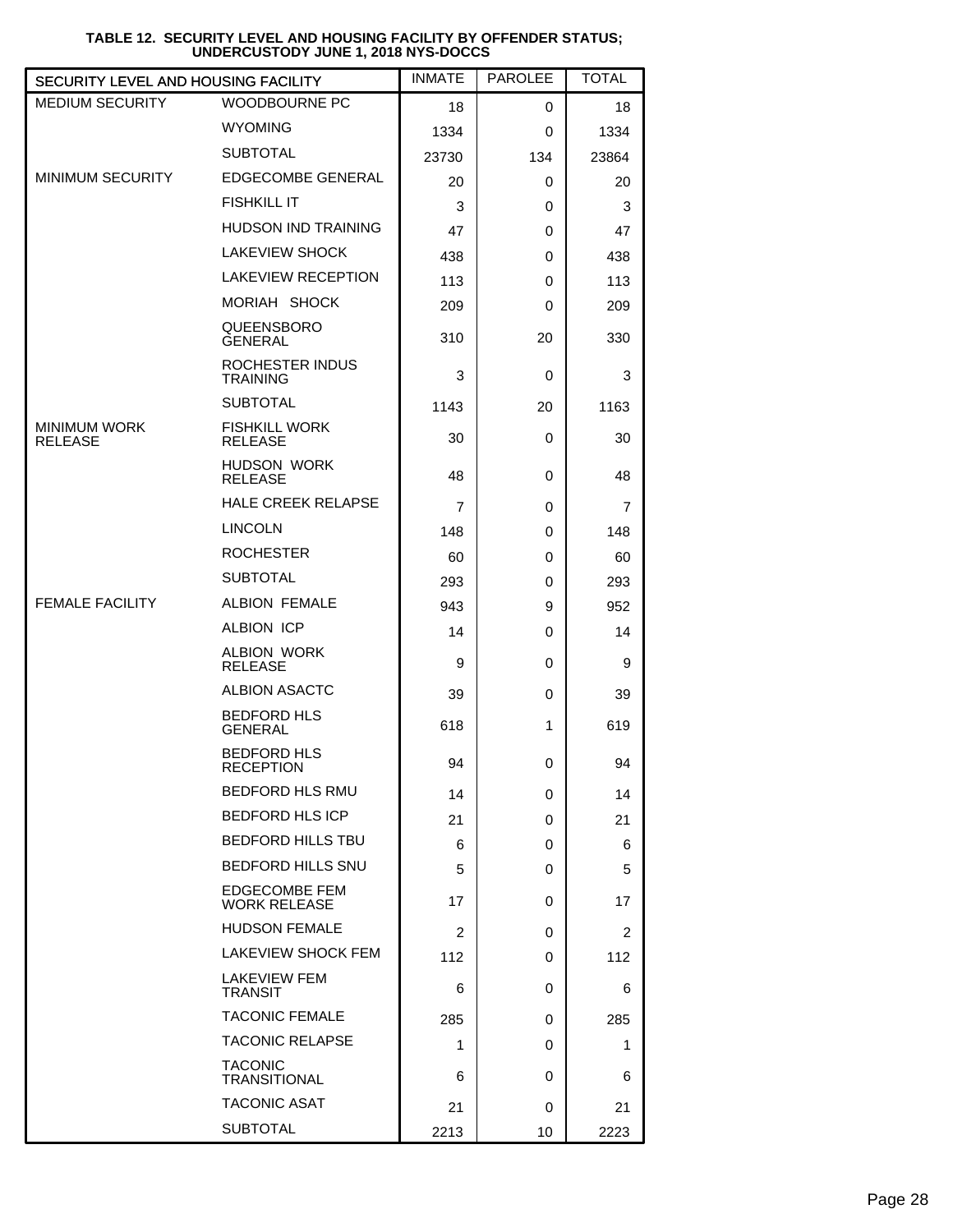| <b>SECURITY LEVEL AND HOUSING FACILITY</b> |                                             | <b>INMATE</b>  | <b>PAROLEE</b> | <b>TOTAL</b>   |
|--------------------------------------------|---------------------------------------------|----------------|----------------|----------------|
| <b>MEDIUM SECURITY</b>                     | <b>WOODBOURNE PC</b>                        | 18             | 0              | 18             |
|                                            | <b>WYOMING</b>                              | 1334           | 0              | 1334           |
|                                            | <b>SUBTOTAL</b>                             | 23730          | 134            | 23864          |
| MINIMUM SECURITY                           | <b>EDGECOMBE GENERAL</b>                    | 20             | 0              | 20             |
|                                            | <b>FISHKILL IT</b>                          | 3              | 0              | 3              |
|                                            | <b>HUDSON IND TRAINING</b>                  | 47             | 0              | 47             |
|                                            | <b>LAKEVIEW SHOCK</b>                       | 438            | 0              | 438            |
|                                            | <b>LAKEVIEW RECEPTION</b>                   | 113            | 0              | 113            |
|                                            | MORIAH SHOCK                                | 209            | 0              | 209            |
|                                            | QUEENSBORO<br><b>GENERAL</b>                | 310            | 20             | 330            |
|                                            | ROCHESTER INDUS<br><b>TRAINING</b>          | 3              | 0              | 3              |
|                                            | <b>SUBTOTAL</b>                             | 1143           | 20             | 1163           |
| <b>MINIMUM WORK</b><br><b>RELEASE</b>      | <b>FISHKILL WORK</b><br><b>RELEASE</b>      | 30             | 0              | 30             |
|                                            | <b>HUDSON WORK</b><br><b>RELEASE</b>        | 48             | 0              | 48             |
|                                            | <b>HALE CREEK RELAPSE</b>                   | 7              | 0              | 7              |
|                                            | <b>LINCOLN</b>                              | 148            | 0              | 148            |
|                                            | <b>ROCHESTER</b>                            | 60             | 0              | 60             |
|                                            | <b>SUBTOTAL</b>                             | 293            | 0              | 293            |
| <b>FEMALE FACILITY</b>                     | <b>ALBION FEMALE</b>                        | 943            | 9              | 952            |
|                                            | <b>ALBION ICP</b>                           | 14             | 0              | 14             |
|                                            | <b>ALBION WORK</b><br><b>RELEASE</b>        | 9              | 0              | 9              |
|                                            | <b>ALBION ASACTC</b>                        | 39             | 0              | 39             |
|                                            | <b>BEDFORD HLS</b><br><b>GENERAL</b>        | 618            | 1              | 619            |
|                                            | <b>BEDFORD HLS</b><br>RECEPTION             | 94             | 0              | 94             |
|                                            | BEDFORD HLS RMU                             | 14             | 0              | 14             |
|                                            | <b>BEDFORD HLS ICP</b>                      | 21             | 0              | 21             |
|                                            | <b>BEDFORD HILLS TBU</b>                    | 6              | 0              | 6              |
|                                            | <b>BEDFORD HILLS SNU</b>                    | 5              | 0              | 5              |
|                                            | <b>EDGECOMBE FEM</b><br><b>WORK RELEASE</b> | 17             | 0              | 17             |
|                                            | <b>HUDSON FEMALE</b>                        | $\overline{2}$ | 0              | $\overline{2}$ |
|                                            | LAKEVIEW SHOCK FEM                          | 112            | 0              | 112            |
|                                            | LAKEVIEW FEM<br><b>TRANSIT</b>              | 6              | 0              | 6              |
|                                            | <b>TACONIC FEMALE</b>                       | 285            | 0              | 285            |
|                                            | <b>TACONIC RELAPSE</b>                      | 1              | 0              | 1              |
|                                            | <b>TACONIC</b><br><b>TRANSITIONAL</b>       | 6              | 0              | 6              |
|                                            | <b>TACONIC ASAT</b>                         | 21             | 0              | 21             |
|                                            | <b>SUBTOTAL</b>                             | 2213           | 10             | 2223           |